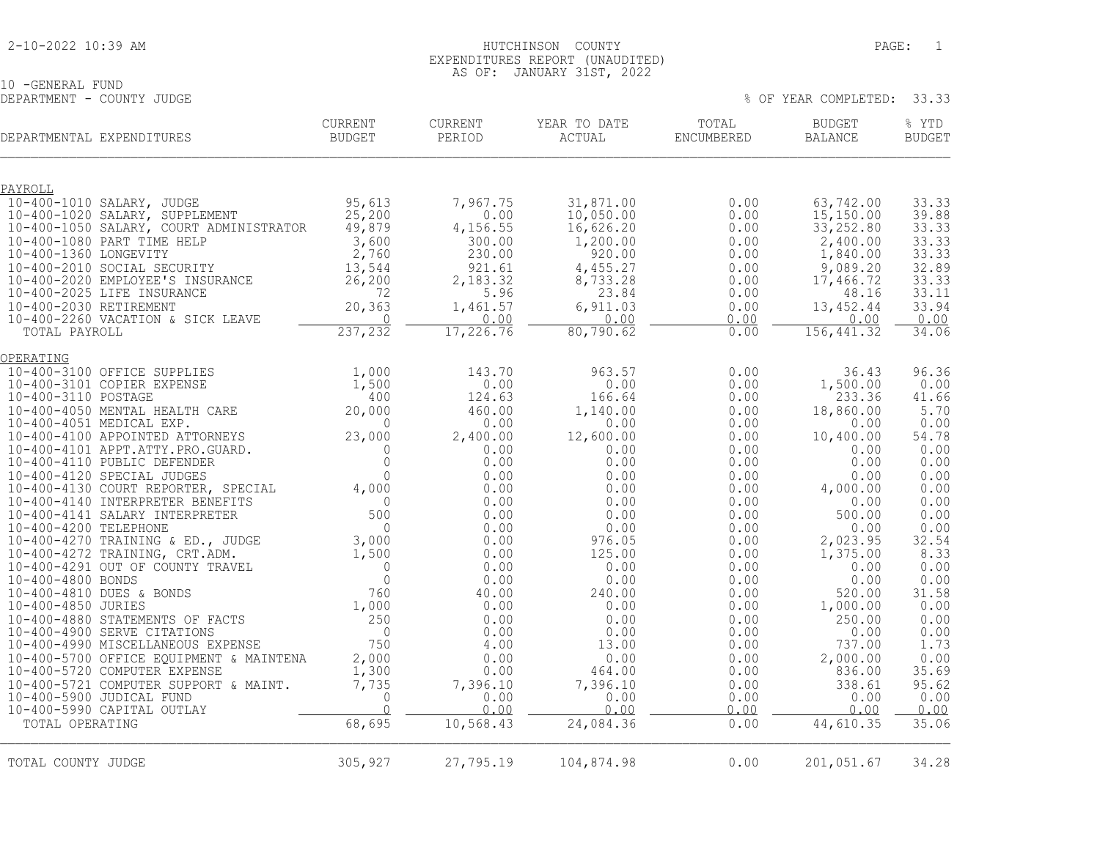#### 2-10-2022 10:39 AM HUTCHINSON COUNTY PAGE: 1 EXPENDITURES REPORT (UNAUDITED) AS OF: JANUARY 31ST, 2022

10 -GENERAL FUND

| TA ATHATAT TAMA<br>DEPARTMENT - COUNTY JUDGE |                   |                   |                        |                     | % OF YEAR COMPLETED: 33.33 |                 |
|----------------------------------------------|-------------------|-------------------|------------------------|---------------------|----------------------------|-----------------|
| DEPARTMENTAL EXPENDITURES                    | CURRENT<br>BUDGET | CURRENT<br>PERIOD | YEAR TO DATE<br>ACTUAL | TOTAL<br>ENCUMBERED | BUDGET<br>BALANCE          | % YTD<br>BUDGET |
|                                              |                   |                   |                        |                     |                            |                 |

| PAYROLL                                                                                          |                  |           |            |      |            |       |
|--------------------------------------------------------------------------------------------------|------------------|-----------|------------|------|------------|-------|
| 10-400-1010 SALARY, JUDGE                                                                        |                  | 7,967.75  | 31,871.00  | 0.00 | 63,742.00  | 33.33 |
| 10-400-1020 SALARY, SUPPLEMENT                                                                   | 95,613<br>25,200 | 0.00      | 10,050.00  | 0.00 | 15, 150.00 | 39.88 |
| 10-400-1050 SALARY, COURT ADMINISTRATOR                                                          | 49,879           | 4,156.55  | 16,626.20  | 0.00 | 33, 252.80 | 33.33 |
| 10-400-1080 PART TIME HELP                                                                       | 3,600            | 300.00    | 1,200.00   | 0.00 | 2,400.00   | 33.33 |
| 10-400-1360 LONGEVITY                                                                            | 2,760            | 230.00    | 920.00     | 0.00 | 1,840.00   | 33.33 |
| 10-400-2010 SOCIAL SECURITY                                                                      | 13,544           | 921.61    | 4,455.27   | 0.00 | 9,089.20   | 32.89 |
| 10-400-2020 EMPLOYEE'S INSURANCE                                                                 | 26, 200          | 2,183.32  | 8,733.28   | 0.00 | 17,466.72  | 33.33 |
| 10-400-2025 LIFE INSURANCE                                                                       | 72               | 5.96      | 23.84      | 0.00 | 48.16      | 33.11 |
| 10-400-2030 RETIREMENT                                                                           | 20,363           | 1,461.57  | 6,911.03   | 0.00 | 13, 452.44 | 33.94 |
| 10-400-2260 VACATION & SICK LEAVE                                                                | $\mathbf 0$      | 0.00      | 0.00       | 0.00 | 0.00       | 0.00  |
| TOTAL PAYROLL                                                                                    | 237,232          | 17,226.76 | 80, 790.62 | 0.00 | 156,441.32 | 34.06 |
| OPERATING                                                                                        |                  |           |            |      |            |       |
| 10-400-3100 OFFICE SUPPLIES                                                                      | 1,000            | 143.70    | 963.57     | 0.00 | 36.43      | 96.36 |
| 10-400-3101 COPIER EXPENSE                                                                       | 1,500            | 0.00      | 0.00       | 0.00 | 1,500.00   | 0.00  |
| 10-400-3110 POSTAGE                                                                              | 400              | 124.63    | 166.64     | 0.00 | 233.36     | 41.66 |
| 10-400-4050 MENTAL HEALTH CARE                                                                   | 20,000           | 460.00    | 1,140.00   | 0.00 | 18,860.00  | 5.70  |
| 10-400-4051 MEDICAL EXP.                                                                         | 0                | 0.00      | 0.00       | 0.00 | 0.00       | 0.00  |
| 10-400-4100 APPOINTED ATTORNEYS                                                                  | 23,000           | 2,400.00  | 12,600.00  | 0.00 | 10,400.00  | 54.78 |
| 10-400-4101 APPT.ATTY.PRO.GUARD.                                                                 | $\Omega$         | 0.00      | 0.00       | 0.00 | 0.00       | 0.00  |
| 10-400-4110 PUBLIC DEFENDER                                                                      | $\circledcirc$   | 0.00      | 0.00       | 0.00 | 0.00       | 0.00  |
| 10-400-4110 POBLIC DEFENDER<br>10-400-4120 SPECIAL JUDGES<br>10-400-4130 COURT REPORTER, SPECIAL | $\mathbf{0}$     | 0.00      | 0.00       | 0.00 | 0.00       | 0.00  |
|                                                                                                  | 4,000            | 0.00      | 0.00       | 0.00 | 4,000.00   | 0.00  |
| 10-400-4140 INTERPRETER BENEFITS                                                                 | $\mathbf 0$      | 0.00      | 0.00       | 0.00 | 0.00       | 0.00  |
| 10-400-4141 SALARY INTERPRETER                                                                   | 500              | 0.00      | 0.00       | 0.00 | 500.00     | 0.00  |
| 10-400-4200 TELEPHONE                                                                            | $\mathbf{0}$     | 0.00      | 0.00       | 0.00 | 0.00       | 0.00  |
| 10-400-4270 TRAINING & ED., JUDGE                                                                | 3,000            | 0.00      | 976.05     | 0.00 | 2,023.95   | 32.54 |
| 10-400-4272 TRAINING, CRT.ADM.                                                                   | 1,500            | 0.00      | 125.00     | 0.00 | 1,375.00   | 8.33  |
| 10-400-4291 OUT OF COUNTY TRAVEL                                                                 | $\mathbf{0}$     | 0.00      | 0.00       | 0.00 | 0.00       | 0.00  |
| 10-400-4800 BONDS                                                                                | $\mathbf 0$      | 0.00      | 0.00       | 0.00 | 0.00       | 0.00  |
| 10-400-4810 DUES & BONDS                                                                         | 760              | 40.00     | 240.00     | 0.00 | 520.00     | 31.58 |
| 10-400-4850 JURIES                                                                               | 1,000            | 0.00      | 0.00       | 0.00 | 1,000.00   | 0.00  |
| 10-400-4880 STATEMENTS OF FACTS                                                                  | 250              | 0.00      | 0.00       | 0.00 | 250.00     | 0.00  |
| 10-400-4900 SERVE CITATIONS                                                                      | $\overline{0}$   | 0.00      | 0.00       | 0.00 | 0.00       | 0.00  |
| 10-400-4990 MISCELLANEOUS EXPENSE                                                                | 750              | 4.00      | 13.00      | 0.00 | 737.00     | 1.73  |
| 10-400-5700 OFFICE EQUIPMENT & MAINTENA                                                          | 2,000            | 0.00      | 0.00       | 0.00 | 2,000.00   | 0.00  |
| 10-400-5720 COMPUTER EXPENSE                                                                     | 1,300            | 0.00      | 464.00     | 0.00 | 836.00     | 35.69 |
| 10-400-5721 COMPUTER SUPPORT & MAINT.                                                            | 7,735            | 7,396.10  | 7,396.10   | 0.00 | 338.61     | 95.62 |
| 10-400-5900 JUDICAL FUND                                                                         | $\mathbf{0}$     | 0.00      | 0.00       | 0.00 | 0.00       | 0.00  |
| 10-400-5990 CAPITAL OUTLAY                                                                       | $\Omega$         | 0.00      | 0.00       | 0.00 | 0.00       | 0.00  |
| TOTAL OPERATING                                                                                  | 68,695           | 10,568.43 | 24,084.36  | 0.00 | 44,610.35  | 35.06 |
|                                                                                                  |                  |           |            |      |            |       |
| TOTAL COUNTY JUDGE                                                                               | 305,927          | 27,795.19 | 104,874.98 | 0.00 | 201,051.67 | 34.28 |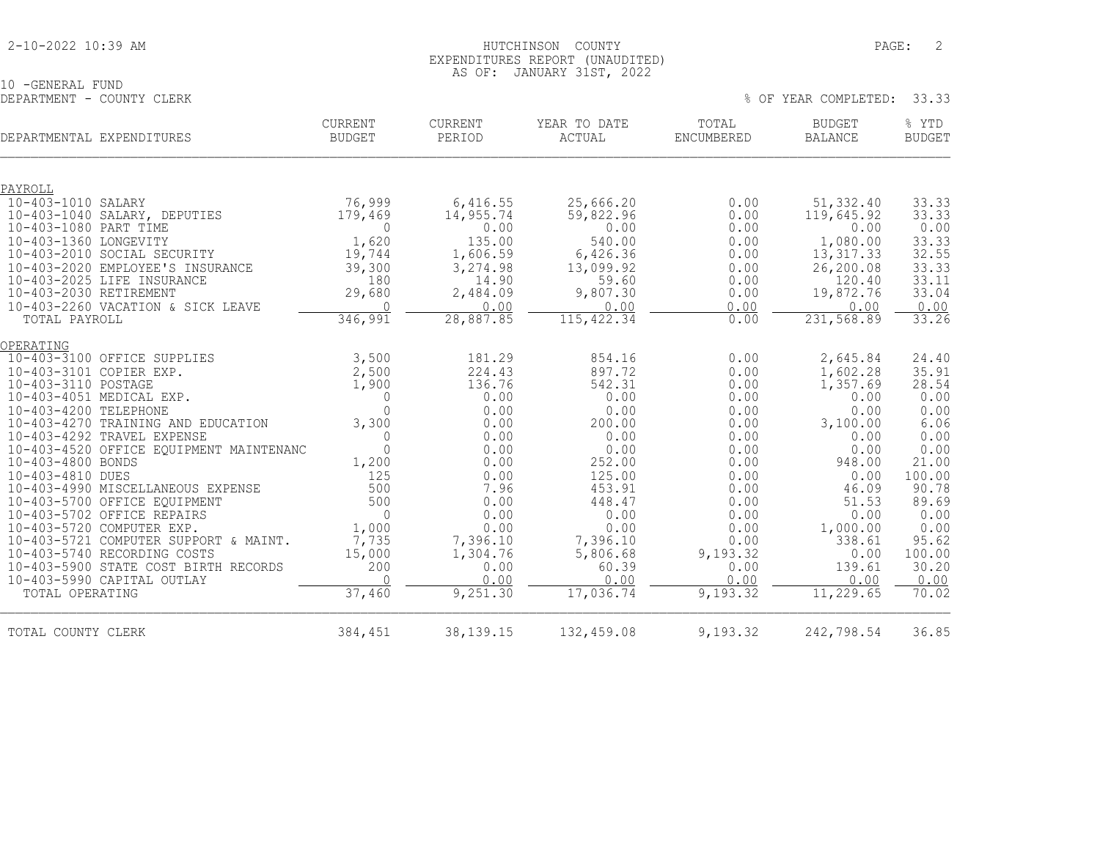10 -GENERAL FUND<br>DEPARTMENT - COUNTY CLERK

| DEPARTMENTAL EXPENDITURES                               | <b>CURRENT</b><br><b>BUDGET</b> | CURRENT<br>PERIOD | YEAR TO DATE<br>ACTUAL | TOTAL<br><b>ENCUMBERED</b> | <b>BUDGET</b><br><b>BALANCE</b> | % YTD<br><b>BUDGET</b> |
|---------------------------------------------------------|---------------------------------|-------------------|------------------------|----------------------------|---------------------------------|------------------------|
| PAYROLL                                                 |                                 |                   |                        |                            |                                 |                        |
| 10-403-1010 SALARY                                      | 76,999                          | 6,416.55          | 25,666.20              | 0.00                       | 51,332.40                       | 33.33                  |
| 10-403-1040 SALARY, DEPUTIES                            | 179,469                         | 14,955.74         | 59,822.96              | 0.00                       | 119,645.92                      | 33.33                  |
| 10-403-1080 PART TIME                                   | $\mathbf{0}$                    | 0.00              | 0.00                   | 0.00                       | 0.00                            | 0.00                   |
| 10-403-1360 LONGEVITY                                   | 1,620                           | 135.00            | 540.00                 | 0.00                       | 1,080.00                        | 33.33                  |
| 10-403-2010 SOCIAL SECURITY                             | 19,744                          | 1,606.59          | 6,426.36               | 0.00                       | 13,317.33                       | 32.55                  |
| 10-403-2020 EMPLOYEE'S INSURANCE                        | 39,300                          | 3,274.98          | 13,099.92              | 0.00                       | 26,200.08                       | 33.33                  |
| 10-403-2025 LIFE INSURANCE                              | 180                             | 14.90             | 59.60                  | 0.00                       | 120.40                          | 33.11                  |
| 10-403-2030 RETIREMENT                                  | 29,680                          | 2,484.09          | 9,807.30               | 0.00                       | 19,872.76                       | 33.04                  |
| 10-403-2260 VACATION & SICK LEAVE                       | $\Omega$                        | 0.00              | 0.00                   | 0.00                       | 0.00                            | 0.00                   |
| TOTAL PAYROLL                                           | 346,991                         | 28,887.85         | 115, 422.34            | 0.00                       | 231, 568.89                     | 33.26                  |
| OPERATING                                               |                                 |                   |                        |                            |                                 |                        |
| 10-403-3100 OFFICE SUPPLIES                             | 3,500                           | 181.29            | 854.16                 | 0.00                       | 2,645.84                        | 24.40                  |
| 10-403-3101 COPIER EXP.                                 | 2,500                           | 224.43            | 897.72                 | 0.00                       | 1,602.28                        | 35.91                  |
| 10-403-3110 POSTAGE                                     | 1,900                           | 136.76            | 542.31                 | 0.00                       | 1,357.69                        | 28.54                  |
| 10-403-4051 MEDICAL EXP.                                | $\mathbf{0}$                    | 0.00              | 0.00                   | 0.00                       | 0.00                            | 0.00                   |
| 10-403-4200 TELEPHONE                                   | $\Omega$                        | 0.00              | 0.00                   | 0.00                       | 0.00                            | 0.00                   |
| 10-403-4270 TRAINING AND EDUCATION                      | 3,300                           | 0.00              | 200.00                 | 0.00                       | 3,100.00                        | 6.06                   |
| 10-403-4292 TRAVEL EXPENSE                              | $\Omega$                        | 0.00              | 0.00                   | 0.00                       | 0.00                            | 0.00                   |
| 10-403-4520 OFFICE EQUIPMENT MAINTENANC                 | $\Omega$                        | 0.00              | 0.00                   | 0.00                       | 0.00                            | 0.00                   |
| 10-403-4800 BONDS                                       | 1,200                           | 0.00              | 252.00                 | 0.00                       | 948.00                          | 21.00                  |
| 10-403-4810 DUES                                        | 125                             | 0.00              | 125.00                 | 0.00                       | 0.00                            | 100.00                 |
| 10-403-4990 MISCELLANEOUS EXPENSE                       | 500                             | 7.96              | 453.91                 | 0.00                       | 46.09                           | 90.78                  |
| 10-403-5700 OFFICE EQUIPMENT                            | 500<br>$\Omega$                 | 0.00              | 448.47<br>0.00         | 0.00<br>0.00               | 51.53<br>0.00                   | 89.69                  |
| 10-403-5702 OFFICE REPAIRS<br>10-403-5720 COMPUTER EXP. | 1,000                           | 0.00<br>0.00      | 0.00                   | 0.00                       | 1,000.00                        | 0.00<br>0.00           |
| 10-403-5721 COMPUTER SUPPORT & MAINT.                   | 7,735                           | 7,396.10          | 7,396.10               | 0.00                       | 338.61                          | 95.62                  |
| 10-403-5740 RECORDING COSTS                             | 15,000                          | 1,304.76          | 5,806.68               | 9,193.32                   | 0.00                            | 100.00                 |
| 10-403-5900 STATE COST BIRTH RECORDS                    | 200                             | 0.00              | 60.39                  | 0.00                       | 139.61                          | 30.20                  |
| 10-403-5990 CAPITAL OUTLAY                              | $\cap$                          | 0.00              | 0.00                   | 0.00                       | 0.00                            | 0.00                   |
| TOTAL OPERATING                                         | 37,460                          | 9,251.30          | 17,036.74              | 9,193.32                   | 11, 229.65                      | 70.02                  |
| TOTAL COUNTY CLERK                                      | 384,451                         | 38, 139. 15       | 132,459.08             | 9,193.32                   | 242,798.54                      | 36.85                  |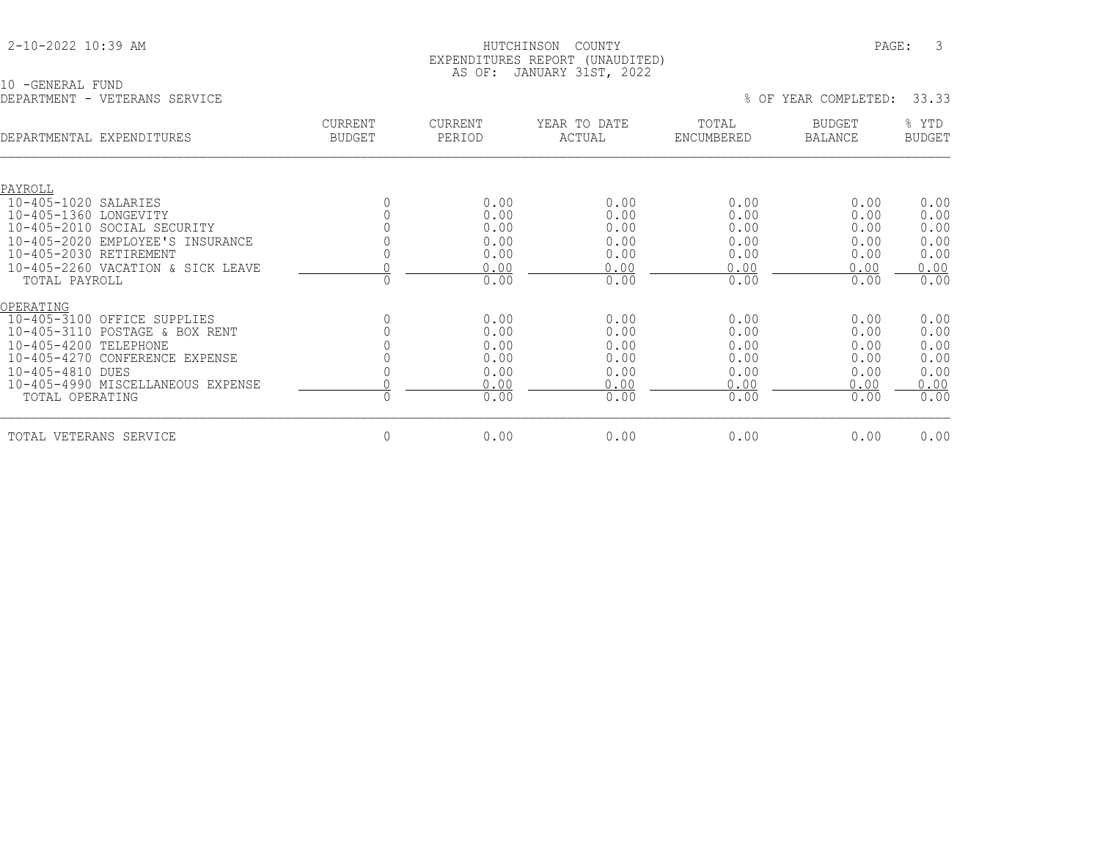|  |  |  |  | 2-10-2022 10:39 AM |  |
|--|--|--|--|--------------------|--|
|--|--|--|--|--------------------|--|

### 2-10-2022 10:39 AM HUTCHINSON COUNTY PAGE: 3 EXPENDITURES REPORT (UNAUDITED) AS OF: JANUARY 31ST, 2022

10 -GENERAL FUND DEPARTMENT - VETERANS SERVICE % OF YEAR COMPLETED: 33.33

| -------------                   | VHILLUMO OHIVIOH                  |                                 |                   | THIS COISS SHOP.<br>----- |                     |                          |                        |
|---------------------------------|-----------------------------------|---------------------------------|-------------------|---------------------------|---------------------|--------------------------|------------------------|
| DEPARTMENTAL EXPENDITURES       |                                   | <b>CURRENT</b><br><b>BUDGET</b> | CURRENT<br>PERIOD | YEAR TO DATE<br>ACTUAL    | TOTAL<br>ENCUMBERED | <b>BUDGET</b><br>BALANCE | % YTD<br><b>BUDGET</b> |
|                                 |                                   |                                 |                   |                           |                     |                          |                        |
| PAYROLL<br>10-405-1020 SALARIES |                                   |                                 | 0.00              | 0.00                      | 0.00                | 0.00                     | 0.00                   |
| 10-405-1360 LONGEVITY           |                                   |                                 | 0.00              | 0.00                      | 0.00                | 0.00                     | 0.00                   |
|                                 | 10-405-2010 SOCIAL SECURITY       |                                 | 0.00              | 0.00                      | 0.00                | 0.00                     | 0.00                   |
|                                 | 10-405-2020 EMPLOYEE'S INSURANCE  |                                 | 0.00              | 0.00                      | 0.00                | 0.00                     | 0.00                   |
| 10-405-2030 RETIREMENT          |                                   |                                 | 0.00              | 0.00                      | 0.00                | 0.00                     | 0.00                   |
|                                 | 10-405-2260 VACATION & SICK LEAVE |                                 | 0.00              | 0.00                      | 0.00                | 0.00                     | 0.00                   |
| TOTAL PAYROLL                   |                                   |                                 | 0.00              | 0.00                      | 0.00                | 0.00                     | 0.00                   |
| OPERATING                       |                                   |                                 |                   |                           |                     |                          |                        |
|                                 | 10-405-3100 OFFICE SUPPLIES       |                                 | 0.00              | 0.00                      | 0.00                | 0.00                     | 0.00                   |
|                                 | 10-405-3110 POSTAGE & BOX RENT    |                                 | 0.00              | 0.00                      | 0.00                | 0.00                     | 0.00                   |
| 10-405-4200 TELEPHONE           |                                   |                                 | 0.00              | 0.00                      | 0.00                | 0.00                     | 0.00                   |
|                                 | 10-405-4270 CONFERENCE EXPENSE    |                                 | 0.00              | 0.00                      | 0.00                | 0.00                     | 0.00                   |
| 10-405-4810 DUES                |                                   |                                 | 0.00              | 0.00                      | 0.00                | 0.00                     | 0.00                   |
|                                 | 10-405-4990 MISCELLANEOUS EXPENSE |                                 | 0.00              | 0.00                      | 0.00                | 0.00                     | 0.00                   |
| TOTAL OPERATING                 |                                   |                                 | 0.00              | 0.00                      | 0.00                | 0.00                     | 0.00                   |
| TOTAL VETERANS SERVICE          |                                   | 0                               | 0.00              | 0.00                      | 0.00                | 0.00                     | 0.00                   |
|                                 |                                   |                                 |                   |                           |                     |                          |                        |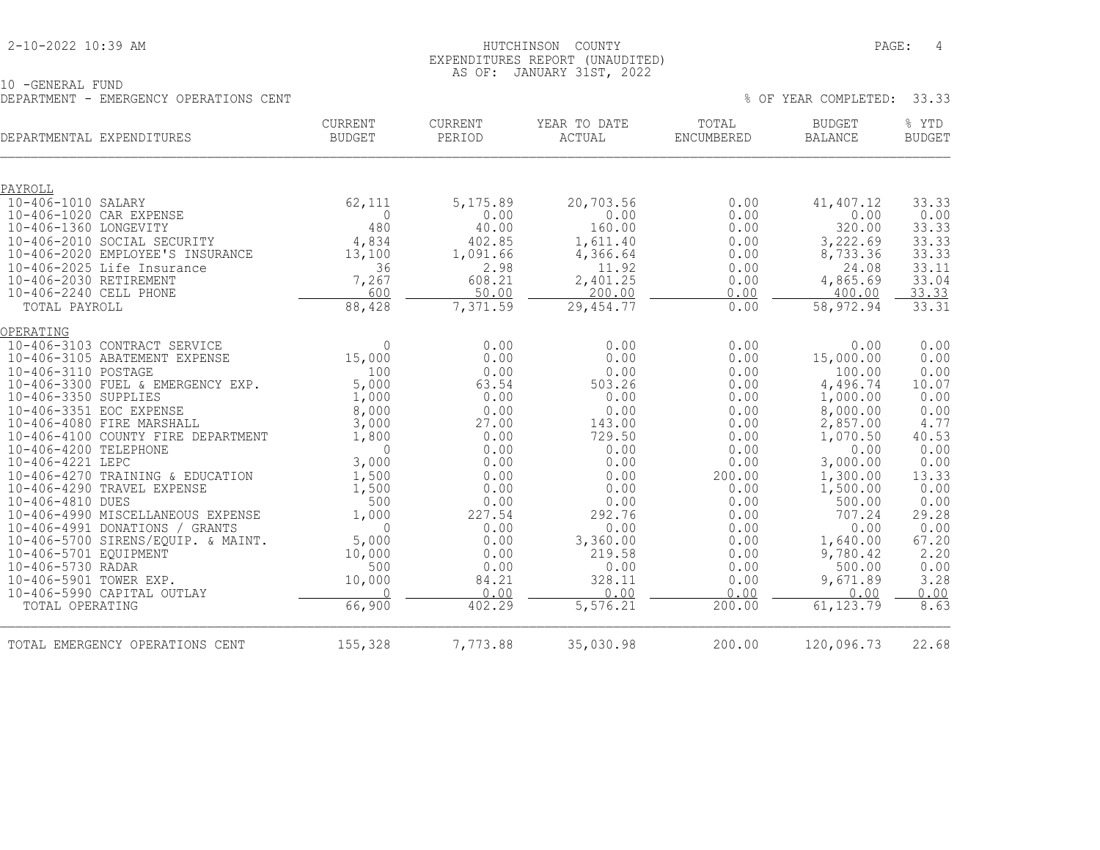#### 2-10-2022 10:39 AM HUTCHINSON COUNTY PAGE: 4 EXPENDITURES REPORT (UNAUDITED) AS OF: JANUARY 31ST, 2022

| 10 - GENERAL FUND |  |                                        |  |
|-------------------|--|----------------------------------------|--|
|                   |  | DEPARTMENT - EMERGENCY OPERATIONS CENT |  |

| DEPARTMENTAL EXPENDITURES                                            | CURRENT<br><b>BUDGET</b> | CURRENT<br>PERIOD | YEAR TO DATE<br>ACTUAL | TOTAL<br><b>ENCUMBERED</b> | <b>BUDGET</b><br><b>BALANCE</b> | % YTD<br><b>BUDGET</b> |
|----------------------------------------------------------------------|--------------------------|-------------------|------------------------|----------------------------|---------------------------------|------------------------|
|                                                                      |                          |                   |                        |                            |                                 |                        |
| PAYROLL                                                              |                          |                   |                        |                            |                                 |                        |
| 10-406-1010 SALARY                                                   | 62,111                   | 5,175.89          | 20,703.56              | 0.00                       | 41,407.12                       | 33.33                  |
| 10-406-1020 CAR EXPENSE                                              | $\circ$                  | 0.00              | 0.00                   | 0.00                       | 0.00                            | 0.00                   |
| 10-406-1360 LONGEVITY                                                | 480                      | 40.00             | 160.00                 | 0.00                       | 320.00                          | 33.33                  |
| 10-406-2010 SOCIAL SECURITY                                          | 4,834                    | 402.85            | 1,611.40               | 0.00                       | 3,222.69                        | 33.33                  |
| 10-406-2020 EMPLOYEE'S INSURANCE                                     | 13,100                   | 1,091.66          | 4,366.64               | 0.00                       | 8,733.36                        | 33.33                  |
| 10-406-2025 Life Insurance<br>10-406-2030 RETIREMENT                 | 36                       | 2.98<br>608.21    | 11.92                  | 0.00                       | 24.08                           | 33.11                  |
| 10-406-2240 CELL PHONE                                               | 7,267<br>600             | 50.00             | 2,401.25<br>200.00     | 0.00<br>0.00               | 4,865.69<br>400.00              | 33.04<br>33.33         |
| TOTAL PAYROLL                                                        | 88,428                   | 7,371.59          | 29, 454.77             | 0.00                       | 58,972.94                       | 33.31                  |
|                                                                      |                          |                   |                        |                            |                                 |                        |
| OPERATING                                                            |                          |                   |                        |                            |                                 |                        |
| 10-406-3103 CONTRACT SERVICE<br>10-406-3105 ABATEMENT EXPENSE        | $\Omega$<br>15,000       | 0.00<br>0.00      | 0.00<br>0.00           | 0.00<br>0.00               | 0.00<br>15,000.00               | 0.00<br>0.00           |
| 10-406-3110 POSTAGE                                                  | 100                      | 0.00              | 0.00                   | 0.00                       | 100.00                          | 0.00                   |
| 10-406-3300 FUEL & EMERGENCY EXP.                                    | 5,000                    | 63.54             | 503.26                 | 0.00                       | 4,496.74                        | 10.07                  |
| 10-406-3350 SUPPLIES                                                 | 1,000                    | 0.00              | 0.00                   | 0.00                       | 1,000.00                        | 0.00                   |
| 10-406-3351 EOC EXPENSE                                              | 8,000                    | 0.00              | 0.00                   | 0.00                       | 8,000.00                        | 0.00                   |
| 10-406-4080 FIRE MARSHALL                                            | 3,000                    | 27.00             | 143.00                 | 0.00                       | 2,857.00                        | 4.77                   |
| 10-406-4100 COUNTY FIRE DEPARTMENT                                   | 1,800                    | 0.00              | 729.50                 | 0.00                       | 1,070.50                        | 40.53                  |
| 10-406-4200 TELEPHONE                                                | $\mathbf 0$              | 0.00              | 0.00                   | 0.00                       | 0.00                            | 0.00                   |
| 10-406-4221 LEPC                                                     | 3,000                    | 0.00              | 0.00                   | 0.00                       | 3,000.00                        | 0.00                   |
| 10-406-4270 TRAINING & EDUCATION                                     | 1,500                    | 0.00              | 0.00                   | 200.00                     | 1,300.00                        | 13.33                  |
| 10-406-4290 TRAVEL EXPENSE                                           | 1,500                    | 0.00              | 0.00                   | 0.00                       | 1,500.00                        | 0.00                   |
| 10-406-4810 DUES                                                     | 500                      | 0.00              | 0.00                   | 0.00                       | 500.00                          | 0.00                   |
| 10-406-4990 MISCELLANEOUS EXPENSE                                    | 1,000                    | 227.54            | 292.76                 | 0.00                       | 707.24                          | 29.28                  |
| 10-406-4991 DONATIONS / GRANTS<br>10-406-5700 SIRENS/EQUIP. & MAINT. | $\Omega$<br>5,000        | 0.00<br>0.00      | 0.00<br>3,360.00       | 0.00<br>0.00               | 0.00<br>1,640.00                | 0.00<br>67.20          |
| 10-406-5701 EQUIPMENT                                                | 10,000                   | 0.00              | 219.58                 | 0.00                       | 9,780.42                        | 2.20                   |
| 10-406-5730 RADAR                                                    | 500                      | 0.00              | 0.00                   | 0.00                       | 500.00                          | 0.00                   |
| 10-406-5901 TOWER EXP.                                               | 10,000                   | 84.21             | 328.11                 | 0.00                       | 9,671.89                        | 3.28                   |
| 10-406-5990 CAPITAL OUTLAY                                           | $\bigcap$                | 0.00              | 0.00                   | 0.00                       | 0.00                            |                        |
| TOTAL OPERATING                                                      | 66,900                   | 402.29            | 5,576.21               | 200.00                     | 61, 123.79                      | $\frac{0.00}{8.63}$    |
| TOTAL EMERGENCY OPERATIONS CENT                                      | 155,328                  | 7,773.88          | 35,030.98              | 200.00                     | 120,096.73                      | 22.68                  |
|                                                                      |                          |                   |                        |                            |                                 |                        |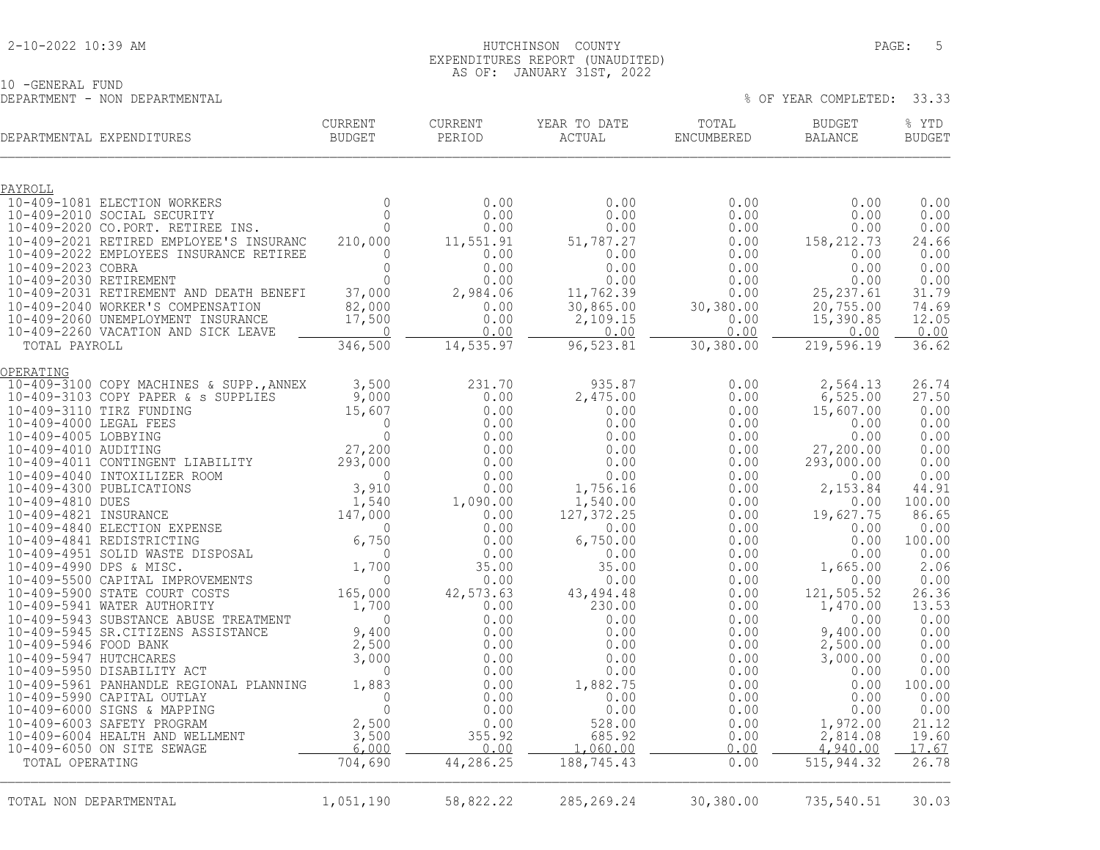#### 2-10-2022 10:39 AM HUTCHINSON COUNTY PAGE: 5 EXPENDITURES REPORT (UNAUDITED) AS OF: JANUARY 31ST, 2022

10 -GENERAL FUND DEPARTMENT - NON DEPARTMENTAL % OF YEAR COMPLETED: 33.33

| DEPARTMENTAL EXPENDITURES                                                    | CURRENT<br>BUDGET     | <b>CURRENT</b><br>PERIOD | YEAR TO DATE<br>ACTUAL | TOTAL<br>ENCUMBERED | <b>BUDGET</b><br><b>BALANCE</b> | % YTD<br><b>BUDGET</b> |
|------------------------------------------------------------------------------|-----------------------|--------------------------|------------------------|---------------------|---------------------------------|------------------------|
| PAYROLL                                                                      |                       |                          |                        |                     |                                 |                        |
| 10-409-1081 ELECTION WORKERS                                                 | $\Omega$              | 0.00                     | 0.00                   | 0.00                | 0.00                            | 0.00                   |
| 10-409-2010 SOCIAL SECURITY                                                  | $\Omega$              | 0.00                     | 0.00                   | 0.00                | 0.00                            | 0.00                   |
| 10-409-2020 CO.PORT. RETIREE INS.<br>10-409-2021 RETIRED EMPLOYEE'S INSURANC | $\circ$<br>210,000    | 0.00<br>11,551.91        | 0.00<br>51,787.27      | 0.00<br>0.00        | 0.00<br>158, 212.73             | 0.00<br>24.66          |
| 10-409-2022 EMPLOYEES INSURANCE RETIREE                                      | $\mathbf{0}$          | 0.00                     | 0.00                   | 0.00                | 0.00                            | 0.00                   |
| 10-409-2023 COBRA                                                            | $\Omega$              | 0.00                     | 0.00                   | 0.00                | 0.00                            | 0.00                   |
| 10-409-2030 RETIREMENT                                                       | $\circ$               | 0.00                     | 0.00                   | 0.00                | 0.00                            | 0.00                   |
| 10-409-2031 RETIREMENT AND DEATH BENEFI                                      | 37,000                | 2,984.06                 | 11,762.39              | 0.00                | 25, 237.61                      | 31.79                  |
| 10-409-2040 WORKER'S COMPENSATION<br>10-409-2060 UNEMPLOYMENT INSURANCE      | 82,000<br>17,500      | 0.00<br>0.00             | 30,865.00<br>2,109.15  | 30,380.00<br>0.00   | 20, 755.00<br>15,390.85         | 74.69<br>12.05         |
| 10-409-2260 VACATION AND SICK LEAVE                                          | $\overline{0}$        | 0.00                     | 0.00                   | 0.00                | 0.00                            | 0.00                   |
| TOTAL PAYROLL                                                                | 346,500               | 14,535.97                | 96,523.81              | 30,380.00           | 219,596.19                      | 36.62                  |
| OPERATING                                                                    |                       |                          |                        |                     |                                 |                        |
| 10-409-3100 COPY MACHINES & SUPP., ANNEX                                     | 3,500                 | 231.70                   | 935.87                 | 0.00                | 2,564.13                        | 26.74                  |
| 10-409-3103 COPY PAPER & s SUPPLIES<br>10-409-3110 TIRZ FUNDING              | 9,000<br>15,607       | 0.00<br>0.00             | 2,475.00<br>0.00       | 0.00<br>0.00        | 6,525.00<br>15,607.00           | 27.50<br>0.00          |
| 10-409-4000 LEGAL FEES                                                       | $\Omega$              | 0.00                     | 0.00                   | 0.00                | 0.00                            | 0.00                   |
| 10-409-4005 LOBBYING                                                         | $\mathbf 0$           | 0.00                     | 0.00                   | 0.00                | 0.00                            | 0.00                   |
|                                                                              |                       | 0.00                     | 0.00                   | 0.00                | 27,200.00                       | 0.00                   |
|                                                                              |                       | 0.00                     | 0.00                   | 0.00                | 293,000.00                      | 0.00                   |
|                                                                              |                       | 0.00<br>0.00             | 0.00<br>1,756.16       | 0.00<br>0.00        | 0.00<br>2,153.84                | 0.00<br>44.91          |
|                                                                              |                       | 1,090.00                 | 1,540.00               | 0.00                | 0.00                            | 100.00                 |
|                                                                              |                       | 0.00                     | 127, 372.25            | 0.00                | 19,627.75                       | 86.65                  |
|                                                                              |                       | 0.00                     | 0.00                   | 0.00                | 0.00                            | 0.00                   |
|                                                                              |                       | 0.00                     | 6,750.00               | 0.00                | 0.00                            | 100.00                 |
|                                                                              |                       | 0.00<br>35.00            | 0.00<br>35.00          | 0.00<br>0.00        | 0.00<br>1,665.00                | 0.00<br>2.06           |
|                                                                              |                       | 0.00                     | 0.00                   | 0.00                | 0.00                            | 0.00                   |
|                                                                              |                       | 42,573.63                | 43, 494. 48            | 0.00                | 121,505.52                      | 26.36                  |
| 10-409-5941 WATER AUTHORITY                                                  | 1,700                 | 0.00                     | 230.00                 | 0.00                | 1,470.00                        | 13.53                  |
| 10-409-5943 SUBSTANCE ABUSE TREATMENT                                        | $\Omega$              | 0.00                     | 0.00                   | 0.00                | 0.00                            | 0.00                   |
| 10-409-5945 SR.CITIZENS ASSISTANCE<br>10-409-5946 FOOD BANK                  | 9,400<br>2,500        | 0.00<br>0.00             | 0.00<br>0.00           | 0.00<br>0.00        | 9,400.00<br>2,500.00            | 0.00<br>0.00           |
| 10-409-5947 HUTCHCARES                                                       | 3,000                 | 0.00                     | 0.00                   | 0.00                | 3,000.00                        | 0.00                   |
| 10-409-5950 DISABILITY ACT                                                   | $\mathbf 0$           | 0.00                     | 0.00                   | 0.00                | 0.00                            | 0.00                   |
| 10-409-5961 PANHANDLE REGIONAL PLANNING                                      | 1,883                 | 0.00                     | 1,882.75               | 0.00                | 0.00                            | 100.00                 |
| 10-409-5990 CAPITAL OUTLAY                                                   | $\mathbf 0$           | 0.00                     | 0.00                   | 0.00                | 0.00                            | 0.00                   |
| 10-409-6000 SIGNS & MAPPING                                                  | $\mathbf{0}$<br>2,500 | 0.00<br>0.00             | 0.00                   | 0.00                | 0.00                            | 0.00<br>21.12          |
| 10-409-6003 SAFETY PROGRAM<br>10-409-6004 HEALTH AND WELLMENT                | 3,500                 | 355.92                   | 528.00<br>685.92       | 0.00<br>0.00        | 1,972.00<br>2,814.08            | 19.60                  |
| 10-409-6050 ON SITE SEWAGE                                                   | 6,000                 | 0.00                     | 1,060.00               | 0.00                | 4,940.00                        | 17.67                  |
| TOTAL OPERATING                                                              | 704,690               | 44,286.25                | 188,745.43             | 0.00                | 515, 944.32                     | 26.78                  |
|                                                                              |                       |                          |                        |                     |                                 |                        |
| TOTAL NON DEPARTMENTAL                                                       | 1,051,190             | 58,822.22                | 285, 269. 24           | 30,380.00           | 735,540.51                      | 30.03                  |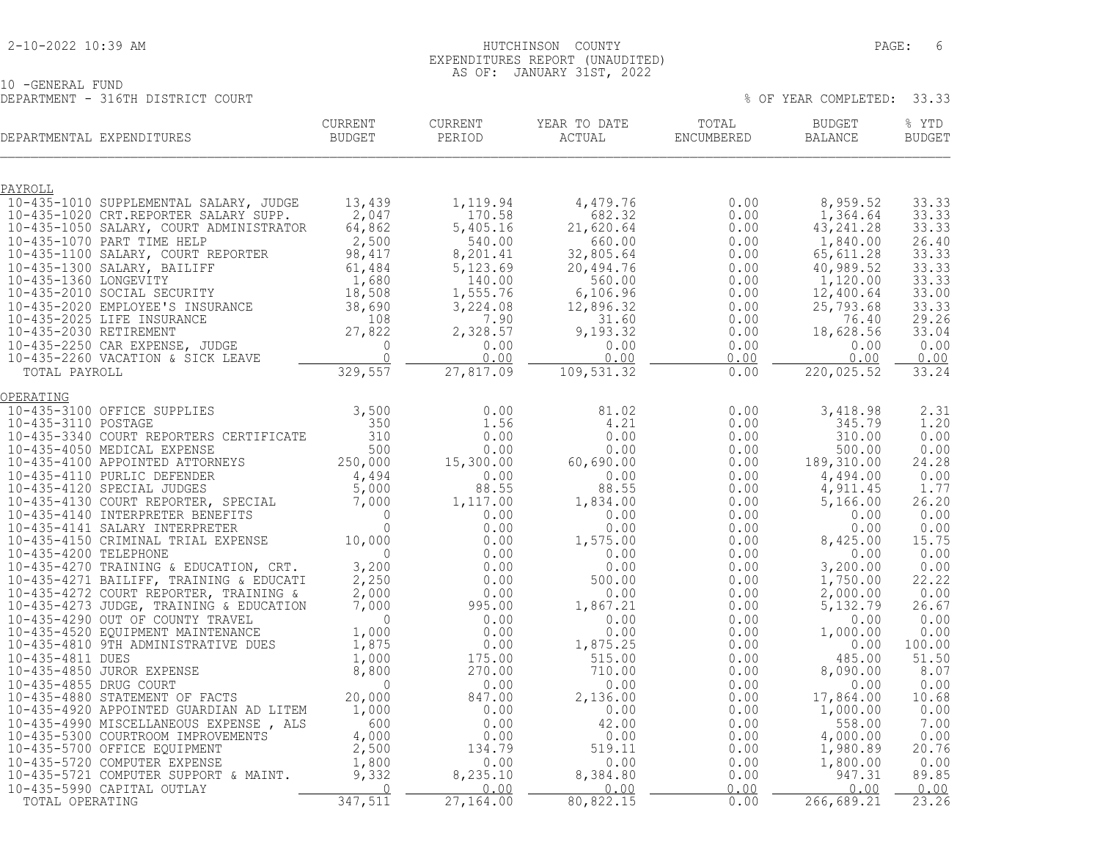#### 2-10-2022 10:39 AM HUTCHINSON COUNTY PAGE: 6 EXPENDITURES REPORT (UNAUDITED) AS OF: JANUARY 31ST, 2022

10 -GENERAL FUND DEPARTMENT - 316TH DISTRICT COURT % OF YEAR COMPLETED: 33.33

| DEPARTMENTAL EXPENDITURES                          | and the contract of the contract of                                                                                                                                                                                                        | CURRENT<br>BUDGET         | CURRENT<br>PERIOD                                                                                                                    | YEAR TO DATE<br>$\verb ACTUAL $                                                                                                                                                                                                                                                              | TOTAL<br>ENCUMBERED                                                          | <b>BUDGET</b><br>BALANCE                             | % YTD<br><b>BUDGET</b>                |
|----------------------------------------------------|--------------------------------------------------------------------------------------------------------------------------------------------------------------------------------------------------------------------------------------------|---------------------------|--------------------------------------------------------------------------------------------------------------------------------------|----------------------------------------------------------------------------------------------------------------------------------------------------------------------------------------------------------------------------------------------------------------------------------------------|------------------------------------------------------------------------------|------------------------------------------------------|---------------------------------------|
|                                                    |                                                                                                                                                                                                                                            |                           |                                                                                                                                      |                                                                                                                                                                                                                                                                                              |                                                                              |                                                      |                                       |
| PAYROLL                                            | 10-435-1010 SUPPLEMENTAL SALARY, JUDGE<br>10-435-1020 CRT.REPORTER SALARY SUPP.<br>10-435-1050 SALARY, COURT ADMINISTRATOR                                                                                                                 | 13,439<br>2,047<br>64,862 | 1,119.94<br>$170.58$<br>5.405 16<br>$540.00$<br>$8,201$                                                                              | 4,479.76<br>682.32                                                                                                                                                                                                                                                                           | 0.00<br>0.00                                                                 | 8,959.52<br>1,364.64<br>43, 241.28<br>1,840.00       | 33.33<br>33.33<br>33.33<br>26.40      |
|                                                    | 10-435-1050 SALARY, COURT ADMINISTRATOR 64,862<br>10-435-1070 PART TIME HELP 2,500<br>10-435-1100 SALARY, COURT REPORTER 98,417<br>10-435-1300 SALARY, BAILIFF 61,484<br>10-435-2010 SOCIAL SECURITY 1,680<br>10-435-2020 EMPLOYEE'S INS   |                           | 5, 123.69<br>5, 123.69<br>140.00<br>1, 555.76<br>3, 224.08<br>7.90<br>2, 328.57<br>0.00<br>0.00                                      | 0.00<br>540.00<br>540.00<br>660.00<br>660.00<br>660.00<br>0.00<br>7.90<br>2,805.64<br>6,000<br>0.00<br>0.00<br>1,55.76<br>6,106.96<br>12,896.32<br>0.00<br>2,328.57<br>9,193.32<br>0.00<br>0.00<br>0.00<br>0.00<br>0.00<br>0.00<br>0.00<br>0.00<br>0.00<br>0.00<br>0.00<br>0.00<br>0.00<br>0 |                                                                              | 65,611.28<br>40,989.52<br>1,120.00<br>12,400.64      | 33.33<br>33.33<br>33.33<br>33.00      |
|                                                    |                                                                                                                                                                                                                                            |                           |                                                                                                                                      | $9,193.32$<br>0.00                                                                                                                                                                                                                                                                           | $\begin{array}{c} 0\,.\,0\,0\ 0\,. \,0\,0\ 0\,. \,0\,0\ \end{array}$<br>0.00 | 25,793.68<br>76.40<br>18,628.56<br>0.00              | 33.33<br>29.26<br>33.04<br>0.00       |
|                                                    |                                                                                                                                                                                                                                            |                           | 27,817.09                                                                                                                            | 0.00<br>109,531.32                                                                                                                                                                                                                                                                           | 0.00<br>0.00                                                                 | 0.00<br>220,025.52                                   | 0.00<br>33.24                         |
| OPERATING                                          |                                                                                                                                                                                                                                            |                           |                                                                                                                                      |                                                                                                                                                                                                                                                                                              |                                                                              |                                                      |                                       |
| 10-435-3100 OFFICE SUPPLIES<br>10-435-3110 POSTAGE |                                                                                                                                                                                                                                            | 3,500<br>350              | 0.00<br>1.56<br>0.00<br>$0.00$<br>15,300.00                                                                                          | 81.02<br>4.21<br>0.00<br>0.00<br>60,690.00                                                                                                                                                                                                                                                   | 0.00<br>0.00<br>0.00<br>$\begin{matrix} 0.00 & 1 \\ 0.00 & 1 \end{matrix}$   | 3,418.98<br>345.79<br>310.00<br>500.00<br>189,310.00 | 2.31<br>1.20<br>0.00<br>0.00<br>24.28 |
|                                                    | 10-435-3110 POSTAGE<br>10-435-3340 COURT REPORTERS CERTIFICATE 310<br>10-435-4050 MEDICAL EXPENSE 500<br>10-435-4110 PURLIC DEFENDER 4,494<br>10-435-4120 SPECIAL UUDGES 4,494<br>10-435-4120 SPECIAL 5,000<br>10-435-4120 COURT REPORTER, |                           | $0.00$<br>$99.00$<br>88.55<br>$1,117.00$<br>0.00<br>0.00                                                                             | $0.00$<br>$88.55$<br>1,834.00<br>0.00                                                                                                                                                                                                                                                        | $0.00$<br>$88.55$<br>$0.00$<br>$0.00$<br>$0.00$<br>0.00<br>0.00              | 4,494.00<br>4,911.45<br>5,166.00<br>0.00             | 0.00<br>1.77<br>26.20<br>0.00         |
|                                                    | 10-435-4200 TELEPHONE<br>10-435-4270 TRAINING & EDUCATION, CRT. 3,200                                                                                                                                                                      |                           |                                                                                                                                      | 0.00<br>1,575.00<br>0.00<br>0.00                                                                                                                                                                                                                                                             | 0.00<br>0.00<br>0.00<br>0.00                                                 | 0.00<br>8,425.00<br>0.00<br>3,200.00                 | 0.00<br>15.75<br>0.00<br>0.00         |
|                                                    | 10-435-4270 TRAINING & EDUCATION, CRT. 3,200<br>10-435-4271 BAILIFF, TRAINING & EDUCATI 2,250<br>10-435-4272 COURT REPORTER, TRAINING & 2,000<br>10-435-4273 JUDGE, TRAINING & EDUCATION 7,000<br>10-435-4290 OUT OF COUNTY TRAVEL<br>10   |                           | $\begin{array}{r} 0.00\ 0.00\ 0.00\ 0.00\ 0.00\ 0.00\ 0.00\ 0.00\ 995.00\ 0.00\ 0.00\ 0.00\ 0.00\ 0.00\ 175.00\ 270.00\ \end{array}$ | 500.00<br>0.00<br>1,867.21<br>0.00                                                                                                                                                                                                                                                           | 0.00<br>0.00<br>0.00<br>0.00                                                 | 1,750.00<br>2,000.00<br>5, 132.79<br>0.00            | 22.22<br>0.00<br>26.67<br>0.00        |
|                                                    |                                                                                                                                                                                                                                            |                           |                                                                                                                                      | 0.00<br>1,875.25<br>515.00                                                                                                                                                                                                                                                                   | 0.00<br>0.00<br>0.00                                                         | 1,000.00<br>0.00<br>485.00                           | 0.00<br>100.00<br>51.50               |
|                                                    |                                                                                                                                                                                                                                            |                           |                                                                                                                                      | 710.00<br>0.00<br>2,136.00<br>0.00                                                                                                                                                                                                                                                           | 0.00<br>0.00<br>0.00<br>0.00                                                 | 8,090.00<br>0.00<br>17,864.00<br>1,000.00            | 8.07<br>0.00<br>10.68<br>0.00         |
|                                                    |                                                                                                                                                                                                                                            |                           | $175.00$<br>$270.00$<br>0.00<br>847.00<br>0.00<br>0.00<br>0.00<br>134.79<br>0.00<br>8.235.10                                         | 42.00<br>0.00<br>519.11                                                                                                                                                                                                                                                                      | 0.00<br>0.00<br>0.00                                                         | 558.00<br>4,000.00<br>1,980.89                       | 7.00<br>0.00<br>20.76                 |
|                                                    | 10-435-4880 STATEMENT OF FACTS<br>10-435-4920 APPOINTED GUARDIAN AD LITEM<br>10-435-4920 MISCELLANEOUS EXPENSE, ALS<br>10-435-5300 COURTROOM IMPROVEMENTS<br>10-435-5700 OFFICE EQUIPMENT<br>10-435-5720 COMPUTER EXPENSE<br>10-435-5721 C |                           | 8,235.10<br>0.00<br>27,164.00                                                                                                        | 0.00<br>8,384.80<br>0.00<br>80,822.15                                                                                                                                                                                                                                                        | 0.00<br>0.00<br>0.00<br>0.00                                                 | 1,800.00<br>947.31<br>0.00<br>266, 689.21            | 0.00<br>89.85<br>0.00<br>23.26        |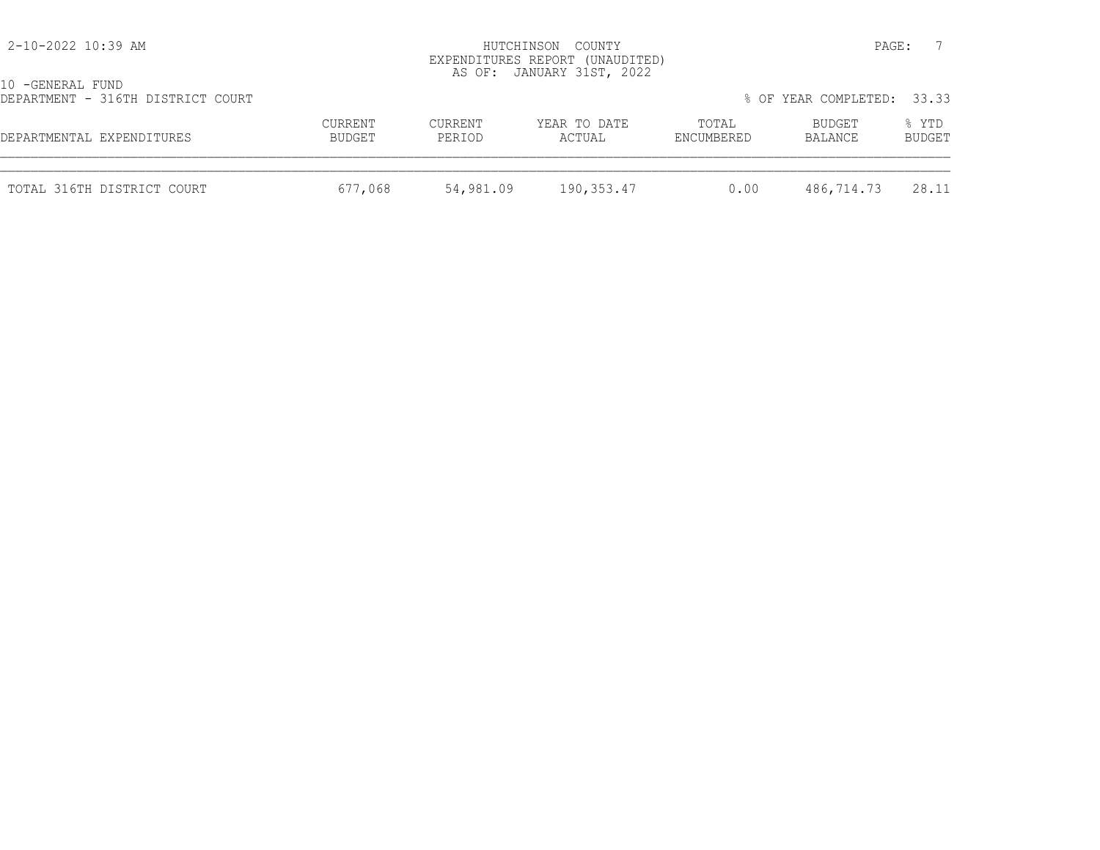| 2-10-2022 10:39 AM                                    |                   |                   | HUTCHINSON COUNTY<br>EXPENDITURES REPORT (UNAUDITED)<br>AS OF: JANUARY 31ST, 2022 |                     | PAGE:                      |                        |
|-------------------------------------------------------|-------------------|-------------------|-----------------------------------------------------------------------------------|---------------------|----------------------------|------------------------|
| 10 -GENERAL FUND<br>DEPARTMENT - 316TH DISTRICT COURT |                   |                   |                                                                                   |                     | % OF YEAR COMPLETED: 33.33 |                        |
| DEPARTMENTAL EXPENDITURES                             | CURRENT<br>BUDGET | CURRENT<br>PERIOD | YEAR TO DATE<br>ACTUAL                                                            | TOTAL<br>ENCUMBERED | BUDGET<br>BALANCE          | % YTD<br><b>BUDGET</b> |
| TOTAL 316TH DISTRICT COURT                            | 677,068           | 54,981.09         | 190,353.47                                                                        | 0.00                | 486,714.73                 | 28.11                  |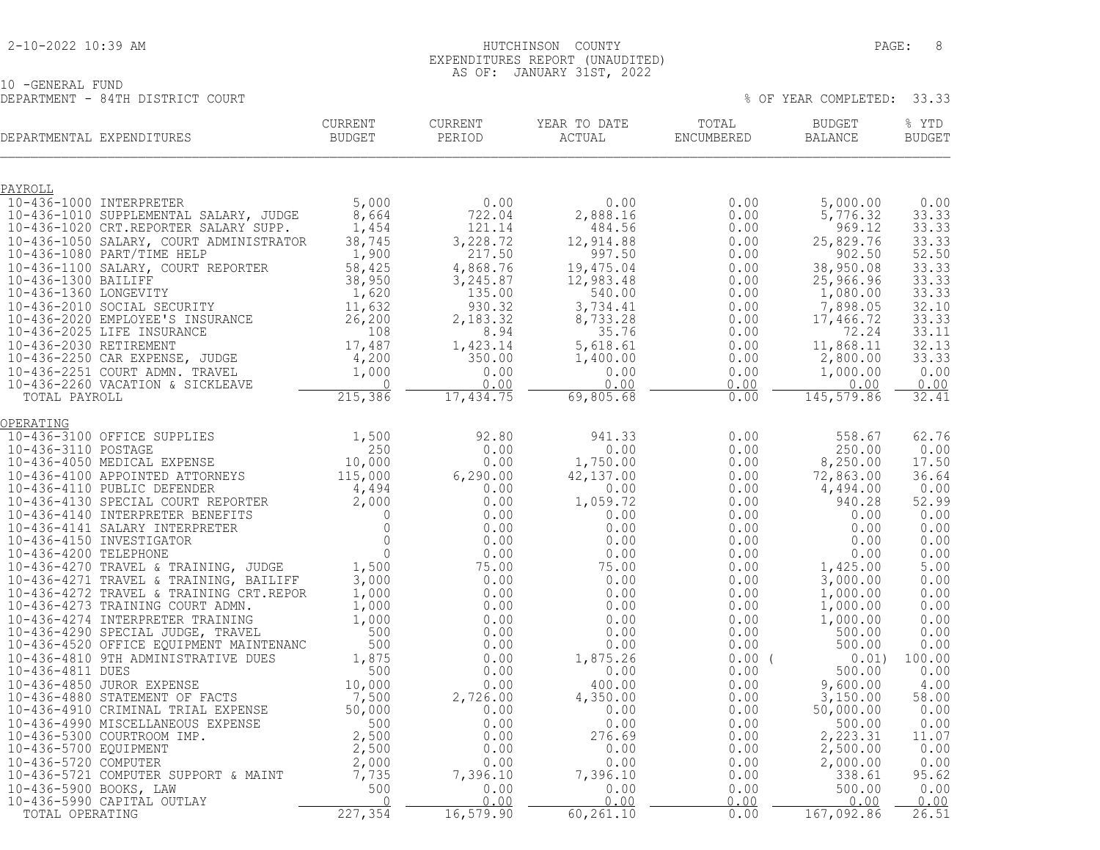#### 2-10-2022 10:39 AM HUTCHINSON COUNTY PAGE: 8 EXPENDITURES REPORT (UNAUDITED) AS OF: JANUARY 31ST, 2022

10 -GENERAL FUND DEPARTMENT - 84TH DISTRICT COURT % OF YEAR COMPLETED: 33.33

| DEPARTMENTAL EXPENDITURES                                                                                                                                                                                                                                                                                                                                     | CURRENT<br>BUDGET | CURRENT<br>PERIOD                                                      | YEAR TO DATE<br>ACTUAL               | TOTAL<br>ENCUMBERED                                                                                                                                                                                                                                                                   | <b>BUDGET</b><br><b>BALANCE</b>                           | % YTD<br><b>BUDGET</b> |
|---------------------------------------------------------------------------------------------------------------------------------------------------------------------------------------------------------------------------------------------------------------------------------------------------------------------------------------------------------------|-------------------|------------------------------------------------------------------------|--------------------------------------|---------------------------------------------------------------------------------------------------------------------------------------------------------------------------------------------------------------------------------------------------------------------------------------|-----------------------------------------------------------|------------------------|
| PAYROLL                                                                                                                                                                                                                                                                                                                                                       |                   |                                                                        |                                      |                                                                                                                                                                                                                                                                                       |                                                           |                        |
| 10-436-1000 INTERPRETER                                                                                                                                                                                                                                                                                                                                       | 5,000             | 0.00                                                                   | $0.00$<br>2,888.16                   | $\begin{array}{cccc} & 0.00 & 0.00 \\ 2,888.16 & 0.00 \\ 484.56 & 0.00 \\ 12,914.88 & 0.00 \\ 997.50 & 0.00 \\ 19,475.04 & 0.00 \\ 12,983.48 & 0.00 \\ 540.00 & 3,734.41 \\ 8,733.28 & 0.00 \\ 5,618.61 & 0.00 \\ 1,400.00 & 0.00 \\ 0.00 & 0.00 \\ 0.00 & 0.00 \\ 0.00 & 0.00 \\ 0.$ | 5,000.00                                                  | 0.00                   |
| 10-436-1010 SUPPLEMENTAL SALARY, JUDGE                                                                                                                                                                                                                                                                                                                        | 8,664             | 722.04                                                                 |                                      |                                                                                                                                                                                                                                                                                       | 5,776.32                                                  | 33.33                  |
| 10-436-1010 SUPPLEMENTAL SALARY, JUDGE 8, 664<br>10-436-1020 CRT.REPORTER SALARY SUPP. 1, 454<br>10-436-1050 SALARY, COURT ADMINISTRATOR 38, 745                                                                                                                                                                                                              |                   |                                                                        |                                      |                                                                                                                                                                                                                                                                                       | 969.12<br>25,829.76                                       | 33.33<br>33.33         |
|                                                                                                                                                                                                                                                                                                                                                               |                   |                                                                        |                                      |                                                                                                                                                                                                                                                                                       | 902.50                                                    | 52.50                  |
|                                                                                                                                                                                                                                                                                                                                                               |                   | $722.04\n121.14\n3,228.72\n217.50\n4,868.76\n3,245.87\n135.00\n930.32$ |                                      |                                                                                                                                                                                                                                                                                       | 38, >、<br>25, 966. y、<br>1, 080.00<br>7, 898.05<br>7466.7 | 33.33                  |
|                                                                                                                                                                                                                                                                                                                                                               |                   |                                                                        |                                      |                                                                                                                                                                                                                                                                                       |                                                           | 33.33                  |
|                                                                                                                                                                                                                                                                                                                                                               |                   | 930.32                                                                 |                                      |                                                                                                                                                                                                                                                                                       |                                                           | 33.33                  |
|                                                                                                                                                                                                                                                                                                                                                               |                   | 2,183.32                                                               |                                      |                                                                                                                                                                                                                                                                                       |                                                           | 32.10<br>33.33         |
|                                                                                                                                                                                                                                                                                                                                                               |                   | 8.94                                                                   |                                      |                                                                                                                                                                                                                                                                                       | 72.24                                                     | 33.11                  |
|                                                                                                                                                                                                                                                                                                                                                               |                   | 1,423.14                                                               |                                      |                                                                                                                                                                                                                                                                                       | 11,868.11                                                 | $32.13$<br>$33.33$     |
|                                                                                                                                                                                                                                                                                                                                                               |                   | 350.00                                                                 |                                      |                                                                                                                                                                                                                                                                                       | 2,800.00                                                  |                        |
|                                                                                                                                                                                                                                                                                                                                                               |                   | 0.00<br>0.00                                                           | 0.00                                 | 0.00                                                                                                                                                                                                                                                                                  | 1,000.00<br>0.00                                          | 0.00<br>0.00           |
| 10-436-1050 SALARY, COURT ADMINISTRATOR 38,745<br>10-436-1080 PART/TIME HELP 1,900<br>10-436-1100 SALARY, COURT REPORTER 58,425<br>10-436-1300 BAILIFF 38,950<br>10-436-1360 LONGEVITY 1,620<br>10-436-2010 SOCIAL SECURITY 11,632<br>10-4                                                                                                                    |                   | 17,434.75                                                              | 69,805.68                            | 0.00                                                                                                                                                                                                                                                                                  | 145,579.86                                                | 32.41                  |
| OPERATING<br>$\begin{tabular}{l c c c c c} \hline \texttt{OPERATING} & 10-436-3100 \texttt{OFFICE} & \texttt{SUPFINES} & 1,500 & 92.80 \\ 10-436-3110 \texttt{POSTAGE} & 250 & 0.00 \\ 10-436-4050 \texttt{MEDICAL EXPENSE} & 10,000 & 0.00 \\ 10-436-4100 \texttt{APPOINTED ATORNENTS} & 115,000 & 6,290.00 \\ 10-436-4110 \texttt{PUDILL DEFEDNER} & 4,494$ |                   |                                                                        |                                      |                                                                                                                                                                                                                                                                                       |                                                           |                        |
|                                                                                                                                                                                                                                                                                                                                                               |                   |                                                                        | 941.33                               |                                                                                                                                                                                                                                                                                       | 558.67                                                    | 62.76                  |
|                                                                                                                                                                                                                                                                                                                                                               |                   |                                                                        | 0.00                                 |                                                                                                                                                                                                                                                                                       | 250.00<br>8,250.00                                        | 0.00<br>17.50          |
|                                                                                                                                                                                                                                                                                                                                                               |                   |                                                                        | $1,750.00$<br>42.137.00<br>42,137.00 |                                                                                                                                                                                                                                                                                       | 72,863.00                                                 | 36.64                  |
|                                                                                                                                                                                                                                                                                                                                                               |                   |                                                                        | 0.00                                 | $0.00$<br>$0.00$<br>$0.00$<br>$0.00$<br>$0.00$<br>$0.00$<br>$0.00$<br>$0.00$<br>$0.00$<br>$0.00$                                                                                                                                                                                      | 4,494.00                                                  | 0.00                   |
|                                                                                                                                                                                                                                                                                                                                                               |                   |                                                                        | $1,059.72$<br>0.00                   |                                                                                                                                                                                                                                                                                       | 940.28                                                    | 52.99                  |
|                                                                                                                                                                                                                                                                                                                                                               |                   |                                                                        | 0.00                                 | $\begin{array}{c} 0.00\ 0.00\ 0.00 \end{array}$                                                                                                                                                                                                                                       | 0.00                                                      | 0.00                   |
|                                                                                                                                                                                                                                                                                                                                                               |                   |                                                                        | 0.00                                 |                                                                                                                                                                                                                                                                                       | 0.00                                                      | 0.00<br>0.00           |
|                                                                                                                                                                                                                                                                                                                                                               |                   |                                                                        | 0.00                                 | 0.00<br>$0.00$<br>$0.00$<br>$0.00$<br>$0.00$<br>$0.00$                                                                                                                                                                                                                                | $0.00$<br>0.00<br>1,425.00                                | 0.00                   |
|                                                                                                                                                                                                                                                                                                                                                               |                   |                                                                        | 75.00                                |                                                                                                                                                                                                                                                                                       |                                                           | 5.00                   |
|                                                                                                                                                                                                                                                                                                                                                               |                   |                                                                        | 0.00                                 |                                                                                                                                                                                                                                                                                       | 3,000.00                                                  | 0.00                   |
|                                                                                                                                                                                                                                                                                                                                                               |                   |                                                                        | 0.00<br>0.00                         |                                                                                                                                                                                                                                                                                       | 1,000.00<br>1,000.00                                      | 0.00<br>0.00           |
|                                                                                                                                                                                                                                                                                                                                                               |                   |                                                                        | 0.00                                 | $0.00$<br>0.00<br>0.00<br>0.00                                                                                                                                                                                                                                                        | 1,000.00                                                  | 0.00                   |
|                                                                                                                                                                                                                                                                                                                                                               |                   |                                                                        | 0.00                                 |                                                                                                                                                                                                                                                                                       | 500.00                                                    | 0.00                   |
|                                                                                                                                                                                                                                                                                                                                                               |                   | 0.00                                                                   | 0.00                                 |                                                                                                                                                                                                                                                                                       | 500.00                                                    | 0.00                   |
|                                                                                                                                                                                                                                                                                                                                                               |                   | 0.00<br>0.00                                                           | 1,875.26<br>0.00                     | $0.00$ (<br>0.00                                                                                                                                                                                                                                                                      | 0.01)<br>500.00                                           | 100.00<br>0.00         |
|                                                                                                                                                                                                                                                                                                                                                               |                   | 0.00                                                                   | 400.00                               |                                                                                                                                                                                                                                                                                       | 9,600.00                                                  | 4.00                   |
|                                                                                                                                                                                                                                                                                                                                                               |                   | 2,726.00                                                               | 4,350.00<br>0.00                     |                                                                                                                                                                                                                                                                                       | 3,150.00<br>50,000.00                                     | 58.00<br>0.00          |
|                                                                                                                                                                                                                                                                                                                                                               |                   | 0.00<br>0.00                                                           | 0.00                                 |                                                                                                                                                                                                                                                                                       | 500.00                                                    | 0.00                   |
|                                                                                                                                                                                                                                                                                                                                                               |                   | 0.00                                                                   | 276.69                               |                                                                                                                                                                                                                                                                                       | 2,223.31                                                  | 11.07                  |
|                                                                                                                                                                                                                                                                                                                                                               |                   | 0.00                                                                   | 0.00                                 |                                                                                                                                                                                                                                                                                       | 2,500.00                                                  | 0.00                   |
|                                                                                                                                                                                                                                                                                                                                                               |                   |                                                                        | 0.00<br>7,396.10                     |                                                                                                                                                                                                                                                                                       | 2,000.00                                                  | 0.00<br>95.62          |
|                                                                                                                                                                                                                                                                                                                                                               |                   | $7,396.10$<br>0.00                                                     | 0.00                                 |                                                                                                                                                                                                                                                                                       | 338.61<br>500.00                                          | 0.00                   |
|                                                                                                                                                                                                                                                                                                                                                               |                   | 0.00                                                                   | 0.00                                 | 0.00                                                                                                                                                                                                                                                                                  | 0.00                                                      | 0.00                   |
|                                                                                                                                                                                                                                                                                                                                                               | 227,354           | 16, 579.90                                                             | 60, 261.10                           | 0.00                                                                                                                                                                                                                                                                                  | 167,092.86                                                | 26.51                  |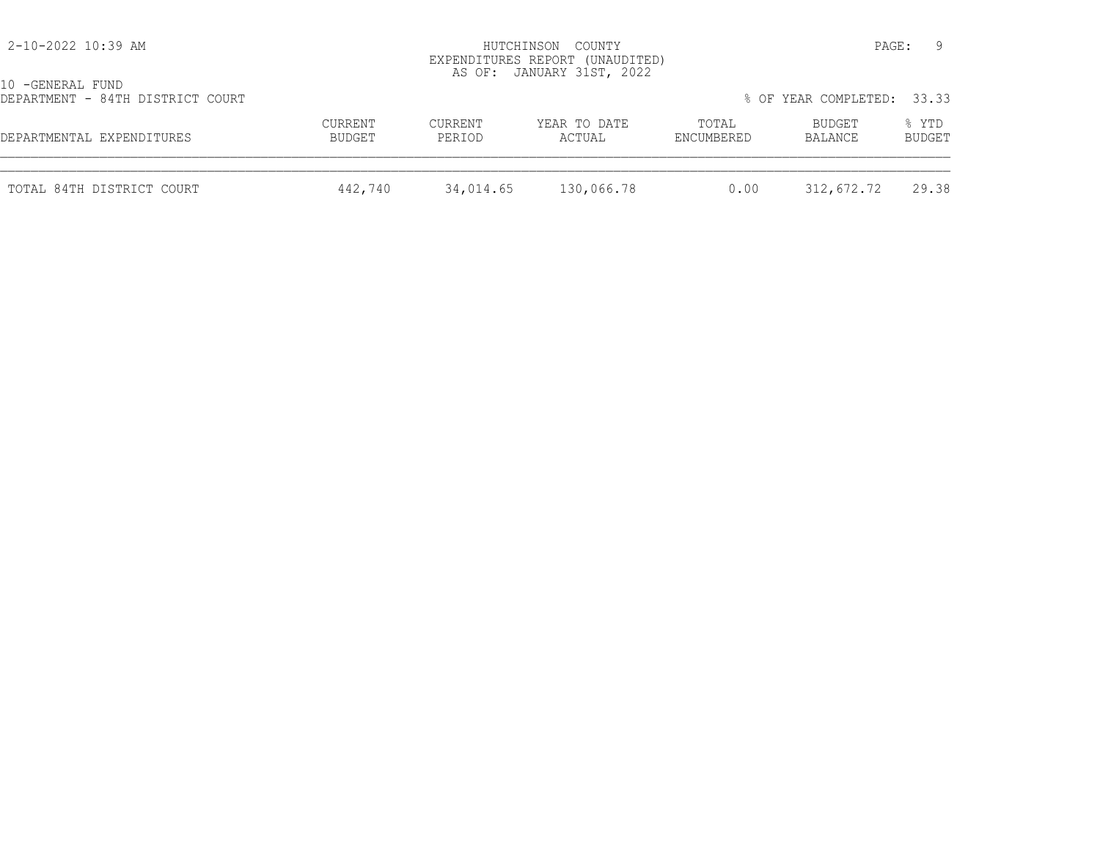| 2-10-2022 10:39 AM                                   |                   |                   | HUTCHINSON COUNTY<br>EXPENDITURES REPORT (UNAUDITED)<br>AS OF: JANUARY 31ST, 2022 |                     | PAGE:                      |                 |
|------------------------------------------------------|-------------------|-------------------|-----------------------------------------------------------------------------------|---------------------|----------------------------|-----------------|
| 10 -GENERAL FUND<br>DEPARTMENT - 84TH DISTRICT COURT |                   |                   |                                                                                   |                     | % OF YEAR COMPLETED: 33.33 |                 |
| DEPARTMENTAL EXPENDITURES                            | CURRENT<br>BUDGET | CURRENT<br>PERIOD | YEAR TO DATE<br>ACTUAL                                                            | TOTAL<br>ENCUMBERED | BUDGET<br>BALANCE          | % YTD<br>BUDGET |
| TOTAL 84TH DISTRICT COURT                            | 442,740           | 34,014.65         | 130,066.78                                                                        | 0.00                | 312,672.72                 | 29.38           |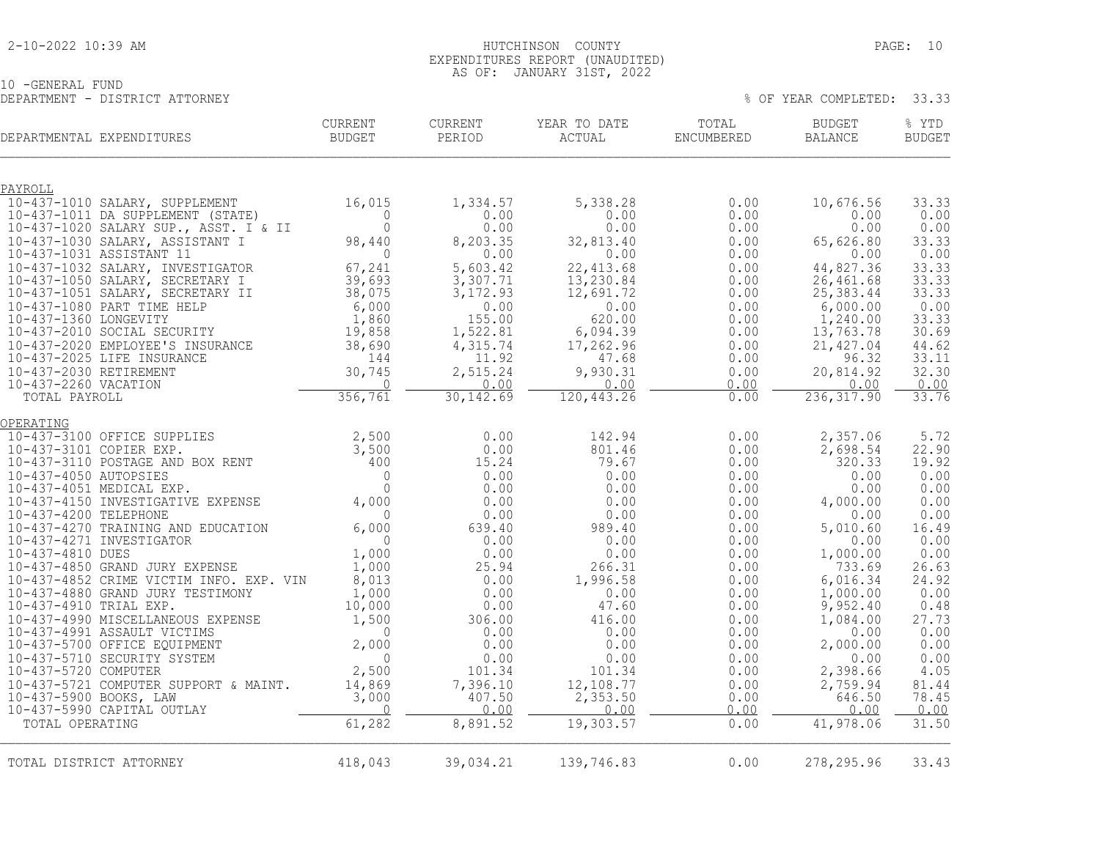#### 2-10-2022 10:39 AM HUTCHINSON COUNTY PAGE: 10 EXPENDITURES REPORT (UNAUDITED) AS OF: JANUARY 31ST, 2022

10 -GENERAL FUND DEPARTMENT - DISTRICT ATTORNEY % OF YEAR COMPLETED: 33.33

| DEPARTMENTAL EXPENDITURES                                                       | <b>CURRENT</b><br><b>BUDGET</b>                    | <b>CURRENT</b><br>PERIOD | YEAR TO DATE<br>ACTUAL | TOTAL<br>ENCUMBERED | <b>BUDGET</b><br><b>BALANCE</b> | % YTD<br><b>BUDGET</b> |
|---------------------------------------------------------------------------------|----------------------------------------------------|--------------------------|------------------------|---------------------|---------------------------------|------------------------|
| PAYROLL                                                                         |                                                    |                          |                        |                     |                                 |                        |
| 10-437-1010 SALARY, SUPPLEMENT                                                  | 16,015                                             | 1,334.57                 | 5,338.28               | 0.00                | 10,676.56                       | 33.33                  |
| 10-437-1011 DA SUPPLEMENT (STATE)                                               | $\Omega$                                           | 0.00                     | 0.00                   | 0.00                | 0.00                            | 0.00                   |
| 10-437-1020 SALARY SUP., ASST. I & II<br>10-437-1030 SALARY, ASSISTANT I        | $\circ$<br>98,440                                  | 0.00<br>8,203.35         | 0.00<br>32,813.40      | 0.00<br>0.00        | 0.00<br>65,626.80               | 0.00<br>33.33          |
| 10-437-1031 ASSISTANT 11                                                        | $\overline{0}$                                     | 0.00                     | 0.00                   | 0.00                | 0.00                            | 0.00                   |
| 10-437-1032 SALARY, INVESTIGATOR                                                | $67, 27 -$<br>39,693                               | 5,603.42                 | 22, 413.68             | 0.00                | 44,827.36                       | 33.33                  |
| 10-437-1050 SALARY, SECRETARY I                                                 |                                                    | 3,307.71                 | 13,230.84              | 0.00                | 26,461.68                       | 33.33                  |
| 10-437-1051 SALARY, SECRETARY II                                                | 38,075                                             | 3,172.93                 | 12,691.72              | 0.00                | 25, 383.44                      | 33.33                  |
| 10-437-1080 PART TIME HELP                                                      | 6,000                                              | 0.00                     | 0.00                   | 0.00                | 6,000.00                        | 0.00                   |
| 10-437-1360 LONGEVITY<br>10-437-2010 SOCIAL SECURITY                            | 1,860<br>19,858                                    | 155.00<br>1,522.81       | 620.00<br>6,094.39     | 0.00<br>0.00        | 1,240.00<br>13,763.78           | 33.33<br>30.69         |
| 10-437-2020 EMPLOYEE'S INSURANCE                                                | 38,690                                             | 4,315.74                 | 17,262.96              | 0.00                | 21, 427.04                      | 44.62                  |
| 10-437-2025 LIFE INSURANCE                                                      | 144                                                | 11.92                    | 47.68                  | 0.00                | 96.32                           | 33.11                  |
| 10-437-2030 RETIREMENT                                                          | 30,745                                             | 2,515.24                 | 9,930.31               | 0.00                | 20,814.92                       | 32.30                  |
| 10-437-2260 VACATION                                                            | $\overline{0}$                                     | 0.00                     | 0.00                   | 0.00                | 0.00                            | 0.00                   |
| TOTAL PAYROLL                                                                   | 356,761                                            | 30, 142.69               | 120, 443.26            | 0.00                | 236, 317.90                     | 33.76                  |
| OPERATING                                                                       |                                                    |                          |                        |                     |                                 |                        |
| 10-437-3100 OFFICE SUPPLIES                                                     |                                                    | 0.00                     | 142.94                 | 0.00                | 2,357.06                        | 5.72                   |
| $\begin{array}{c} 2,500 \\ 3,500 \\ 400 \end{array}$<br>10-437-3101 COPIER EXP. |                                                    | 0.00                     | 801.46                 | 0.00                | 2,698.54                        | 22.90                  |
| 10-437-3110 POSTAGE AND BOX RENT                                                |                                                    | 15.24                    | 79.67                  | 0.00                | 320.33                          | 19.92                  |
| 10-437-4050 AUTOPSIES<br>10-437-4051 MEDICAL EXP.                               | $\Omega$                                           | 0.00<br>0.00             | 0.00                   | 0.00                | 0.00<br>0.00                    | 0.00<br>0.00           |
| 10-437-4150 INVESTIGATIVE EXPENSE                                               | $\begin{smallmatrix}0\\0\\4\end{smallmatrix}$ ,000 | 0.00                     | 0.00<br>0.00           | 0.00<br>0.00        | 4,000.00                        | 0.00                   |
| 10-437-4200 TELEPHONE                                                           | $\Omega$                                           | 0.00                     | 0.00                   | 0.00                | 0.00                            | 0.00                   |
| 10-437-4270 TRAINING AND EDUCATION                                              | 6,000                                              | 639.40                   | 989.40                 | 0.00                | 5,010.60                        | 16.49                  |
| 10-437-4271 INVESTIGATOR                                                        | $\circ$                                            | 0.00                     | 0.00                   | 0.00                | 0.00                            | 0.00                   |
| 10-437-4810 DUES                                                                | 1,000                                              | 0.00                     | 0.00                   | 0.00                | 1,000.00                        | 0.00                   |
| 10-437-4850 GRAND JURY EXPENSE                                                  | 1,000                                              | 25.94                    | 266.31                 | 0.00                | 733.69                          | 26.63                  |
| 10-437-4852 CRIME VICTIM INFO. EXP. VIN<br>10-437-4880 GRAND JURY TESTIMONY     | 8,013<br>1,000                                     | 0.00<br>0.00             | 1,996.58<br>0.00       | 0.00<br>0.00        | 6,016.34<br>1,000.00            | 24.92<br>0.00          |
| 10-437-4910 TRIAL EXP.                                                          | 10,000                                             | 0.00                     | 47.60                  | 0.00                | 9,952.40                        | 0.48                   |
| 10-437-4990 MISCELLANEOUS EXPENSE                                               | 1,500                                              | 306.00                   | 416.00                 | 0.00                | 1,084.00                        | 27.73                  |
| 10-437-4991 ASSAULT VICTIMS                                                     | $\Omega$                                           | 0.00                     | 0.00                   | 0.00                | 0.00                            | 0.00                   |
| 10-437-5700 OFFICE EQUIPMENT                                                    | 2,000                                              | 0.00                     | 0.00                   | 0.00                | 2,000.00                        | 0.00                   |
| 10-437-5710 SECURITY SYSTEM<br>10-437-5720 COMPUTER                             | $\Omega$<br>2,500                                  | 0.00<br>101.34           | 0.00                   | 0.00                | 0.00<br>2,398.66                | 0.00<br>4.05           |
| 10-437-5721 COMPUTER SUPPORT & MAINT.                                           | 14,869                                             | 7,396.10                 | 101.34<br>12,108.77    | 0.00<br>0.00        | 2,759.94                        | 81.44                  |
| 10-437-5900 BOOKS, LAW                                                          | 3,000                                              | 407.50                   | 2,353.50               | 0.00                | 646.50                          | 78.45                  |
| 10-437-5990 CAPITAL OUTLAY                                                      | $\circ$                                            | 0.00                     | 0.00                   | 0.00                | 0.00                            | 0.00                   |
| TOTAL OPERATING                                                                 | 61,282                                             | 8,891.52                 | 19,303.57              | 0.00                | 41,978.06                       | 31.50                  |
|                                                                                 |                                                    |                          |                        |                     |                                 |                        |
| TOTAL DISTRICT ATTORNEY                                                         | 418,043                                            | 39,034.21                | 139,746.83             | 0.00                | 278, 295.96                     | 33.43                  |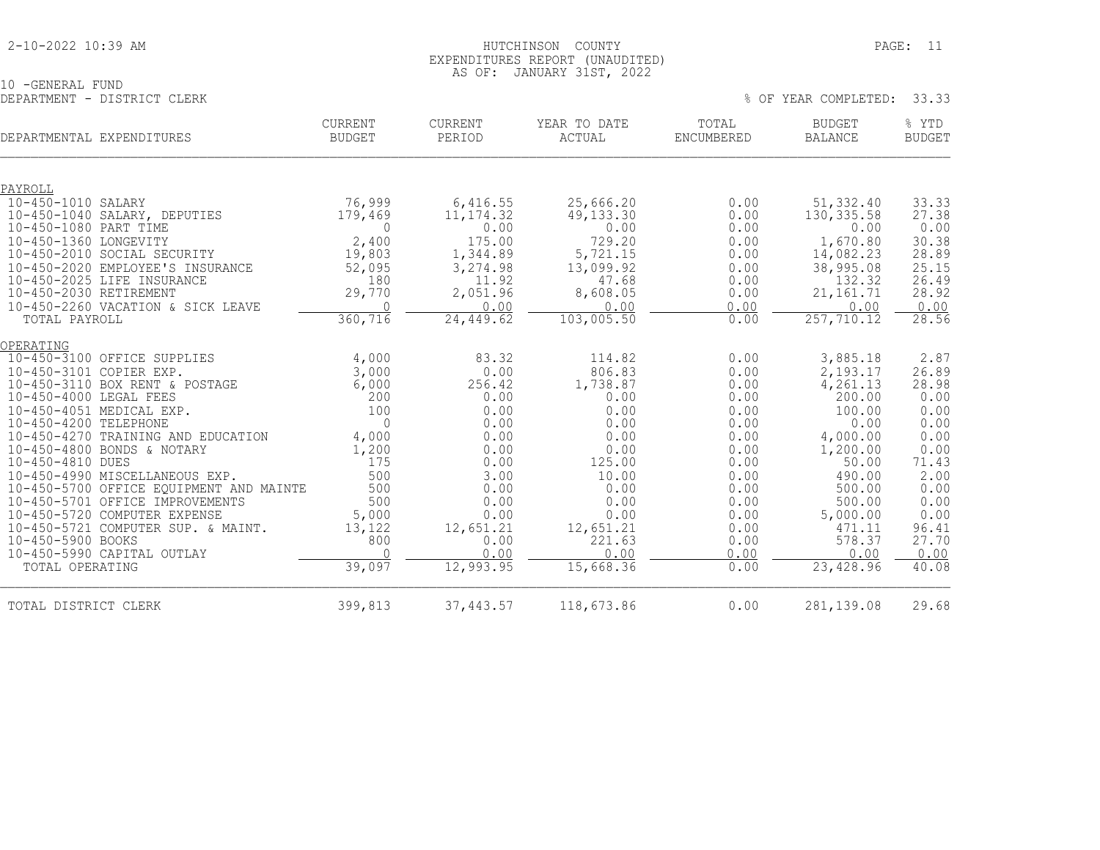#### 2-10-2022 10:39 AM HUTCHINSON COUNTY PAGE: 11 EXPENDITURES REPORT (UNAUDITED) AS OF: JANUARY 31ST, 2022

|                             | $1.10$ 0.1 . 0.1.1.0.1.1.1. 0.1.0.1, 0.000 |  |  |  |                            |  |
|-----------------------------|--------------------------------------------|--|--|--|----------------------------|--|
| 10 -GENERAL FUND            |                                            |  |  |  |                            |  |
| DEPARTMENT - DISTRICT CLERK |                                            |  |  |  | % OF YEAR COMPLETED: 33.33 |  |

| DEPARTMENTAL EXPENDITURES |                                         | <b>CURRENT</b><br><b>BUDGET</b> | CURRENT<br>PERIOD | YEAR TO DATE<br><b>ACTUAL</b> | TOTAL<br><b>ENCUMBERED</b> | <b>BUDGET</b><br><b>BALANCE</b> | % YTD<br><b>BUDGET</b> |
|---------------------------|-----------------------------------------|---------------------------------|-------------------|-------------------------------|----------------------------|---------------------------------|------------------------|
|                           |                                         |                                 |                   |                               |                            |                                 |                        |
| PAYROLL                   |                                         |                                 |                   |                               |                            |                                 |                        |
| 10-450-1010 SALARY        |                                         | 76,999                          | 6,416.55          | 25,666.20                     | 0.00                       | 51,332.40                       | 33.33                  |
|                           | 10-450-1040 SALARY, DEPUTIES            | 179,469                         | 11, 174.32        | 49, 133.30                    | 0.00                       | 130, 335.58                     | 27.38                  |
| 10-450-1080 PART TIME     |                                         | $\Omega$                        | 0.00              | 0.00                          | 0.00                       | 0.00                            | 0.00                   |
| 10-450-1360 LONGEVITY     |                                         | 2,400                           | 175.00            | 729.20                        | 0.00                       | 1,670.80                        | 30.38                  |
|                           | 10-450-2010 SOCIAL SECURITY             | 19,803                          | 1,344.89          | 5,721.15                      | 0.00                       | 14,082.23                       | 28.89                  |
|                           | 10-450-2020 EMPLOYEE'S INSURANCE        | 52,095                          | 3,274.98          | 13,099.92                     | 0.00                       | 38,995.08                       | 25.15                  |
|                           | 10-450-2025 LIFE INSURANCE              | 180<br>29,770                   | 11.92<br>2,051.96 | 47.68                         | 0.00                       | 132.32                          | 26.49                  |
| 10-450-2030 RETIREMENT    | 10-450-2260 VACATION & SICK LEAVE       | $\bigcap$                       | 0.00              | 8,608.05<br>0.00              | 0.00<br>0.00               | 21, 161.71<br>0.00              | 28.92<br>0.00          |
| TOTAL PAYROLL             |                                         | 360, 716                        | 24,449.62         | 103,005.50                    | 0.00                       | 257, 710.12                     | 28.56                  |
|                           |                                         |                                 |                   |                               |                            |                                 |                        |
| OPERATING                 |                                         |                                 |                   |                               |                            |                                 |                        |
|                           | 10-450-3100 OFFICE SUPPLIES             | 4,000                           | 83.32             | 114.82                        | 0.00                       | 3,885.18                        | 2.87                   |
| 10-450-3101 COPIER EXP.   |                                         | 3,000                           | 0.00              | 806.83                        | 0.00                       | 2,193.17                        | 26.89                  |
|                           | 10-450-3110 BOX RENT & POSTAGE          | 6,000                           | 256.42            | 1,738.87                      | 0.00                       | 4,261.13                        | 28.98                  |
| 10-450-4000 LEGAL FEES    |                                         | 200                             | 0.00              | 0.00                          | 0.00                       | 200.00                          | 0.00                   |
|                           | 10-450-4051 MEDICAL EXP.                | 100                             | 0.00              | 0.00                          | 0.00                       | 100.00                          | 0.00                   |
| 10-450-4200 TELEPHONE     |                                         | $\mathbf{0}$                    | 0.00              | 0.00                          | 0.00                       | 0.00                            | 0.00                   |
|                           | 10-450-4270 TRAINING AND EDUCATION      | 4,000                           | 0.00              | 0.00                          | 0.00                       | 4,000.00                        | 0.00                   |
|                           | 10-450-4800 BONDS & NOTARY              | 1,200                           | 0.00              | 0.00                          | 0.00                       | 1,200.00                        | 0.00                   |
| 10-450-4810 DUES          |                                         | 175                             | 0.00              | 125.00                        | 0.00                       | 50.00                           | 71.43                  |
|                           | 10-450-4990 MISCELLANEOUS EXP.          | 500                             | 3.00              | 10.00                         | 0.00                       | 490.00                          | 2.00                   |
|                           | 10-450-5700 OFFICE EQUIPMENT AND MAINTE | 500                             | 0.00              | 0.00                          | 0.00                       | 500.00                          | 0.00                   |
|                           | 10-450-5701 OFFICE IMPROVEMENTS         | 500                             | 0.00              | 0.00                          | 0.00                       | 500.00                          | 0.00                   |
|                           | 10-450-5720 COMPUTER EXPENSE            | 5,000                           | 0.00              | 0.00                          | 0.00                       | 5,000.00                        | 0.00                   |
|                           | 10-450-5721 COMPUTER SUP. & MAINT.      | 13,122                          | 12,651.21         | 12,651.21                     | 0.00                       | 471.11                          | 96.41                  |
| 10-450-5900 BOOKS         |                                         | 800<br>$\cap$                   | 0.00              | 221.63                        | 0.00                       | 578.37                          | 27.70                  |
|                           | 10-450-5990 CAPITAL OUTLAY              | 39,097                          | 0.00<br>12,993.95 | 0.00<br>15,668.36             | 0.00<br>0.00               | 0.00<br>23,428.96               | 0.00<br>40.08          |
| TOTAL OPERATING           |                                         |                                 |                   |                               |                            |                                 |                        |
| TOTAL DISTRICT CLERK      |                                         | 399,813                         | 37, 443.57        | 118,673.86                    | 0.00                       | 281,139.08                      | 29.68                  |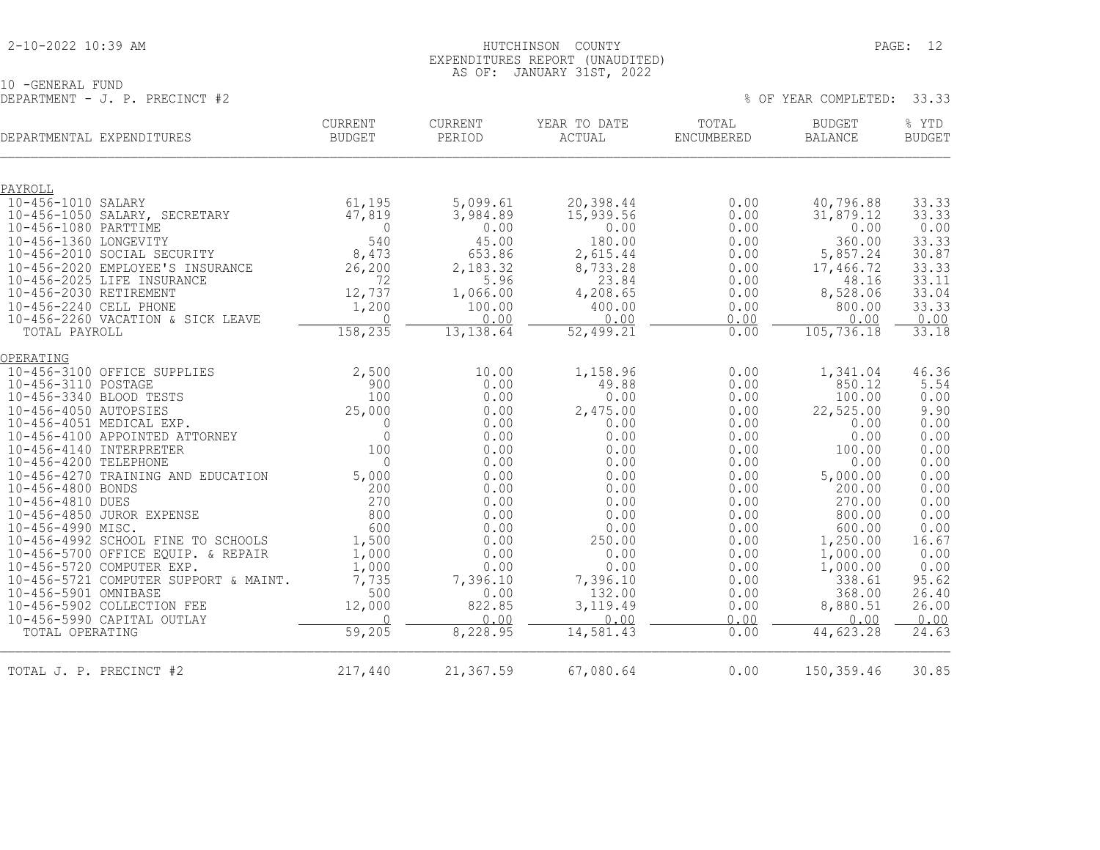#### 2-10-2022 10:39 AM HUTCHINSON COUNTY PAGE: 12 EXPENDITURES REPORT (UNAUDITED) AS OF: JANUARY 31ST, 2022

10 -GENERAL FUND DEPARTMENT - J. P. PRECINCT #2  $\%$  OF YEAR COMPLETED: 33.33

| DEPARTMENTAL EXPENDITURES                           | <b>CURRENT</b><br><b>BUDGET</b> | CURRENT<br>PERIOD    | YEAR TO DATE<br>ACTUAL | TOTAL<br>ENCUMBERED | <b>BUDGET</b><br><b>BALANCE</b> | % YTD<br><b>BUDGET</b> |
|-----------------------------------------------------|---------------------------------|----------------------|------------------------|---------------------|---------------------------------|------------------------|
|                                                     |                                 |                      |                        |                     |                                 |                        |
| PAYROLL                                             |                                 |                      |                        |                     |                                 |                        |
| 10-456-1010 SALARY<br>10-456-1050 SALARY, SECRETARY | 61,195<br>47,819                | 5,099.61<br>3,984.89 | 20,398.44<br>15,939.56 | 0.00<br>0.00        | 40,796.88<br>31,879.12          | 33.33<br>33.33         |
| 10-456-1080 PARTTIME                                | 0                               | 0.00                 | 0.00                   | 0.00                | 0.00                            | 0.00                   |
| 10-456-1360 LONGEVITY                               | 540                             | 45.00                | 180.00                 | 0.00                | 360.00                          | 33.33                  |
| 10-456-2010 SOCIAL SECURITY                         | 8,473                           | 653.86               | 2,615.44               | 0.00                | 5,857.24                        | 30.87                  |
| 10-456-2020 EMPLOYEE'S INSURANCE                    | 26,200                          | 2,183.32             | 8,733.28               | 0.00                | 17,466.72                       | 33.33                  |
| 10-456-2025 LIFE INSURANCE                          | 72                              | 5.96                 | 23.84                  | 0.00                | 48.16                           | 33.11                  |
| 10-456-2030 RETIREMENT                              | 12,737                          | 1,066.00             | 4,208.65               | 0.00                | 8,528.06                        | 33.04                  |
| 10-456-2240 CELL PHONE                              | 1,200                           | 100.00               | 400.00                 | 0.00                | 800.00                          | 33.33                  |
| 10-456-2260 VACATION & SICK LEAVE                   | $\bigcap$                       | 0.00                 | 0.00                   | 0.00                | 0.00                            | 0.00                   |
| TOTAL PAYROLL                                       | 158,235                         | 13, 138.64           | 52,499.21              | 0.00                | 105, 736.18                     | 33.18                  |
| OPERATING                                           |                                 |                      |                        |                     |                                 |                        |
| 10-456-3100 OFFICE SUPPLIES                         | 2,500                           | 10.00                | 1,158.96               | 0.00                | 1,341.04                        | 46.36                  |
| 10-456-3110 POSTAGE                                 | 900                             | 0.00                 | 49.88                  | 0.00                | 850.12                          | 5.54                   |
| 10-456-3340 BLOOD TESTS                             | 100                             | 0.00                 | 0.00                   | 0.00                | 100.00                          | 0.00                   |
| 10-456-4050 AUTOPSIES                               | 25,000                          | 0.00                 | 2,475.00               | 0.00                | 22,525.00                       | 9.90                   |
| 10-456-4051 MEDICAL EXP.                            | $\Omega$                        | 0.00                 | 0.00                   | 0.00                | 0.00                            | 0.00                   |
| 10-456-4100 APPOINTED ATTORNEY                      | $\Omega$                        | 0.00                 | 0.00                   | 0.00                | 0.00                            | 0.00                   |
| 10-456-4140 INTERPRETER                             | 100                             | 0.00                 | 0.00                   | 0.00                | 100.00                          | 0.00                   |
| 10-456-4200 TELEPHONE                               | $\Omega$                        | 0.00                 | 0.00                   | 0.00                | 0.00                            | 0.00                   |
| 10-456-4270 TRAINING AND EDUCATION                  | 5,000                           | 0.00                 | 0.00                   | 0.00                | 5,000.00                        | 0.00                   |
| 10-456-4800 BONDS                                   | 200                             | 0.00                 | 0.00                   | 0.00                | 200.00                          | 0.00                   |
| 10-456-4810 DUES                                    | 270                             | 0.00                 | 0.00                   | 0.00                | 270.00                          | 0.00                   |
| 10-456-4850 JUROR EXPENSE                           | 800                             | 0.00                 | 0.00                   | 0.00                | 800.00                          | 0.00                   |
| 10-456-4990 MISC.                                   | 600                             | 0.00                 | 0.00                   | 0.00                | 600.00                          | 0.00                   |
| 10-456-4992 SCHOOL FINE TO SCHOOLS                  | 1,500                           | 0.00                 | 250.00                 | 0.00                | 1,250.00                        | 16.67                  |
| 10-456-5700 OFFICE EQUIP. & REPAIR                  | 1,000                           | 0.00                 | 0.00                   | 0.00                | 1,000.00                        | 0.00                   |
| 10-456-5720 COMPUTER EXP.                           | 1,000                           | 0.00                 | 0.00                   | 0.00                | 1,000.00                        | 0.00                   |
| 10-456-5721 COMPUTER SUPPORT & MAINT.               | 7,735                           | 7,396.10             | 7,396.10               | 0.00                | 338.61                          | 95.62                  |
| 10-456-5901 OMNIBASE<br>10-456-5902 COLLECTION FEE  | 500<br>12,000                   | 0.00<br>822.85       | 132.00<br>3,119.49     | 0.00<br>0.00        | 368.00<br>8,880.51              | 26.40<br>26.00         |
| 10-456-5990 CAPITAL OUTLAY                          | $\Omega$                        | 0.00                 | 0.00                   | 0.00                | 0.00                            | 0.00                   |
| TOTAL OPERATING                                     | 59,205                          | 8,228.95             | 14,581.43              | 0.00                | 44,623.28                       | 24.63                  |
|                                                     |                                 |                      |                        |                     |                                 |                        |
| TOTAL J. P. PRECINCT #2                             | 217,440                         | 21,367.59            | 67,080.64              | 0.00                | 150,359.46                      | 30.85                  |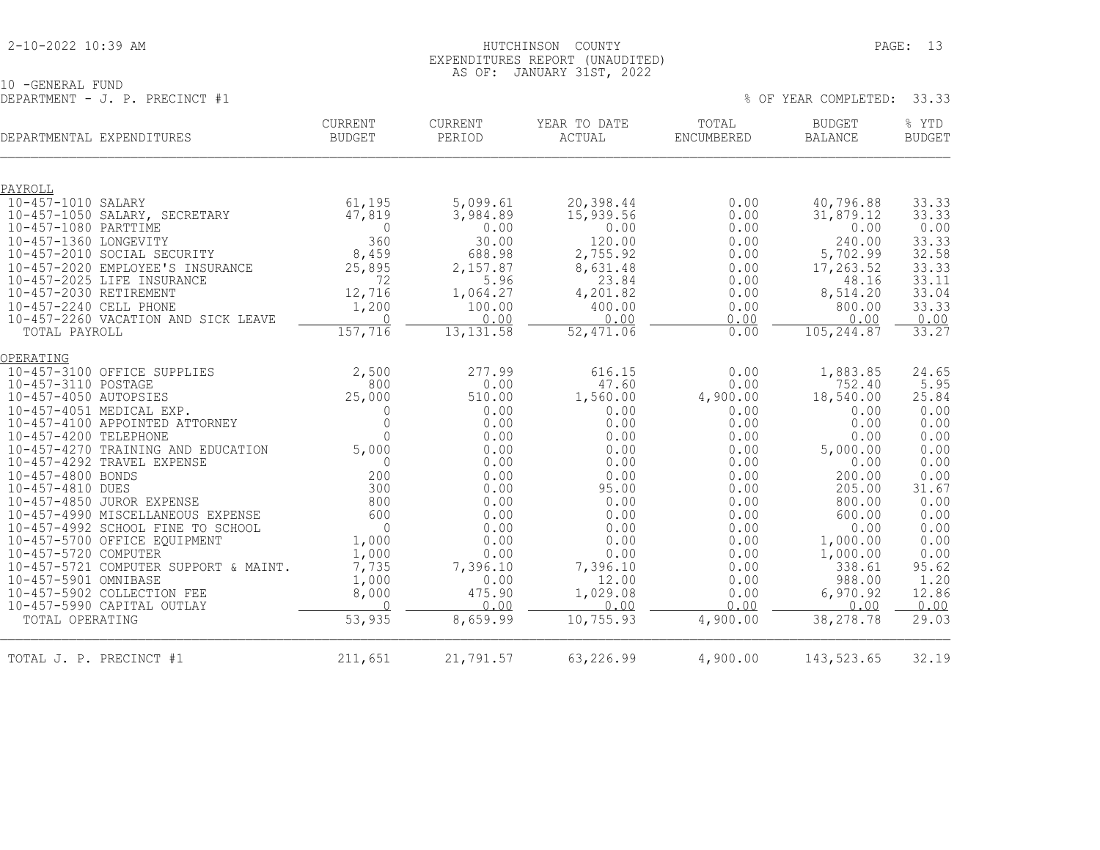#### 2-10-2022 10:39 AM HUTCHINSON COUNTY PAGE: 13 EXPENDITURES REPORT (UNAUDITED) AS OF: JANUARY 31ST, 2022

10 -GENERAL FUND DEPARTMENT - J. P. PRECINCT #1 % OF YEAR COMPLETED: 33.33

|                         | DEPARTMENTAL EXPENDITURES                                | CURRENT<br><b>BUDGET</b> | <b>CURRENT</b><br>PERIOD | YEAR TO DATE<br>ACTUAL | TOTAL<br><b>ENCUMBERED</b> | <b>BUDGET</b><br>BALANCE | % YTD<br><b>BUDGET</b> |
|-------------------------|----------------------------------------------------------|--------------------------|--------------------------|------------------------|----------------------------|--------------------------|------------------------|
|                         |                                                          |                          |                          |                        |                            |                          |                        |
| PAYROLL                 |                                                          |                          |                          |                        |                            |                          |                        |
| 10-457-1010 SALARY      |                                                          | 61,195                   | 5,099.61                 | 20,398.44              | 0.00                       | 40,796.88                | 33.33                  |
|                         | 10-457-1050 SALARY, SECRETARY                            | 47,819                   | 3,984.89                 | 15,939.56              | 0.00                       | 31,879.12                | 33.33                  |
| 10-457-1080 PARTTIME    |                                                          | 0                        | 0.00                     | 0.00                   | 0.00                       | 0.00                     | 0.00                   |
| 10-457-1360 LONGEVITY   |                                                          | 360                      | 30.00                    | 120.00                 | 0.00                       | 240.00                   | 33.33                  |
|                         | 10-457-2010 SOCIAL SECURITY                              | 8,459                    | 688.98                   | 2,755.92               | 0.00                       | 5,702.99                 | 32.58                  |
|                         | 10-457-2020 EMPLOYEE'S INSURANCE                         | 25,895<br>72             | 2,157.87                 | 8,631.48               | 0.00                       | 17,263.52<br>48.16       | 33.33                  |
| 10-457-2030 RETIREMENT  | 10-457-2025 LIFE INSURANCE                               | 12,716                   | 5.96<br>1,064.27         | 23.84<br>4,201.82      | 0.00<br>0.00               | 8,514.20                 | 33.11<br>33.04         |
| 10-457-2240 CELL PHONE  |                                                          | 1,200                    | 100.00                   | 400.00                 | 0.00                       | 800.00                   | 33.33                  |
|                         | 10-457-2260 VACATION AND SICK LEAVE                      | $\bigcap$                | 0.00                     | 0.00                   | 0.00                       | 0.00                     | 0.00                   |
| TOTAL PAYROLL           |                                                          | 157,716                  | 13, 131.58               | 52,471.06              | 0.00                       | 105, 244.87              | 33.27                  |
| OPERATING               |                                                          |                          |                          |                        |                            |                          |                        |
|                         | 10-457-3100 OFFICE SUPPLIES                              | 2,500                    | 277.99                   | 616.15                 | 0.00                       | 1,883.85                 | 24.65                  |
| 10-457-3110 POSTAGE     |                                                          | 800                      | 0.00                     | 47.60                  | 0.00                       | 752.40                   | 5.95                   |
| 10-457-4050 AUTOPSIES   |                                                          | 25,000                   | 510.00                   | 1,560.00               | 4,900.00                   | 18,540.00                | 25.84                  |
|                         | 10-457-4051 MEDICAL EXP.                                 | $\mathbf 0$              | 0.00                     | 0.00                   | 0.00                       | 0.00                     | 0.00                   |
| 10-457-4200 TELEPHONE   | 10-457-4100 APPOINTED ATTORNEY                           | $\Omega$<br>$\Omega$     | 0.00<br>0.00             | 0.00<br>0.00           | 0.00<br>0.00               | 0.00<br>0.00             | 0.00<br>0.00           |
|                         | 10-457-4270 TRAINING AND EDUCATION                       | 5,000                    | 0.00                     | 0.00                   | 0.00                       | 5,000.00                 | 0.00                   |
|                         | 10-457-4292 TRAVEL EXPENSE                               | $\Omega$                 | 0.00                     | 0.00                   | 0.00                       | 0.00                     | 0.00                   |
| 10-457-4800 BONDS       |                                                          | 200                      | 0.00                     | 0.00                   | 0.00                       | 200.00                   | 0.00                   |
| 10-457-4810 DUES        |                                                          | 300                      | 0.00                     | 95.00                  | 0.00                       | 205.00                   | 31.67                  |
|                         | 10-457-4850 JUROR EXPENSE                                | 800                      | 0.00                     | 0.00                   | 0.00                       | 800.00                   | 0.00                   |
|                         | 10-457-4990 MISCELLANEOUS EXPENSE                        | 600                      | 0.00                     | 0.00                   | 0.00                       | 600.00                   | 0.00                   |
|                         | 10-457-4992 SCHOOL FINE TO SCHOOL                        | $\circ$                  | 0.00                     | 0.00                   | 0.00                       | 0.00                     | 0.00                   |
|                         | 10-457-5700 OFFICE EQUIPMENT                             | 1,000                    | 0.00                     | 0.00                   | 0.00                       | 1,000.00                 | 0.00                   |
| 10-457-5720 COMPUTER    |                                                          | 1,000                    | 0.00                     | 0.00                   | 0.00                       | 1,000.00                 | 0.00                   |
|                         | 10-457-5721 COMPUTER SUPPORT & MAINT.                    | 7,735                    | 7,396.10                 | 7,396.10               | 0.00                       | 338.61                   | 95.62                  |
| 10-457-5901 OMNIBASE    |                                                          | 1,000                    | 0.00                     | 12.00                  | 0.00                       | 988.00                   | 1.20                   |
|                         | 10-457-5902 COLLECTION FEE<br>10-457-5990 CAPITAL OUTLAY | 8,000<br>$\Omega$        | 475.90<br>0.00           | 1,029.08<br>0.00       | 0.00<br>0.00               | 6,970.92<br>0.00         | 12.86                  |
| TOTAL OPERATING         |                                                          | 53,935                   | 8,659.99                 | 10,755.93              | 4,900.00                   | 38,278.78                | 0.00<br>29.03          |
|                         |                                                          |                          |                          |                        |                            |                          |                        |
| TOTAL J. P. PRECINCT #1 |                                                          | 211,651                  | 21,791.57                | 63,226.99              | 4,900.00                   | 143, 523.65              | 32.19                  |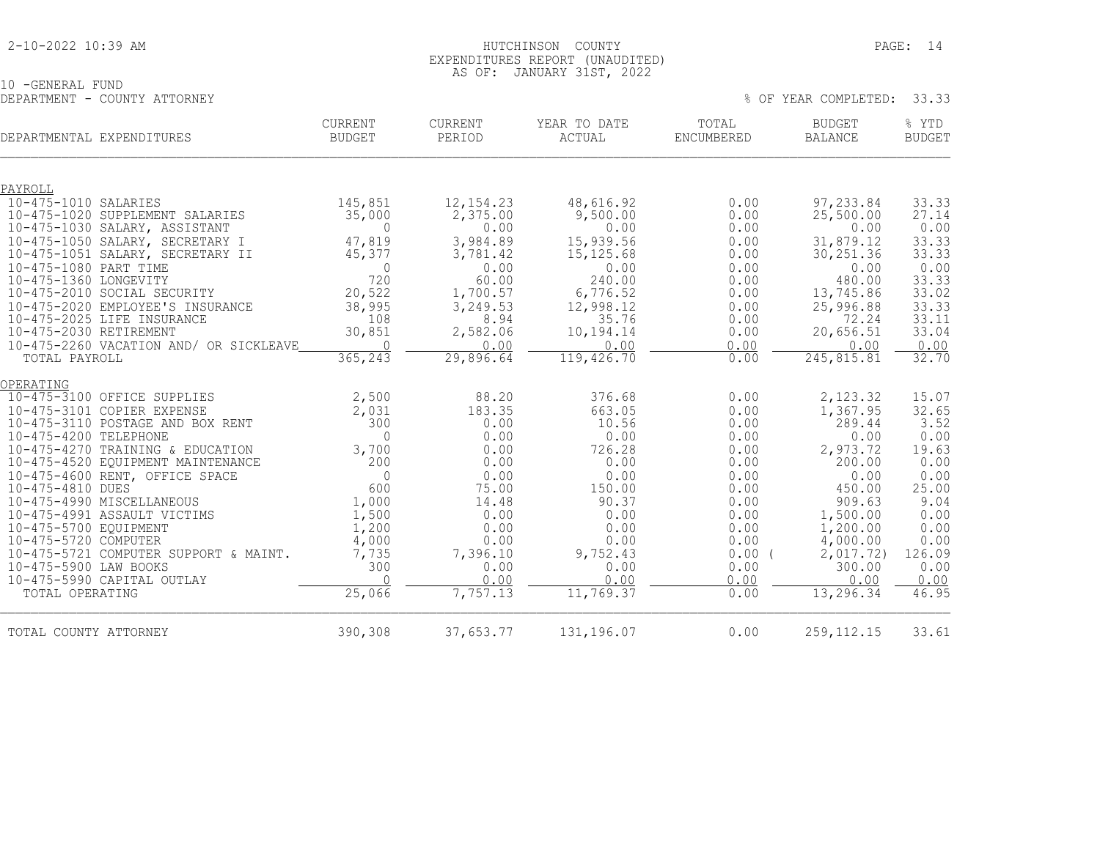#### 2-10-2022 10:39 AM HUTCHINSON COUNTY PAGE: 14 EXPENDITURES REPORT (UNAUDITED) AS OF: JANUARY 31ST, 2022

10 -GENERAL FUND DEPARTMENT - COUNTY ATTORNEY % OF YEAR COMPLETED: 33.33

| DEPARTMENTAL EXPENDITURES                                           | <b>CURRENT</b><br>BUDGET | <b>CURRENT</b><br>PERIOD | YEAR TO DATE<br>ACTUAL  | TOTAL<br>ENCUMBERED | <b>BUDGET</b><br>BALANCE | % YTD<br><b>BUDGET</b> |
|---------------------------------------------------------------------|--------------------------|--------------------------|-------------------------|---------------------|--------------------------|------------------------|
| PAYROLL                                                             |                          |                          |                         |                     |                          |                        |
| 10-475-1010 SALARIES                                                | 145,851                  | 12, 154.23               | 48,616.92               | 0.00                | 97,233.84                | 33.33                  |
| 10-475-1020 SUPPLEMENT SALARIES                                     | 35,000                   | 2,375.00                 | 9,500.00                | 0.00                | 25,500.00                | 27.14                  |
| 10-475-1030 SALARY, ASSISTANT                                       | $\mathbf 0$              | 0.00                     | 0.00                    | 0.00                | 0.00                     | 0.00                   |
| 10-475-1050 SALARY, SECRETARY I<br>10-475-1051 SALARY, SECRETARY II | 47,819<br>45,377         | 3,984.89<br>3,781.42     | 15,939.56<br>15, 125.68 | 0.00<br>0.00        | 31,879.12<br>30, 251.36  | 33.33<br>33.33         |
| 10-475-1080 PART TIME                                               | $\mathbf{0}$             | 0.00                     | 0.00                    | 0.00                | 0.00                     | 0.00                   |
| 10-475-1360 LONGEVITY                                               | 720                      | 60.00                    | 240.00                  | 0.00                | 480.00                   | 33.33                  |
| 10-475-2010 SOCIAL SECURITY                                         | 20,522                   | 1,700.57                 | 6,776.52                | 0.00                | 13,745.86                | 33.02                  |
| 10-475-2020 EMPLOYEE'S INSURANCE                                    | 38,995                   | 3,249.53                 | 12,998.12               | 0.00                | 25,996.88                | 33.33                  |
| 10-475-2025 LIFE INSURANCE                                          | 108                      | 8.94                     | 35.76                   | 0.00                | 72.24                    | 33.11                  |
| 10-475-2030 RETIREMENT<br>10-475-2260 VACATION AND/ OR SICKLEAVE    | 30,851<br>$\Omega$       | 2,582.06<br>0.00         | 10,194.14<br>0.00       | 0.00<br>0.00        | 20,656.51<br>0.00        | 33.04<br>0.00          |
| TOTAL PAYROLL                                                       | 365, 243                 | 29,896.64                | 119, 426.70             | 0.00                | 245,815.81               | 32.70                  |
| OPERATING                                                           |                          |                          |                         |                     |                          |                        |
| 10-475-3100 OFFICE SUPPLIES                                         | 2,500                    | 88.20                    | 376.68                  | 0.00                | 2,123.32                 | 15.07                  |
| 10-475-3101 COPIER EXPENSE                                          | 2,031                    | 183.35                   | 663.05                  | 0.00                | 1,367.95                 | 32.65                  |
| 10-475-3110 POSTAGE AND BOX RENT                                    | 300                      | 0.00                     | 10.56                   | 0.00                | 289.44                   | 3.52                   |
| 10-475-4200 TELEPHONE                                               | $\Omega$                 | 0.00                     | 0.00                    | 0.00                | 0.00                     | 0.00                   |
| 10-475-4270 TRAINING & EDUCATION                                    | 3,700                    | 0.00                     | 726.28                  | 0.00                | 2,973.72                 | 19.63                  |
| 10-475-4520 EQUIPMENT MAINTENANCE<br>10-475-4600 RENT, OFFICE SPACE | 200<br>$\Omega$          | 0.00<br>0.00             | 0.00<br>0.00            | 0.00<br>0.00        | 200.00<br>0.00           | 0.00<br>0.00           |
| 10-475-4810 DUES                                                    | 600                      | 75.00                    | 150.00                  | 0.00                | 450.00                   | 25.00                  |
| 10-475-4990 MISCELLANEOUS                                           | 1,000                    | 14.48                    | 90.37                   | 0.00                | 909.63                   | 9.04                   |
| 10-475-4991 ASSAULT VICTIMS                                         | 1,500                    | 0.00                     | 0.00                    | 0.00                | 1,500.00                 | 0.00                   |
| 10-475-5700 EQUIPMENT                                               | 1,200                    | 0.00                     | 0.00                    | 0.00                | 1,200.00                 | 0.00                   |
| 10-475-5720 COMPUTER                                                | 4,000                    | 0.00                     | 0.00                    | 0.00                | 4,000.00                 | 0.00                   |
| 10-475-5721 COMPUTER SUPPORT & MAINT.<br>10-475-5900 LAW BOOKS      | 7,735<br>300             | 7,396.10<br>0.00         | 9,752.43<br>0.00        | 0.00(<br>0.00       | 2,017.72)<br>300.00      | 126.09<br>0.00         |
| 10-475-5990 CAPITAL OUTLAY                                          | $\bigcap$                | 0.00                     | 0.00                    | 0.00                | 0.00                     | 0.00                   |
| TOTAL OPERATING                                                     | 25,066                   | 7,757.13                 | 11,769.37               | 0.00                | 13,296.34                | 46.95                  |
| TOTAL COUNTY ATTORNEY                                               | 390,308                  | 37,653.77                | 131,196.07              | 0.00                | 259, 112. 15             | 33.61                  |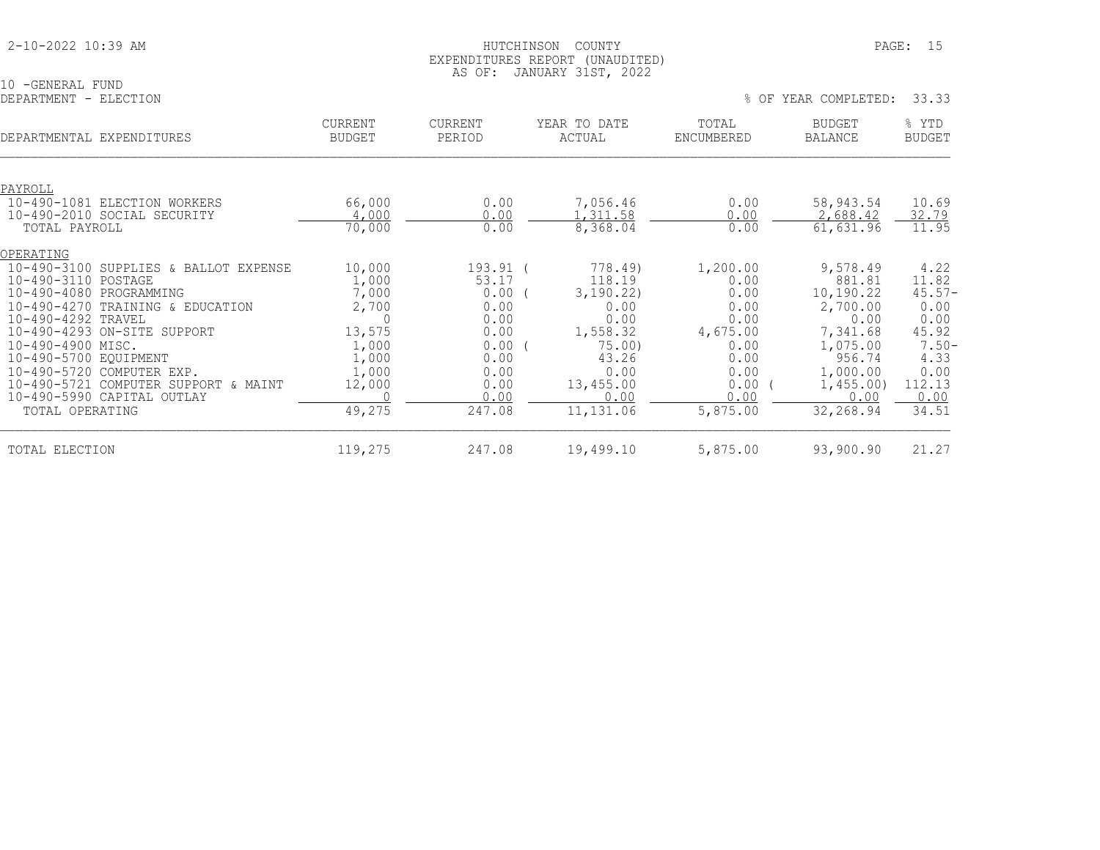| 2-10-2022 10:39 AM |
|--------------------|
|--------------------|

10 -GENERAL FUND<br>DEPARTMENT - ELECTION

| DEPARTMENTAL EXPENDITURES                       | <b>CURRENT</b><br><b>BUDGET</b> | <b>CURRENT</b><br>PERIOD | YEAR TO DATE<br>ACTUAL | TOTAL<br>ENCUMBERED | <b>BUDGET</b><br><b>BALANCE</b> | % YTD<br><b>BUDGET</b> |
|-------------------------------------------------|---------------------------------|--------------------------|------------------------|---------------------|---------------------------------|------------------------|
|                                                 |                                 |                          |                        |                     |                                 |                        |
| PAYROLL<br>10-490-1081                          |                                 |                          |                        |                     | 58,943.54                       | 10.69                  |
| ELECTION WORKERS<br>10-490-2010 SOCIAL SECURITY | 66,000<br>4,000                 | 0.00<br>0.00             | 7,056.46<br>1,311.58   | 0.00<br>0.00        | 2,688.42                        | 32.79                  |
| TOTAL PAYROLL                                   | 70,000                          | 0.00                     | 8,368.04               | 0.00                | 61,631.96                       | 11.95                  |
| OPERATING                                       |                                 |                          |                        |                     |                                 |                        |
| $10 - 490 - 3100$<br>SUPPLIES & BALLOT EXPENSE  | 10,000                          | 193.91 (                 | 778.49)                | 1,200.00            | 9,578.49                        | 4.22                   |
| 10-490-3110 POSTAGE                             | 1,000                           | 53.17                    | 118.19                 | 0.00                | 881.81                          | 11.82                  |
| $10 - 490 - 4080$<br>PROGRAMMING                | 7,000                           | 0.00                     | 3,190.22)              | 0.00                | 10,190.22                       | $45.57 -$              |
| 10-490-4270 TRAINING & EDUCATION                | 2,700                           | 0.00                     | 0.00                   | 0.00                | 2,700.00                        | 0.00                   |
| 10-490-4292 TRAVEL                              |                                 | 0.00                     | 0.00                   | 0.00                | 0.00                            | 0.00                   |
| 10-490-4293 ON-SITE SUPPORT                     | 13,575                          | 0.00                     | 1,558.32               | 4,675.00            | 7,341.68                        | 45.92                  |
| 10-490-4900 MISC.                               | 1,000                           | $0.00$ (                 | 75.00                  | 0.00                | 1,075.00                        | $7.50 -$               |
| 10-490-5700 EQUIPMENT                           | 1,000                           | 0.00                     | 43.26                  | 0.00                | 956.74                          | 4.33                   |
| 10-490-5720 COMPUTER EXP.                       | 1,000                           | 0.00                     | 0.00                   | 0.00                | 1,000.00                        | 0.00                   |
| 10-490-5721 COMPUTER SUPPORT & MAINT            | 12,000                          | 0.00                     | 13,455.00              | 0.00                | 1,455.00                        | 112.13                 |
| 10-490-5990 CAPITAL OUTLAY                      |                                 | 0.00                     | 0.00                   | 0.00                | 0.00                            | 0.00                   |
| TOTAL OPERATING                                 | 49,275                          | 247.08                   | 11,131.06              | 5,875.00            | 32,268.94                       | 34.51                  |
| TOTAL ELECTION                                  | 119,275                         | 247.08                   | 19,499.10              | 5,875.00            | 93,900.90                       | 21.27                  |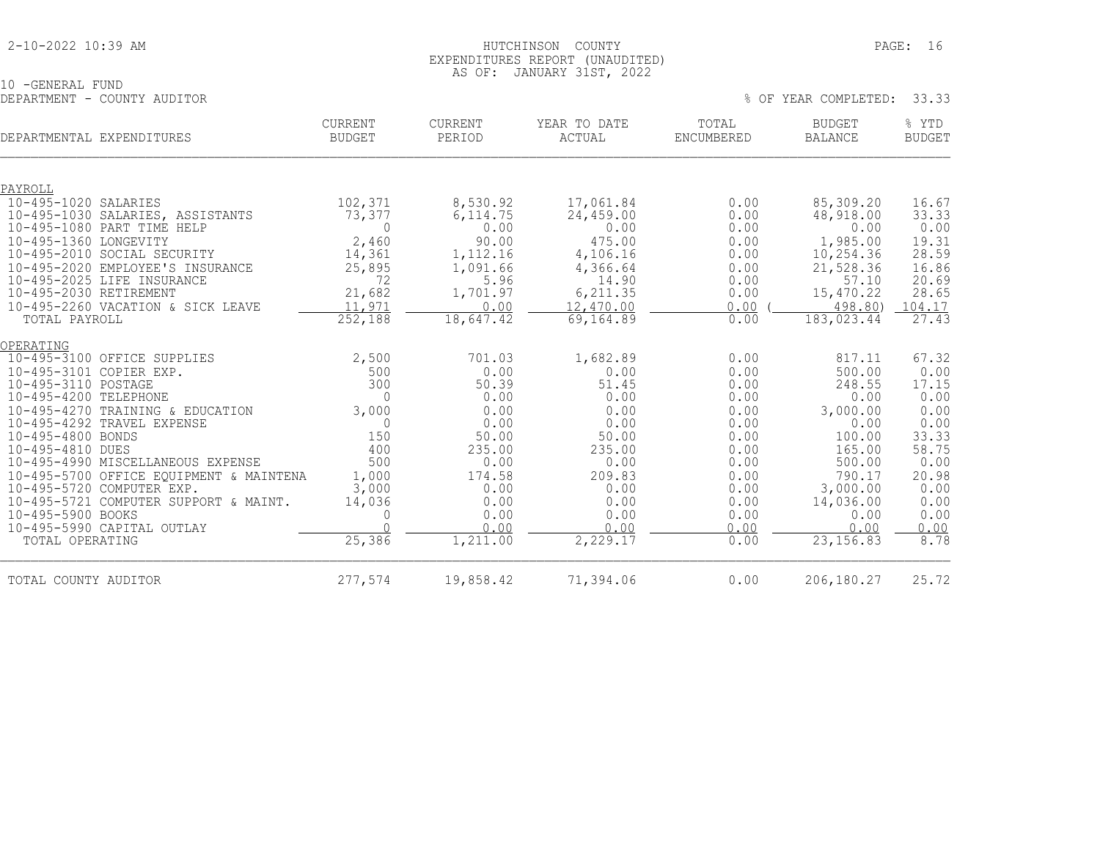#### 2-10-2022 10:39 AM HUTCHINSON COUNTY PAGE: 16 EXPENDITURES REPORT (UNAUDITED) AS OF: JANUARY 31ST, 2022

| 10 -GENERAL FUND |                             |  |
|------------------|-----------------------------|--|
|                  | DEPARTMENT - COUNTY AUDITOR |  |

| DEPARTMENT - COUNTY AUDITOR                                |                                 |                          |                        |                     | % OF YEAR COMPLETED:            | 33.33                  |
|------------------------------------------------------------|---------------------------------|--------------------------|------------------------|---------------------|---------------------------------|------------------------|
| DEPARTMENTAL EXPENDITURES                                  | <b>CURRENT</b><br><b>BUDGET</b> | <b>CURRENT</b><br>PERIOD | YEAR TO DATE<br>ACTUAL | TOTAL<br>ENCUMBERED | <b>BUDGET</b><br><b>BALANCE</b> | % YTD<br><b>BUDGET</b> |
| PAYROLL                                                    |                                 |                          |                        |                     |                                 |                        |
| 10-495-1020 SALARIES                                       | 102,371                         | 8,530.92                 | 17,061.84              | 0.00                | 85,309.20                       | 16.67                  |
| 10-495-1030 SALARIES, ASSISTANTS                           | 73,377                          | 6, 114.75                | 24,459.00              | 0.00                | 48,918.00                       | 33.33                  |
| 10-495-1080 PART TIME HELP                                 | 0                               | 0.00                     | 0.00                   | 0.00                | 0.00                            | 0.00                   |
| 10-495-1360 LONGEVITY                                      | 2,460                           | 90.00                    | 475.00                 | 0.00                | 1,985.00                        | 19.31                  |
| 10-495-2010 SOCIAL SECURITY                                | 14,361                          | 1,112.16                 | 4,106.16               | 0.00                | 10,254.36                       | 28.59                  |
| 10-495-2020 EMPLOYEE'S INSURANCE                           | 25,895                          | 1,091.66                 | 4,366.64               | 0.00                | 21,528.36                       | 16.86                  |
| 10-495-2025 LIFE INSURANCE                                 | 72                              | 5.96                     | 14.90                  | 0.00                | 57.10                           | 20.69                  |
| 10-495-2030 RETIREMENT                                     | 21,682                          | 1,701.97                 | 6,211.35               | 0.00                | 15,470.22                       | 28.65                  |
| 10-495-2260 VACATION & SICK LEAVE                          | 11,971                          | 0.00                     | 12,470.00              | 0.00                | 498.80)                         | 104.17                 |
| TOTAL PAYROLL                                              | 252,188                         | 18,647.42                | 69,164.89              | 0.00                | 183,023.44                      | 27.43                  |
| OPERATING                                                  |                                 |                          |                        |                     |                                 |                        |
| 10-495-3100 OFFICE SUPPLIES                                | 2,500                           | 701.03                   | 1,682.89               | 0.00                | 817.11                          | 67.32                  |
| 10-495-3101 COPIER EXP.                                    | 500                             | 0.00                     | 0.00                   | 0.00                | 500.00                          | 0.00                   |
| 10-495-3110 POSTAGE                                        | 300                             | 50.39                    | 51.45                  | 0.00                | 248.55                          | 17.15                  |
| 10-495-4200 TELEPHONE                                      | $\Omega$                        | 0.00                     | 0.00                   | 0.00                | 0.00                            | 0.00                   |
| 10-495-4270 TRAINING & EDUCATION                           | 3,000                           | 0.00                     | 0.00                   | 0.00                | 3,000.00                        | 0.00                   |
| 10-495-4292 TRAVEL EXPENSE                                 | $\Omega$                        | 0.00                     | 0.00                   | 0.00                | 0.00                            | 0.00                   |
| 10-495-4800 BONDS                                          | 150                             | 50.00                    | 50.00                  | 0.00                | 100.00                          | 33.33                  |
| 10-495-4810 DUES                                           | 400                             | 235.00                   | 235.00                 | 0.00                | 165.00                          | 58.75                  |
| 10-495-4990 MISCELLANEOUS EXPENSE                          | 500                             | 0.00                     | 0.00                   | 0.00                | 500.00                          | 0.00                   |
| 10-495-5700 OFFICE EQUIPMENT & MAINTENA                    | 1,000                           | 174.58                   | 209.83                 | 0.00                | 790.17                          | 20.98                  |
| 10-495-5720 COMPUTER EXP.                                  | 3,000                           | 0.00                     | 0.00                   | 0.00                | 3,000.00                        | 0.00                   |
| 10-495-5721 COMPUTER SUPPORT & MAINT.<br>10-495-5900 BOOKS | 14,036                          | 0.00                     | 0.00<br>0.00           | 0.00                | 14,036.00                       | 0.00                   |
| 10-495-5990 CAPITAL OUTLAY                                 |                                 | 0.00<br>0.00             | 0.00                   | 0.00<br>0.00        | 0.00<br>0.00                    | 0.00<br>0.00           |
| TOTAL OPERATING                                            | 25,386                          | 1,211.00                 | 2,229.17               | 0.00                | 23, 156.83                      | 8.78                   |
|                                                            |                                 |                          |                        |                     |                                 |                        |

TOTAL COUNTY AUDITOR 277,574 19,858.42 71,394.06 0.00 206,180.27 25.72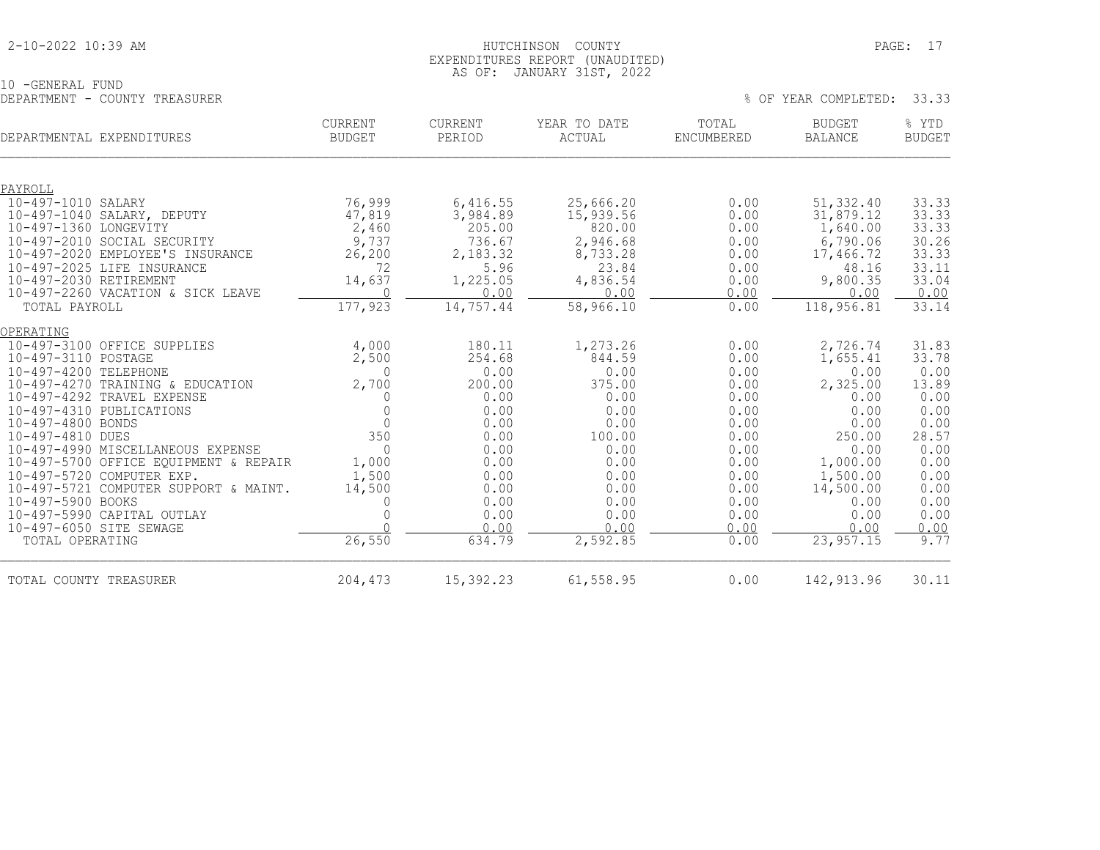#### 2-10-2022 10:39 AM HUTCHINSON COUNTY PAGE: 17 EXPENDITURES REPORT (UNAUDITED) AS OF: JANUARY 31ST, 2022

10 -GENERAL FUND DEPARTMENT - COUNTY TREASURER % OF YEAR COMPLETED: 33.33

| DEPARTMENTAL EXPENDITURES             | <b>CURRENT</b><br>BUDGET | CURRENT<br>PERIOD | YEAR TO DATE<br>ACTUAL | TOTAL<br>ENCUMBERED | <b>BUDGET</b><br>BALANCE | % YTD<br><b>BUDGET</b> |
|---------------------------------------|--------------------------|-------------------|------------------------|---------------------|--------------------------|------------------------|
|                                       |                          |                   |                        |                     |                          |                        |
| PAYROLL                               |                          |                   |                        |                     |                          |                        |
| 10-497-1010 SALARY                    | 76,999                   | 6,416.55          | 25,666.20              | 0.00                | 51,332.40                | 33.33                  |
| 10-497-1040 SALARY, DEPUTY            | 47,819                   | 3,984.89          | 15,939.56              | 0.00                | 31,879.12                | 33.33                  |
| 10-497-1360 LONGEVITY                 | 2,460                    | 205.00            | 820.00                 | 0.00                | 1,640.00                 | 33.33                  |
| 10-497-2010 SOCIAL SECURITY           | 9,737                    | 736.67            | 2,946.68               | 0.00                | 6,790.06                 | 30.26                  |
| 10-497-2020 EMPLOYEE'S INSURANCE      | 26, 200                  | 2,183.32          | 8,733.28               | 0.00                | 17,466.72                | 33.33                  |
| 10-497-2025 LIFE INSURANCE            | 72                       | 5.96              | 23.84                  | 0.00                | 48.16                    | 33.11                  |
| 10-497-2030 RETIREMENT                | 14,637                   | 1,225.05          | 4,836.54               | 0.00                | 9,800.35                 | 33.04                  |
| 10-497-2260 VACATION & SICK LEAVE     | $\Omega$                 | 0.00              | 0.00                   | 0.00                | 0.00                     | 0.00                   |
| TOTAL PAYROLL                         | 177,923                  | 14,757.44         | 58,966.10              | 0.00                | 118,956.81               | 33.14                  |
| OPERATING                             |                          |                   |                        |                     |                          |                        |
| 10-497-3100 OFFICE SUPPLIES           | 4,000                    | 180.11            | 1,273.26               | 0.00                | 2,726.74                 | 31.83                  |
| 10-497-3110 POSTAGE                   | 2,500                    | 254.68            | 844.59                 | 0.00                | 1,655.41                 | 33.78                  |
| 10-497-4200 TELEPHONE                 | $\Omega$                 | 0.00              | 0.00                   | 0.00                | 0.00                     | 0.00                   |
| 10-497-4270 TRAINING & EDUCATION      | 2,700                    | 200.00            | 375.00                 | 0.00                | 2,325.00                 | 13.89                  |
| 10-497-4292 TRAVEL EXPENSE            | O                        | 0.00              | 0.00                   | 0.00                | 0.00                     | 0.00                   |
| 10-497-4310 PUBLICATIONS              | $\Omega$                 | 0.00              | 0.00                   | 0.00                | 0.00                     | 0.00                   |
| 10-497-4800 BONDS                     | $\Omega$                 | 0.00              | 0.00                   | 0.00                | 0.00                     | 0.00                   |
| 10-497-4810 DUES                      | 350                      | 0.00              | 100.00                 | 0.00                | 250.00                   | 28.57                  |
| 10-497-4990 MISCELLANEOUS EXPENSE     | $\Omega$                 | 0.00              | 0.00                   | 0.00                | 0.00                     | 0.00                   |
| 10-497-5700 OFFICE EQUIPMENT & REPAIR | 1,000                    | 0.00              | 0.00                   | 0.00                | 1,000.00                 | 0.00                   |
| 10-497-5720 COMPUTER EXP.             | 1,500                    | 0.00              | 0.00                   | 0.00                | 1,500.00                 | 0.00                   |
| 10-497-5721 COMPUTER SUPPORT & MAINT. | 14,500                   | 0.00              | 0.00                   | 0.00                | 14,500.00                | 0.00                   |
| 10-497-5900 BOOKS                     | $\Omega$                 | 0.00              | 0.00                   | 0.00                | 0.00                     | 0.00                   |
| 10-497-5990 CAPITAL OUTLAY            |                          | 0.00              | 0.00                   | 0.00                | 0.00                     | 0.00                   |
| 10-497-6050 SITE SEWAGE               | $\cap$                   | 0.00              | 0.00                   | 0.00                | 0.00                     | 0.00                   |
| TOTAL OPERATING                       | 26,550                   | 634.79            | 2,592.85               | 0.00                | 23, 957.15               | 9.77                   |
| TOTAL COUNTY TREASURER                | 204,473                  | 15,392.23         | 61, 558.95             | 0.00                | 142,913.96               | 30.11                  |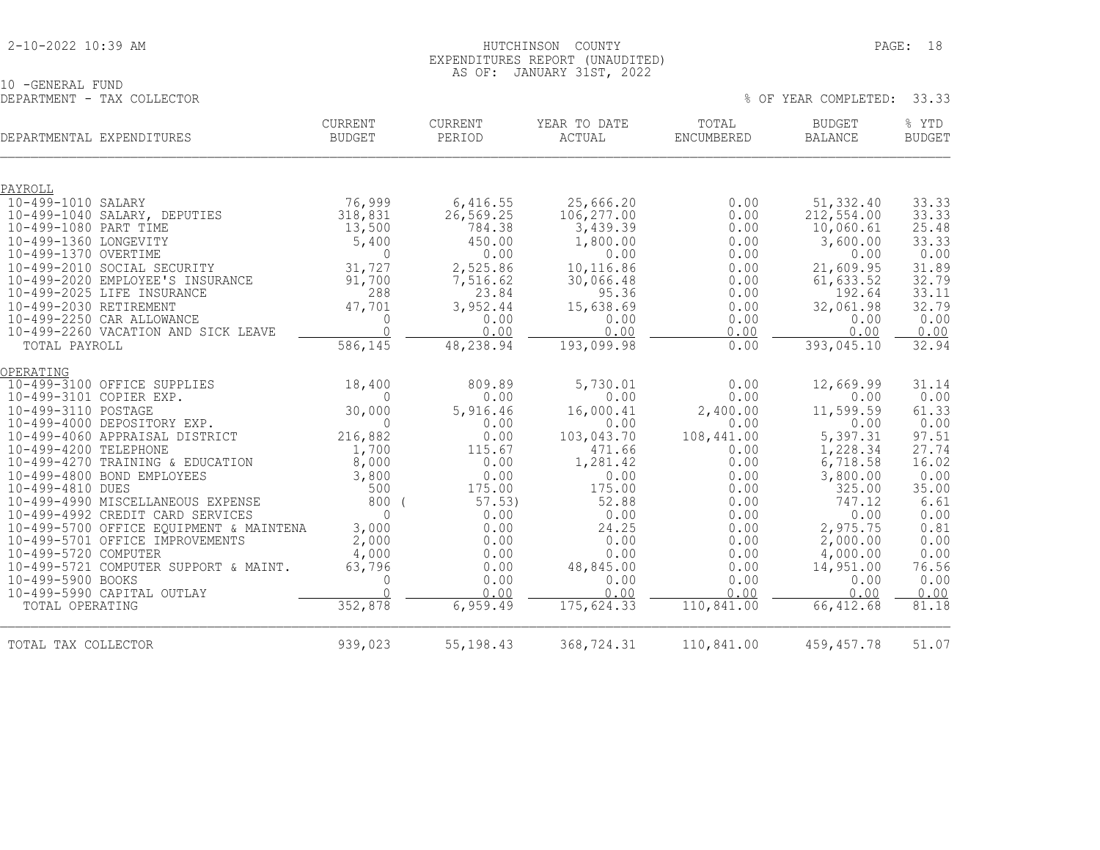#### 2-10-2022 10:39 AM HUTCHINSON COUNTY PAGE: 18 EXPENDITURES REPORT (UNAUDITED) AS OF: JANUARY 31ST, 2022

% OF YEAR COMPLETED: 33.33

10 -GENERAL FUND<br>DEPARTMENT - TAX COLLECTOR

| DEPARTMENTAL EXPENDITURES                                  | CURRENT<br><b>BUDGET</b> | CURRENT<br>PERIOD | YEAR TO DATE<br>ACTUAL | TOTAL<br>ENCUMBERED | <b>BUDGET</b><br><b>BALANCE</b> | % YTD<br><b>BUDGET</b> |
|------------------------------------------------------------|--------------------------|-------------------|------------------------|---------------------|---------------------------------|------------------------|
| PAYROLL                                                    |                          |                   |                        |                     |                                 |                        |
| 10-499-1010 SALARY                                         | 76,999                   | 6,416.55          | 25,666.20              | 0.00                | 51,332.40                       | 33.33                  |
| 10-499-1040 SALARY, DEPUTIES                               | 318,831                  | 26,569.25         | 106, 277.00            | 0.00                | 212, 554.00                     | 33.33                  |
| 10-499-1080 PART TIME                                      | 13,500                   | 784.38            | 3,439.39               | 0.00                | 10,060.61                       | 25.48                  |
| 10-499-1360 LONGEVITY                                      | 5,400                    | 450.00            | 1,800.00               | 0.00                | 3,600.00                        | 33.33                  |
| 10-499-1370 OVERTIME                                       | $\Omega$                 | 0.00              | 0.00                   | 0.00                | 0.00                            | 0.00                   |
| 10-499-2010 SOCIAL SECURITY                                | 31,727                   | 2,525.86          | 10,116.86              | 0.00                | 21,609.95                       | 31.89                  |
| 10-499-2020 EMPLOYEE'S INSURANCE                           | 91,700                   | 7,516.62          | 30,066.48              | 0.00                | 61,633.52                       | 32.79                  |
| 10-499-2025 LIFE INSURANCE                                 | 288                      | 23.84             | 95.36                  | 0.00                | 192.64                          | 33.11                  |
| 10-499-2030 RETIREMENT<br>10-499-2250 CAR ALLOWANCE        | 47,701<br>$\Omega$       | 3,952.44<br>0.00  | 15,638.69<br>0.00      | 0.00<br>0.00        | 32,061.98<br>0.00               | 32.79<br>0.00          |
| 10-499-2260 VACATION AND SICK LEAVE                        | $\bigcap$                | 0.00              | 0.00                   | 0.00                | 0.00                            | 0.00                   |
| TOTAL PAYROLL                                              | 586,145                  | 48,238.94         | 193,099.98             | 0.00                | 393,045.10                      | 32.94                  |
|                                                            |                          |                   |                        |                     |                                 |                        |
| OPERATING                                                  |                          |                   |                        |                     |                                 |                        |
| 10-499-3100 OFFICE SUPPLIES<br>10-499-3101 COPIER EXP.     | 18,400<br>$\Omega$       | 809.89<br>0.00    | 5,730.01<br>0.00       | 0.00<br>0.00        | 12,669.99<br>0.00               | 31.14<br>0.00          |
| 10-499-3110 POSTAGE                                        | 30,000                   | 5,916.46          | 16,000.41              | 2,400.00            | 11,599.59                       | 61.33                  |
| 10-499-4000 DEPOSITORY EXP.                                | $\Omega$                 | 0.00              | 0.00                   | 0.00                | 0.00                            | 0.00                   |
| 10-499-4060 APPRAISAL DISTRICT                             | 216,882                  | 0.00              | 103,043.70             | 108,441.00          | 5,397.31                        | 97.51                  |
| 10-499-4200 TELEPHONE                                      | 1,700                    | 115.67            | 471.66                 | 0.00                | 1,228.34                        | 27.74                  |
| 10-499-4270 TRAINING & EDUCATION                           | 8,000                    | 0.00              | 1,281.42               | 0.00                | 6,718.58                        | 16.02                  |
| 10-499-4800 BOND EMPLOYEES                                 | 3,800                    | 0.00              | 0.00                   | 0.00                | 3,800.00                        | 0.00                   |
| 10-499-4810 DUES                                           | 500                      | 175.00            | 175.00                 | 0.00                | 325.00                          | 35.00                  |
| 10-499-4990 MISCELLANEOUS EXPENSE                          | 800                      | 57.53)            | 52.88                  | 0.00                | 747.12                          | 6.61                   |
| 10-499-4992 CREDIT CARD SERVICES                           | $\Omega$                 | 0.00              | 0.00                   | 0.00                | 0.00                            | 0.00                   |
| 10-499-5700 OFFICE EQUIPMENT & MAINTENA                    | 3,000                    | 0.00              | 24.25                  | 0.00                | 2,975.75                        | 0.81                   |
| 10-499-5701 OFFICE IMPROVEMENTS                            | 2,000                    | 0.00              | 0.00                   | 0.00                | 2,000.00                        | 0.00                   |
| 10-499-5720 COMPUTER                                       | 4,000                    | 0.00              | 0.00                   | 0.00                | 4,000.00                        | 0.00                   |
| 10-499-5721 COMPUTER SUPPORT & MAINT.<br>10-499-5900 BOOKS | 63,796                   | 0.00<br>0.00      | 48,845.00              | 0.00                | 14,951.00                       | 76.56<br>0.00          |
| 10-499-5990 CAPITAL OUTLAY                                 | $\mathbb O$<br>$\bigcap$ | 0.00              | 0.00<br>0.00           | 0.00<br>0.00        | 0.00<br>0.00                    | 0.00                   |
| TOTAL OPERATING                                            | 352,878                  | 6,959.49          | 175,624.33             | 110,841.00          | 66, 412.68                      | 81.18                  |
| TOTAL TAX COLLECTOR                                        | 939,023                  | 55, 198.43        | 368,724.31             | 110,841.00          | 459, 457.78                     | 51.07                  |
|                                                            |                          |                   |                        |                     |                                 |                        |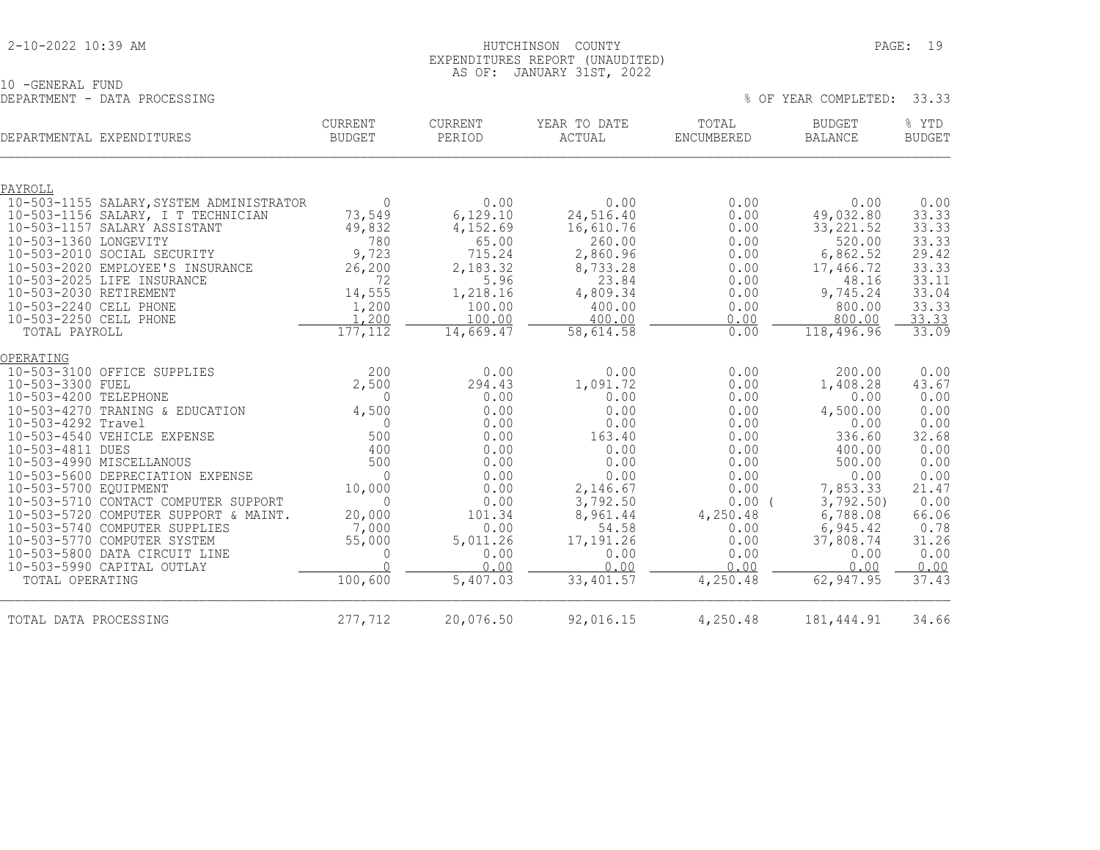|  |  | 2-10-2022 10:39 AM |  |  |
|--|--|--------------------|--|--|
|--|--|--------------------|--|--|

#### HUTCHINSON COUNTY PAGE: 19 EXPENDITURES REPORT (UNAUDITED) AS OF: JANUARY 31ST, 2022

% OF YEAR COMPLETED: 33.33

10 -GENERAL FUND<br>DEPARTMENT - DATA PROCESSING

| DEPARTMENTAL EXPENDITURES                                          | <b>CURRENT</b><br><b>BUDGET</b> | <b>CURRENT</b><br>PERIOD | YEAR TO DATE<br>ACTUAL | TOTAL<br>ENCUMBERED | <b>BUDGET</b><br><b>BALANCE</b> | % YTD<br><b>BUDGET</b> |
|--------------------------------------------------------------------|---------------------------------|--------------------------|------------------------|---------------------|---------------------------------|------------------------|
| PAYROLL                                                            |                                 |                          |                        |                     |                                 |                        |
| 10-503-1155 SALARY, SYSTEM ADMINISTRATOR                           | $\mathbf{0}$                    | 0.00                     | 0.00                   | 0.00                | 0.00                            | 0.00                   |
| 10-503-1156 SALARY, I T TECHNICIAN<br>10-503-1157 SALARY ASSISTANT | 73,549<br>49,832                | 6,129.10<br>4,152.69     | 24,516.40<br>16,610.76 | 0.00<br>0.00        | 49,032.80<br>33, 221.52         | 33.33<br>33.33         |
| 10-503-1360 LONGEVITY                                              | 780                             | 65.00                    | 260.00                 | 0.00                | 520.00                          | 33.33                  |
| 10-503-2010 SOCIAL SECURITY                                        | 9,723                           | 715.24                   | 2,860.96               | 0.00                | 6,862.52                        | 29.42                  |
| 10-503-2020 EMPLOYEE'S INSURANCE                                   | 26, 200                         | 2,183.32                 | 8,733.28               | 0.00                | 17,466.72                       | 33.33                  |
| 10-503-2025 LIFE INSURANCE                                         | 72                              | 5.96                     | 23.84                  | 0.00                | 48.16                           | 33.11                  |
| 10-503-2030 RETIREMENT                                             | 14,555                          | 1,218.16                 | 4,809.34               | 0.00                | 9,745.24                        | 33.04                  |
| 10-503-2240 CELL PHONE                                             | 1,200                           | 100.00                   | 400.00                 | 0.00                | 800.00                          | 33.33                  |
| 10-503-2250 CELL PHONE<br>TOTAL PAYROLL                            | 1,200<br>177, 112               | 100.00<br>14,669.47      | 400.00<br>58,614.58    | 0.00<br>0.00        | 800.00<br>118,496.96            | 33.33<br>33.09         |
|                                                                    |                                 |                          |                        |                     |                                 |                        |
| OPERATING                                                          |                                 |                          |                        |                     |                                 |                        |
| 10-503-3100 OFFICE SUPPLIES                                        | 200                             | 0.00                     | 0.00                   | 0.00                | 200.00                          | 0.00                   |
| 10-503-3300 FUEL                                                   | 2,500                           | 294.43                   | 1,091.72               | 0.00                | 1,408.28                        | 43.67                  |
| 10-503-4200 TELEPHONE                                              | $\Omega$                        | 0.00                     | 0.00                   | 0.00                | 0.00                            | 0.00                   |
| 10-503-4270 TRANING & EDUCATION<br>10-503-4292 Travel              | 4,500<br>$\bigcap$              | 0.00<br>0.00             | 0.00<br>0.00           | 0.00                | 4,500.00                        | 0.00<br>0.00           |
| 10-503-4540 VEHICLE EXPENSE                                        | 500                             | 0.00                     | 163.40                 | 0.00<br>0.00        | 0.00<br>336.60                  | 32.68                  |
| 10-503-4811 DUES                                                   | 400                             | 0.00                     | 0.00                   | 0.00                | 400.00                          | 0.00                   |
| 10-503-4990 MISCELLANOUS                                           | 500                             | 0.00                     | 0.00                   | 0.00                | 500.00                          | 0.00                   |
| 10-503-5600 DEPRECIATION EXPENSE                                   | $\Omega$                        | 0.00                     | 0.00                   | 0.00                | 0.00                            | 0.00                   |
| 10-503-5700 EQUIPMENT                                              | 10,000                          | 0.00                     | 2,146.67               | 0.00                | 7,853.33                        | 21.47                  |
| 10-503-5710 CONTACT COMPUTER SUPPORT                               | $\Omega$                        | 0.00                     | 3,792.50               | 0.00(               | 3,792.50                        | 0.00                   |
| 10-503-5720 COMPUTER SUPPORT & MAINT.                              | 20,000                          | 101.34                   | 8,961.44<br>54.58      | 4,250.48            | 6,788.08                        | 66.06<br>0.78          |
| 10-503-5740 COMPUTER SUPPLIES<br>10-503-5770 COMPUTER SYSTEM       | 7,000<br>55,000                 | 0.00<br>5,011.26         | 17,191.26              | 0.00<br>0.00        | 6,945.42<br>37,808.74           | 31.26                  |
| 10-503-5800 DATA CIRCUIT LINE                                      | $\mathbf 0$                     | 0.00                     | 0.00                   | 0.00                | 0.00                            | 0.00                   |
| 10-503-5990 CAPITAL OUTLAY                                         | $\cap$                          | 0.00                     | 0.00                   | 0.00                | 0.00                            | 0.00                   |
| TOTAL OPERATING                                                    | 100,600                         | 5,407.03                 | 33,401.57              | 4,250.48            | 62,947.95                       | 37.43                  |
| TOTAL DATA PROCESSING                                              | 277,712                         | 20,076.50                | 92,016.15              | 4,250.48            | 181, 444. 91                    | 34.66                  |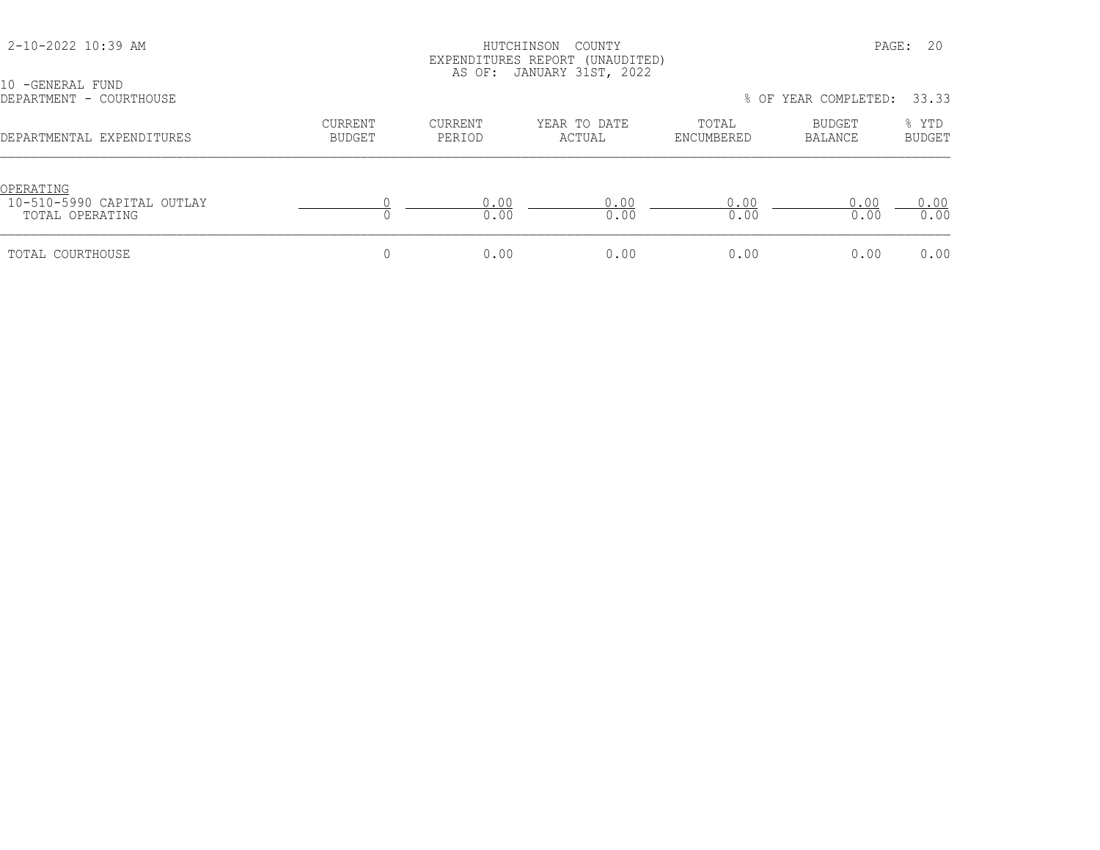|                                                            |                   |                   | EXPENDITURES REPORT (UNAUDITED)<br>AS OF: JANUARY 31ST, 2022 |                     |                      |                 |
|------------------------------------------------------------|-------------------|-------------------|--------------------------------------------------------------|---------------------|----------------------|-----------------|
| 10 -GENERAL FUND<br>DEPARTMENT - COURTHOUSE                |                   |                   |                                                              |                     | % OF YEAR COMPLETED: | 33.33           |
| DEPARTMENTAL EXPENDITURES                                  | CURRENT<br>BUDGET | CURRENT<br>PERIOD | YEAR TO DATE<br>ACTUAL                                       | TOTAL<br>ENCUMBERED | BUDGET<br>BALANCE    | % YTD<br>BUDGET |
| OPERATING<br>10-510-5990 CAPITAL OUTLAY<br>TOTAL OPERATING |                   | 0.00<br>0.00      | 0.00<br>0.00                                                 | 0.00<br>0.00        | 0.00<br>0.00         | 0.00<br>0.00    |
| TOTAL COURTHOUSE                                           |                   | 0.00              | 0.00                                                         | 0.00                | 0.00                 | 0.00            |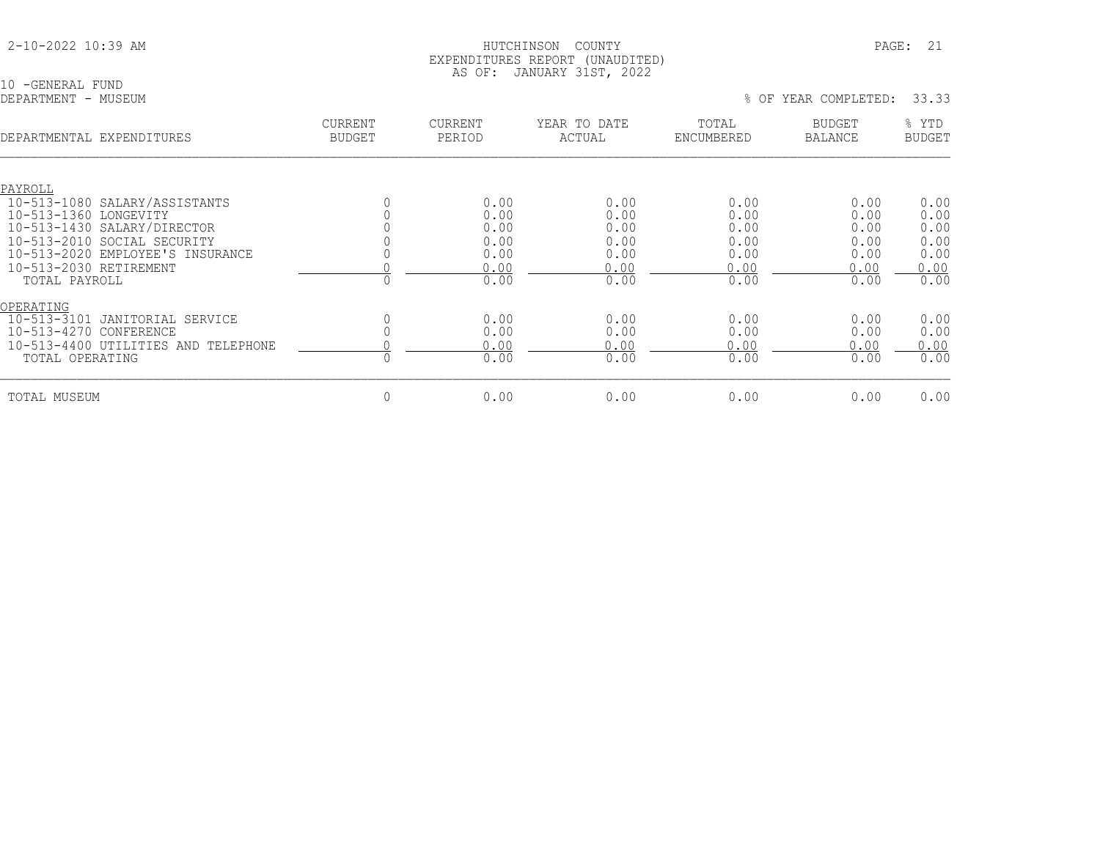| 2-10-2022 10:39 AM |
|--------------------|
|--------------------|

10 -GENERAL FUND<br>DEPARTMENT - MUSEUM

| DEPARTMENTAL<br>EXPENDITURES                                                                                                                                                                  | <b>CURRENT</b><br><b>BUDGET</b> | <b>CURRENT</b><br>PERIOD                     | YEAR TO DATE<br>ACTUAL                       | TOTAL<br>ENCUMBERED                          | <b>BUDGET</b><br><b>BALANCE</b>              | % YTD<br><b>BUDGET</b>                       |
|-----------------------------------------------------------------------------------------------------------------------------------------------------------------------------------------------|---------------------------------|----------------------------------------------|----------------------------------------------|----------------------------------------------|----------------------------------------------|----------------------------------------------|
| PAYROLL<br>10-513-1080 SALARY/ASSISTANTS<br>10-513-1360 LONGEVITY<br>10-513-1430 SALARY/DIRECTOR<br>10-513-2010 SOCIAL SECURITY<br>10-513-2020 EMPLOYEE'S INSURANCE<br>10-513-2030 RETIREMENT |                                 | 0.00<br>0.00<br>0.00<br>0.00<br>0.00<br>0.00 | 0.00<br>0.00<br>0.00<br>0.00<br>0.00<br>0.00 | 0.00<br>0.00<br>0.00<br>0.00<br>0.00<br>0.00 | 0.00<br>0.00<br>0.00<br>0.00<br>0.00<br>0.00 | 0.00<br>0.00<br>0.00<br>0.00<br>0.00<br>0.00 |
| TOTAL PAYROLL<br>OPERATING                                                                                                                                                                    | $\Omega$                        | 0.00                                         | 0.00                                         | 0.00                                         | 0.00                                         | 0.00                                         |
| $10 - 513 - 3101$<br>JANITORIAL SERVICE<br>$10 - 513 - 4270$<br>CONFERENCE<br>10-513-4400<br>UTILITIES AND TELEPHONE<br>TOTAL OPERATING                                                       |                                 | 0.00<br>0.00<br>0.00<br>0.00                 | 0.00<br>0.00<br>0.00<br>0.00                 | 0.00<br>0.00<br>0.00<br>0.00                 | 0.00<br>0.00<br>0.00<br>0.00                 | 0.00<br>0.00<br>0.00<br>0.00                 |
| TOTAL MUSEUM                                                                                                                                                                                  | 0                               | 0.00                                         | 0.00                                         | 0.00                                         | 0.00                                         | 0.00                                         |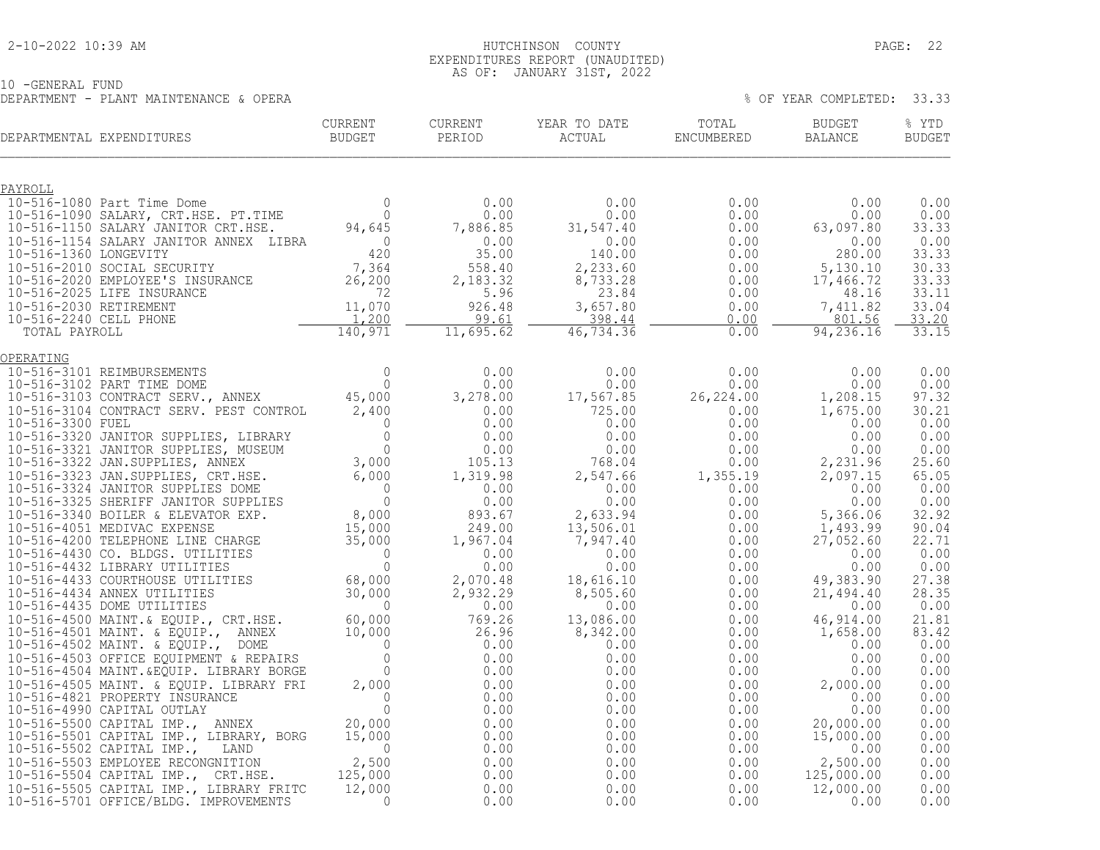#### 2-10-2022 10:39 AM HUTCHINSON COUNTY PAGE: 22 EXPENDITURES REPORT (UNAUDITED) AS OF: JANUARY 31ST, 2022

10 -GENERAL FUND DEPARTMENT - PLANT MAINTENANCE & OPERA % OF YEAR COMPLETED: 33.33

| CURRENT<br>BUDGET<br>DEPARTMENTAL EXPENDITURES                                                                                                                                                                                                                                                                                                                                                                               | CURRENT  | CURRENT<br>PERIOD | YEAR TO DATE<br>ACTUAL ENCUMBERED                                                                                                                                                                                                                                          | TOTAL | <b>BUDGET</b><br>BALANCE         | % YTD<br><b>BUDGET</b> |
|------------------------------------------------------------------------------------------------------------------------------------------------------------------------------------------------------------------------------------------------------------------------------------------------------------------------------------------------------------------------------------------------------------------------------|----------|-------------------|----------------------------------------------------------------------------------------------------------------------------------------------------------------------------------------------------------------------------------------------------------------------------|-------|----------------------------------|------------------------|
|                                                                                                                                                                                                                                                                                                                                                                                                                              |          |                   |                                                                                                                                                                                                                                                                            |       |                                  |                        |
| $\begin{tabular}{l c c c c c} \multicolumn{1}{c}{\textbf{PAYROLL}} & & & & & & & & 0.00 & & & 0.00 & & & 0.00 & & & 0.00 & & & 0.00 & & & 0.00 & & & 0.00 & & & 0.00 & & & 0.00 & & & 0.00 & & & 0.00 & & & 0.00 & & & 0.00 & & & 0.00 & & & 0.00 & & & 0.00 & & & 0.00 & & & 0.00 & & & 0.00 & & & 0.00 & & & 0.00 & & & 0.00 & & &$                                                                                        |          |                   |                                                                                                                                                                                                                                                                            |       |                                  | 0.00                   |
|                                                                                                                                                                                                                                                                                                                                                                                                                              |          |                   |                                                                                                                                                                                                                                                                            |       |                                  | 0.00<br>33.33          |
|                                                                                                                                                                                                                                                                                                                                                                                                                              |          |                   |                                                                                                                                                                                                                                                                            |       |                                  | 0.00                   |
|                                                                                                                                                                                                                                                                                                                                                                                                                              |          |                   |                                                                                                                                                                                                                                                                            |       |                                  | 33.33<br>30.33         |
|                                                                                                                                                                                                                                                                                                                                                                                                                              |          |                   |                                                                                                                                                                                                                                                                            |       |                                  | 33.33                  |
|                                                                                                                                                                                                                                                                                                                                                                                                                              |          |                   |                                                                                                                                                                                                                                                                            |       |                                  | 33.11                  |
|                                                                                                                                                                                                                                                                                                                                                                                                                              |          |                   |                                                                                                                                                                                                                                                                            |       |                                  | 33.04<br>33.20         |
|                                                                                                                                                                                                                                                                                                                                                                                                                              |          |                   |                                                                                                                                                                                                                                                                            |       |                                  | 33.15                  |
| $\begin{tabular}{@{}c@{}}\hline \multicolumn{1}{c}{\textbf{C-11.1}} \multicolumn{1}{c}{\textbf{C-2.1}} \multicolumn{1}{c}{\textbf{C-3.1}} \multicolumn{1}{c}{\textbf{C-4.2}} \multicolumn{1}{c}{\textbf{C-1.2}} \multicolumn{1}{c}{\textbf{C-1.2}} \multicolumn{1}{c}{\textbf{C-1.2}} \multicolumn{1}{c}{\textbf{C-1.2}} \multicolumn{1}{c}{\textbf{C-1.2}} \multicolumn{1}{c}{\textbf{C-1.2}} \multicolumn{1}{c}{\textbf{C$ |          |                   |                                                                                                                                                                                                                                                                            |       |                                  |                        |
|                                                                                                                                                                                                                                                                                                                                                                                                                              |          |                   |                                                                                                                                                                                                                                                                            |       |                                  | 0.00                   |
|                                                                                                                                                                                                                                                                                                                                                                                                                              |          |                   |                                                                                                                                                                                                                                                                            |       |                                  | 0.00<br>97.32          |
|                                                                                                                                                                                                                                                                                                                                                                                                                              |          |                   |                                                                                                                                                                                                                                                                            |       |                                  | 30.21                  |
|                                                                                                                                                                                                                                                                                                                                                                                                                              |          |                   |                                                                                                                                                                                                                                                                            |       |                                  | 0.00                   |
|                                                                                                                                                                                                                                                                                                                                                                                                                              |          |                   |                                                                                                                                                                                                                                                                            |       |                                  | 0.00<br>0.00           |
|                                                                                                                                                                                                                                                                                                                                                                                                                              |          |                   |                                                                                                                                                                                                                                                                            |       |                                  | 25.60                  |
|                                                                                                                                                                                                                                                                                                                                                                                                                              |          |                   |                                                                                                                                                                                                                                                                            |       |                                  | 65.05<br>0.00          |
|                                                                                                                                                                                                                                                                                                                                                                                                                              |          |                   |                                                                                                                                                                                                                                                                            |       |                                  | 0.00                   |
|                                                                                                                                                                                                                                                                                                                                                                                                                              |          |                   |                                                                                                                                                                                                                                                                            |       |                                  | 32.92                  |
|                                                                                                                                                                                                                                                                                                                                                                                                                              |          |                   |                                                                                                                                                                                                                                                                            |       |                                  | 90.04<br>22.71         |
|                                                                                                                                                                                                                                                                                                                                                                                                                              |          |                   |                                                                                                                                                                                                                                                                            |       |                                  | 0.00                   |
|                                                                                                                                                                                                                                                                                                                                                                                                                              |          |                   |                                                                                                                                                                                                                                                                            |       |                                  | 0.00                   |
|                                                                                                                                                                                                                                                                                                                                                                                                                              |          |                   |                                                                                                                                                                                                                                                                            |       |                                  | 27.38<br>28.35         |
|                                                                                                                                                                                                                                                                                                                                                                                                                              |          |                   |                                                                                                                                                                                                                                                                            |       |                                  | 0.00                   |
|                                                                                                                                                                                                                                                                                                                                                                                                                              |          |                   |                                                                                                                                                                                                                                                                            |       |                                  | 21.81<br>83.42         |
|                                                                                                                                                                                                                                                                                                                                                                                                                              |          |                   |                                                                                                                                                                                                                                                                            |       |                                  | 0.00                   |
|                                                                                                                                                                                                                                                                                                                                                                                                                              |          |                   |                                                                                                                                                                                                                                                                            |       |                                  | 0.00                   |
|                                                                                                                                                                                                                                                                                                                                                                                                                              |          |                   |                                                                                                                                                                                                                                                                            |       |                                  | 0.00<br>0.00           |
|                                                                                                                                                                                                                                                                                                                                                                                                                              |          |                   |                                                                                                                                                                                                                                                                            |       |                                  | 0.00                   |
|                                                                                                                                                                                                                                                                                                                                                                                                                              |          |                   |                                                                                                                                                                                                                                                                            |       |                                  | 0.00                   |
|                                                                                                                                                                                                                                                                                                                                                                                                                              |          |                   | $\begin{bmatrix} 0.00 & 0.00 & 0.00 & 0.00 & 0.00 & 0.00 & 0.00 & 0.00 & 0.00 & 0.00 & 0.00 & 0.00 & 0.00 & 0.00 & 0.00 & 0.00 & 0.00 & 0.00 & 0.00 & 0.00 & 0.00 & 0.00 & 0.00 & 0.00 & 0.00 & 0.00 & 0.00 & 0.00 & 0.00 & 0.00 & 0.00 & 0.00 & 0.00 & 0.00 & 0.00 & 0.0$ |       |                                  | 0.00<br>0.00           |
|                                                                                                                                                                                                                                                                                                                                                                                                                              |          |                   |                                                                                                                                                                                                                                                                            |       |                                  | 0.00                   |
|                                                                                                                                                                                                                                                                                                                                                                                                                              |          |                   |                                                                                                                                                                                                                                                                            |       | $125,000$<br>$12,000.00$<br>0.00 | 0.00<br>0.00           |
| 10-516-5505 CAPITAL IMP., LIBRARY FRITC                                                                                                                                                                                                                                                                                                                                                                                      | 12,000   | 0.00              |                                                                                                                                                                                                                                                                            | 0.00  |                                  | 0.00                   |
| 10-516-5701 OFFICE/BLDG. IMPROVEMENTS                                                                                                                                                                                                                                                                                                                                                                                        | $\Omega$ | 0.00              | 0.00                                                                                                                                                                                                                                                                       | 0.00  |                                  | 0.00                   |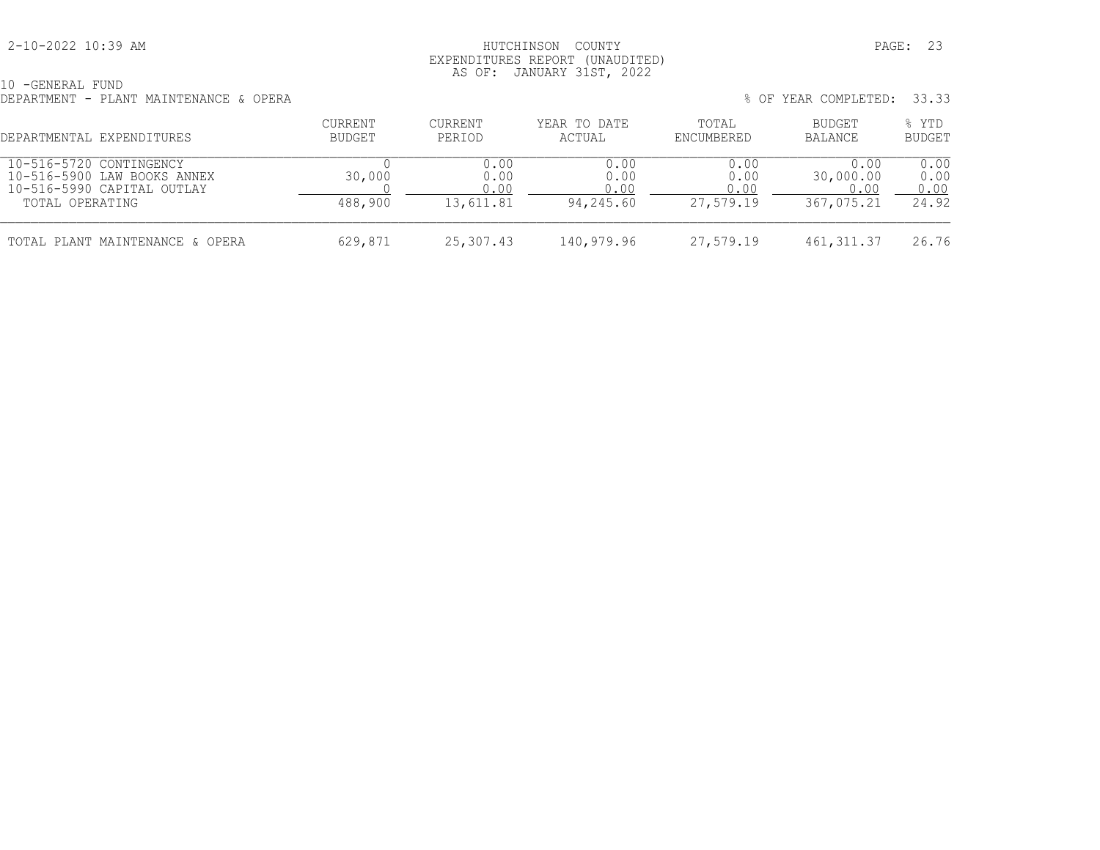#### 2-10-2022 10:39 AM HUTCHINSON COUNTY PAGE: 23 EXPENDITURES REPORT (UNAUDITED) AS OF: JANUARY 31ST, 2022

10 -GENERAL FUND DEPARTMENT - PLANT MAINTENANCE & OPERA

|         |         |              |       | % OF YEAR COMPLETED: 33.33 |       |
|---------|---------|--------------|-------|----------------------------|-------|
| CURRENT | CURRENT | YEAR TO DATE | TOTAL | BUDGET                     | % YTD |

| DEPARTMENTAL EXPENDITURES                                                                               | BUDGET            | PERIOD                            | ACTUAL                            | ENCUMBERED                        | BALANCE                                 | <b>BUDGET</b>                 |
|---------------------------------------------------------------------------------------------------------|-------------------|-----------------------------------|-----------------------------------|-----------------------------------|-----------------------------------------|-------------------------------|
| 10-516-5720 CONTINGENCY<br>10-516-5900 LAW BOOKS ANNEX<br>10-516-5990 CAPITAL OUTLAY<br>TOTAL OPERATING | 30,000<br>488,900 | 0.00<br>0.00<br>0.00<br>13,611.81 | 0.00<br>0.00<br>0.00<br>94,245.60 | 0.00<br>0.00<br>0.00<br>27,579.19 | 0.00<br>30,000.00<br>0.00<br>367,075.21 | 0.00<br>0.00<br>0.00<br>24.92 |
| TOTAL PLANT MAINTENANCE & OPERA                                                                         | 629,871           | 25,307.43                         | 140,979.96                        | 27,579.19                         | 461, 311, 37                            | 26.76                         |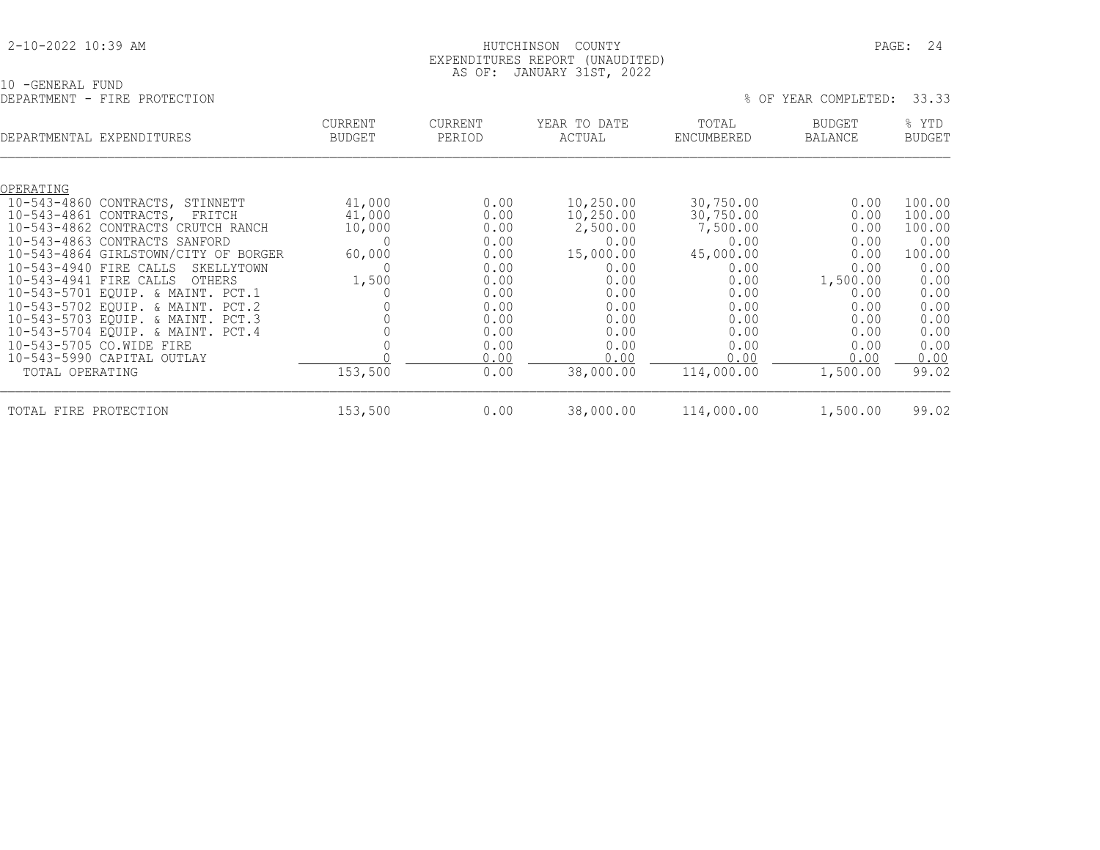| 2-10-2022 10:39 AM |  |  |
|--------------------|--|--|
|                    |  |  |

#### HUTCHINSON COUNTY **PAGE: 24**  EXPENDITURES REPORT (UNAUDITED) AS OF: JANUARY 31ST, 2022

10 -GENERAL FUND

| DEPARTMENT - FIRE PROTECTION             |                                 |                          |                        | % OF                | YEAR COMPLETED:                 | 33.33                  |
|------------------------------------------|---------------------------------|--------------------------|------------------------|---------------------|---------------------------------|------------------------|
| DEPARTMENTAL EXPENDITURES                | <b>CURRENT</b><br><b>BUDGET</b> | <b>CURRENT</b><br>PERIOD | YEAR TO DATE<br>ACTUAL | TOTAL<br>ENCUMBERED | <b>BUDGET</b><br><b>BALANCE</b> | % YTD<br><b>BUDGET</b> |
| OPERATING                                |                                 |                          |                        |                     |                                 |                        |
| $10 - 543 - 4860$<br>CONTRACTS, STINNETT | 41,000                          | 0.00                     | 10,250.00              | 30,750.00           | 0.00                            | 100.00                 |
| 10-543-4861 CONTRACTS, FRITCH            | 41,000                          | 0.00                     | 10,250.00              | 30,750.00           | 0.00                            | 100.00                 |
| 10-543-4862 CONTRACTS CRUTCH RANCH       | 10,000                          | 0.00                     | 2,500.00               | 7,500.00            | 0.00                            | 100.00                 |
| 10-543-4863 CONTRACTS SANFORD            |                                 | 0.00                     | 0.00                   | 0.00                | 0.00                            | 0.00                   |
| 10-543-4864 GIRLSTOWN/CITY OF BORGER     | 60,000                          | 0.00                     | 15,000.00              | 45,000.00           | 0.00                            | 100.00                 |
| 10-543-4940 FIRE CALLS<br>SKELLYTOWN     |                                 | 0.00                     | 0.00                   | 0.00                | 0.00                            | 0.00                   |
| 10-543-4941 FIRE CALLS<br>OTHERS         | 1,500                           | 0.00                     | 0.00                   | 0.00                | 1,500.00                        | 0.00                   |
| 10-543-5701 EQUIP. & MAINT. PCT.1        |                                 | 0.00                     | 0.00                   | 0.00                | 0.00                            | 0.00                   |
| 10-543-5702 EQUIP. & MAINT. PCT.2        |                                 | 0.00                     | 0.00                   | 0.00                | 0.00                            | 0.00                   |
| 10-543-5703 EQUIP. & MAINT. PCT.3        |                                 | 0.00                     | 0.00                   | 0.00                | 0.00                            | 0.00                   |
| 10-543-5704 EQUIP. & MAINT. PCT.4        |                                 | 0.00                     | 0.00                   | 0.00                | 0.00                            | 0.00                   |
| 10-543-5705 CO.WIDE FIRE                 |                                 | 0.00                     | 0.00                   | 0.00                | 0.00                            | 0.00                   |
| 10-543-5990 CAPITAL OUTLAY               |                                 | 0.00                     | 0.00                   | 0.00                | 0.00                            | 0.00                   |
| TOTAL OPERATING                          | 153,500                         | 0.00                     | 38,000.00              | 114,000.00          | 1,500.00                        | 99.02                  |

TOTAL FIRE PROTECTION 153,500 0.00 38,000.00 114,000.00 1,500.00 99.02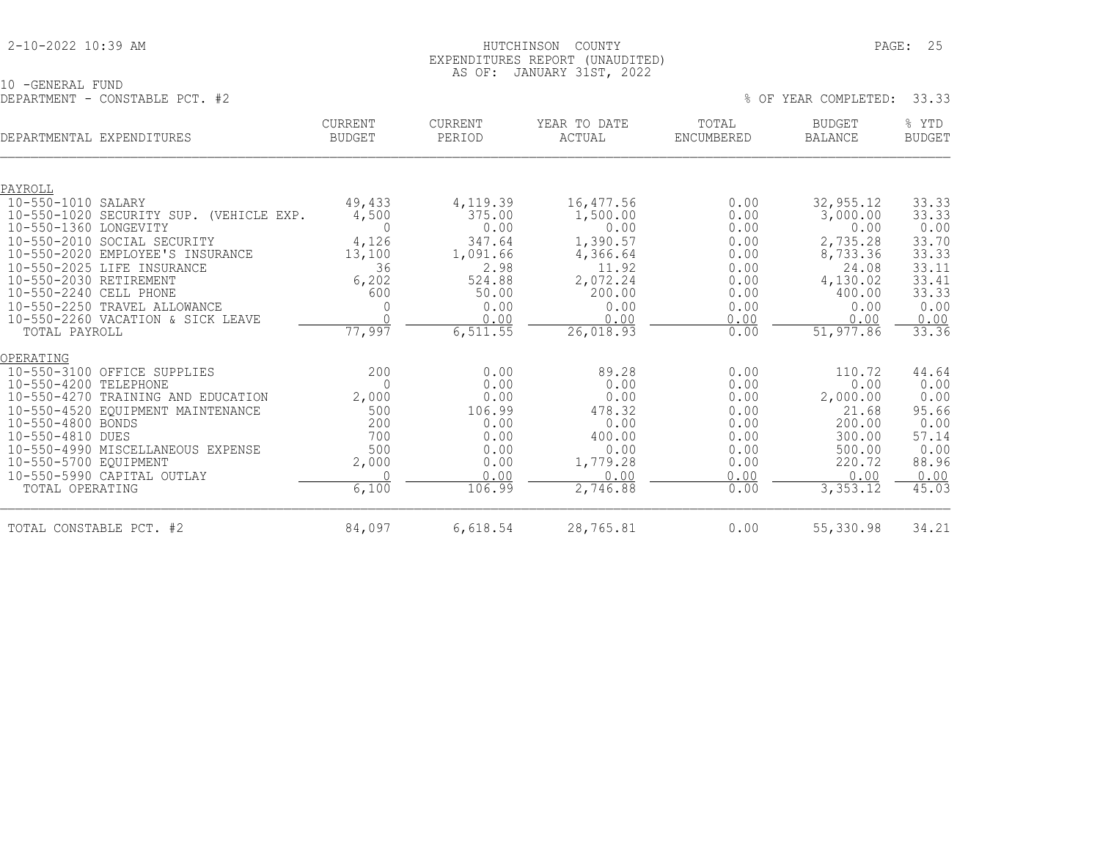#### 2-10-2022 10:39 AM HUTCHINSON COUNTY PAGE: 25 EXPENDITURES REPORT (UNAUDITED) AS OF: JANUARY 31ST, 2022

10 -GENERAL FUND DEPARTMENT - CONSTABLE PCT. #2 % OF YEAR COMPLETED: 33.33

| DEPARTMENTAL EXPENDITURES |                                         | <b>CURRENT</b><br><b>BUDGET</b> | <b>CURRENT</b><br>PERIOD | YEAR TO DATE<br>ACTUAL | TOTAL<br>ENCUMBERED | <b>BUDGET</b><br><b>BALANCE</b> | % YTD<br><b>BUDGET</b> |
|---------------------------|-----------------------------------------|---------------------------------|--------------------------|------------------------|---------------------|---------------------------------|------------------------|
|                           |                                         |                                 |                          |                        |                     |                                 |                        |
| PAYROLL                   |                                         |                                 |                          |                        |                     |                                 |                        |
| 10-550-1010 SALARY        |                                         | 49,433                          | 4,119.39                 | 16,477.56              | 0.00                | 32, 955.12                      | 33.33                  |
| 10-550-1360 LONGEVITY     | 10-550-1020 SECURITY SUP. (VEHICLE EXP. | 4,500<br>$\Omega$               | 375.00<br>0.00           | 1,500.00<br>0.00       | 0.00<br>0.00        | 3,000.00<br>0.00                | 33.33<br>0.00          |
|                           | 10-550-2010 SOCIAL SECURITY             | 4,126                           | 347.64                   | 1,390.57               | 0.00                | 2,735.28                        | 33.70                  |
|                           | 10-550-2020 EMPLOYEE'S INSURANCE        | 13,100                          | 1,091.66                 | 4,366.64               | 0.00                | 8,733.36                        | 33.33                  |
|                           | 10-550-2025 LIFE INSURANCE              | 36                              | 2.98                     | 11.92                  | 0.00                | 24.08                           | 33.11                  |
| 10-550-2030 RETIREMENT    |                                         | 6,202                           | 524.88                   | 2,072.24               | 0.00                | 4,130.02                        | 33.41                  |
| 10-550-2240 CELL PHONE    |                                         | 600                             | 50.00                    | 200.00                 | 0.00                | 400.00                          | 33.33                  |
|                           | 10-550-2250 TRAVEL ALLOWANCE            |                                 | 0.00                     | 0.00                   | 0.00                | 0.00                            | 0.00                   |
|                           | 10-550-2260 VACATION & SICK LEAVE       | $\cap$                          | 0.00                     | 0.00                   | 0.00                | 0.00                            | 0.00                   |
| TOTAL PAYROLL             |                                         | 77,997                          | 6, 511.55                | 26,018.93              | 0.00                | 51,977.86                       | 33.36                  |
| OPERATING                 |                                         |                                 |                          |                        |                     |                                 |                        |
|                           | 10-550-3100 OFFICE SUPPLIES             | 200                             | 0.00                     | 89.28                  | 0.00                | 110.72                          | 44.64                  |
| 10-550-4200 TELEPHONE     |                                         | $\cap$                          | 0.00                     | 0.00                   | 0.00                | 0.00                            | 0.00                   |
|                           | 10-550-4270 TRAINING AND EDUCATION      | 2,000                           | 0.00                     | 0.00                   | 0.00                | 2,000.00                        | 0.00                   |
|                           | 10-550-4520 EQUIPMENT MAINTENANCE       | 500                             | 106.99                   | 478.32                 | 0.00                | 21.68                           | 95.66                  |
| 10-550-4800 BONDS         |                                         | 200                             | 0.00                     | 0.00                   | 0.00                | 200.00                          | 0.00                   |
| 10-550-4810 DUES          |                                         | 700                             | 0.00                     | 400.00                 | 0.00                | 300.00                          | 57.14                  |
|                           | 10-550-4990 MISCELLANEOUS EXPENSE       | 500                             | 0.00<br>0.00             | 0.00<br>1,779.28       | 0.00<br>0.00        | 500.00<br>220.72                | 0.00                   |
| 10-550-5700 EQUIPMENT     | 10-550-5990 CAPITAL OUTLAY              | 2,000                           | 0.00                     | 0.00                   | 0.00                | 0.00                            | 88.96                  |
| TOTAL OPERATING           |                                         | 6,100                           | 106.99                   | 2,746.88               | 0.00                | 3,353.12                        | 0.00<br>45.03          |
|                           |                                         |                                 |                          |                        |                     |                                 |                        |
| TOTAL CONSTABLE PCT. #2   |                                         | 84,097                          | 6,618.54                 | 28,765.81              | 0.00                | 55,330.98                       | 34.21                  |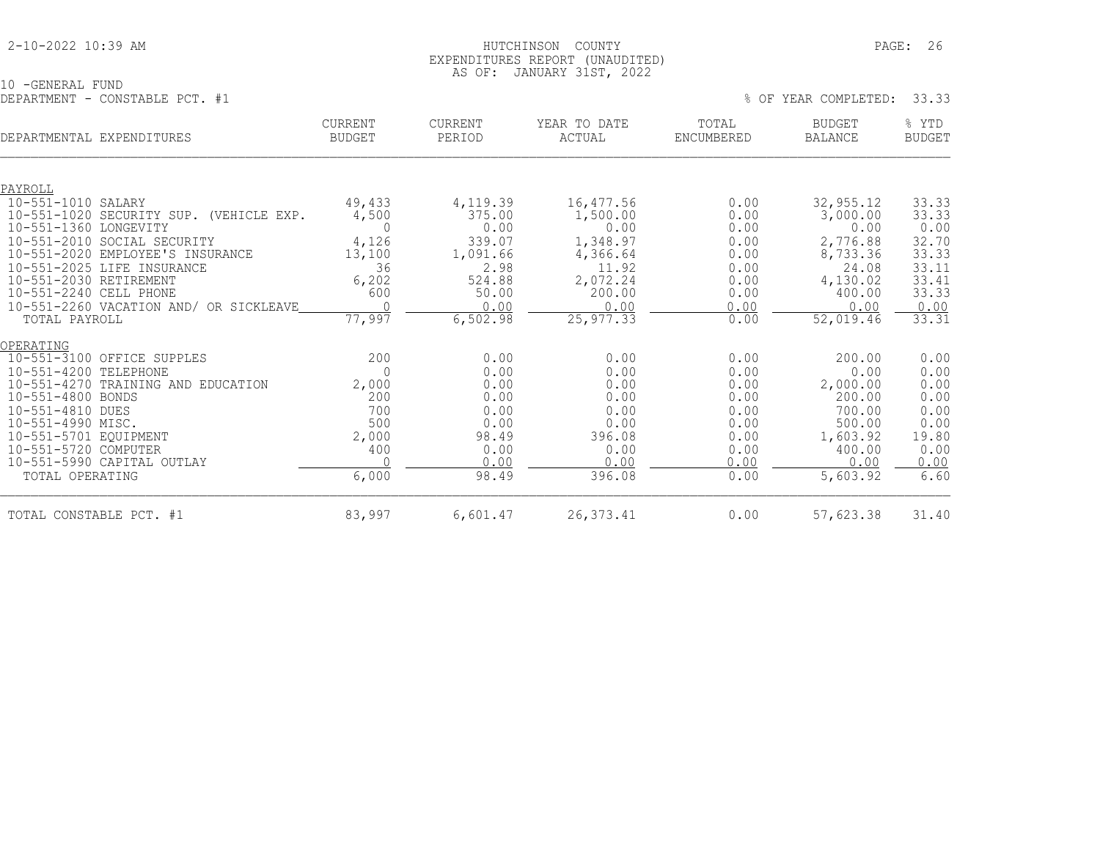### 2-10-2022 10:39 AM HUTCHINSON COUNTY PAGE: 26 EXPENDITURES REPORT (UNAUDITED) AS OF: JANUARY 31ST, 2022

10 -GENERAL FUND

| DEPARTMENT - CONSTABLE PCT. #1                       |                                 |                          |                        |                     | % OF YEAR COMPLETED:     | 33.33                  |
|------------------------------------------------------|---------------------------------|--------------------------|------------------------|---------------------|--------------------------|------------------------|
| DEPARTMENTAL EXPENDITURES                            | <b>CURRENT</b><br><b>BUDGET</b> | <b>CURRENT</b><br>PERIOD | YEAR TO DATE<br>ACTUAL | TOTAL<br>ENCUMBERED | BUDGET<br><b>BALANCE</b> | % YTD<br><b>BUDGET</b> |
|                                                      |                                 |                          |                        |                     |                          |                        |
| PAYROLL                                              |                                 |                          |                        |                     |                          |                        |
| 10-551-1010 SALARY                                   | 49,433                          | 4,119.39                 | 16,477.56              | 0.00                | 32, 955.12               | 33.33                  |
| $10 - 551 - 1020$<br>SECURITY SUP. (VEHICLE EXP.     | 4,500                           | 375.00                   | 1,500.00               | 0.00                | 3,000.00                 | 33.33                  |
| $10 - 551 - 1360$<br>LONGEVITY                       | $\mathbf{0}$                    | 0.00                     | 0.00                   | 0.00                | 0.00                     | 0.00                   |
| 10-551-2010 SOCIAL SECURITY                          | 4,126                           | 339.07                   | 1,348.97               | 0.00                | 2,776.88                 | 32.70                  |
| $10 - 551 - 2020$<br>EMPLOYEE'S INSURANCE            | 13,100                          | 1,091.66                 | 4,366.64               | 0.00                | 8,733.36                 | 33.33                  |
| 10-551-2025 LIFE INSURANCE<br>10-551-2030 RETIREMENT | 36<br>6,202                     | 2.98<br>524.88           | 11.92                  | 0.00<br>0.00        | 24.08                    | 33.11                  |
| 10-551-2240 CELL PHONE                               | 600                             | 50.00                    | 2,072.24<br>200.00     | 0.00                | 4,130.02<br>400.00       | 33.41<br>33.33         |
| 10-551-2260 VACATION AND/ OR SICKLEAVE               |                                 | 0.00                     | 0.00                   | 0.00                | 0.00                     | 0.00                   |
| TOTAL PAYROLL                                        | 77,997                          | 6,502.98                 | 25, 977.33             | 0.00                | 52,019.46                | 33.31                  |
| OPERATING                                            |                                 |                          |                        |                     |                          |                        |
| 10-551-3100 OFFICE SUPPLES                           | 200                             | 0.00                     | 0.00                   | 0.00                | 200.00                   | 0.00                   |
| $10 - 551 - 4200$<br>TELEPHONE                       | $\Omega$                        | 0.00                     | 0.00                   | 0.00                | 0.00                     | 0.00                   |
| $10 - 551 - 4270$<br>TRAINING AND EDUCATION          | 2,000                           | 0.00                     | 0.00                   | 0.00                | 2,000.00                 | 0.00                   |
| 10-551-4800 BONDS                                    | 200                             | 0.00                     | 0.00                   | 0.00                | 200.00                   | 0.00                   |
| 10-551-4810 DUES                                     | 700                             | 0.00                     | 0.00                   | 0.00                | 700.00                   | 0.00                   |
| 10-551-4990 MISC.                                    | 500                             | 0.00                     | 0.00                   | 0.00                | 500.00                   | 0.00                   |
| 10-551-5701 EQUIPMENT                                | 2,000                           | 98.49                    | 396.08                 | 0.00                | 1,603.92                 | 19.80                  |
| 10-551-5720 COMPUTER                                 | 400                             | 0.00                     | 0.00                   | 0.00                | 400.00                   | 0.00                   |
| 10-551-5990 CAPITAL OUTLAY                           |                                 | 0.00                     | 0.00                   | 0.00                | 0.00                     | 0.00                   |
| TOTAL OPERATING                                      | 6,000                           | 98.49                    | 396.08                 | 0.00                | 5,603.92                 | 6.60                   |
| TOTAL CONSTABLE PCT. #1                              | 83,997                          | 6,601.47                 | 26,373.41              | 0.00                | 57,623.38                | 31.40                  |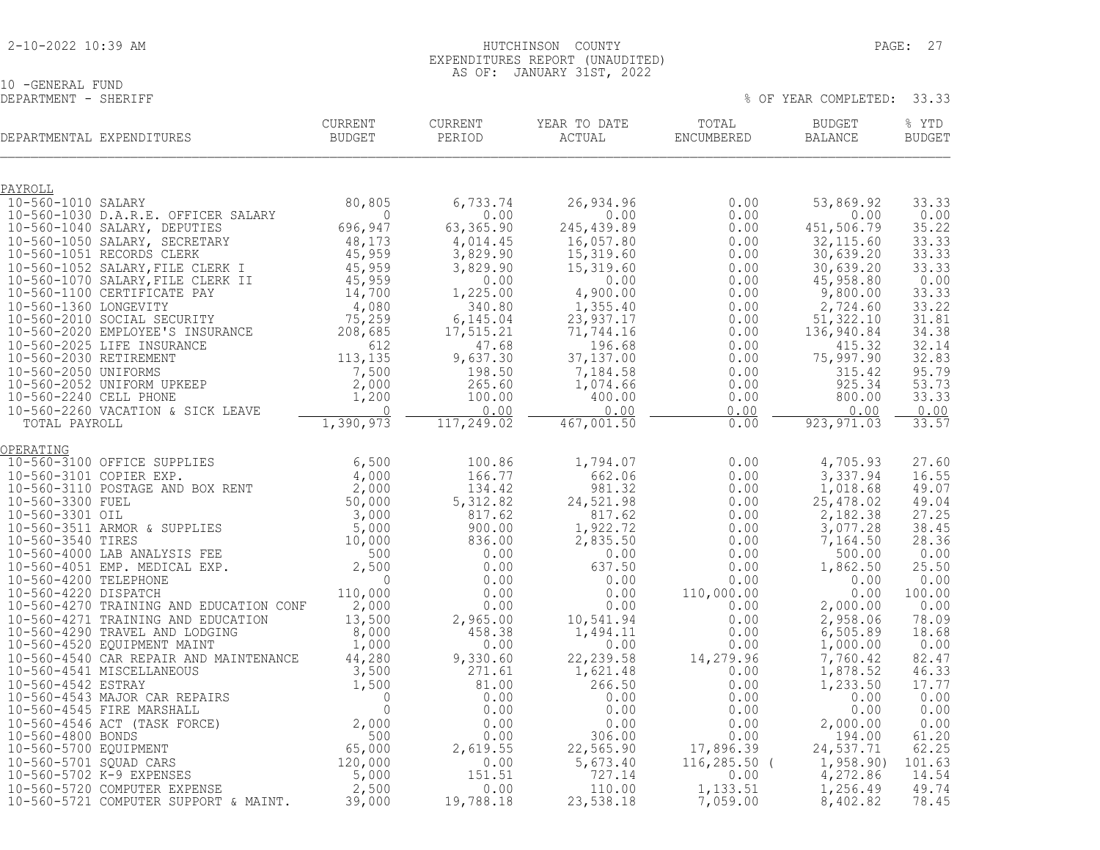|  |  |  |  | 2-10-2022 10:39 AM |  |
|--|--|--|--|--------------------|--|
|--|--|--|--|--------------------|--|

## 10 -GENERAL FUND<br>DEPARTMENT - SHERIFF

% OF YEAR COMPLETED: 33.33

|                               | DEPARTMENTAL EXPENDITURES                                            | <b>CURRENT</b><br><b>BUDGET</b> | CURRENT<br>PERIOD  | YEAR TO DATE<br>ACTUAL | TOTAL<br>ENCUMBERED | <b>BUDGET</b><br><b>BALANCE</b> | % YTD<br><b>BUDGET</b> |
|-------------------------------|----------------------------------------------------------------------|---------------------------------|--------------------|------------------------|---------------------|---------------------------------|------------------------|
|                               |                                                                      |                                 |                    |                        |                     |                                 |                        |
| PAYROLL<br>10-560-1010 SALARY |                                                                      | 80,805                          | 6,733.74           | 26,934.96              | 0.00                | 53,869.92                       | 33.33                  |
|                               | 10-560-1030 D.A.R.E. OFFICER SALARY                                  | $\Omega$                        | 0.00               | 0.00                   | 0.00                | 0.00                            | 0.00                   |
|                               | 10-560-1040 SALARY, DEPUTIES                                         | 696,947                         | 63,365.90          | 245, 439.89            | 0.00                | 451,506.79                      | 35.22                  |
|                               | 10-560-1050 SALARY, SECRETARY                                        | 48,173                          | 4,014.45           | 16,057.80              | 0.00                | 32, 115.60                      | 33.33                  |
|                               | 10-560-1051 RECORDS CLERK                                            | 45,959                          | 3,829.90           | 15,319.60              | 0.00                | 30,639.20                       | 33.33                  |
|                               | 10-560-1052 SALARY, FILE CLERK I                                     | 45,959                          | 3,829.90           | 15,319.60              | 0.00                | 30,639.20                       | 33.33                  |
|                               | 10-560-1070 SALARY, FILE CLERK II                                    | 45,959                          | 0.00               | 0.00                   | 0.00                | 45,958.80                       | 0.00                   |
|                               | 10-560-1100 CERTIFICATE PAY                                          | 14,700                          | 1,225.00           | 4,900.00               | 0.00                | 9,800.00                        | 33.33                  |
| 10-560-1360 LONGEVITY         |                                                                      | 4,080                           | 340.80             | 1,355.40               | 0.00                | 2,724.60                        | 33.22                  |
|                               | 10-560-2010 SOCIAL SECURITY                                          | 75, 259                         | 6,145.04           | 23,937.17              | 0.00                | 51,322.10                       | 31.81                  |
|                               | 10-560-2020 EMPLOYEE'S INSURANCE<br>10-560-2025 LIFE INSURANCE       | 208,685<br>612                  | 17,515.21<br>47.68 | 71,744.16<br>196.68    | 0.00<br>0.00        | 136,940.84<br>415.32            | 34.38<br>32.14         |
| 10-560-2030 RETIREMENT        |                                                                      | 113,135                         | 9,637.30           | 37, 137.00             | 0.00                | 75,997.90                       | 32.83                  |
| 10-560-2050 UNIFORMS          |                                                                      | 7,500                           | 198.50             | 7,184.58               | 0.00                | 315.42                          | 95.79                  |
|                               | 10-560-2052 UNIFORM UPKEEP                                           | 2,000                           | 265.60             | 1,074.66               | 0.00                | 925.34                          | 53.73                  |
| 10-560-2240 CELL PHONE        |                                                                      | 1,200                           | 100.00             | 400.00                 | 0.00                | 800.00                          | 33.33                  |
|                               | 10-560-2260 VACATION & SICK LEAVE                                    | $\cap$                          | 0.00               | 0.00                   | 0.00                | 0.00                            | 0.00                   |
| TOTAL PAYROLL                 |                                                                      | 1,390,973                       | 117,249.02         | 467,001.50             | 0.00                | 923, 971.03                     | 33.57                  |
| OPERATING                     |                                                                      |                                 |                    |                        |                     |                                 |                        |
|                               | 10-560-3100 OFFICE SUPPLIES                                          | 6,500                           | 100.86             | 1,794.07               | 0.00                | 4,705.93                        | 27.60                  |
| 10-560-3101 COPIER EXP.       |                                                                      | 4,000                           | 166.77             | 662.06                 | 0.00                | 3,337.94                        | 16.55                  |
|                               | 10-560-3110 POSTAGE AND BOX RENT                                     | 2,000                           | 134.42             | 981.32                 | 0.00                | 1,018.68                        | 49.07                  |
| 10-560-3300 FUEL              |                                                                      | 50,000                          | 5, 312.82          | 24,521.98              | 0.00                | 25,478.02                       | 49.04                  |
| 10-560-3301 OIL               |                                                                      | 3,000                           | 817.62             | 817.62                 | 0.00                | 2,182.38                        | 27.25                  |
|                               | 10-560-3511 ARMOR & SUPPLIES                                         | 5,000                           | 900.00             | 1,922.72               | 0.00                | 3,077.28                        | 38.45                  |
| 10-560-3540 TIRES             |                                                                      | 10,000                          | 836.00             | 2,835.50               | 0.00                | 7,164.50                        | 28.36                  |
|                               | 10-560-4000 LAB ANALYSIS FEE                                         | 500                             | 0.00               | 0.00                   | 0.00                | 500.00                          | 0.00                   |
|                               | 10-560-4051 EMP. MEDICAL EXP.                                        | 2,500                           | 0.00               | 637.50                 | 0.00                | 1,862.50                        | 25.50                  |
| 10-560-4200 TELEPHONE         |                                                                      | $\Omega$                        | 0.00               | 0.00                   | 0.00                | 0.00                            | 0.00                   |
| 10-560-4220 DISPATCH          |                                                                      | 110,000                         | 0.00               | 0.00                   | 110,000.00          | 0.00                            | 100.00                 |
|                               | 10-560-4270 TRAINING AND EDUCATION CONF                              | 2,000                           | 0.00               | 0.00                   | 0.00<br>0.00        | 2,000.00                        | 0.00<br>78.09          |
|                               | 10-560-4271 TRAINING AND EDUCATION<br>10-560-4290 TRAVEL AND LODGING | 13,500<br>8,000                 | 2,965.00<br>458.38 | 10,541.94<br>1,494.11  | 0.00                | 2,958.06<br>6,505.89            | 18.68                  |
|                               | 10-560-4520 EQUIPMENT MAINT                                          | 1,000                           | 0.00               | 0.00                   | 0.00                | 1,000.00                        | 0.00                   |
|                               | 10-560-4540 CAR REPAIR AND MAINTENANCE                               | 44,280                          | 9,330.60           | 22, 239.58             | 14,279.96           | 7,760.42                        | 82.47                  |
|                               | 10-560-4541 MISCELLANEOUS                                            | 3,500                           | 271.61             | 1,621.48               | 0.00                | 1,878.52                        | 46.33                  |
| 10-560-4542 ESTRAY            |                                                                      | 1,500                           | 81.00              | 266.50                 | 0.00                | 1,233.50                        | 17.77                  |

 10-560-4543 MAJOR CAR REPAIRS 0 0.00 0.00 0.00 0.00 0.00 10-560-4545 FIRE MARSHALL 0 0.00 0.00 0.00 0.00 0.00 10-560-4546 ACT (TASK FORCE) 2,000 0.00 0.00 0.00 2,000.00 0.00 10-560-4800 BONDS 500 0.00 306.00 0.00 194.00 61.20 10-560-5700 EQUIPMENT 65,000 2,619.55 22,565.90 17,896.39 24,537.71 62.25 10-560-5701 SQUAD CARS 120,000 0.00 5,673.40 116,285.50 ( 1,958.90) 101.63 10-560-5702 K-9 EXPENSES 5,000 151.51 727.14 0.00 4,272.86 14.54 10-560-5720 COMPUTER EXPENSE 2,500 0.00 110.00 1,133.51 1,256.49 49.74 10-560-5721 COMPUTER SUPPORT & MAINT. 39,000 19,788.18 23,538.18 7,059.00 8,402.82 78.45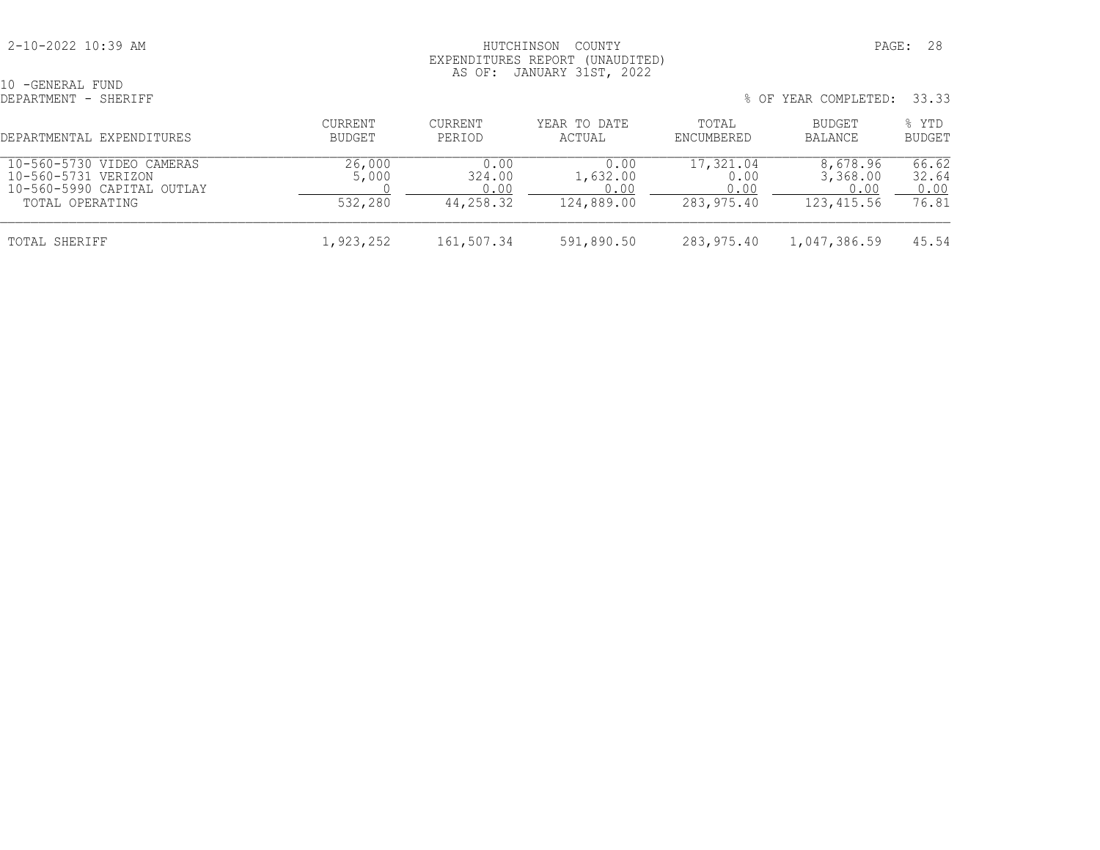#### 2-10-2022 10:39 AM HUTCHINSON COUNTY PAGE: 28 EXPENDITURES REPORT (UNAUDITED) AS OF: JANUARY 31ST, 2022

| 10 -GENERAL FUND<br>DEPARTMENT - SHERIFF                                                          |                            | % OF YEAR COMPLETED: 33.33          |                                        |                                         |                                            |                                 |  |
|---------------------------------------------------------------------------------------------------|----------------------------|-------------------------------------|----------------------------------------|-----------------------------------------|--------------------------------------------|---------------------------------|--|
| DEPARTMENTAL EXPENDITURES                                                                         | CURRENT<br>BUDGET          | <b>CURRENT</b><br>PERIOD            | YEAR TO DATE<br>ACTUAL                 | TOTAL<br>ENCUMBERED                     | BUDGET<br><b>BALANCE</b>                   | % YTD<br><b>BUDGET</b>          |  |
| 10-560-5730 VIDEO CAMERAS<br>10-560-5731 VERIZON<br>10-560-5990 CAPITAL OUTLAY<br>TOTAL OPERATING | 26,000<br>5,000<br>532,280 | 0.00<br>324.00<br>0.00<br>44,258.32 | 0.00<br>1,632.00<br>0.00<br>124,889.00 | 17,321.04<br>0.00<br>0.00<br>283,975.40 | 8,678.96<br>3,368.00<br>0.00<br>123,415.56 | 66.62<br>32.64<br>0.00<br>76.81 |  |
| TOTAL SHERIFF                                                                                     | 1,923,252                  | 161,507.34                          | 591,890.50                             | 283,975.40                              | 1,047,386.59                               | 45.54                           |  |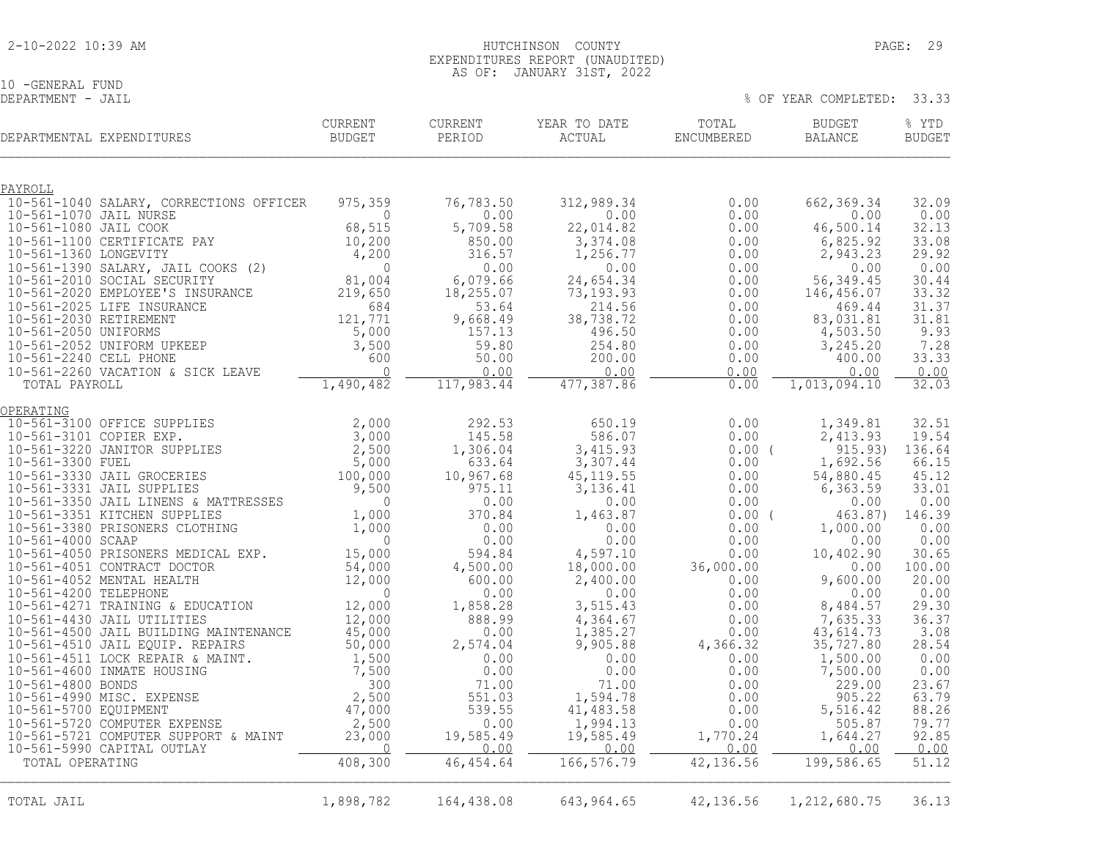10 -GENERAL FUND<br>DEPARTMENT - JAIL

|                         | DEPARTMENTAL EXPENDITURES                                                                              | <b>CURRENT</b><br><b>BUDGET</b> | <b>CURRENT</b><br>PERIOD | YEAR TO DATE<br>ACTUAL | TOTAL<br>ENCUMBERED | <b>BUDGET</b><br><b>BALANCE</b> | % YTD<br><b>BUDGET</b> |
|-------------------------|--------------------------------------------------------------------------------------------------------|---------------------------------|--------------------------|------------------------|---------------------|---------------------------------|------------------------|
| PAYROLL                 |                                                                                                        |                                 |                          |                        |                     |                                 |                        |
|                         | 10-561-1040 SALARY, CORRECTIONS OFFICER                                                                | 975,359                         | 76,783.50                | 312,989.34             | 0.00                | 662,369.34                      | 32.09                  |
| 10-561-1070 JAIL NURSE  |                                                                                                        | $\bigcap$                       | 0.00                     | 0.00                   | 0.00                | 0.00                            | 0.00                   |
| 10-561-1080 JAIL COOK   |                                                                                                        | 68,515                          | 5,709.58                 | 22,014.82              | 0.00                | 46,500.14                       | 32.13                  |
| 10-561-1360 LONGEVITY   | 10-561-1100 CERTIFICATE PAY                                                                            | 10,200<br>4,200                 | 850.00<br>316.57         | 3,374.08<br>1,256.77   | 0.00<br>0.00        | 6,825.92<br>2,943.23            | 33.08<br>29.92         |
|                         | 10-561-1390 SALARY, JAIL COOKS (2)                                                                     | $\circ$                         | 0.00                     | 0.00                   | 0.00                | 0.00                            | 0.00                   |
|                         | 10-561-2010 SOCIAL SECURITY                                                                            | 81,004                          | 6,079.66                 | 24,654.34              | 0.00                | 56, 349.45                      | 30.44                  |
|                         | 10-561-2020 EMPLOYEE'S INSURANCE                                                                       | 219,650                         | 18, 255.07               | 73,193.93              | 0.00                | 146,456.07                      | 33.32                  |
| 10-561-2030 RETIREMENT  | 10-561-2025 LIFE INSURANCE                                                                             | 684<br>121,771                  | 53.64                    | 214.56<br>38,738.72    | 0.00                | 469.44<br>83,031.81             | 31.37<br>31.81         |
| 10-561-2050 UNIFORMS    |                                                                                                        | 5,000                           | 9,668.49<br>157.13       | 496.50                 | 0.00<br>0.00        | 4,503.50                        | 9.93                   |
|                         | 10-561-2052 UNIFORM UPKEEP                                                                             | 3,500                           | 59.80                    | 254.80                 | 0.00                | 3,245.20                        | 7.28                   |
| 10-561-2240 CELL PHONE  |                                                                                                        | 600                             | 50.00                    | 200.00                 | 0.00                | 400.00                          | 33.33                  |
|                         | 10-561-2260 VACATION & SICK LEAVE                                                                      | $\bigcap$                       | 0.00                     | 0.00                   | 0.00                | 0.00                            | 0.00                   |
| TOTAL PAYROLL           |                                                                                                        | 1,490,482                       | 117,983.44               | 477, 387.86            | 0.00                | 1,013,094.10                    | 32.03                  |
| OPERATING               |                                                                                                        |                                 |                          |                        |                     |                                 |                        |
|                         | 10-561-3100 OFFICE SUPPLIES                                                                            | 2,000                           | 292.53                   | 650.19                 | 0.00                | 1,349.81                        | 32.51                  |
| 10-561-3101 COPIER EXP. |                                                                                                        | 3,000                           | 145.58                   | 586.07                 | 0.00                | 2,413.93                        | 19.54                  |
| 10-561-3300 FUEL        | 10-561-3220 JANITOR SUPPLIES                                                                           | 2,500<br>5,000                  | 1,306.04<br>633.64       | 3,415.93<br>3,307.44   | 0.00(<br>0.00       | 915.93)<br>1,692.56             | 136.64<br>66.15        |
|                         | 10-561-3330 JAIL GROCERIES                                                                             | 100,000                         | 10,967.68                | 45, 119.55             | 0.00                | 54,880.45                       | 45.12                  |
|                         | 10-561-3331 JAIL SUPPLIES                                                                              | 9,500                           | 975.11                   | 3,136.41               | 0.00                | 6,363.59                        | 33.01                  |
|                         |                                                                                                        | $\mathbf 0$                     | 0.00                     | 0.00                   | 0.00                | 0.00                            | 0.00                   |
|                         | 10-561-3350 JAIL LINENS & MATTRESSES<br>10-561-3351 KITCHEN SUPPLIES<br>10-561-3380 PRISONERS CLOTHING | 1,000                           | 370.84<br>0.00           | 1,463.87               | 0.00(               | 463.87)                         | 146.39<br>0.00         |
| 10-561-4000 SCAAP       |                                                                                                        | 1,000<br>$\mathbf 0$            | 0.00                     | 0.00<br>0.00           | 0.00<br>0.00        | 1,000.00<br>0.00                | 0.00                   |
|                         | 10-561-4050 PRISONERS MEDICAL EXP.                                                                     | 15,000                          | 594.84                   | 4,597.10               | 0.00                | 10,402.90                       | 30.65                  |
|                         | 10-561-4051 CONTRACT DOCTOR                                                                            | 54,000                          | 4,500.00                 | 18,000.00              | 36,000.00           | 0.00                            | 100.00                 |
|                         | 10-561-4052 MENTAL HEALTH                                                                              | 12,000                          | 600.00                   | 2,400.00               | 0.00                | 9,600.00                        | 20.00                  |
| 10-561-4200 TELEPHONE   | 10-561-4271 TRAINING & EDUCATION                                                                       | $\Omega$<br>12,000              | 0.00<br>1,858.28         | 0.00<br>3,515.43       | 0.00<br>0.00        | 0.00<br>8,484.57                | 0.00<br>29.30          |
|                         | 10-561-4430 JAIL UTILITIES                                                                             | 12,000                          | 888.99                   | 4,364.67               | 0.00                | 7,635.33                        | 36.37                  |
|                         | 10-561-4500 JAIL BUILDING MAINTENANCE                                                                  | 45,000                          | 0.00                     | 1,385.27               | 0.00                | 43,614.73                       | 3.08                   |
|                         | 10-561-4510 JAIL EQUIP. REPAIRS                                                                        | 50,000                          | 2,574.04                 | 9,905.88               | 4,366.32            | 35,727.80                       | 28.54                  |
|                         | 10-561-4511 LOCK REPAIR & MAINT.<br>10-561-4600 INMATE HOUSING                                         | 1,500<br>7,500                  | 0.00<br>0.00             | 0.00                   | 0.00                | 1,500.00                        | 0.00                   |
| 10-561-4800 BONDS       |                                                                                                        | 300                             | 71.00                    | 0.00<br>71.00          | 0.00<br>0.00        | 7,500.00<br>229.00              | 0.00<br>23.67          |
|                         | 10-561-4990 MISC. EXPENSE                                                                              | 2,500                           | 551.03                   | 1,594.78               | 0.00                | 905.22                          | 63.79                  |
| 10-561-5700 EQUIPMENT   |                                                                                                        | 47,000                          | 539.55                   | 41,483.58              | 0.00                | 5,516.42                        | 88.26                  |
|                         | 10-561-5720 COMPUTER EXPENSE                                                                           | 2,500                           | 0.00                     | 1,994.13               | 0.00                | 505.87                          | 79.77                  |
|                         | 10-561-5721 COMPUTER SUPPORT & MAINT<br>10-561-5990 CAPITAL OUTLAY                                     | 23,000<br>$\overline{0}$        | 19,585.49<br>0.00        | 19,585.49<br>0.00      | 1,770.24<br>0.00    | 1,644.27<br>0.00                | 92.85<br>0.00          |
| TOTAL OPERATING         |                                                                                                        | 408,300                         | 46, 454.64               | 166,576.79             | 42,136.56           | 199,586.65                      | 51.12                  |
|                         |                                                                                                        |                                 |                          |                        |                     |                                 |                        |
| TOTAL JAIL              |                                                                                                        | 1,898,782                       | 164,438.08               | 643,964.65             | 42,136.56           | 1, 212, 680.75                  | 36.13                  |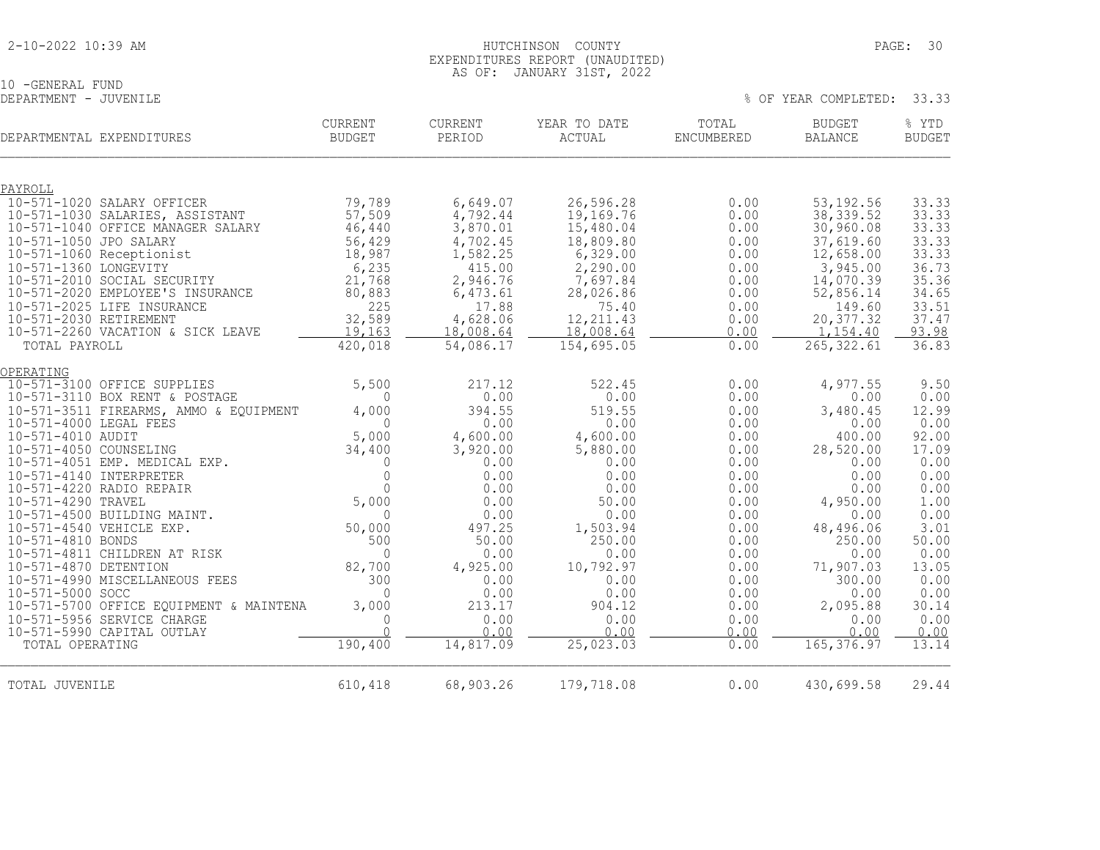# 10 -GENERAL FUND<br>DEPARTMENT - JUVENILE

| DEPARTMENTAL EXPENDITURES                                | <b>CURRENT</b><br><b>BUDGET</b> | <b>CURRENT</b><br>PERIOD | YEAR TO DATE<br>ACTUAL  | TOTAL<br>ENCUMBERED | <b>BUDGET</b><br><b>BALANCE</b> | % YTD<br><b>BUDGET</b> |
|----------------------------------------------------------|---------------------------------|--------------------------|-------------------------|---------------------|---------------------------------|------------------------|
|                                                          |                                 |                          |                         |                     |                                 |                        |
| PAYROLL<br>10-571-1020 SALARY OFFICER                    | 79,789                          | 6,649.07                 | 26,596.28               | 0.00                | 53, 192.56                      | 33.33                  |
| 10-571-1030 SALARIES, ASSISTANT                          | 57,509                          | 4,792.44                 | 19,169.76               | 0.00                | 38, 339.52                      | 33.33                  |
| 10-571-1040 OFFICE MANAGER SALARY                        | 46,440                          | 3,870.01                 | 15,480.04               | 0.00                | 30,960.08                       | 33.33                  |
| 10-571-1050 JPO SALARY                                   | 56,429                          | 4,702.45                 | 18,809.80               | 0.00                | 37,619.60                       | 33.33                  |
| 10-571-1060 Receptionist                                 | 18,987                          | 1,582.25                 | 6,329.00                | 0.00                | 12,658.00                       | 33.33                  |
| 10-571-1360 LONGEVITY                                    | 6,235                           | 415.00                   | 2,290.00                | 0.00                | 3,945.00                        | 36.73                  |
| 10-571-2010 SOCIAL SECURITY                              | 21,768                          | 2,946.76                 | 7,697.84                | 0.00                | 14,070.39                       | 35.36                  |
| 10-571-2020 EMPLOYEE'S INSURANCE                         | 80,883                          | 6,473.61                 | 28,026.86               | 0.00                | 52,856.14                       | 34.65                  |
| 10-571-2025 LIFE INSURANCE                               | 225                             | 17.88                    | 75.40                   | 0.00                | 149.60                          | 33.51                  |
| 10-571-2030 RETIREMENT                                   | 32,589                          | 4,628.06                 | 12, 211.43              | 0.00                | 20,377.32                       | 37.47                  |
| 10-571-2260 VACATION & SICK LEAVE<br>TOTAL PAYROLL       | 19,163<br>420,018               | 18,008.64                | 18,008.64<br>154,695.05 | 0.00<br>0.00        | 1,154.40<br>265, 322.61         | 93.98<br>36.83         |
|                                                          |                                 | 54,086.17                |                         |                     |                                 |                        |
| OPERATING                                                |                                 |                          |                         |                     |                                 |                        |
| 10-571-3100 OFFICE SUPPLIES                              | 5,500                           | 217.12                   | 522.45                  | 0.00                | 4,977.55                        | 9.50                   |
| 10-571-3110 BOX RENT & POSTAGE                           | $\mathbf{0}$                    | 0.00                     | 0.00                    | 0.00                | 0.00                            | 0.00                   |
| 10-571-3511 FIREARMS, AMMO & EQUIPMENT                   | 4,000                           | 394.55                   | 519.55                  | 0.00                | 3,480.45                        | 12.99                  |
| 10-571-4000 LEGAL FEES<br>10-571-4010 AUDIT              | $\bigcap$<br>5,000              | 0.00<br>4,600.00         | 0.00<br>4,600.00        | 0.00<br>0.00        | 0.00<br>400.00                  | 0.00<br>92.00          |
| 10-571-4050 COUNSELING                                   | 34,400                          | 3,920.00                 | 5,880.00                | 0.00                | 28,520.00                       | 17.09                  |
| 10-571-4051 EMP. MEDICAL EXP.                            | $\Omega$                        | 0.00                     | 0.00                    | 0.00                | 0.00                            | 0.00                   |
| 10-571-4140 INTERPRETER                                  | $\Omega$                        | 0.00                     | 0.00                    | 0.00                | 0.00                            | 0.00                   |
| 10-571-4220 RADIO REPAIR                                 | $\Omega$                        | 0.00                     | 0.00                    | 0.00                | 0.00                            | 0.00                   |
| 10-571-4290 TRAVEL                                       | 5,000                           | 0.00                     | 50.00                   | 0.00                | 4,950.00                        | 1.00                   |
| 10-571-4500 BUILDING MAINT.                              | $\Omega$                        | 0.00                     | 0.00                    | 0.00                | 0.00                            | 0.00                   |
| 10-571-4540 VEHICLE EXP.                                 | 50,000                          | 497.25                   | 1,503.94                | 0.00                | 48,496.06                       | 3.01                   |
| 10-571-4810 BONDS                                        | 500                             | 50.00                    | 250.00                  | 0.00                | 250.00                          | 50.00                  |
| 10-571-4811 CHILDREN AT RISK                             | $\Omega$                        | 0.00                     | 0.00                    | 0.00                | 0.00                            | 0.00                   |
| 10-571-4870 DETENTION                                    | 82,700                          | 4,925.00                 | 10,792.97               | 0.00                | 71,907.03                       | 13.05                  |
| 10-571-4990 MISCELLANEOUS FEES                           | 300                             | 0.00                     | 0.00                    | 0.00                | 300.00                          | 0.00                   |
| 10-571-5000 SOCC                                         | $\Omega$                        | 0.00                     | 0.00                    | 0.00                | 0.00                            | 0.00                   |
| 10-571-5700 OFFICE EQUIPMENT & MAINTENA                  | 3,000                           | 213.17                   | 904.12                  | 0.00                | 2,095.88                        | 30.14                  |
| 10-571-5956 SERVICE CHARGE<br>10-571-5990 CAPITAL OUTLAY | $\Omega$<br>$\cap$              | 0.00<br>0.00             | 0.00<br>0.00            | 0.00<br>0.00        | 0.00<br>0.00                    | 0.00<br>0.00           |
| TOTAL OPERATING                                          | 190,400                         | 14,817.09                | 25,023.03               | 0.00                | 165, 376.97                     | 13.14                  |
|                                                          |                                 |                          |                         |                     |                                 |                        |
|                                                          |                                 |                          |                         |                     |                                 |                        |
| TOTAL JUVENILE                                           | 610,418                         | 68,903.26                | 179,718.08              | 0.00                | 430,699.58                      | 29.44                  |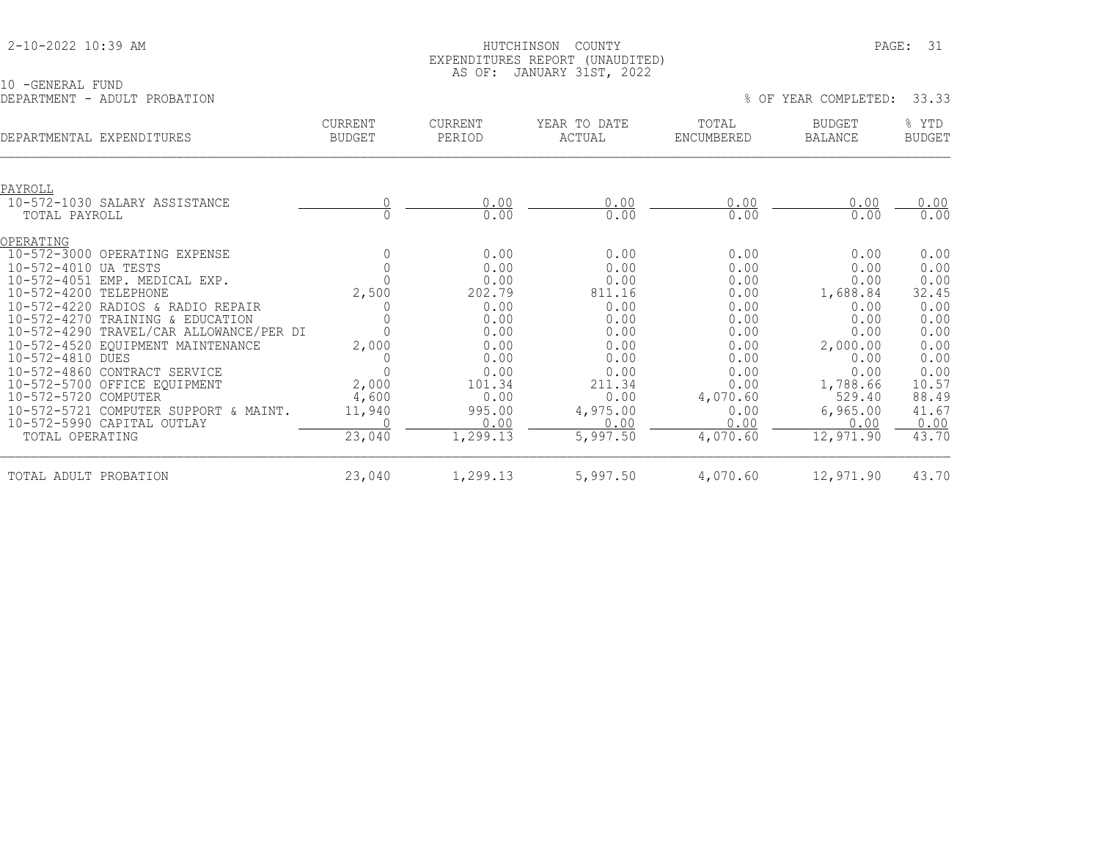10 -GENERAL FUND

#### HUTCHINSON COUNTY PAGE: 31 EXPENDITURES REPORT (UNAUDITED) AS OF: JANUARY 31ST, 2022

|                           | DEPARTMENT - ADULT PROBATION            |                          |                          |                        | % OF                       | YEAR COMPLETED:                 | 33.33                  |
|---------------------------|-----------------------------------------|--------------------------|--------------------------|------------------------|----------------------------|---------------------------------|------------------------|
| DEPARTMENTAL EXPENDITURES |                                         | CURRENT<br><b>BUDGET</b> | <b>CURRENT</b><br>PERIOD | YEAR TO DATE<br>ACTUAL | TOTAL<br><b>ENCUMBERED</b> | <b>BUDGET</b><br><b>BALANCE</b> | % YTD<br><b>BUDGET</b> |
| PAYROLL                   |                                         |                          |                          |                        |                            |                                 |                        |
|                           | 10-572-1030 SALARY ASSISTANCE           |                          | 0.00                     | 0.00                   | 0.00                       | 0.00                            | 0.00                   |
| TOTAL PAYROLL             |                                         |                          | 0.00                     | 0.00                   | 0.00                       | 0.00                            | 0.00                   |
| OPERATING                 |                                         |                          |                          |                        |                            |                                 |                        |
|                           | 10-572-3000 OPERATING EXPENSE           |                          | 0.00                     | 0.00                   | 0.00                       | 0.00                            | 0.00                   |
| 10-572-4010 UA TESTS      |                                         |                          | 0.00                     | 0.00                   | 0.00                       | 0.00                            | 0.00                   |
|                           | 10-572-4051 EMP. MEDICAL EXP.           |                          | 0.00                     | 0.00                   | 0.00                       | 0.00                            | 0.00                   |
| 10-572-4200 TELEPHONE     |                                         | 2,500                    | 202.79                   | 811.16                 | 0.00                       | 1,688.84                        | 32.45                  |
|                           | 10-572-4220 RADIOS & RADIO REPAIR       |                          | 0.00                     | 0.00                   | 0.00                       | 0.00                            | 0.00                   |
|                           | 10-572-4270 TRAINING & EDUCATION        |                          | 0.00                     | 0.00                   | 0.00                       | 0.00                            | 0.00                   |
|                           | 10-572-4290 TRAVEL/CAR ALLOWANCE/PER DI |                          | 0.00                     | 0.00                   | 0.00                       | 0.00                            | 0.00                   |
|                           | 10-572-4520 EQUIPMENT MAINTENANCE       | 2,000                    | 0.00                     | 0.00                   | 0.00                       | 2,000.00                        | 0.00                   |
| 10-572-4810 DUES          |                                         |                          | 0.00                     | 0.00                   | 0.00                       | 0.00                            | 0.00                   |
|                           | 10-572-4860 CONTRACT SERVICE            |                          | 0.00                     | 0.00                   | 0.00                       | 0.00                            | 0.00                   |
|                           | 10-572-5700 OFFICE EQUIPMENT            | 2,000                    | 101.34                   | 211.34                 | 0.00                       | 1,788.66                        | 10.57                  |
| 10-572-5720 COMPUTER      |                                         | 4,600                    | 0.00                     | 0.00                   | 4,070.60                   | 529.40                          | 88.49                  |
|                           | 10-572-5721 COMPUTER SUPPORT & MAINT.   | 11,940                   | 995.00                   | 4,975.00               | 0.00                       | 6,965.00                        | 41.67                  |
|                           | 10-572-5990 CAPITAL OUTLAY              |                          | 0.00                     | 0.00                   | 0.00                       | 0.00                            | 0.00                   |
| TOTAL OPERATING           |                                         | 23,040                   | 1,299.13                 | 5,997.50               | 4,070.60                   | 12,971.90                       | 43.70                  |
| TOTAL ADULT PROBATION     |                                         | 23,040                   | 1,299.13                 | 5,997.50               | 4,070.60                   | 12,971.90                       | 43.70                  |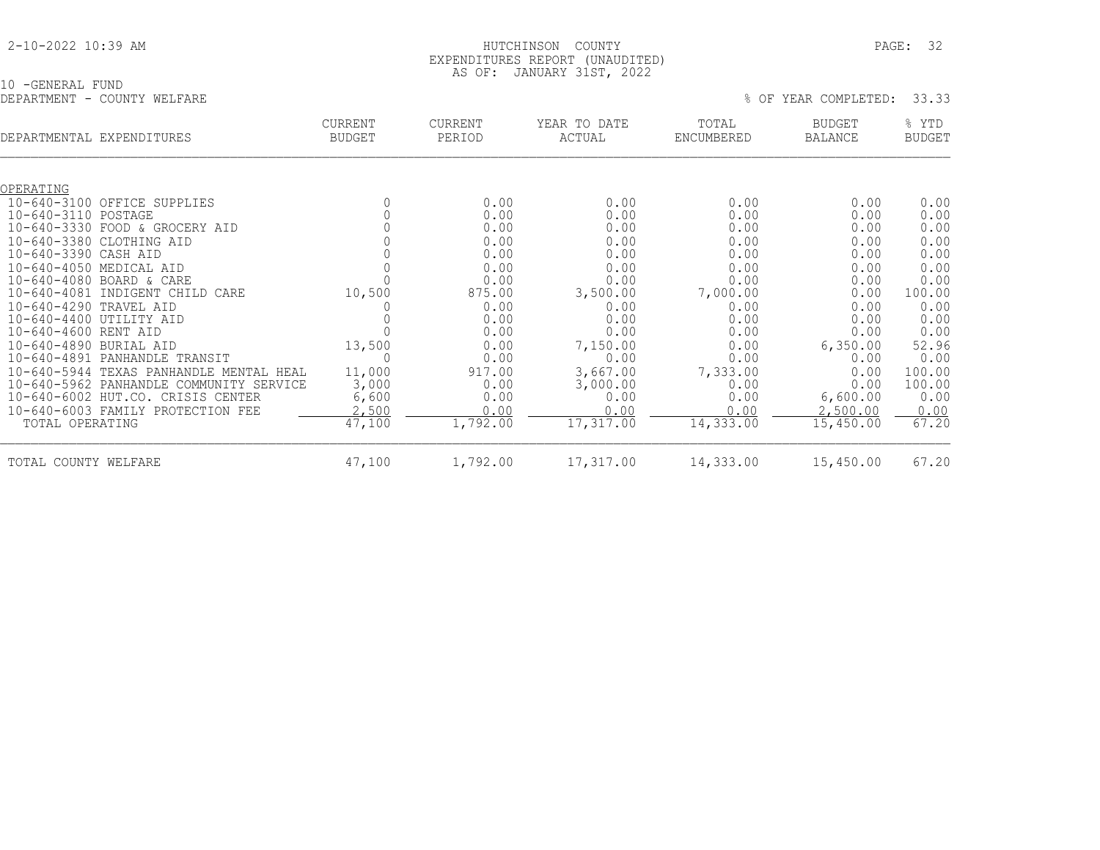#### HUTCHINSON COUNTY PAGE: 32 EXPENDITURES REPORT (UNAUDITED) AS OF: JANUARY 31ST, 2022

10 -GENERAL FUND

| DEPARTMENT - COUNTY WELFARE    |                          |                          |                        |                     | % OF YEAR COMPLETED: | 33.33                  |
|--------------------------------|--------------------------|--------------------------|------------------------|---------------------|----------------------|------------------------|
| DEPARTMENTAL EXPENDITURES      | <b>CURRENT</b><br>BUDGET | <b>CURRENT</b><br>PERIOD | YEAR TO DATE<br>ACTUAL | TOTAL<br>ENCUMBERED | BUDGET<br>BALANCE    | % YTD<br><b>BUDGET</b> |
| OPERATING                      |                          |                          |                        |                     |                      |                        |
| 10-640-3100 OFFICE SUPPLIES    |                          | 0.00                     | 0.00                   | 0.00                | 0.00                 | 0.00                   |
| 10-640-3110 POSTAGE            |                          | 0.00                     | 0.00                   | 0.00                | 0.00                 | 0.00                   |
| 10-640-3330 FOOD & GROCERY AID |                          | 0.00                     | 0.00                   | 0.00                | 0.00                 | 0.00                   |
| 10-640-3380 CLOTHING AID       |                          | 0.00                     | 0.00                   | 0.00                | 0.00                 | 0.00                   |
| 10-640-3390 CASH AID           |                          | 0.00                     | 0.00                   | 0.00                | 0.00                 | 0.00                   |
| 10-640-4050 MEDICAL AID        |                          | 0.00                     | 0.00                   | 0.00                | 0.00                 | 0.00                   |

| 10-640-3380 CLOTHING AID                |        | 0.00     | 0.00      | 0.00      | 0.00      | 0.00   |
|-----------------------------------------|--------|----------|-----------|-----------|-----------|--------|
| 10-640-3390 CASH AID                    |        | 0.00     | 0.00      | 0.00      | 0.00      | 0.00   |
| 10-640-4050 MEDICAL AID                 |        | 0.00     | 0.00      | 0.00      | 0.00      | 0.00   |
| $10 - 640 - 4080$ BOARD & CARE          |        | 0.00     | 0.00      | 0.00      | 0.00      | 0.00   |
| 10-640-4081 INDIGENT CHILD CARE         | 10,500 | 875.00   | 3,500.00  | 7,000.00  | 0.00      | 100.00 |
| 10-640-4290 TRAVEL AID                  |        | 0.00     | 0.00      | 0.00      | 0.00      | 0.00   |
| 10-640-4400 UTILITY AID                 |        | 0.00     | 0.00      | 0.00      | 0.00      | 0.00   |
| 10-640-4600 RENT AID                    |        | 0.00     | 0.00      | 0.00      | 0.00      | 0.00   |
| 10-640-4890 BURIAL AID                  | 13,500 | 0.00     | 7,150.00  | 0.00      | 6,350.00  | 52.96  |
| 10-640-4891 PANHANDLE TRANSIT           |        | 0.00     | 0.00      | 0.00      | 0.00      | 0.00   |
| 10-640-5944 TEXAS PANHANDLE MENTAL HEAL | 11,000 | 917.00   | 3,667.00  | 7,333.00  | 0.00      | 100.00 |
| 10-640-5962 PANHANDLE COMMUNITY SERVICE | 3,000  | 0.00     | 3,000.00  | 0.00      | 0.00      | 100.00 |
| 10-640-6002 HUT.CO. CRISIS CENTER       | 6,600  | 0.00     | 0.00      | 0.00      | 6,600.00  | 0.00   |
| 10-640-6003 FAMILY PROTECTION FEE       | 2,500  | 0.00     | 0.00      | 0.00      | 2,500.00  | 0.00   |
| TOTAL OPERATING                         | 47,100 | 1,792.00 | 17,317.00 | 14,333.00 | 15,450.00 | 67.20  |
| TOTAL COUNTY WELFARE                    | 47,100 | 1,792.00 | 17,317.00 | 14,333.00 | 15,450.00 | 67.20  |
|                                         |        |          |           |           |           |        |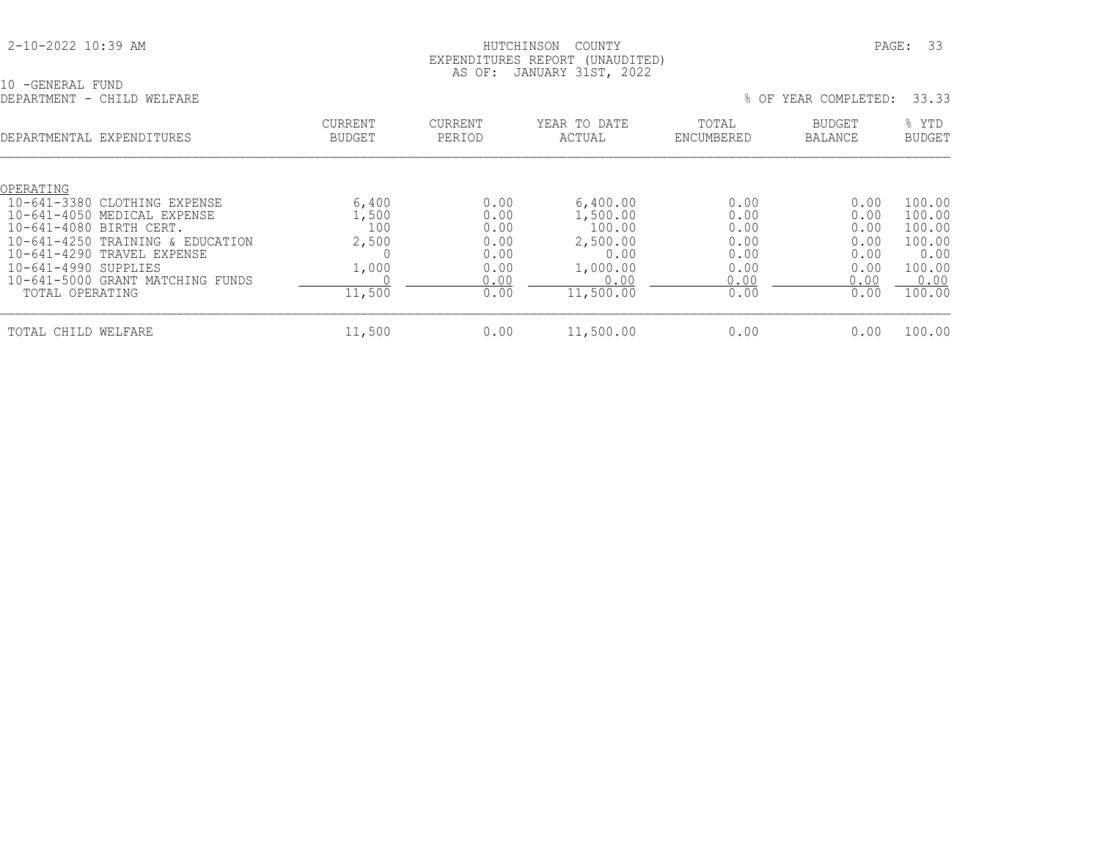#### HUTCHINSON COUNTY PAGE: 33 EXPENDITURES REPORT (UNAUDITED) AS OF: JANUARY 31ST, 2022

| -GENERAL FUND              | $\sim$ | the contract of the contract of the contract of the contract of the contract of the contract of the contract of |  |  |                          |  |
|----------------------------|--------|-----------------------------------------------------------------------------------------------------------------|--|--|--------------------------|--|
| DEPARTMENT - CHILD WELFARE |        |                                                                                                                 |  |  | OF YEAR COMPLETED: 33.33 |  |

|  | OF YEAR COMPLETED: | 33.3 |  |
|--|--------------------|------|--|

| DEPARTMENTAL EXPENDITURES             | <b>CURRENT</b><br><b>BUDGET</b> | <b>CURRENT</b><br>PERIOD | YEAR TO DATE<br>ACTUAL | TOTAL<br>ENCUMBERED | BUDGET<br><b>BALANCE</b> | % YTD<br><b>BUDGET</b> |
|---------------------------------------|---------------------------------|--------------------------|------------------------|---------------------|--------------------------|------------------------|
| OPERATING                             |                                 |                          |                        |                     |                          |                        |
| $10 - 641 - 3380$<br>CLOTHING EXPENSE | 6,400                           |                          | 6,400.00<br>0.00       | 0.00                | 0.00                     | 100.00                 |
| 10-641-4050 MEDICAL EXPENSE           | 1,500                           |                          | 1,500.00<br>0.00       | 0.00                | 0.00                     | 100.00                 |
| 10-641-4080 BIRTH CERT.               |                                 | 100                      | 0.00<br>100.00         | 0.00                | 0.00                     | 100.00                 |
| 10-641-4250 TRAINING & EDUCATION      | 2,500                           |                          | 0.00<br>2,500.00       | 0.00                | 0.00                     | 100.00                 |
| 10-641-4290 TRAVEL EXPENSE            |                                 |                          | 0.00<br>0.00           | 0.00                | 0.00                     | 0.00                   |
| 10-641-4990 SUPPLIES                  | 1,000                           |                          | 0.00<br>1,000.00       | 0.00                | 0.00                     | 100.00                 |
| 10-641-5000 GRANT MATCHING FUNDS      |                                 |                          | 0.00<br>0.00           | 0.00                | 0.00                     | 0.00                   |
| TOTAL OPERATING                       | 11,500                          |                          | 0.00<br>11,500.00      | 0.00                | 0.00                     | 100.00                 |
| TOTAL CHILD WELFARE                   | 11,500                          |                          | 0.00<br>11,500.00      | 0.00                | 0.00                     | 100.00                 |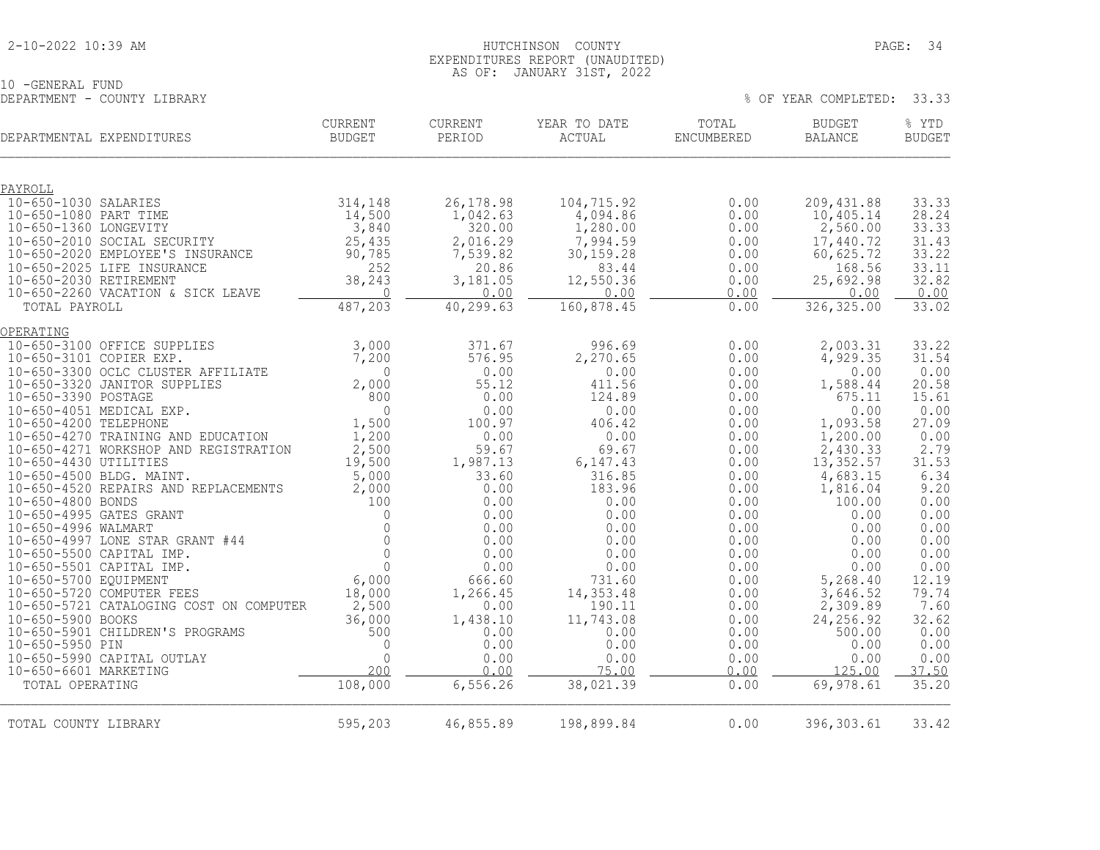#### 2-10-2022 10:39 AM HUTCHINSON COUNTY PAGE: 34 EXPENDITURES REPORT (UNAUDITED) AS OF: JANUARY 31ST, 2022

10 -GENERAL FUND DEPARTMENT - COUNTY LIBRARY % OF YEAR COMPLETED: 33.33

| DEPARTMENTAL EXPENDITURES                                       | CURRENT<br><b>BUDGET</b> | CURRENT<br>PERIOD    | YEAR TO DATE<br>ACTUAL  | TOTAL<br><b>ENCUMBERED</b> | <b>BUDGET</b><br><b>BALANCE</b> | % YTD<br><b>BUDGET</b> |
|-----------------------------------------------------------------|--------------------------|----------------------|-------------------------|----------------------------|---------------------------------|------------------------|
| PAYROLL                                                         |                          |                      |                         |                            |                                 |                        |
| 10-650-1030 SALARIES                                            | 314,148                  | 26, 178.98           | 104,715.92              | 0.00                       | 209, 431.88                     | 33.33                  |
| 10-650-1080 PART TIME                                           | 14,500                   | 1,042.63             | 4,094.86                | 0.00                       | 10,405.14                       | 28.24                  |
| 10-650-1360 LONGEVITY                                           | 3,840                    | 320.00               | 1,280.00                | 0.00                       | 2,560.00                        | 33.33                  |
| 10-650-2010 SOCIAL SECURITY<br>10-650-2020 EMPLOYEE'S INSURANCE | 25,435<br>90,785         | 2,016.29<br>7,539.82 | 7,994.59<br>30, 159. 28 | 0.00<br>0.00               | 17,440.72<br>60,625.72          | 31.43<br>33.22         |
| 10-650-2025 LIFE INSURANCE                                      | 252                      | 20.86                | 83.44                   | 0.00                       | 168.56                          | 33.11                  |
| 10-650-2030 RETIREMENT                                          | 38,243                   | 3,181.05             | 12,550.36               | 0.00                       | 25,692.98                       | 32.82                  |
| 10-650-2260 VACATION & SICK LEAVE                               | $\Omega$                 | 0.00                 | 0.00                    | 0.00                       | 0.00                            | 0.00                   |
| TOTAL PAYROLL                                                   | 487,203                  | 40,299.63            | 160,878.45              | 0.00                       | 326, 325.00                     | 33.02                  |
| OPERATING                                                       |                          |                      |                         |                            |                                 |                        |
| 10-650-3100 OFFICE SUPPLIES                                     | 3,000                    | 371.67               | 996.69                  | 0.00                       | 2,003.31                        | 33.22                  |
| 10-650-3101 COPIER EXP.                                         | 7,200                    | 576.95               | 2,270.65                | 0.00                       | 4,929.35                        | 31.54                  |
| 10-650-3300 OCLC CLUSTER AFFILIATE                              | $\Omega$                 | 0.00                 | 0.00                    | 0.00                       | 0.00                            | 0.00                   |
| 10-650-3320 JANITOR SUPPLIES                                    | 2,000                    | 55.12                | 411.56                  | 0.00                       | 1,588.44                        | 20.58                  |
| 10-650-3390 POSTAGE                                             | 800                      | 0.00                 | 124.89                  | 0.00                       | 675.11                          | 15.61                  |
| 10-650-4051 MEDICAL EXP.<br>10-650-4200 TELEPHONE               | $\Omega$                 | 0.00<br>100.97       | 0.00<br>406.42          | 0.00<br>0.00               | 0.00<br>1,093.58                | 0.00<br>27.09          |
| 10-650-4270 TRAINING AND EDUCATION                              | 1,500<br>1,200           | 0.00                 | 0.00                    | 0.00                       | 1,200.00                        | 0.00                   |
| 10-650-4271 WORKSHOP AND REGISTRATION                           | 2,500                    | 59.67                | 69.67                   | 0.00                       | 2,430.33                        | 2.79                   |
| 10-650-4430 UTILITIES                                           | 19,500                   | 1,987.13             | 6, 147.43               | 0.00                       | 13,352.57                       | 31.53                  |
| 10-650-4500 BLDG. MAINT.                                        | 5,000                    | 33.60                | 316.85                  | 0.00                       | 4,683.15                        | 6.34                   |
| 10-650-4520 REPAIRS AND REPLACEMENTS                            | 2,000                    | 0.00                 | 183.96                  | 0.00                       | 1,816.04                        | 9.20                   |
| 10-650-4800 BONDS                                               | 100                      | 0.00                 | 0.00                    | 0.00                       | 100.00                          | 0.00                   |
| 10-650-4995 GATES GRANT                                         | $\Omega$                 | 0.00                 | 0.00                    | 0.00                       | 0.00                            | 0.00                   |
| 10-650-4996 WALMART                                             | $\Omega$                 | 0.00                 | 0.00                    | 0.00                       | 0.00                            | 0.00                   |

| 10-650-5990 CAPITAL OUTLAY<br>10-650-6601 MARKETING |         | n c       | $.00 \,$<br>∩∩ | $.00\,$ | 0.00<br>∩∩ | 0.00<br>50 |
|-----------------------------------------------------|---------|-----------|----------------|---------|------------|------------|
| TOTAL OPERATING                                     | 108,000 | 6,556.26  | 38,021.39      | 0.00    | 69,978.61  | 35.20      |
| TOTAL COUNTY LIBRARY                                | 595,203 | 46,855.89 | 198,899.84     | 00.0    | 396,303.61 | 33.42      |

 10-650-4997 LONE STAR GRANT #44 0 0.00 0.00 0.00 0.00 0.00 10-650-5500 CAPITAL IMP. 0 0.00 0.00 0.00 0.00 0.00 10-650-5501 CAPITAL IMP. 0 0.00 0.00 0.00 0.00 0.00 10-650-5700 EQUIPMENT 6,000 666.60 731.60 0.00 5,268.40 12.19 10-650-5720 COMPUTER FEES 18,000 1,266.45 14,353.48 0.00 3,646.52 79.74 10-650-5721 CATALOGING COST ON COMPUTER 2,500 0.00 190.11 0.00 2,309.89 7.60 10-650-5900 BOOKS 36,000 1,438.10 11,743.08 0.00 24,256.92 32.62 10-650-5901 CHILDREN'S PROGRAMS 500 0.00 0.00 0.00 500.00 0.00 10-650-5950 PIN 0 0.00 0.00 0.00 0.00 0.00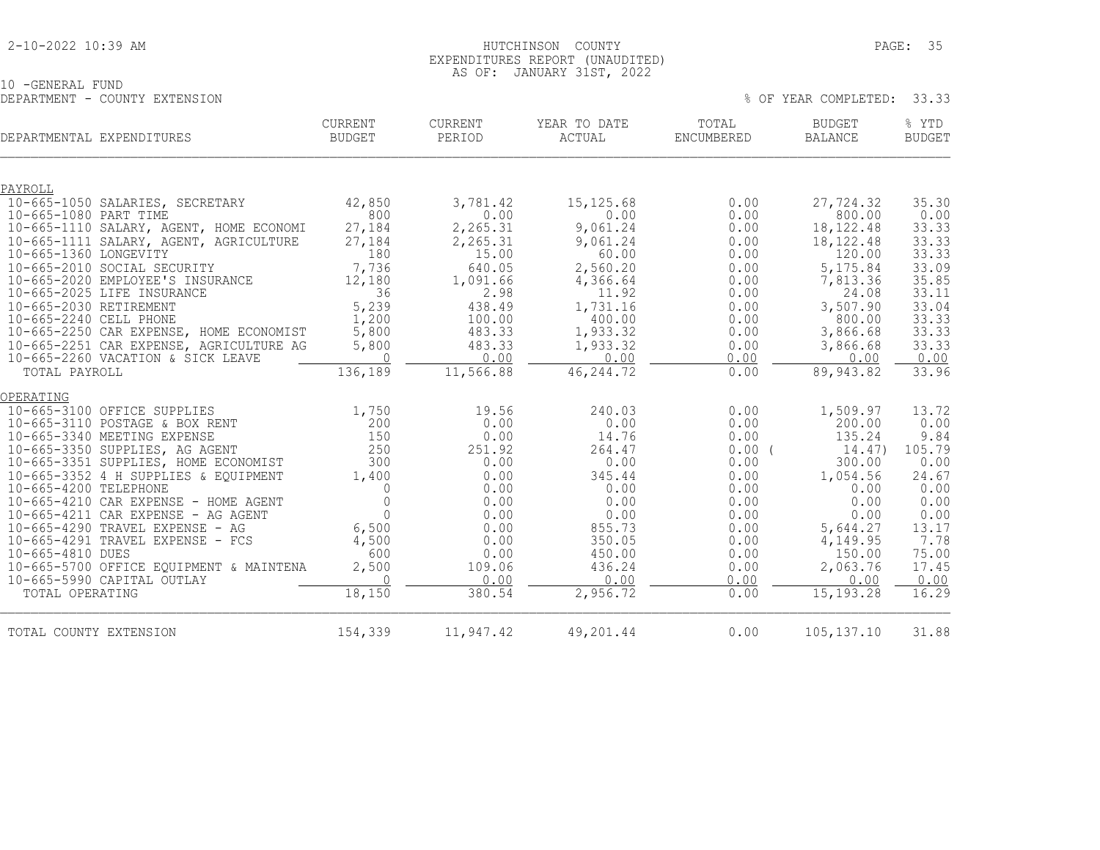#### 2-10-2022 10:39 AM HUTCHINSON COUNTY PAGE: 35 EXPENDITURES REPORT (UNAUDITED) AS OF: JANUARY 31ST, 2022

% OF YEAR COMPLETED: 33.33

10 -GENERAL FUND<br>DEPARTMENT - COUNTY EXTENSION

| DEPARTMENTAL EXPENDITURES                                                    | CURRENT<br><b>BUDGET</b> | CURRENT<br>PERIOD  | YEAR TO DATE<br>ACTUAL | TOTAL<br>ENCUMBERED | <b>BUDGET</b><br><b>BALANCE</b> | % YTD<br><b>BUDGET</b> |
|------------------------------------------------------------------------------|--------------------------|--------------------|------------------------|---------------------|---------------------------------|------------------------|
| PAYROLL                                                                      |                          |                    |                        |                     |                                 |                        |
| 10-665-1050 SALARIES, SECRETARY                                              | 42,850                   | 3,781.42           | 15, 125.68             | 0.00                | 27,724.32                       | 35.30                  |
| 10-665-1080 PART TIME                                                        | 800                      | 0.00               | 0.00                   | 0.00                | 800.00                          | 0.00                   |
| 10-665-1110 SALARY, AGENT, HOME ECONOMI                                      | 27,184                   | 2,265.31           | 9,061.24               | 0.00                | 18, 122. 48                     | 33.33                  |
| 10-665-1111 SALARY, AGENT, AGRICULTURE                                       | 27,184                   | 2,265.31           | 9,061.24               | 0.00                | 18, 122. 48                     | 33.33                  |
| 10-665-1360 LONGEVITY                                                        | 180                      | 15.00              | 60.00                  | 0.00                | 120.00                          | 33.33                  |
| 10-665-2010 SOCIAL SECURITY<br>10-665-2020 EMPLOYEE'S INSURANCE              | 7,736<br>12,180          | 640.05<br>1,091.66 | 2,560.20<br>4,366.64   | 0.00<br>0.00        | 5,175.84<br>7,813.36            | 33.09<br>35.85         |
| 10-665-2025 LIFE INSURANCE                                                   | 36                       | 2.98               | 11.92                  | 0.00                | 24.08                           | 33.11                  |
| 10-665-2030 RETIREMENT                                                       | 5,239                    | 438.49             | 1,731.16               | 0.00                | 3,507.90                        | 33.04                  |
| 10-665-2240 CELL PHONE                                                       | 1,200                    | 100.00             | 400.00                 | 0.00                | 800.00                          | 33.33                  |
| 10-665-2250 CAR EXPENSE, HOME ECONOMIST                                      | 5,800                    | 483.33             | 1,933.32               | 0.00                | 3,866.68                        | 33.33                  |
| 10-665-2251 CAR EXPENSE, AGRICULTURE AG                                      | 5,800                    | 483.33             | 1,933.32               | 0.00                | 3,866.68                        | 33.33                  |
| 10-665-2260 VACATION & SICK LEAVE                                            | $\Omega$                 | 0.00               | 0.00                   | 0.00                | 0.00                            | 0.00                   |
| TOTAL PAYROLL                                                                | 136,189                  | 11,566.88          | 46, 244.72             | 0.00                | 89,943.82                       | 33.96                  |
| OPERATING                                                                    |                          |                    |                        |                     |                                 |                        |
| 10-665-3100 OFFICE SUPPLIES                                                  | 1,750                    | 19.56              | 240.03                 | 0.00                | 1,509.97                        | 13.72                  |
| 10-665-3110 POSTAGE & BOX RENT                                               | 200                      | 0.00               | 0.00                   | 0.00                | 200.00                          | 0.00                   |
| 10-665-3340 MEETING EXPENSE                                                  | 150                      | 0.00               | 14.76                  | 0.00                | 135.24                          | 9.84                   |
| 10-665-3350 SUPPLIES, AG AGENT                                               | 250<br>300               | 251.92             | 264.47                 | 0.00(               | 14.47)                          | 105.79                 |
| 10-665-3351 SUPPLIES, HOME ECONOMIST<br>10-665-3352 4 H SUPPLIES & EQUIPMENT | 1,400                    | 0.00<br>0.00       | 0.00<br>345.44         | 0.00<br>0.00        | 300.00<br>1,054.56              | 0.00<br>24.67          |
| 10-665-4200 TELEPHONE                                                        | 0                        | 0.00               | 0.00                   | 0.00                | 0.00                            | 0.00                   |
| 10-665-4210 CAR EXPENSE - HOME AGENT                                         | $\mathbf 0$              | 0.00               | 0.00                   | 0.00                | 0.00                            | 0.00                   |
| $10-665-4211$ CAR EXPENSE - AG AGENT                                         | $\Omega$                 | 0.00               | 0.00                   | 0.00                | 0.00                            | 0.00                   |
| 10-665-4290 TRAVEL EXPENSE - AG                                              | 6,500                    | 0.00               | 855.73                 | 0.00                | 5,644.27                        | 13.17                  |
| 10-665-4291 TRAVEL EXPENSE - FCS                                             | 4,500                    | 0.00               | 350.05                 | 0.00                | 4,149.95                        | 7.78                   |
| 10-665-4810 DUES                                                             | 600                      | 0.00               | 450.00                 | 0.00                | 150.00                          | 75.00                  |
| 10-665-5700 OFFICE EQUIPMENT & MAINTENA                                      | 2,500                    | 109.06             | 436.24                 | 0.00                | 2,063.76                        | 17.45                  |
| 10-665-5990 CAPITAL OUTLAY<br>TOTAL OPERATING                                | $\bigcap$<br>18,150      | 0.00<br>380.54     | 0.00<br>2,956.72       | 0.00<br>0.00        | 0.00<br>15, 193. 28             | 0.00<br>16.29          |
|                                                                              |                          |                    |                        |                     |                                 |                        |
| TOTAL COUNTY EXTENSION                                                       | 154,339                  | 11,947.42          | 49,201.44              | 0.00                | 105, 137. 10                    | 31.88                  |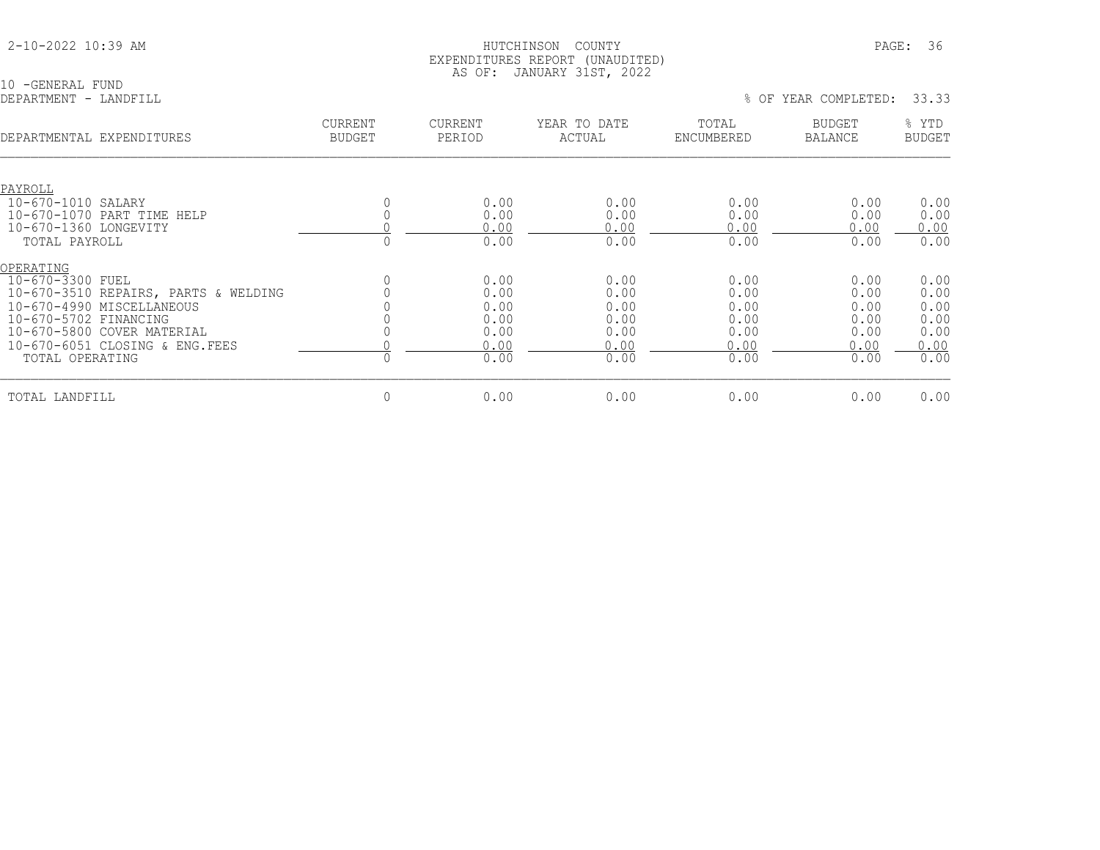|  |  |  | 2-10-2022 10:39 AM |  |
|--|--|--|--------------------|--|
|--|--|--|--------------------|--|

10 -GENERAL FUND<br>DEPARTMENT - LANDFILL

| DEPARTMENTAL EXPENDITURES            | <b>CURRENT</b><br><b>BUDGET</b> | <b>CURRENT</b><br>PERIOD | YEAR TO DATE<br>ACTUAL | TOTAL<br>ENCUMBERED | <b>BUDGET</b><br><b>BALANCE</b> | % YTD<br><b>BUDGET</b> |
|--------------------------------------|---------------------------------|--------------------------|------------------------|---------------------|---------------------------------|------------------------|
|                                      |                                 |                          |                        |                     |                                 |                        |
| PAYROLL                              |                                 |                          |                        |                     |                                 |                        |
| 10-670-1010 SALARY                   |                                 | 0.00                     | 0.00                   | 0.00                | 0.00                            | 0.00                   |
| 10-670-1070 PART TIME HELP           |                                 | 0.00                     | 0.00                   | 0.00                | 0.00                            | 0.00                   |
| 10-670-1360 LONGEVITY                |                                 | 0.00                     | 0.00                   | 0.00                | 0.00                            | 0.00                   |
| TOTAL PAYROLL                        |                                 | 0.00                     | 0.00                   | 0.00                | 0.00                            | 0.00                   |
| OPERATING                            |                                 |                          |                        |                     |                                 |                        |
| 10-670-3300 FUEL                     |                                 | 0.00                     | 0.00                   | 0.00                | 0.00                            | 0.00                   |
| 10-670-3510 REPAIRS, PARTS & WELDING |                                 | 0.00                     | 0.00                   | 0.00                | 0.00                            | 0.00                   |
| 10-670-4990 MISCELLANEOUS            |                                 | 0.00                     | 0.00                   | 0.00                | 0.00                            | 0.00                   |
| 10-670-5702 FINANCING                |                                 | 0.00                     | 0.00                   | 0.00                | 0.00                            | 0.00                   |
| 10-670-5800 COVER MATERIAL           |                                 | 0.00                     | 0.00                   | 0.00                | 0.00                            | 0.00                   |
| 10-670-6051 CLOSING & ENG. FEES      |                                 | 0.00                     | 0.00                   | 0.00                | 0.00                            | 0.00                   |
| TOTAL OPERATING                      |                                 | 0.00                     | 0.00                   | 0.00                | 0.00                            | 0.00                   |
| TOTAL LANDFILL                       | $\mathbf 0$                     | 0.00                     | 0.00                   | 0.00                | 0.00                            | 0.00                   |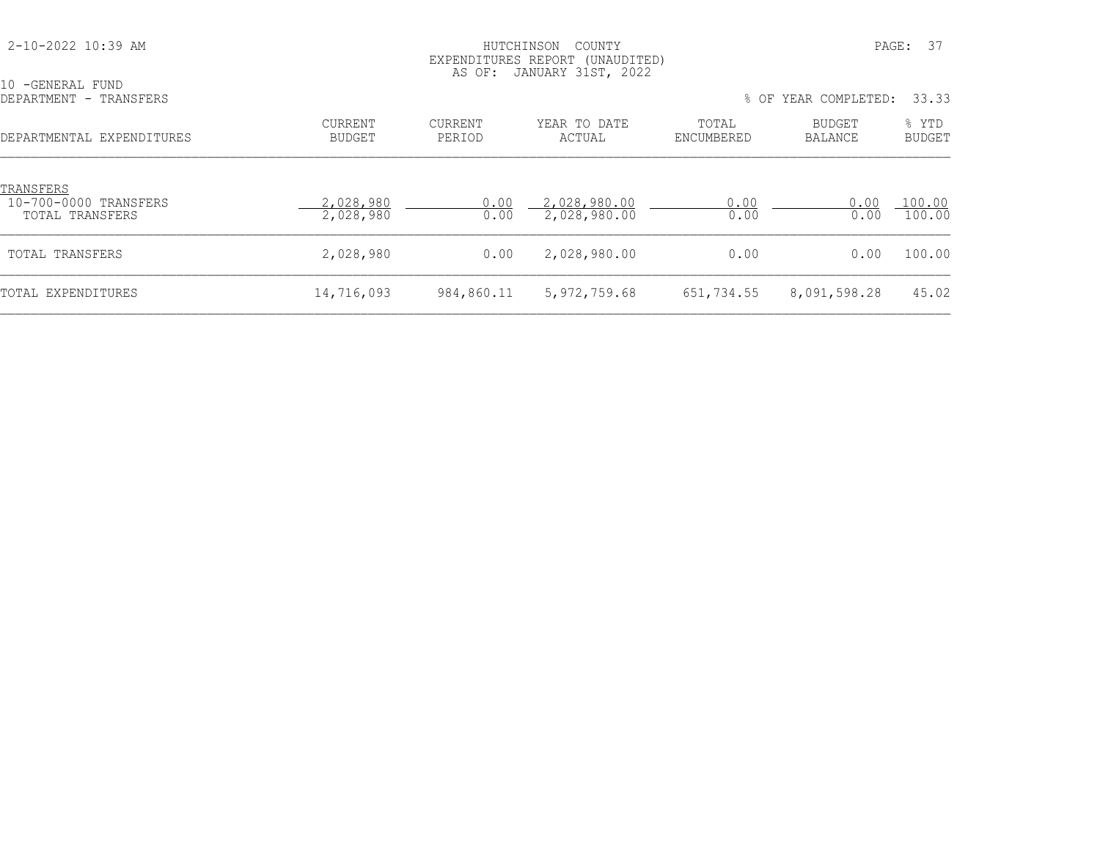| 2-10-2022 10:39 AM                                    | PAGE:<br>HUTCHINSON<br>COUNTY<br>EXPENDITURES REPORT (UNAUDITED)<br>JANUARY 31ST, 2022<br>AS OF: |                          |                              |                     |                          |                        |
|-------------------------------------------------------|--------------------------------------------------------------------------------------------------|--------------------------|------------------------------|---------------------|--------------------------|------------------------|
| 10 -GENERAL FUND<br>DEPARTMENT - TRANSFERS            |                                                                                                  |                          |                              |                     | % OF YEAR COMPLETED:     | 33.33                  |
| DEPARTMENTAL EXPENDITURES                             | <b>CURRENT</b><br><b>BUDGET</b>                                                                  | <b>CURRENT</b><br>PERIOD | YEAR TO DATE<br>ACTUAL       | TOTAL<br>ENCUMBERED | BUDGET<br><b>BALANCE</b> | % YTD<br><b>BUDGET</b> |
| TRANSFERS<br>10-700-0000 TRANSFERS<br>TOTAL TRANSFERS | 2,028,980<br>2,028,980                                                                           | 0.00<br>0.00             | 2,028,980.00<br>2,028,980.00 | 0.00<br>0.00        | 0.00<br>0.00             | 100.00<br>100.00       |
| TOTAL TRANSFERS                                       | 2,028,980                                                                                        | 0.00                     | 2,028,980.00                 | 0.00                | 0.00                     | 100.00                 |
| TOTAL EXPENDITURES                                    | 14,716,093                                                                                       | 984,860.11               | 5, 972, 759.68               | 651,734.55          | 8,091,598.28             | 45.02                  |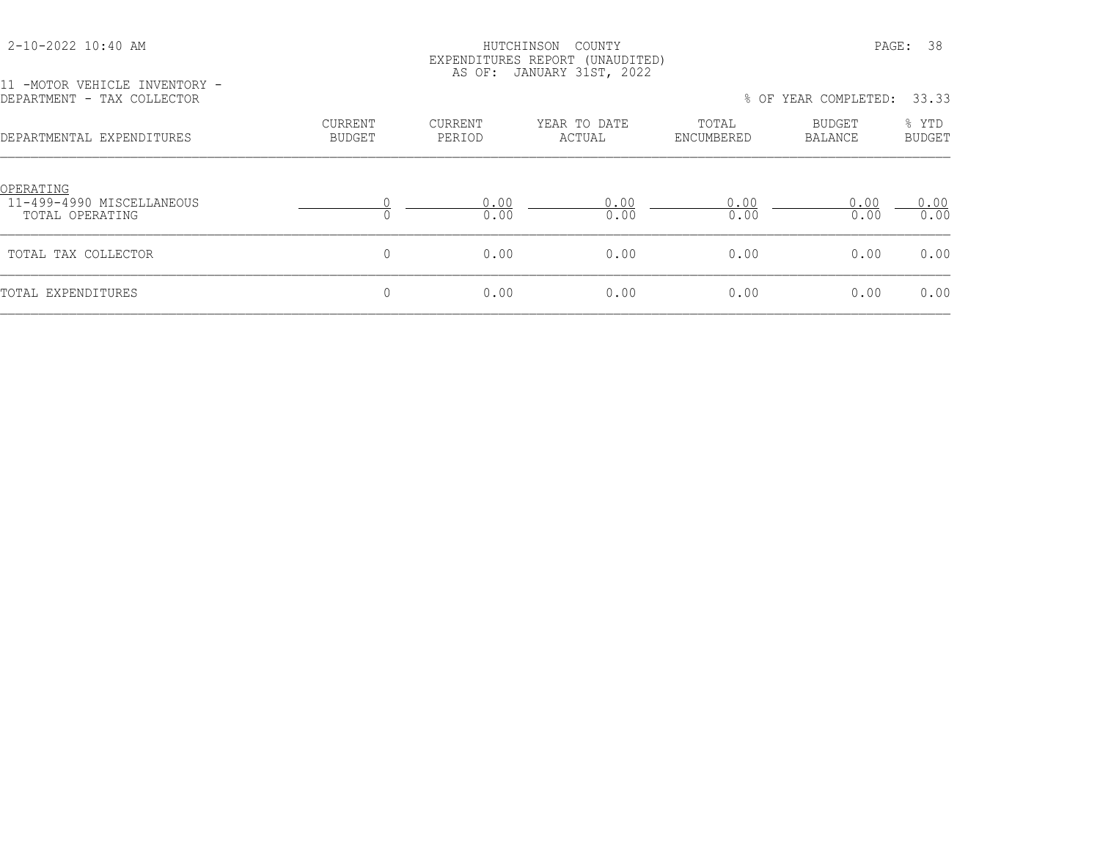## HUTCHINSON COUNTY PAGE: 38 EXPENDITURES REPORT (UNAUDITED) AS OF: JANUARY 31ST, 2022

11 -MOTOR VEHICLE INVENTORY -<br>DEPARTMENT - TAX COLLECTOR

% OF YEAR COMPLETED: 33.33

| <b>CURRENT</b><br><b>BUDGET</b> | <b>CURRENT</b><br>PERIOD | YEAR TO DATE<br>ACTUAL | TOTAL<br>ENCUMBERED | <b>BUDGET</b><br>BALANCE | % YTD<br><b>BUDGET</b> |
|---------------------------------|--------------------------|------------------------|---------------------|--------------------------|------------------------|
|                                 | 0.00<br>0.00             | 0.00<br>0.00           | 0.00<br>0.00        | 0.00<br>0.00             | 0.00<br>0.00           |
| $\Omega$                        | 0.00                     | 0.00                   | 0.00                | 0.00                     | 0.00                   |
| 0                               | 0.00                     | 0.00                   | 0.00                | 0.00                     | 0.00                   |
|                                 |                          |                        |                     |                          |                        |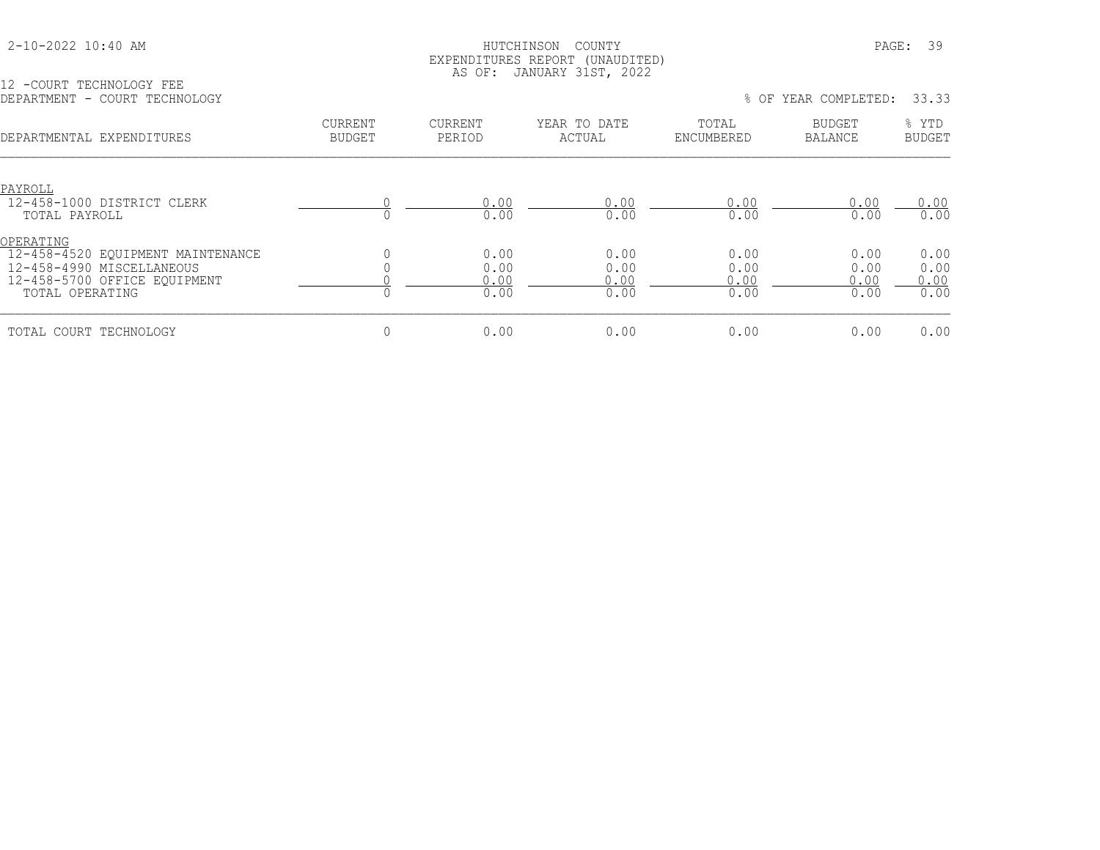12 -COURT TECHNOLOGY FEE

## HUTCHINSON COUNTY PAGE: 39 EXPENDITURES REPORT (UNAUDITED) AS OF: JANUARY 31ST, 2022

| DEPARTMENT -<br>COURT TECHNOLOGY                                                                                               |                                 |                              |                              | % OF                         | YEAR COMPLETED:                 | 33.33                        |
|--------------------------------------------------------------------------------------------------------------------------------|---------------------------------|------------------------------|------------------------------|------------------------------|---------------------------------|------------------------------|
| DEPARTMENTAL EXPENDITURES                                                                                                      | <b>CURRENT</b><br><b>BUDGET</b> | <b>CURRENT</b><br>PERIOD     | YEAR TO DATE<br>ACTUAL       | TOTAL<br>ENCUMBERED          | <b>BUDGET</b><br><b>BALANCE</b> | % YTD<br><b>BUDGET</b>       |
| PAYROLL<br>12-458-1000 DISTRICT CLERK<br>TOTAL PAYROLL                                                                         |                                 | 0.00<br>0.00                 | 0.00<br>0.00                 | 0.00<br>0.00                 | 0.00<br>0.00                    | 0.00<br>0.00                 |
| OPERATING<br>12-458-4520 EQUIPMENT MAINTENANCE<br>12-458-4990 MISCELLANEOUS<br>12-458-5700 OFFICE EOUIPMENT<br>TOTAL OPERATING |                                 | 0.00<br>0.00<br>0.00<br>0.00 | 0.00<br>0.00<br>0.00<br>0.00 | 0.00<br>0.00<br>0.00<br>0.00 | 0.00<br>0.00<br>0.00<br>0.00    | 0.00<br>0.00<br>0.00<br>0.00 |
| TOTAL COURT TECHNOLOGY                                                                                                         | 0                               | 0.00                         | 0.00                         | 0.00                         | 0.00                            | 0.00                         |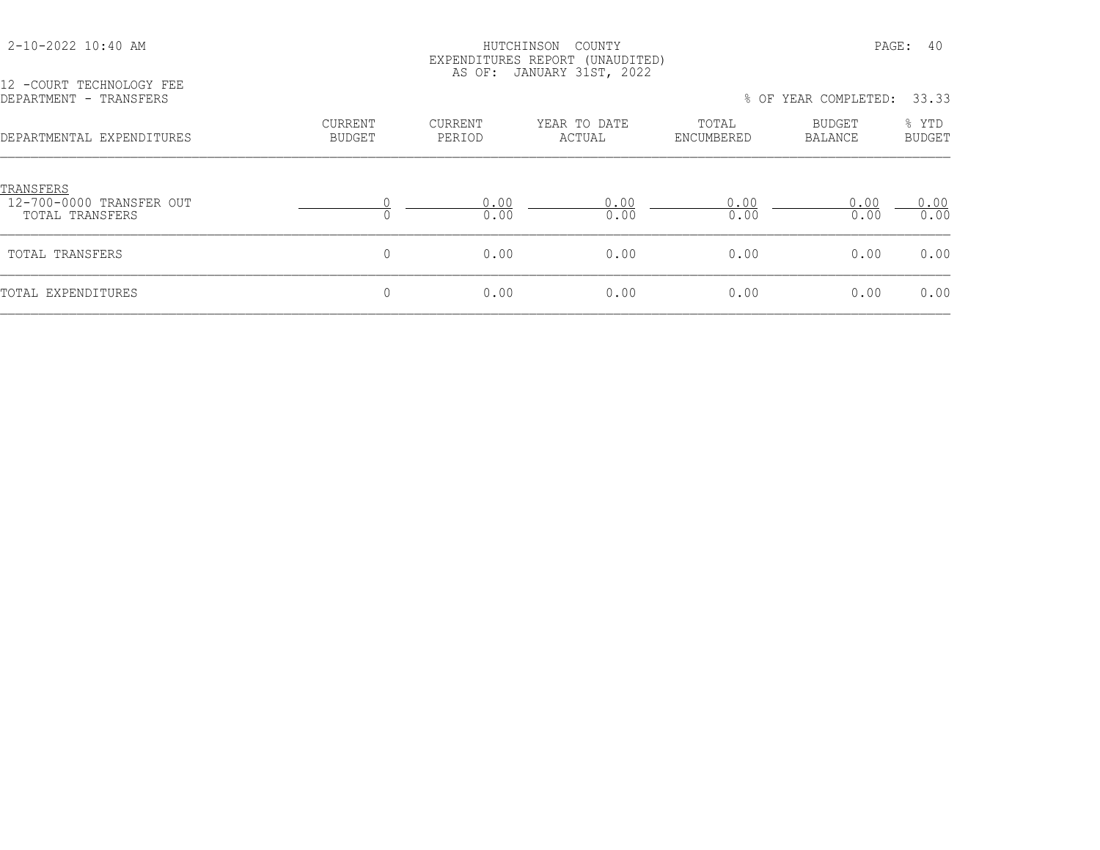## HUTCHINSON COUNTY PAGE: 40 EXPENDITURES REPORT (UNAUDITED) AS OF: JANUARY 31ST, 2022

| 12 -COURT TECHNOLOGY FEE<br>DEPARTMENT - TRANSFERS       | 33.33<br>% OF YEAR COMPLETED:   |                          |                        |                     |                          |                        |  |  |
|----------------------------------------------------------|---------------------------------|--------------------------|------------------------|---------------------|--------------------------|------------------------|--|--|
| DEPARTMENTAL EXPENDITURES                                | <b>CURRENT</b><br><b>BUDGET</b> | <b>CURRENT</b><br>PERIOD | YEAR TO DATE<br>ACTUAL | TOTAL<br>ENCUMBERED | BUDGET<br><b>BALANCE</b> | % YTD<br><b>BUDGET</b> |  |  |
| TRANSFERS<br>12-700-0000 TRANSFER OUT<br>TOTAL TRANSFERS |                                 | 0.00<br>0.00             | 0.00<br>0.00           | 0.00<br>0.00        | 0.00<br>0.00             | 0.00<br>0.00           |  |  |
| TOTAL TRANSFERS                                          | 0                               | 0.00                     | 0.00                   | 0.00                | 0.00                     | 0.00                   |  |  |
| TOTAL EXPENDITURES                                       | $\mathbf 0$                     | 0.00                     | 0.00                   | 0.00                | 0.00                     | 0.00                   |  |  |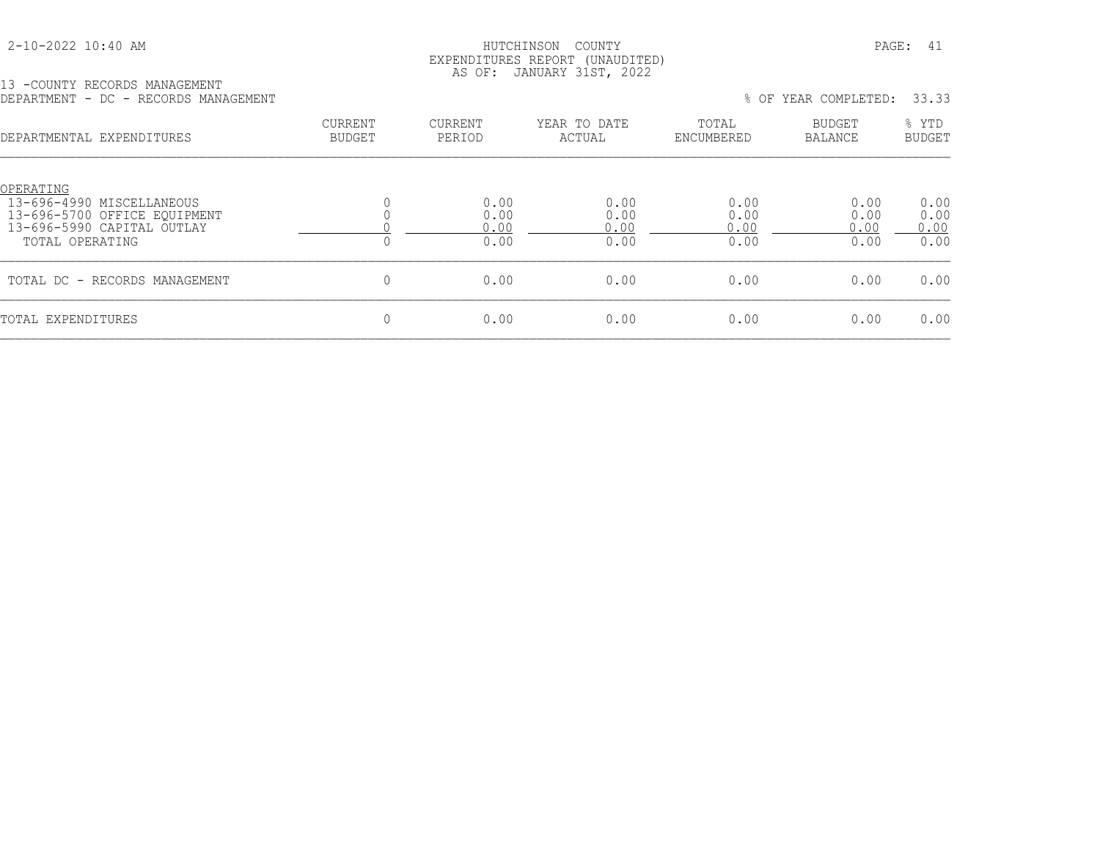## HUTCHINSON COUNTY PAGE: 41 EXPENDITURES REPORT (UNAUDITED) AS OF: JANUARY 31ST, 2022

13 -COUNTY RECORDS MANAGEMENT

| COONII INDOONDO IMMNODIIDINI<br>DEPARTMENT - DC - RECORDS MANAGEMENT                                                    |                                 |                              |                              | $8$ OF                       | YEAR COMPLETED:              | 33.33                        |  |  |
|-------------------------------------------------------------------------------------------------------------------------|---------------------------------|------------------------------|------------------------------|------------------------------|------------------------------|------------------------------|--|--|
| DEPARTMENTAL EXPENDITURES                                                                                               | <b>CURRENT</b><br><b>BUDGET</b> | <b>CURRENT</b><br>PERIOD     | YEAR TO DATE<br>ACTUAL       | TOTAL<br>ENCUMBERED          | BUDGET<br>BALANCE            | % YTD<br><b>BUDGET</b>       |  |  |
| OPERATING<br>13-696-4990 MISCELLANEOUS<br>13-696-5700 OFFICE EQUIPMENT<br>13-696-5990 CAPITAL OUTLAY<br>TOTAL OPERATING | $\Omega$                        | 0.00<br>0.00<br>0.00<br>0.00 | 0.00<br>0.00<br>0.00<br>0.00 | 0.00<br>0.00<br>0.00<br>0.00 | 0.00<br>0.00<br>0.00<br>0.00 | 0.00<br>0.00<br>0.00<br>0.00 |  |  |
| TOTAL DC - RECORDS MANAGEMENT                                                                                           | 0                               | 0.00                         | 0.00                         | 0.00                         | 0.00                         | 0.00                         |  |  |
| TOTAL EXPENDITURES                                                                                                      | 0                               | 0.00                         | 0.00                         | 0.00                         | 0.00                         | 0.00                         |  |  |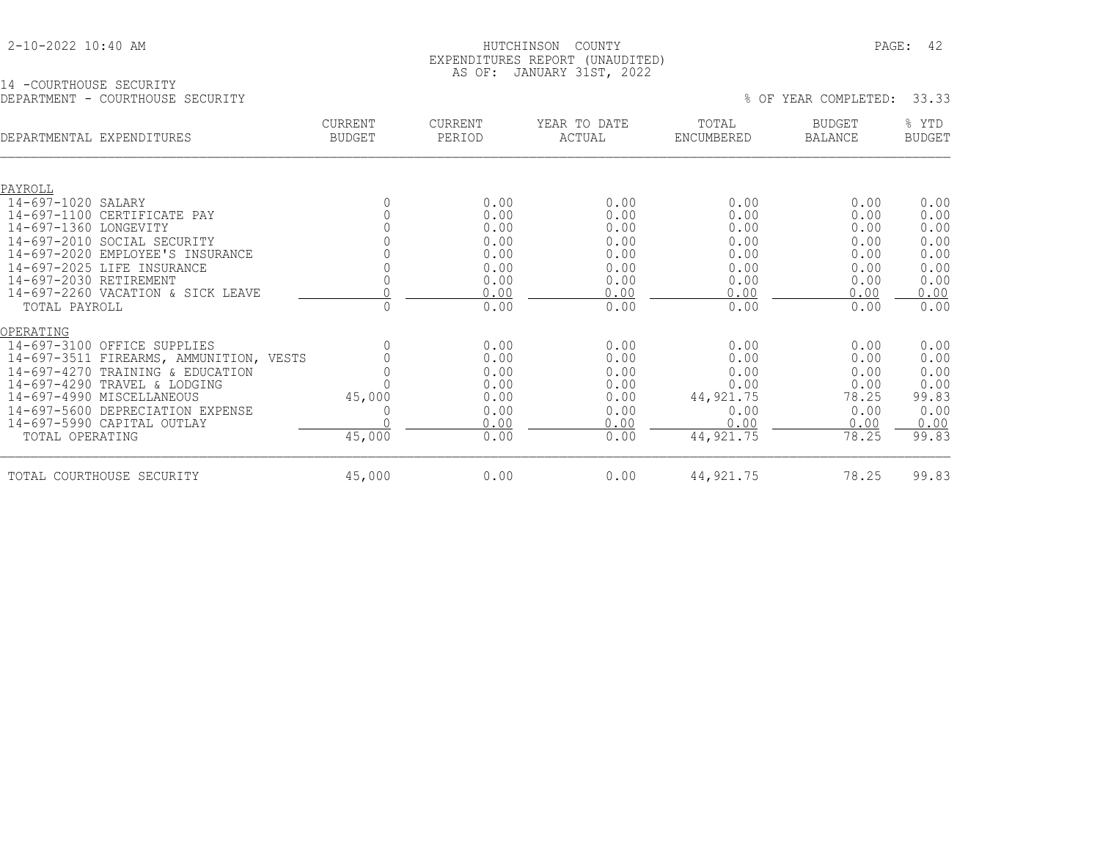## HUTCHINSON COUNTY PAGE: 42 EXPENDITURES REPORT (UNAUDITED) AS OF: JANUARY 31ST, 2022

## 14 -COURTHOUSE SECURITY DEPARTMENT - COURTHOUSE SECURITY % OF YEAR COMPLETED: 33.33

| DEPARTMENTAL EXPENDITURES |                                         | <b>CURRENT</b><br><b>BUDGET</b> | <b>CURRENT</b><br>PERIOD | YEAR TO DATE<br>ACTUAL | TOTAL<br>ENCUMBERED | <b>BUDGET</b><br>BALANCE | % YTD<br><b>BUDGET</b> |
|---------------------------|-----------------------------------------|---------------------------------|--------------------------|------------------------|---------------------|--------------------------|------------------------|
|                           |                                         |                                 |                          |                        |                     |                          |                        |
| PAYROLL                   |                                         |                                 |                          |                        |                     |                          |                        |
| 14-697-1020 SALARY        |                                         |                                 | 0.00                     | 0.00                   | 0.00                | 0.00                     | 0.00                   |
|                           | 14-697-1100 CERTIFICATE PAY             |                                 | 0.00                     | 0.00                   | 0.00                | 0.00                     | 0.00                   |
| 14-697-1360 LONGEVITY     |                                         |                                 | 0.00                     | 0.00                   | 0.00                | 0.00                     | 0.00                   |
|                           | 14-697-2010 SOCIAL SECURITY             |                                 | 0.00                     | 0.00                   | 0.00                | 0.00                     | 0.00                   |
|                           | 14-697-2020 EMPLOYEE'S INSURANCE        |                                 | 0.00                     | 0.00                   | 0.00                | 0.00                     | 0.00                   |
|                           | 14-697-2025 LIFE INSURANCE              |                                 | 0.00                     | 0.00                   | 0.00                | 0.00                     | 0.00                   |
| 14-697-2030 RETIREMENT    |                                         |                                 | 0.00                     | 0.00                   | 0.00                | 0.00                     | 0.00                   |
|                           | 14-697-2260 VACATION & SICK LEAVE       |                                 | 0.00                     | 0.00                   | 0.00                | 0.00                     | 0.00                   |
| TOTAL PAYROLL             |                                         | 0                               | 0.00                     | 0.00                   | 0.00                | 0.00                     | 0.00                   |
| OPERATING                 |                                         |                                 |                          |                        |                     |                          |                        |
|                           | 14-697-3100 OFFICE SUPPLIES             |                                 | 0.00                     | 0.00                   | 0.00                | 0.00                     | 0.00                   |
|                           | 14-697-3511 FIREARMS, AMMUNITION, VESTS |                                 | 0.00                     | 0.00                   | 0.00                | 0.00                     | 0.00                   |
|                           | 14-697-4270 TRAINING & EDUCATION        |                                 | 0.00                     | 0.00                   | 0.00                | 0.00                     | 0.00                   |
|                           | 14-697-4290 TRAVEL & LODGING            |                                 | 0.00                     | 0.00                   | 0.00                | 0.00                     | 0.00                   |
|                           | 14-697-4990 MISCELLANEOUS               | 45,000                          | 0.00                     | 0.00                   | 44, 921. 75         | 78.25                    | 99.83                  |
|                           | 14-697-5600 DEPRECIATION EXPENSE        |                                 | 0.00                     | 0.00                   | 0.00                | 0.00                     | 0.00                   |
|                           | 14-697-5990 CAPITAL OUTLAY              |                                 | 0.00                     | 0.00                   | 0.00                | 0.00                     | 0.00                   |
| TOTAL OPERATING           |                                         | 45,000                          | 0.00                     | 0.00                   | 44, 921.75          | 78.25                    | 99.83                  |
|                           | TOTAL COURTHOUSE SECURITY               | 45,000                          | 0.00                     | 0.00                   | 44, 921.75          | 78.25                    | 99.83                  |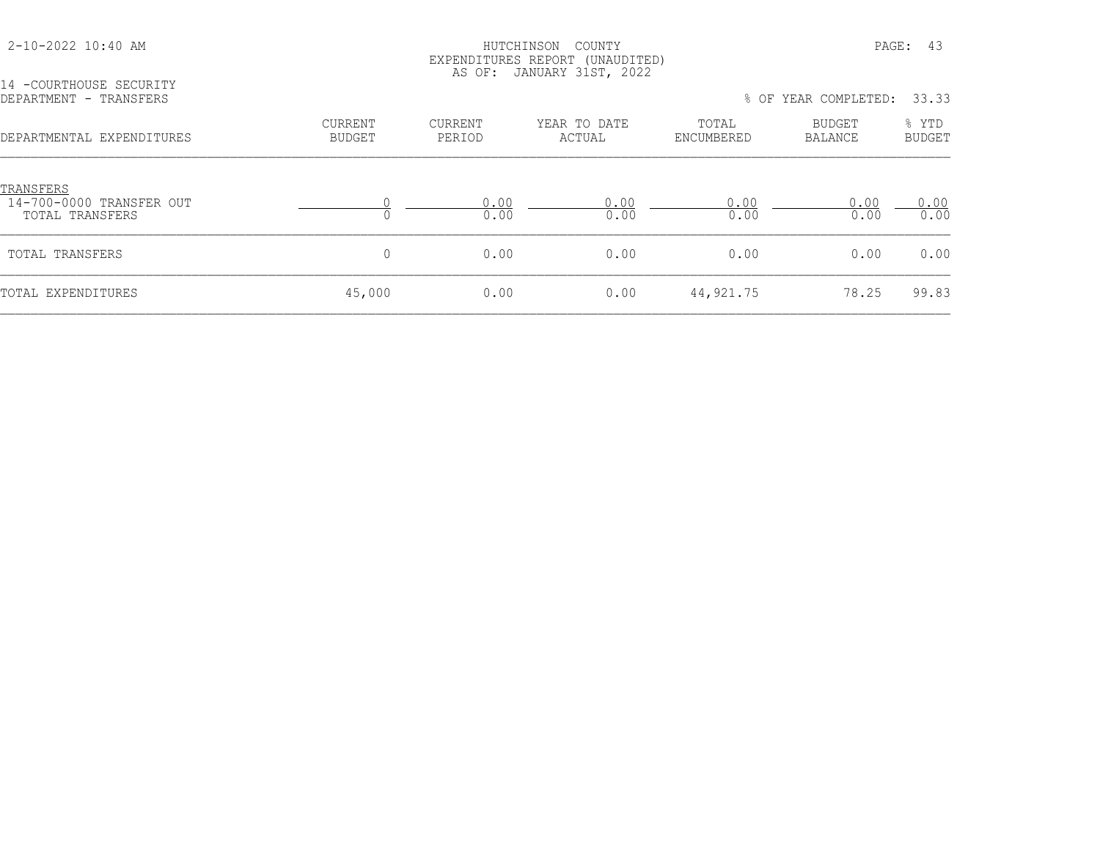| 2-10-2022 10:40 AM                                       | PAGE: 43<br>HUTCHINSON<br>COUNTY<br>EXPENDITURES REPORT (UNAUDITED)<br>AS OF: JANUARY 31ST, 2022 |                   |                        |                     |                          |                        |
|----------------------------------------------------------|--------------------------------------------------------------------------------------------------|-------------------|------------------------|---------------------|--------------------------|------------------------|
| 14 - COURTHOUSE SECURITY<br>DEPARTMENT - TRANSFERS       |                                                                                                  |                   |                        |                     | % OF YEAR COMPLETED:     | 33.33                  |
| DEPARTMENTAL EXPENDITURES                                | <b>CURRENT</b><br><b>BUDGET</b>                                                                  | CURRENT<br>PERIOD | YEAR TO DATE<br>ACTUAL | TOTAL<br>ENCUMBERED | <b>BUDGET</b><br>BALANCE | % YTD<br><b>BUDGET</b> |
| TRANSFERS<br>14-700-0000 TRANSFER OUT<br>TOTAL TRANSFERS |                                                                                                  | 0.00<br>0.00      | 0.00<br>0.00           | 0.00<br>0.00        | 0.00<br>0.00             | 0.00<br>0.00           |
| TOTAL TRANSFERS                                          | 0                                                                                                | 0.00              | 0.00                   | 0.00                | 0.00                     | 0.00                   |
| TOTAL EXPENDITURES                                       | 45,000                                                                                           | 0.00              | 0.00                   | 44, 921.75          | 78.25                    | 99.83                  |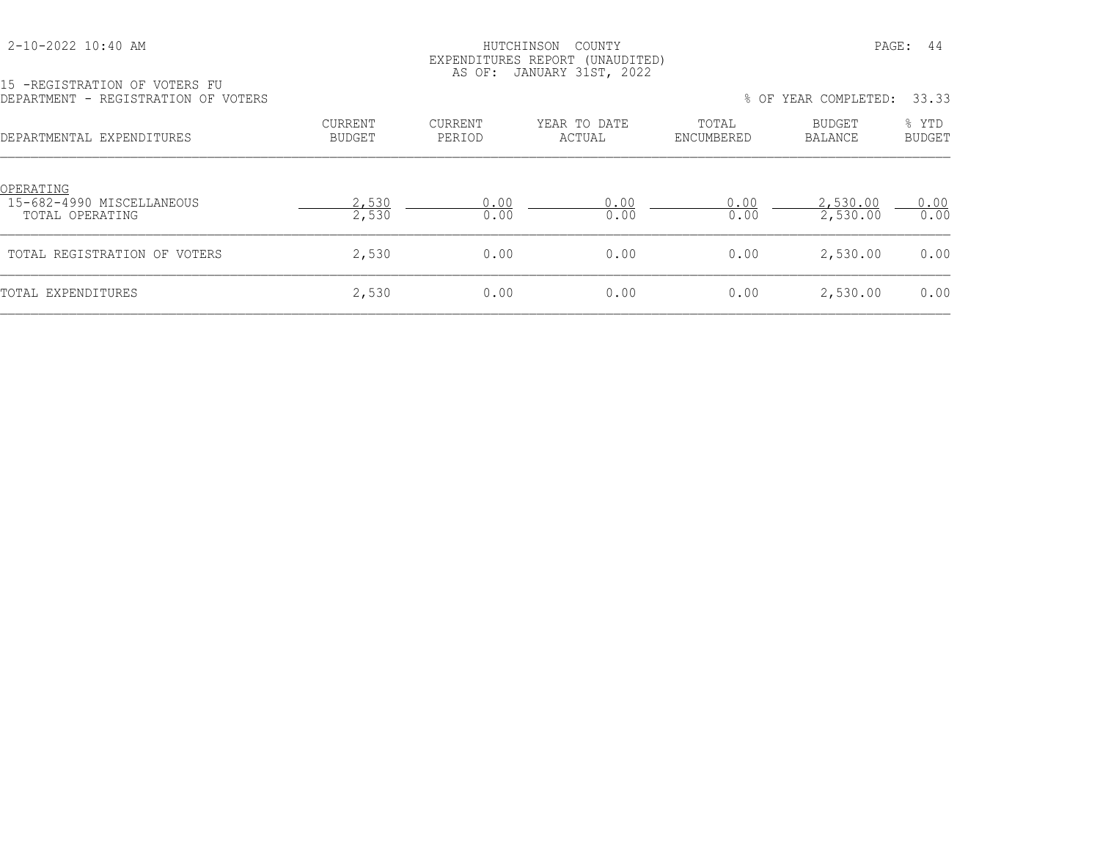| 2-10-2022 10:40 AM |  |  |
|--------------------|--|--|
|--------------------|--|--|

# HUTCHINSON COUNTY PAGE: 44 EXPENDITURES REPORT (UNAUDITED)

|                                     | AS OF: JANUARY 31ST, 2022 |  |
|-------------------------------------|---------------------------|--|
| 15 -REGISTRATION OF VOTERS FU       |                           |  |
| DEPARTMENT - REGISTRATION OF VOTERS |                           |  |

| DEPARTMENT - REGISTRATION OF VOTERS                       |                   |                   |                        |                     | % OF YEAR COMPLETED: 33.33 |                 |
|-----------------------------------------------------------|-------------------|-------------------|------------------------|---------------------|----------------------------|-----------------|
| DEPARTMENTAL EXPENDITURES                                 | CURRENT<br>BUDGET | CURRENT<br>PERIOD | YEAR TO DATE<br>ACTUAL | TOTAL<br>ENCUMBERED | BUDGET<br>BALANCE          | % YTD<br>BUDGET |
| OPERATING<br>15-682-4990 MISCELLANEOUS<br>TOTAL OPERATING | 2,530<br>2,530    | 0.00<br>0.00      | 0.00<br>0.00           | 0.00<br>0.00        | 2,530.00<br>2,530.00       | 0.00<br>0.00    |
| TOTAL REGISTRATION OF VOTERS                              | 2,530             | 0.00              | 0.00                   | 0.00                | 2,530.00                   | 0.00            |
| TOTAL EXPENDITURES                                        | 2,530             | 0.00              | 0.00                   | 0.00                | 2,530.00                   | 0.00            |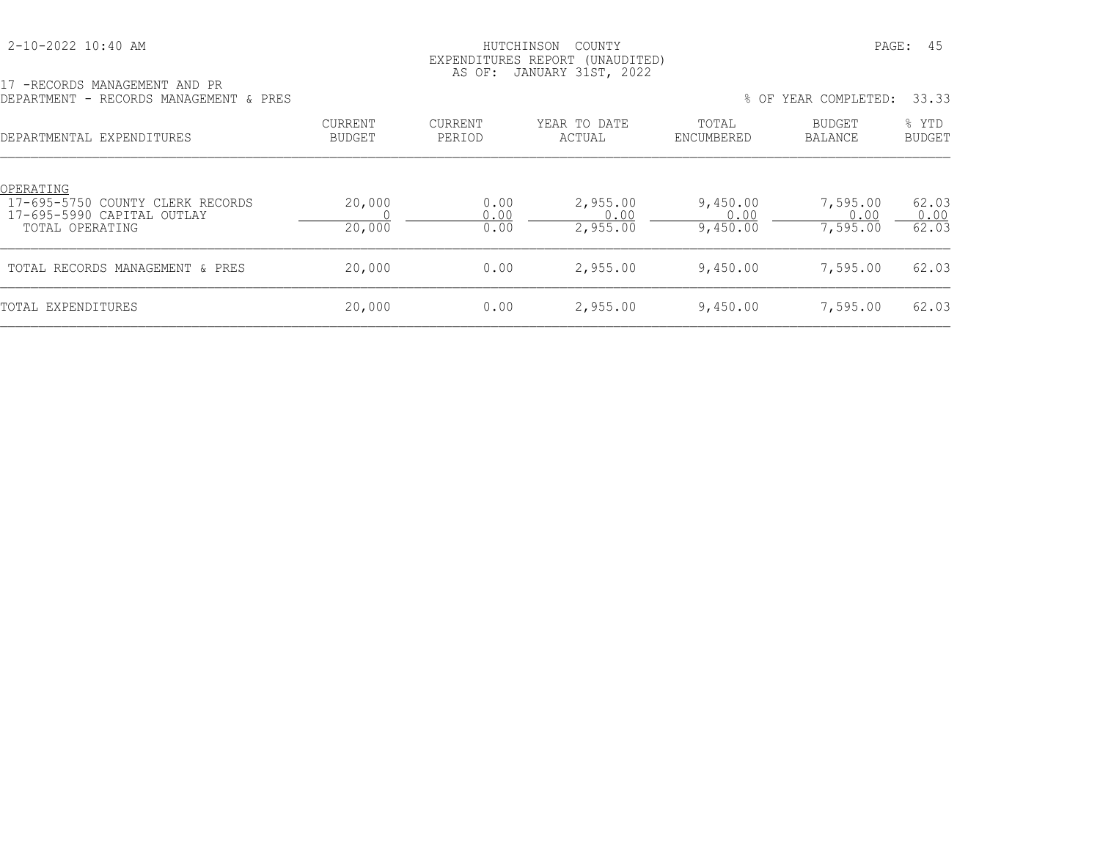## 2-10-2022 10:40 AM HUTCHINSON COUNTY PAGE: 45 EXPENDITURES REPORT (UNAUDITED) AS OF: JANUARY 31ST, 2022

|  | 17 - RECORDS MANAGEMENT AND PR         |  |  |  |
|--|----------------------------------------|--|--|--|
|  | DEPARTMENT - RECORDS MANAGEMENT & PRES |  |  |  |

| 17 -RECORDS MANAGEMENT AND PR<br>DEPARTMENT - RECORDS MANAGEMENT & PRES                        |                                 |                      |                              | $8$ OF                       | YEAR COMPLETED:              | 33.33                  |
|------------------------------------------------------------------------------------------------|---------------------------------|----------------------|------------------------------|------------------------------|------------------------------|------------------------|
| DEPARTMENTAL EXPENDITURES                                                                      | <b>CURRENT</b><br><b>BUDGET</b> | CURRENT<br>PERIOD    | YEAR TO DATE<br>ACTUAL       | TOTAL<br>ENCUMBERED          | BUDGET<br><b>BALANCE</b>     | % YTD<br><b>BUDGET</b> |
| OPERATING<br>17-695-5750 COUNTY CLERK RECORDS<br>17-695-5990 CAPITAL OUTLAY<br>TOTAL OPERATING | 20,000<br>20,000                | 0.00<br>0.00<br>0.00 | 2,955.00<br>0.00<br>2,955.00 | 9,450.00<br>0.00<br>9,450.00 | 7,595.00<br>0.00<br>7,595.00 | 62.03<br>0.00<br>62.03 |
| TOTAL RECORDS MANAGEMENT & PRES                                                                | 20,000                          | 0.00                 | 2,955.00                     | 9,450.00                     | 7,595.00                     | 62.03                  |
| TOTAL EXPENDITURES                                                                             | 20,000                          | 0.00                 | 2,955.00                     | 9,450.00                     | 7,595.00                     | 62.03                  |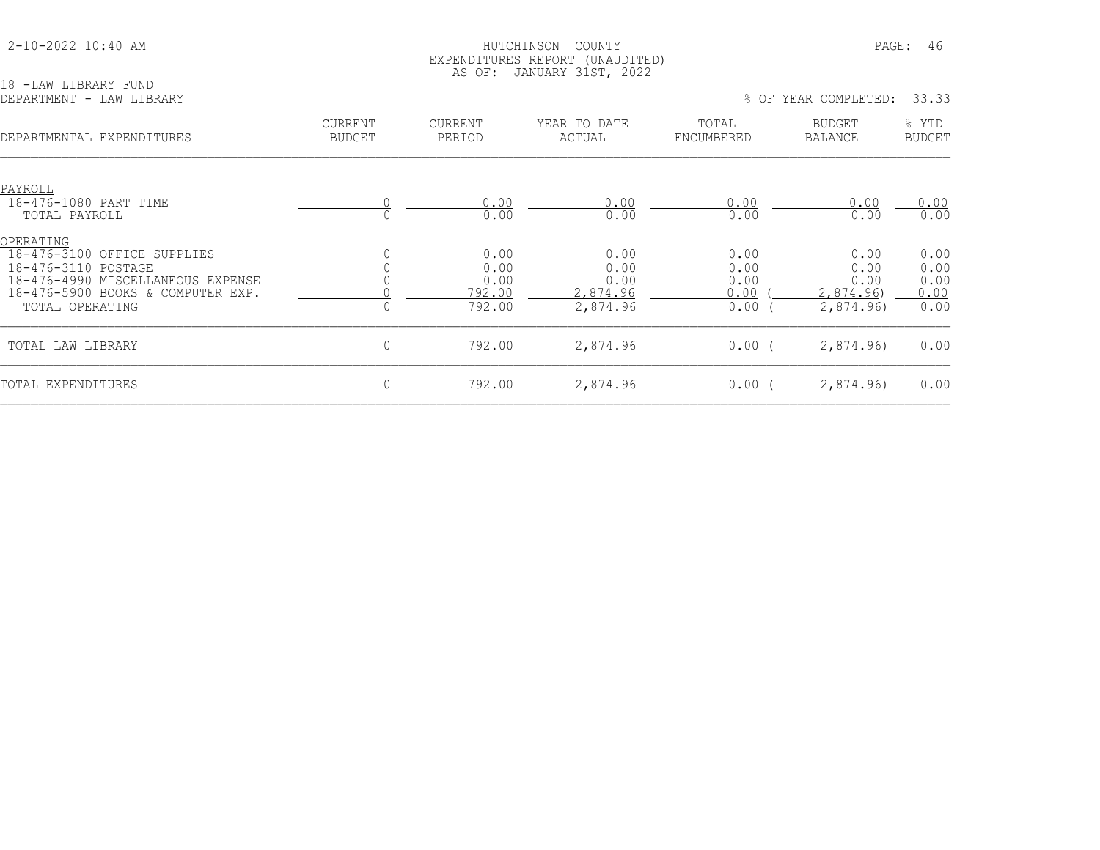18 -LAW LIBRARY FUND

#### 2-10-2022 10:40 AM HUTCHINSON COUNTY PAGE: 46 EXPENDITURES REPORT (UNAUDITED) AS OF: JANUARY 31ST, 2022

DEPARTMENT - LAW LIBRARY % OF YEAR COMPLETED: 33.33 CURRENT CURRENT YEAR TO DATE TOTAL BUDGET % YTD DEPARTMENTAL EXPENDITURES BUDGET PERIOD ACTUAL ENCUMBERED BALANCE BUDGET PAYROLL 18-476-1080 PART TIME 0 0.00 0.00 0.00 0.00 0.00 TOTAL PAYROLL 0 0.00 0.00 0.00 0.00 0.00 OPERATING 18-476-3100 OFFICE SUPPLIES 0 0.00 0.00 0.00 0.00 0.00 18-476-3110 POSTAGE 0 0.00 0.00 0.00 0.00 0.00 18-476-4990 MISCELLANEOUS EXPENSE 0 0.00 0.00 0.00 0.00 0.00 18-476-5900 BOOKS & COMPUTER EXP.  $\begin{array}{cccc} 0 & \underline{\hspace{1cm}} & 792.00 & \underline{\hspace{1cm}} & 2.874.96 & \underline{\hspace{1cm}} & 0.00 & (\underline{\hspace{1cm}} & 2.874.96) & \underline{\hspace{1cm}} & 0.00 \\ 0 & 0 & 792.00 & \underline{\hspace{1cm}} & 2.874.96 & \underline{\hspace{1cm}} & 0.00 & (\underline{\hspace{1cm}} & 2.874.96) & 0.00 \\ 0 & 0 & 0 &$ TOTAL OPERATING TOTAL LAW LIBRARY 0 792.00 2,874.96 0.00 ( 2,874.96) 0.00 TOTAL EXPENDITURES 0 792.00 2,874.96 0.00 ( 2,874.96) 0.00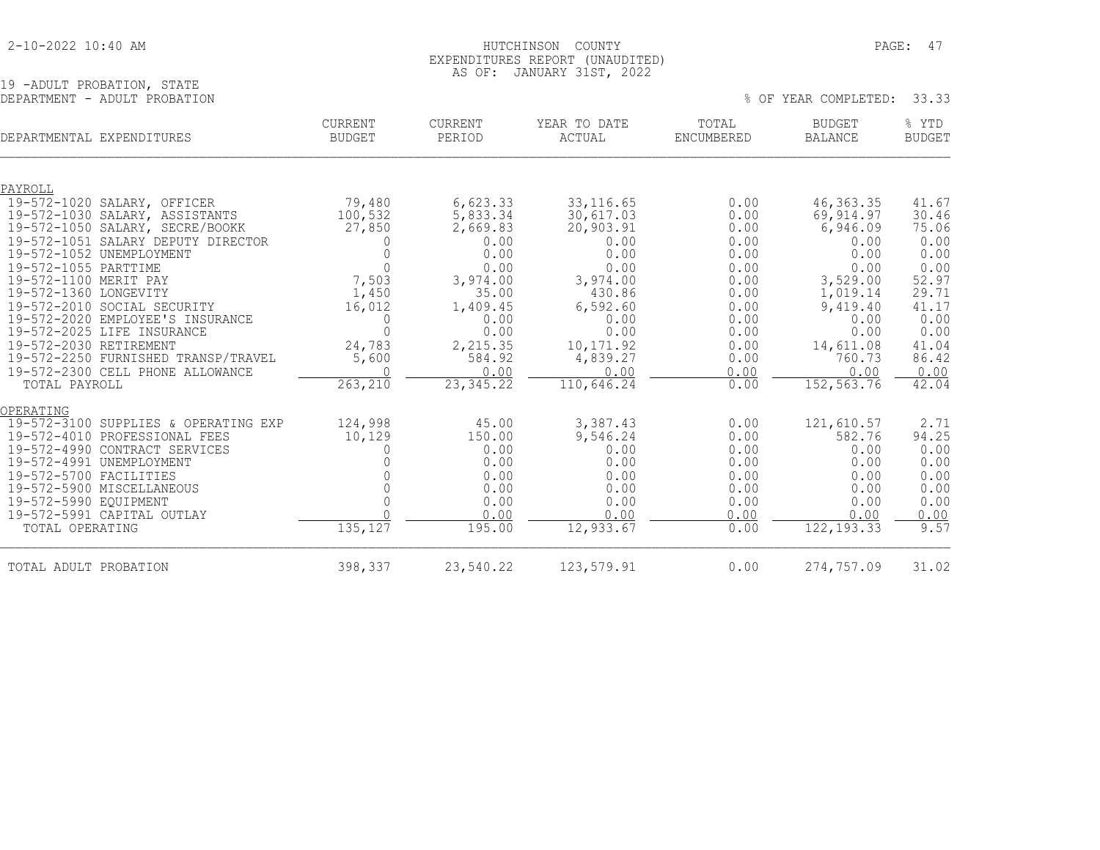| 2-10-2022 10:40 AM |  |  |
|--------------------|--|--|
|--------------------|--|--|

## HUTCHINSON COUNTY PAGE: 47 EXPENDITURES REPORT (UNAUDITED) AS OF: JANUARY 31ST, 2022

% OF YEAR COMPLETED: 33.33

19 -ADULT PROBATION, STATE<br>DEPARTMENT - ADULT PROBATION

| DEPARTMENTAL EXPENDITURES                                                                                                                   |                                                                                                                                                                                                                                                         | <b>CURRENT</b><br><b>BUDGET</b>                                                                                           | <b>CURRENT</b><br>PERIOD                                                                                              | YEAR TO DATE<br>ACTUAL                                                                                                      | TOTAL<br><b>ENCUMBERED</b>                                                                   | <b>BUDGET</b><br><b>BALANCE</b>                                                                                                | % YTD<br><b>BUDGET</b>                                                                              |
|---------------------------------------------------------------------------------------------------------------------------------------------|---------------------------------------------------------------------------------------------------------------------------------------------------------------------------------------------------------------------------------------------------------|---------------------------------------------------------------------------------------------------------------------------|-----------------------------------------------------------------------------------------------------------------------|-----------------------------------------------------------------------------------------------------------------------------|----------------------------------------------------------------------------------------------|--------------------------------------------------------------------------------------------------------------------------------|-----------------------------------------------------------------------------------------------------|
|                                                                                                                                             |                                                                                                                                                                                                                                                         |                                                                                                                           |                                                                                                                       |                                                                                                                             |                                                                                              |                                                                                                                                |                                                                                                     |
| PAYROLL                                                                                                                                     |                                                                                                                                                                                                                                                         |                                                                                                                           |                                                                                                                       |                                                                                                                             |                                                                                              |                                                                                                                                |                                                                                                     |
| 19-572-1020<br>19-572-1055 PARTTIME<br>19-572-1100 MERIT PAY<br>19-572-1360 LONGEVITY<br>19-572-2030 RETIREMENT                             | SALARY, OFFICER<br>19-572-1030 SALARY, ASSISTANTS<br>19-572-1050 SALARY, SECRE/BOOKK<br>19-572-1051 SALARY DEPUTY DIRECTOR<br>19-572-1052 UNEMPLOYMENT<br>19-572-2010 SOCIAL SECURITY<br>19-572-2020 EMPLOYEE'S INSURANCE<br>19-572-2025 LIFE INSURANCE | 79,480<br>100,532<br>27,850<br>$\Omega$<br>$\mathbf 0$<br>$\Omega$<br>7,503<br>1,450<br>16,012<br>0<br>$\Omega$<br>24,783 | 6,623.33<br>5,833.34<br>2,669.83<br>0.00<br>0.00<br>0.00<br>3,974.00<br>35.00<br>1,409.45<br>0.00<br>0.00<br>2,215.35 | 33, 116.65<br>30,617.03<br>20,903.91<br>0.00<br>0.00<br>0.00<br>3,974.00<br>430.86<br>6,592.60<br>0.00<br>0.00<br>10,171.92 | 0.00<br>0.00<br>0.00<br>0.00<br>0.00<br>0.00<br>0.00<br>0.00<br>0.00<br>0.00<br>0.00<br>0.00 | 46, 363. 35<br>69, 914.97<br>6,946.09<br>0.00<br>0.00<br>0.00<br>3,529.00<br>1,019.14<br>9,419.40<br>0.00<br>0.00<br>14,611.08 | 41.67<br>30.46<br>75.06<br>0.00<br>0.00<br>0.00<br>52.97<br>29.71<br>41.17<br>0.00<br>0.00<br>41.04 |
|                                                                                                                                             | 19-572-2250 FURNISHED TRANSP/TRAVEL                                                                                                                                                                                                                     | 5,600                                                                                                                     | 584.92                                                                                                                | 4,839.27                                                                                                                    | 0.00                                                                                         | 760.73                                                                                                                         | 86.42                                                                                               |
|                                                                                                                                             | 19-572-2300 CELL PHONE ALLOWANCE                                                                                                                                                                                                                        | $\bigcap$                                                                                                                 | 0.00                                                                                                                  | 0.00                                                                                                                        | 0.00                                                                                         | 0.00                                                                                                                           | 0.00                                                                                                |
| TOTAL PAYROLL                                                                                                                               |                                                                                                                                                                                                                                                         | 263, 210                                                                                                                  | 23, 345.22                                                                                                            | 110,646.24                                                                                                                  | 0.00                                                                                         | 152, 563.76                                                                                                                    | 42.04                                                                                               |
| OPERATING<br>19-572-3100<br>19-572-4010<br>19-572-4990<br>19-572-4991<br>19-572-5700 FACILITIES<br>19-572-5990 EQUIPMENT<br>TOTAL OPERATING | SUPPLIES & OPERATING EXP<br>PROFESSIONAL FEES<br>CONTRACT SERVICES<br>UNEMPLOYMENT<br>19-572-5900 MISCELLANEOUS<br>19-572-5991 CAPITAL OUTLAY                                                                                                           | 124,998<br>10,129<br>0<br>$\Omega$<br>$\cap$<br>135, 127                                                                  | 45.00<br>150.00<br>0.00<br>0.00<br>0.00<br>0.00<br>0.00<br>0.00<br>195.00                                             | 3,387.43<br>9,546.24<br>0.00<br>0.00<br>0.00<br>0.00<br>0.00<br>0.00<br>12,933.67                                           | 0.00<br>0.00<br>0.00<br>0.00<br>0.00<br>0.00<br>0.00<br>0.00<br>0.00                         | 121,610.57<br>582.76<br>0.00<br>0.00<br>0.00<br>0.00<br>0.00<br>0.00<br>122, 193.33                                            | 2.71<br>94.25<br>0.00<br>0.00<br>0.00<br>0.00<br>0.00<br>0.00<br>9.57                               |
| TOTAL ADULT PROBATION                                                                                                                       |                                                                                                                                                                                                                                                         | 398,337                                                                                                                   | 23,540.22                                                                                                             | 123,579.91                                                                                                                  | 0.00                                                                                         | 274,757.09                                                                                                                     | 31.02                                                                                               |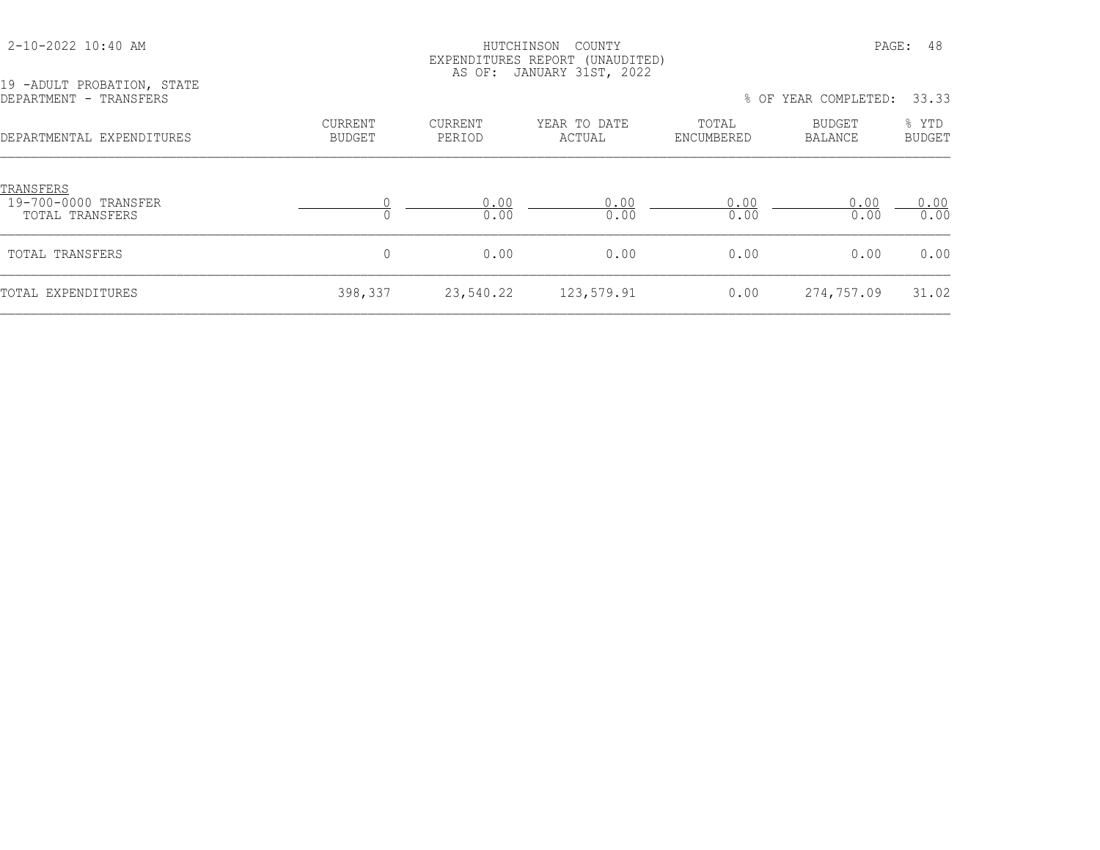| $2 - 10 - 2022$ 10:40 AM                             |                   | HUTCHINSON<br>AS OF: | COUNTY<br>EXPENDITURES REPORT (UNAUDITED)<br>JANUARY 31ST, 2022 |                     |                          | PAGE: 48               |
|------------------------------------------------------|-------------------|----------------------|-----------------------------------------------------------------|---------------------|--------------------------|------------------------|
| 19 -ADULT PROBATION, STATE<br>DEPARTMENT - TRANSFERS |                   |                      |                                                                 |                     | % OF YEAR COMPLETED:     | 33.33                  |
| DEPARTMENTAL EXPENDITURES                            | CURRENT<br>BUDGET | CURRENT<br>PERIOD    | YEAR TO DATE<br>ACTUAL                                          | TOTAL<br>ENCUMBERED | <b>BUDGET</b><br>BALANCE | % YTD<br><b>BUDGET</b> |
| TRANSFERS<br>19-700-0000 TRANSFER<br>TOTAL TRANSFERS |                   | 0.00<br>0.00         | 0.00<br>0.00                                                    | 0.00<br>0.00        | 0.00<br>0.00             | 0.00<br>0.00           |
| TOTAL TRANSFERS                                      | $\circ$           | 0.00                 | 0.00                                                            | 0.00                | 0.00                     | 0.00                   |
| TOTAL EXPENDITURES                                   | 398,337           | 23,540.22            | 123,579.91                                                      | 0.00                | 274,757.09               | 31.02                  |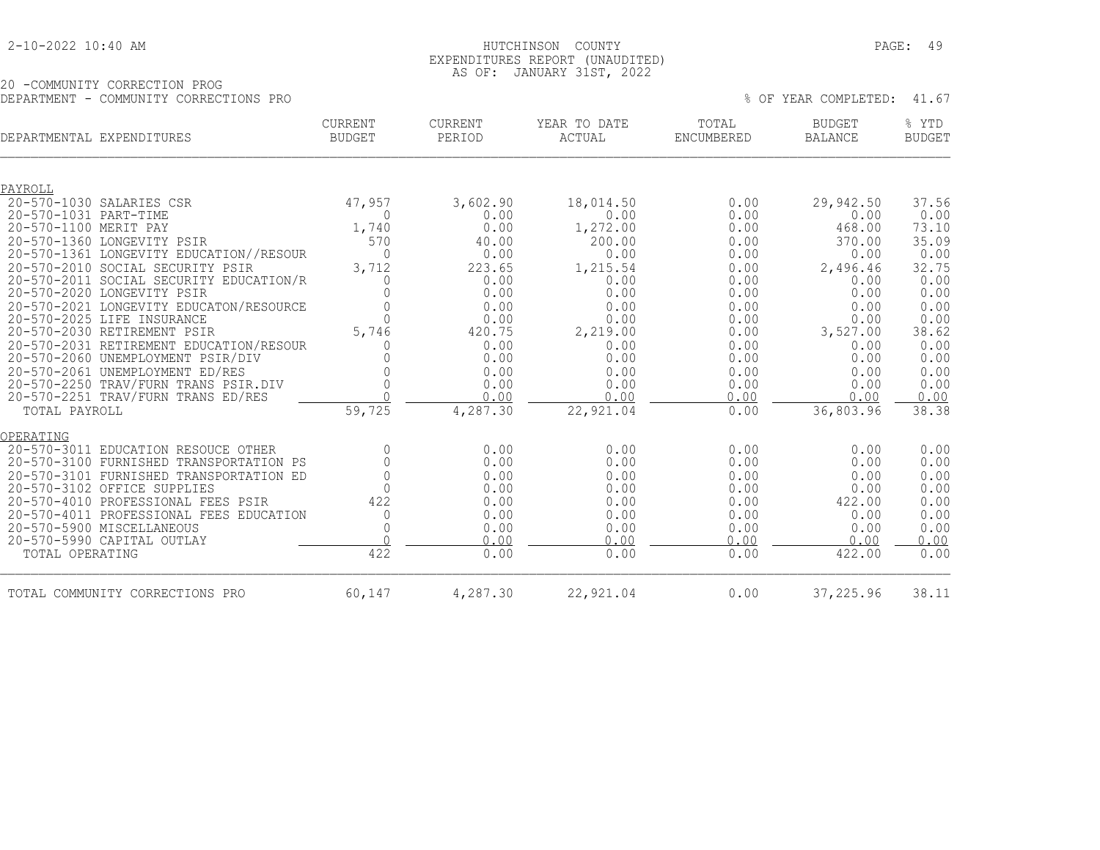| 2-10-2022 10:40 AM |  |  |  |
|--------------------|--|--|--|
|--------------------|--|--|--|

## HUTCHINSON COUNTY PAGE: 49 EXPENDITURES REPORT (UNAUDITED) AS OF: JANUARY 31ST, 2022

20 -COMMUNITY CORRECTION PROG DEPARTMENT - COMMUNITY CORRECTIONS PRO % OF YEAR COMPLETED: 41.67

| DEPARTMENTAL EXPENDITURES |                                                           | <b>CURRENT</b><br><b>BUDGET</b> | <b>CURRENT</b><br>PERIOD | YEAR TO DATE<br>ACTUAL | TOTAL<br>ENCUMBERED | <b>BUDGET</b><br><b>BALANCE</b> | % YTD<br><b>BUDGET</b> |
|---------------------------|-----------------------------------------------------------|---------------------------------|--------------------------|------------------------|---------------------|---------------------------------|------------------------|
| PAYROLL                   |                                                           |                                 |                          |                        |                     |                                 |                        |
|                           | 20-570-1030 SALARIES CSR                                  | 47,957                          | 3,602.90                 | 18,014.50              | 0.00                | 29,942.50                       | 37.56                  |
| 20-570-1031 PART-TIME     |                                                           | $\Omega$                        | 0.00                     | 0.00                   | 0.00                | 0.00                            | 0.00                   |
| 20-570-1100 MERIT PAY     |                                                           | 1,740                           | 0.00                     | 1,272.00               | 0.00                | 468.00                          | 73.10                  |
|                           | 20-570-1360 LONGEVITY PSIR                                | 570                             | 40.00                    | 200.00                 | 0.00                | 370.00                          | 35.09                  |
|                           | 20-570-1361 LONGEVITY EDUCATION//RESOUR                   | $\Omega$                        | 0.00                     | 0.00                   | 0.00                | 0.00                            | 0.00                   |
|                           | 20-570-2010 SOCIAL SECURITY PSIR                          | 3,712                           | 223.65                   | 1,215.54               | 0.00                | 2,496.46                        | 32.75                  |
|                           | 20-570-2011 SOCIAL SECURITY EDUCATION/R                   | 0                               | 0.00                     | 0.00                   | 0.00                | 0.00                            | 0.00                   |
|                           | 20-570-2020 LONGEVITY PSIR                                | <sup>n</sup>                    | 0.00                     | 0.00                   | 0.00                | 0.00                            | 0.00                   |
|                           | 20-570-2021 LONGEVITY EDUCATON/RESOURCE                   | ∩<br>$\Omega$                   | 0.00                     | 0.00<br>0.00           | 0.00                | 0.00                            | 0.00                   |
|                           | 20-570-2025 LIFE INSURANCE<br>20-570-2030 RETIREMENT PSIR | 5,746                           | 0.00<br>420.75           | 2,219.00               | 0.00<br>0.00        | 0.00<br>3,527.00                | 0.00<br>38.62          |
|                           | 20-570-2031 RETIREMENT EDUCATION/RESOUR                   | 0                               | 0.00                     | 0.00                   | 0.00                | 0.00                            | 0.00                   |
|                           | 20-570-2060 UNEMPLOYMENT PSIR/DIV                         |                                 | 0.00                     | 0.00                   | 0.00                | 0.00                            | 0.00                   |
|                           | 20-570-2061 UNEMPLOYMENT ED/RES                           |                                 | 0.00                     | 0.00                   | 0.00                | 0.00                            | 0.00                   |
|                           | 20-570-2250 TRAV/FURN TRANS PSIR.DIV                      | 0                               | 0.00                     | 0.00                   | 0.00                | 0.00                            | 0.00                   |
|                           | 20-570-2251 TRAV/FURN TRANS ED/RES                        |                                 | 0.00                     | 0.00                   | 0.00                | 0.00                            | 0.00                   |
| TOTAL PAYROLL             |                                                           | 59,725                          | 4,287.30                 | 22,921.04              | 0.00                | 36,803.96                       | 38.38                  |
| OPERATING                 |                                                           |                                 |                          |                        |                     |                                 |                        |
|                           | 20-570-3011 EDUCATION RESOUCE OTHER                       | $\Omega$                        | 0.00                     | 0.00                   | 0.00                | 0.00                            | 0.00                   |
|                           | 20-570-3100 FURNISHED TRANSPORTATION PS                   | 0                               | 0.00                     | 0.00                   | 0.00                | 0.00                            | 0.00                   |
|                           | 20-570-3101 FURNISHED TRANSPORTATION ED                   | $\Omega$                        | 0.00                     | 0.00                   | 0.00                | 0.00                            | 0.00                   |
|                           | 20-570-3102 OFFICE SUPPLIES                               |                                 | 0.00                     | 0.00                   | 0.00                | 0.00                            | 0.00                   |
|                           | 20-570-4010 PROFESSIONAL FEES PSIR                        | 422                             | 0.00                     | 0.00                   | 0.00                | 422.00                          | 0.00                   |
|                           | 20-570-4011 PROFESSIONAL FEES EDUCATION                   | $\mathbf 0$                     | 0.00                     | 0.00                   | 0.00                | 0.00                            | 0.00                   |
|                           | 20-570-5900 MISCELLANEOUS                                 | 0<br>$\cap$                     | 0.00<br>0.00             | 0.00<br>0.00           | 0.00<br>0.00        | 0.00<br>0.00                    | 0.00<br>0.00           |
|                           | 20-570-5990 CAPITAL OUTLAY                                |                                 |                          |                        |                     |                                 |                        |
| TOTAL OPERATING           |                                                           | 422                             | 0.00                     | 0.00                   | 0.00                | 422.00                          | 0.00                   |
|                           | TOTAL COMMUNITY CORRECTIONS PRO                           | 60,147                          | 4,287.30                 | 22,921.04              | 0.00                | 37,225.96                       | 38.11                  |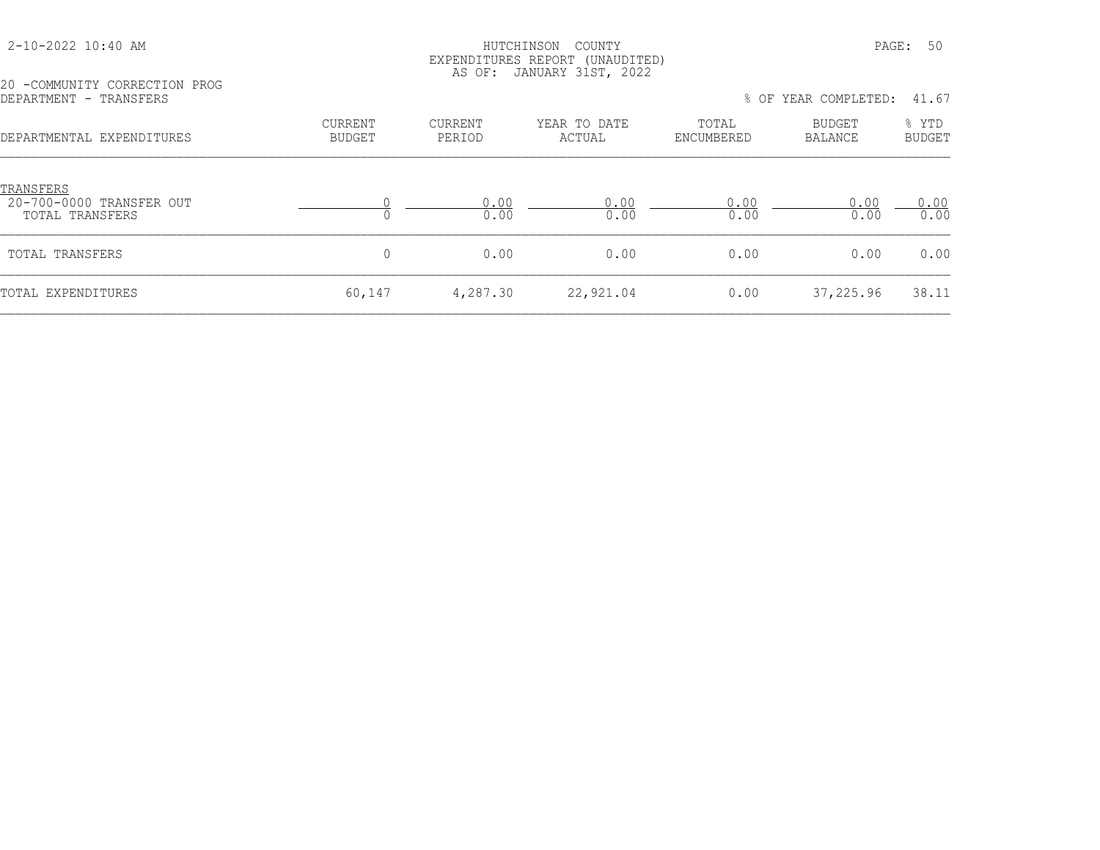## HUTCHINSON COUNTY PAGE: 50 EXPENDITURES REPORT (UNAUDITED) AS OF: JANUARY 31ST, 2022

20 -COMMUNITY CORRECTION PROG

| LA CONTIGNITI COMMOTION LIVOG<br>DEPARTMENT - TRANSFERS |         |         |              |            | % OF YEAR COMPLETED: 41.67 |                   |
|---------------------------------------------------------|---------|---------|--------------|------------|----------------------------|-------------------|
| DEPARTMENTAL EXPENDITURES                               | CURRENT | CURRENT | YEAR TO DATE | TOTAL      | BUDGET                     | $\frac{1}{2}$ YTD |
|                                                         | BUDGET  | PERIOD  | ACTUAL       | ENCUMBERED | BALANCE                    | BUDGET            |

| TRANSFERS<br>20-700-0000 TRANSFER OUT<br>TOTAL TRANSFERS |        | 0.00<br>0.00 | 0.00<br>0.00 | 0.00<br>0.00 | 0.00<br>0.00 | 0.00<br>0.00 |
|----------------------------------------------------------|--------|--------------|--------------|--------------|--------------|--------------|
| TOTAL TRANSFERS                                          |        | 0.00         | 0.00         | 0.00         | 0.00         | 0.00         |
| TOTAL EXPENDITURES                                       | 60,147 | 4,287.30     | 22,921.04    | 0.00         | 37,225.96    | 38.11        |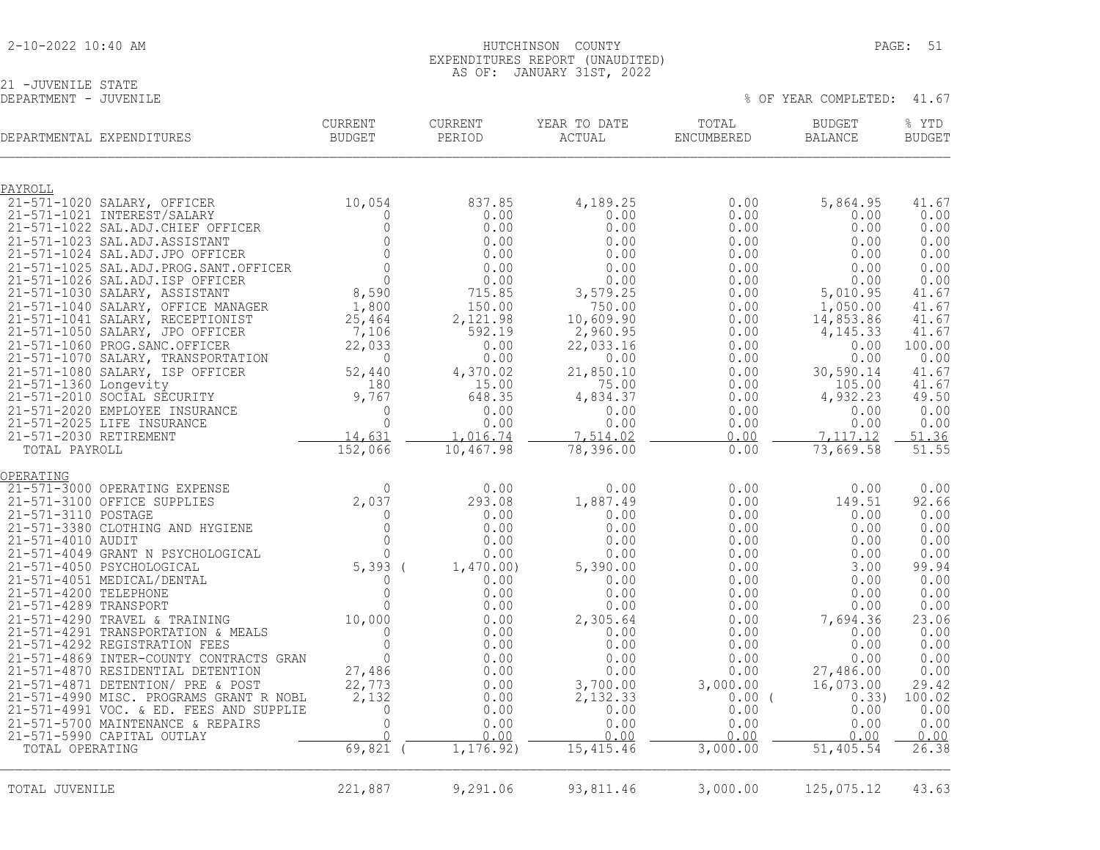| 2-10-2022 10:40 AM |  |  |
|--------------------|--|--|
|--------------------|--|--|

#### 2-10-2022 10:40 AM HUTCHINSON COUNTY PAGE: 51 EXPENDITURES REPORT (UNAUDITED) AS OF: JANUARY 31ST, 2022

% OF YEAR COMPLETED: 41.67

21 -JUVENILE STATE<br>DEPARTMENT - JUVENILE

| DEPARTMENTAL EXPENDITURES                                                    | <b>CURRENT</b><br><b>BUDGET</b>  | <b>CURRENT</b><br>PERIOD | YEAR TO DATE<br>ACTUAL | TOTAL<br>ENCUMBERED | <b>BUDGET</b><br><b>BALANCE</b> | % YTD<br><b>BUDGET</b> |
|------------------------------------------------------------------------------|----------------------------------|--------------------------|------------------------|---------------------|---------------------------------|------------------------|
| PAYROLL                                                                      |                                  |                          |                        |                     |                                 |                        |
| 21-571-1020 SALARY, OFFICER<br>21-571-1021 INTEREST/SALARY                   | 10,054<br>$\Omega$               | 837.85<br>0.00           | 4,189.25<br>0.00       | 0.00<br>0.00        | 5,864.95<br>0.00                | 41.67<br>0.00          |
| 21-571-1022 SAL.ADJ.CHIEF OFFICER                                            | $\circ$                          | 0.00                     | 0.00                   | 0.00                | 0.00                            | 0.00                   |
| 21-571-1023 SAL.ADJ.ASSISTANT                                                | $\circ$                          | 0.00                     | 0.00                   | 0.00                | 0.00                            | 0.00                   |
| 21-571-1024 SAL.ADJ.JPO OFFICER                                              | $\mathbf{0}$                     | 0.00                     | 0.00                   | 0.00                | 0.00                            | 0.00                   |
| 21-571-1025 SAL.ADJ.PROG.SANT.OFFICER<br>21-571-1026 SAL.ADJ.ISP OFFICER     | $\Omega$<br>$\circ$              | 0.00<br>0.00             | 0.00<br>0.00           | 0.00<br>0.00        | 0.00<br>0.00                    | 0.00<br>0.00           |
| 21-571-1030 SALARY, ASSISTANT                                                | 8,590                            | 715.85                   | 3,579.25               | 0.00                | 5,010.95                        | 41.67                  |
| 21-571-1040 SALARY, OFFICE MANAGER                                           | 1,800                            | 150.00                   | 750.00                 | 0.00                | 1,050.00                        | 41.67                  |
| 21-571-1041 SALARY, RECEPTIONIST                                             | 25,464                           | 2,121.98<br>592.19       | 10,609.90              | 0.00<br>0.00        | 14,853.86<br>4, 145. 33         | 41.67<br>41.67         |
| 21-571-1050 SALARY, JPO OFFICER<br>21-571-1060 PROG. SANC. OFFICER           | 7,106<br>22,033                  | 0.00                     | 2,960.95<br>22,033.16  | 0.00                | 0.00                            | 100.00                 |
| 21-571-1070 SALARY, TRANSPORTATION                                           | $\Omega$                         | 0.00                     | 0.00                   | 0.00                | 0.00                            | 0.00                   |
| 21-571-1080 SALARY, ISP OFFICER                                              | 52,440                           | 4,370.02                 | 21,850.10              | 0.00                | 30,590.14                       | 41.67                  |
| 21-571-1360 Longevity<br>21-571-2010 SOCIAL SECURITY                         | 180<br>9,767                     | 15.00<br>648.35          | 75.00<br>4,834.37      | 0.00<br>0.00        | 105.00<br>4,932.23              | 41.67<br>49.50         |
| 21-571-2020 EMPLOYEE INSURANCE                                               | $\Omega$                         | 0.00                     | 0.00                   | 0.00                | 0.00                            | 0.00                   |
| 21-571-2025 LIFE INSURANCE                                                   | $\Omega$                         | 0.00                     | 0.00                   | 0.00                | 0.00                            | 0.00                   |
| 21-571-2030 RETIREMENT                                                       | 14,631                           | 1,016.74                 | 7,514.02               | 0.00                | 7,117.12                        | 51.36                  |
| TOTAL PAYROLL                                                                | 152,066                          | 10,467.98                | 78,396.00              | 0.00                | 73,669.58                       | 51.55                  |
| OPERATING                                                                    | $2,037$<br>0<br>0<br>0<br>0<br>0 |                          |                        |                     |                                 |                        |
| 21-571-3000 OPERATING EXPENSE<br>21-571-3100 OFFICE SUPPLIES                 |                                  | 0.00<br>293.08           | 0.00<br>1,887.49       | 0.00<br>0.00        | 0.00<br>149.51                  | 0.00<br>92.66          |
| 21-571-3110 POSTAGE                                                          |                                  | 0.00                     | 0.00                   | 0.00                | 0.00                            | 0.00                   |
| 21-571-3380 CLOTHING AND HYGIENE                                             |                                  | 0.00                     | 0.00                   | 0.00                | 0.00                            | 0.00                   |
| 21-571-4010 AUDIT<br>21-571-4049 GRANT N PSYCHOLOGICAL                       |                                  | 0.00<br>0.00             | 0.00<br>0.00           | 0.00<br>0.00        | 0.00<br>0.00                    | 0.00<br>0.00           |
| 21-571-4050 PSYCHOLOGICAL                                                    | $5,393$ (                        | 1,470.00)                | 5,390.00               | 0.00                | 3.00                            | 99.94                  |
| 21-571-4051 MEDICAL/DENTAL                                                   |                                  | 0.00                     | 0.00                   | 0.00                | 0.00                            | 0.00                   |
| 21-571-4200 TELEPHONE                                                        | $\circ$                          | 0.00                     | 0.00                   | 0.00                | 0.00                            | 0.00                   |
| 21-571-4289 TRANSPORT<br>21-571-4290 TRAVEL & TRAINING                       | $\Omega$<br>10,000               | 0.00<br>0.00             | 0.00<br>2,305.64       | 0.00<br>0.00        | 0.00<br>7,694.36                | 0.00<br>23.06          |
| 21-571-4291 TRANSPORTATION & MEALS                                           | $\mathbf{0}$                     | 0.00                     | 0.00                   | 0.00                | 0.00                            | 0.00                   |
| 21-571-4292 REGISTRATION FEES                                                | $\Omega$                         | 0.00                     | 0.00                   | 0.00                | 0.00                            | 0.00                   |
| 21-571-4869 INTER-COUNTY CONTRACTS GRAN<br>21-571-4870 RESIDENTIAL DETENTION | $\mathbf{0}$<br>27,486           | 0.00<br>0.00             | 0.00<br>0.00           | 0.00<br>0.00        | 0.00<br>27,486.00               | 0.00<br>0.00           |
| 21-571-4871 DETENTION/ PRE & POST                                            | 22,773                           | 0.00                     | 3,700.00               | 3,000.00            | 16,073.00                       | 29.42                  |
| 21-571-4990 MISC. PROGRAMS GRANT R NOBL                                      | 2,132                            | 0.00                     | 2,132.33               | $0.00$ (            | 0.33)                           | 100.02                 |
| 21-571-4991 VOC. & ED. FEES AND SUPPLIE                                      | 0                                | 0.00                     | 0.00                   | 0.00                | 0.00                            | 0.00                   |
| 21-571-5700 MAINTENANCE & REPAIRS<br>21-571-5990 CAPITAL OUTLAY              | $\mathbf 0$                      | 0.00<br>0.00             | 0.00<br>0.00           | 0.00<br>0.00        | 0.00<br>0.00                    | 0.00<br>0.00           |
| TOTAL OPERATING                                                              | 69,821                           | 1, 176.92                | 15,415.46              | 3,000.00            | 51,405.54                       | 26.38                  |
|                                                                              |                                  |                          |                        |                     |                                 |                        |
| TOTAL JUVENILE                                                               | 221,887                          | 9,291.06                 | 93,811.46              | 3,000.00            | 125,075.12                      | 43.63                  |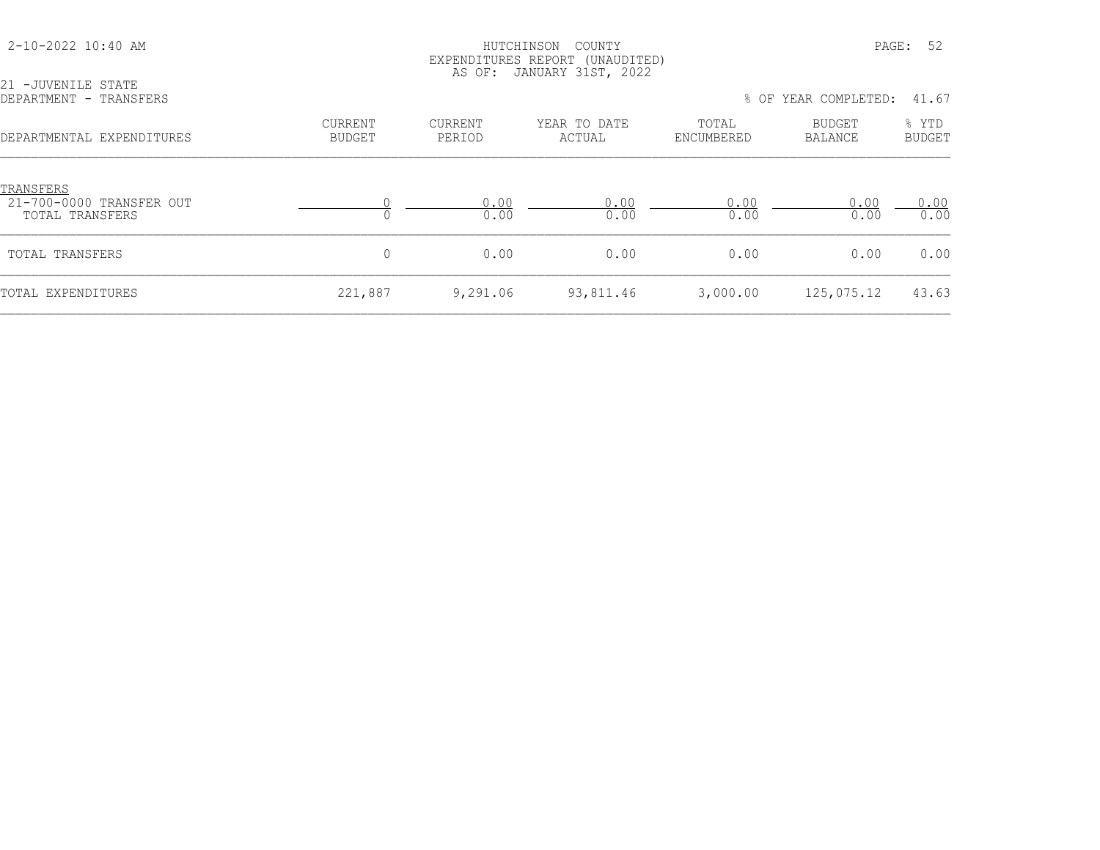| 21 -JUVENILE STATE                                       |                                 | AS OF:                   | EXPENDITURES REPORT (UNAUDITED)<br>JANUARY 31ST, 2022 |                     |                      |                        |
|----------------------------------------------------------|---------------------------------|--------------------------|-------------------------------------------------------|---------------------|----------------------|------------------------|
| DEPARTMENT - TRANSFERS                                   |                                 |                          |                                                       |                     | % OF YEAR COMPLETED: | 41.67                  |
| DEPARTMENTAL EXPENDITURES                                | <b>CURRENT</b><br><b>BUDGET</b> | <b>CURRENT</b><br>PERIOD | YEAR TO DATE<br>ACTUAL                                | TOTAL<br>ENCUMBERED | BUDGET<br>BALANCE    | % YTD<br><b>BUDGET</b> |
| TRANSFERS<br>21-700-0000 TRANSFER OUT<br>TOTAL TRANSFERS |                                 | 0.00<br>0.00             | 0.00<br>0.00                                          | 0.00<br>0.00        | 0.00<br>0.00         | 0.00<br>0.00           |
| TOTAL TRANSFERS                                          | $\mathbf{0}$                    | 0.00                     | 0.00                                                  | 0.00                | 0.00                 | 0.00                   |
| TOTAL EXPENDITURES                                       | 221,887                         | 9,291.06                 | 93,811.46                                             | 3,000.00            | 125,075.12           | 43.63                  |

2-10-2022 10:40 AM HUTCHINSON COUNTY PAGE: 52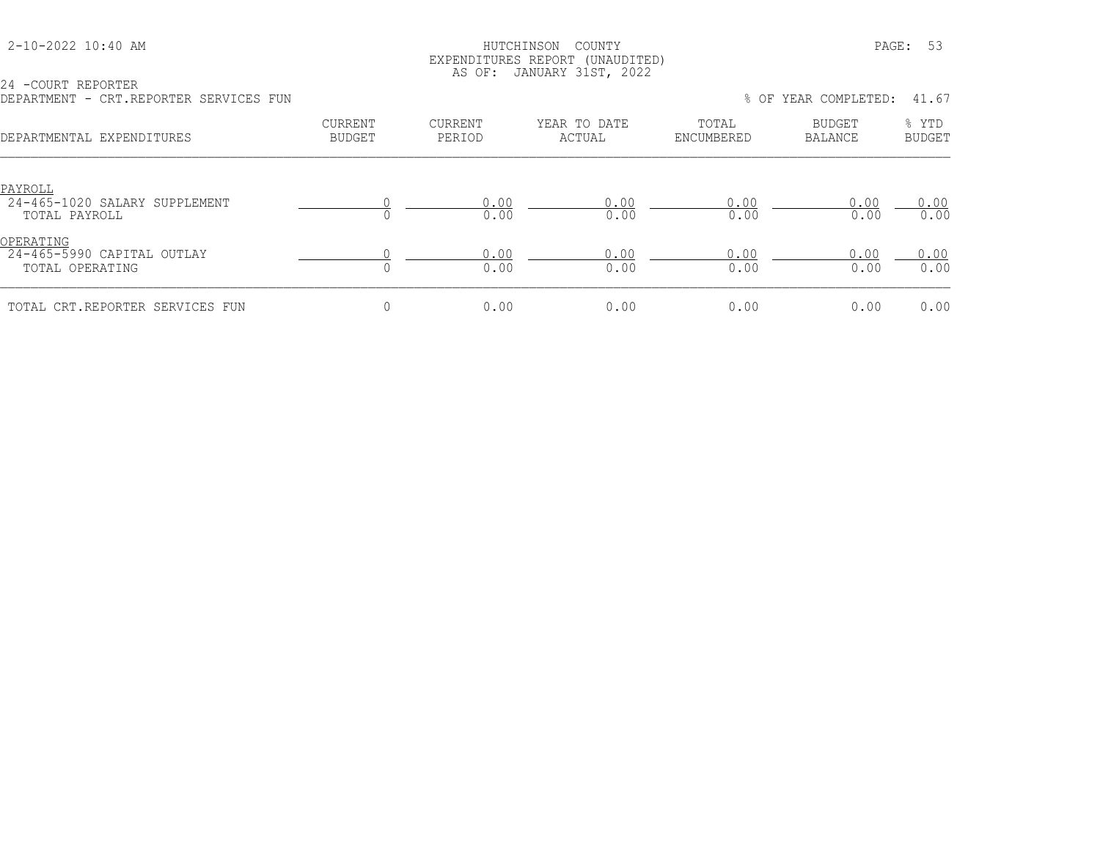## HUTCHINSON COUNTY PAGE: 53 EXPENDITURES REPORT (UNAUDITED) AS OF: JANUARY 31ST, 2022

24 -COURT REPORTER DEPARTMENT - CRT.REPORTER SERVICES FUN % OF YEAR COMPLETED: 41.67

| VILL . ILLE VILLEIL VEILLY IVEUS I VIL                     |                                 |                          |                        |                     |                   |                        |
|------------------------------------------------------------|---------------------------------|--------------------------|------------------------|---------------------|-------------------|------------------------|
| DEPARTMENTAL EXPENDITURES                                  | <b>CURRENT</b><br><b>BUDGET</b> | <b>CURRENT</b><br>PERIOD | YEAR TO DATE<br>ACTUAL | TOTAL<br>ENCUMBERED | BUDGET<br>BALANCE | % YTD<br><b>BUDGET</b> |
| PAYROLL<br>24-465-1020 SALARY SUPPLEMENT<br>TOTAL PAYROLL  |                                 | 0.00<br>0.00             | 0.00<br>0.00           | 0.00<br>0.00        | 0.00<br>0.00      | 0.00<br>0.00           |
| OPERATING<br>24-465-5990 CAPITAL OUTLAY<br>TOTAL OPERATING |                                 | 0.00<br>0.00             | 0.00<br>0.00           | 0.00<br>0.00        | 0.00<br>0.00      | 0.00<br>0.00           |
| TOTAL CRT.REPORTER SERVICES FUN                            |                                 | 0.00                     | 0.00                   | 0.00                | 0.00              | 0.00                   |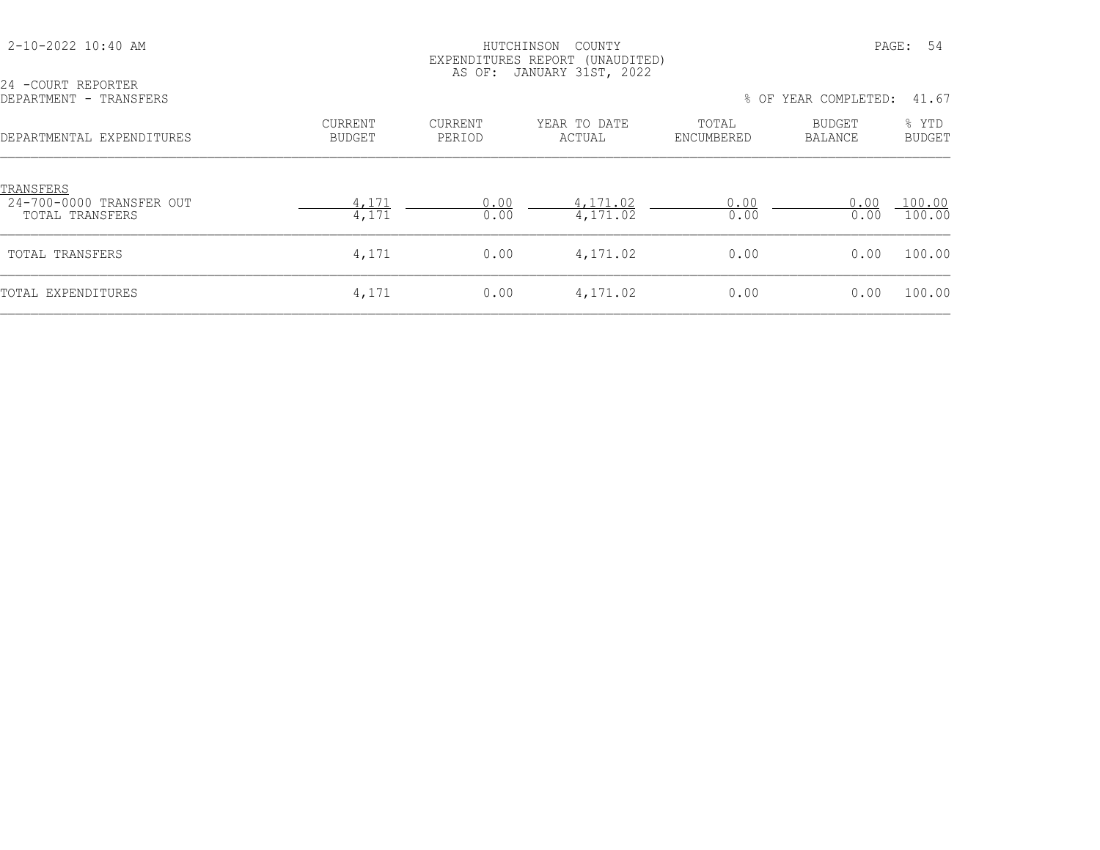| 24 -COURT REPORTER<br>DEPARTMENT - TRANSFERS                    |                                 |                          | EXPENDITURES REPORT (UNAUDITED)<br>AS OF: JANUARY 31ST, 2022 |                     | % OF YEAR COMPLETED:     | 41.67                  |
|-----------------------------------------------------------------|---------------------------------|--------------------------|--------------------------------------------------------------|---------------------|--------------------------|------------------------|
| DEPARTMENTAL EXPENDITURES                                       | <b>CURRENT</b><br><b>BUDGET</b> | <b>CURRENT</b><br>PERIOD | YEAR TO DATE<br>ACTUAL                                       | TOTAL<br>ENCUMBERED | BUDGET<br><b>BALANCE</b> | % YTD<br><b>BUDGET</b> |
| <b>TRANSFERS</b><br>24-700-0000 TRANSFER OUT<br>TOTAL TRANSFERS | 4,171<br>4,171                  | 0.00<br>0.00             | 4,171.02<br>4,171.02                                         | 0.00<br>0.00        | 0.00<br>0.00             | 100.00<br>100.00       |
| TOTAL TRANSFERS                                                 | 4,171                           | 0.00                     | 4,171.02                                                     | 0.00                | 0.00                     | 100.00                 |
| TOTAL EXPENDITURES                                              | 4,171                           | 0.00                     | 4,171.02                                                     | 0.00                | 0.00                     | 100.00                 |

2-10-2022 10:40 AM HUTCHINSON COUNTY PAGE: 54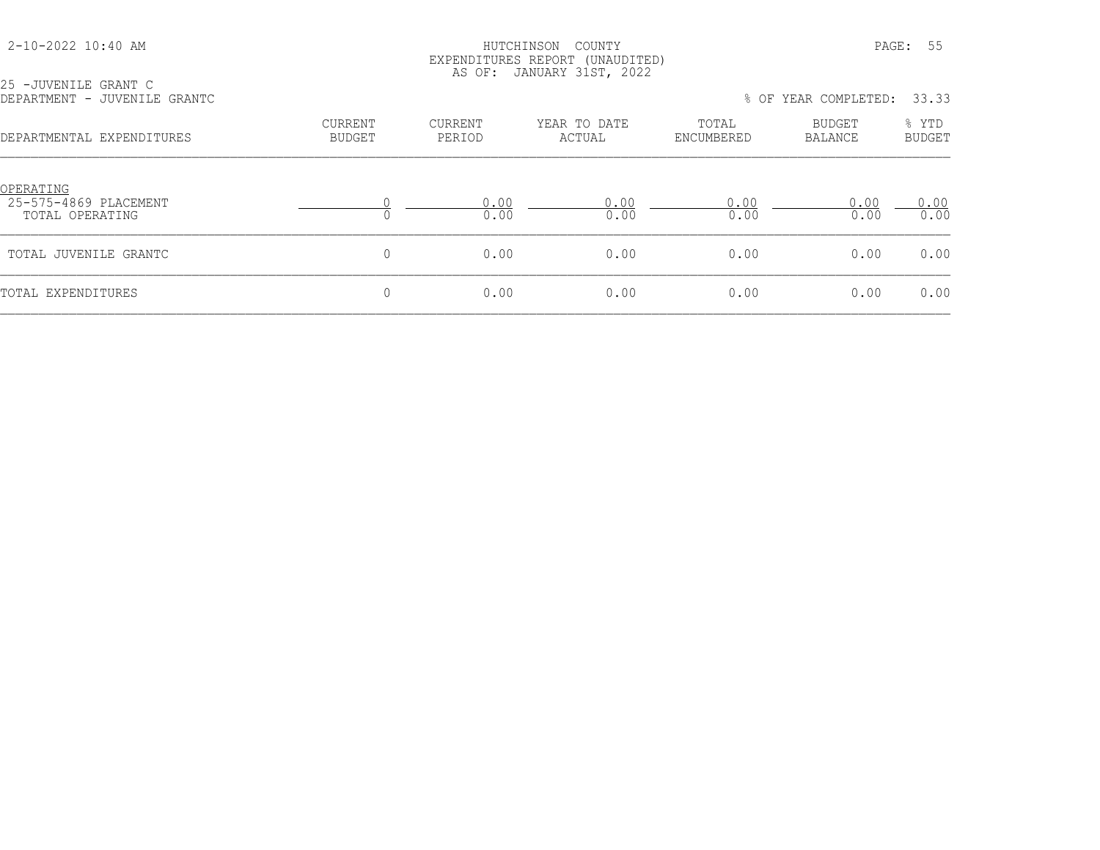25 -JUVENILE GRANT C

## HUTCHINSON COUNTY PAGE: 55 EXPENDITURES REPORT (UNAUDITED) AS OF: JANUARY 31ST, 2022

| DEPARTMENT - JUVENILE GRANTC                          |                          |                   |                        | 33.33<br>% OF YEAR COMPLETED: |                   |                        |  |
|-------------------------------------------------------|--------------------------|-------------------|------------------------|-------------------------------|-------------------|------------------------|--|
| DEPARTMENTAL EXPENDITURES                             | CURRENT<br><b>BUDGET</b> | CURRENT<br>PERIOD | YEAR TO DATE<br>ACTUAL | TOTAL<br>ENCUMBERED           | BUDGET<br>BALANCE | % YTD<br><b>BUDGET</b> |  |
| OPERATING<br>25-575-4869 PLACEMENT<br>TOTAL OPERATING |                          | 0.00<br>0.00      | 0.00<br>0.00           | 0.00<br>0.00                  | 0.00<br>0.00      | 0.00<br>0.00           |  |
| TOTAL JUVENILE GRANTC                                 | 0                        | 0.00              | 0.00                   | 0.00                          | 0.00              | 0.00                   |  |
| TOTAL EXPENDITURES                                    | 0                        | 0.00              | 0.00                   | 0.00                          | 0.00              | 0.00                   |  |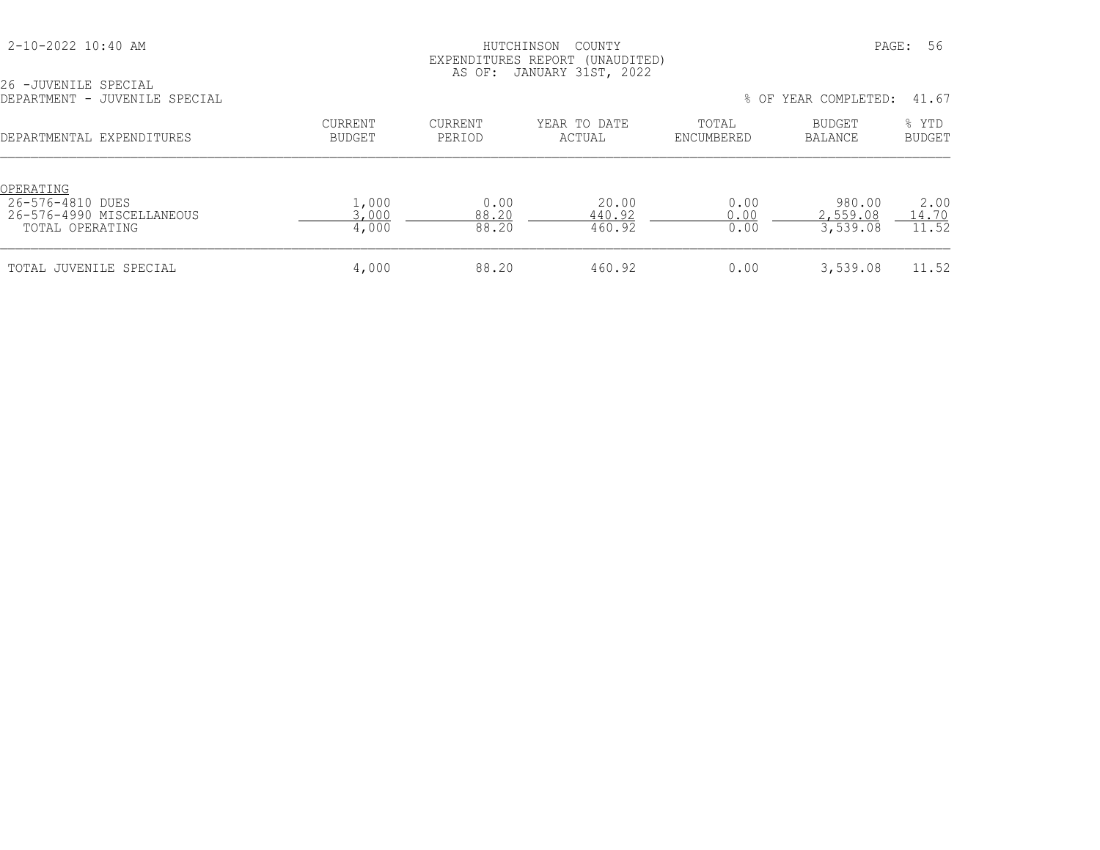26 -JUVENILE SPECIAL

## HUTCHINSON COUNTY PAGE: 56 EXPENDITURES REPORT (UNAUDITED) AS OF: JANUARY 31ST, 2022

| DEPARTMENT - JUVENILE SPECIAL                                                 |                                 |                        |                           | 41.67<br>% OF YEAR COMPLETED: |                                |                        |  |
|-------------------------------------------------------------------------------|---------------------------------|------------------------|---------------------------|-------------------------------|--------------------------------|------------------------|--|
| DEPARTMENTAL EXPENDITURES                                                     | <b>CURRENT</b><br><b>BUDGET</b> | CURRENT<br>PERIOD      | YEAR TO DATE<br>ACTUAL    | TOTAL<br>ENCUMBERED           | BUDGET<br>BALANCE              | % YTD<br><b>BUDGET</b> |  |
| OPERATING<br>26-576-4810 DUES<br>26-576-4990 MISCELLANEOUS<br>TOTAL OPERATING | 1,000<br>3,000<br>4,000         | 0.00<br>88.20<br>88.20 | 20.00<br>440.92<br>460.92 | 0.00<br>0.00<br>0.00          | 980.00<br>2,559.08<br>3,539.08 | 2.00<br>14.70<br>11.52 |  |
| TOTAL JUVENILE SPECIAL                                                        | 4,000                           | 88.20                  | 460.92                    | 0.00                          | 3,539.08                       | 11.52                  |  |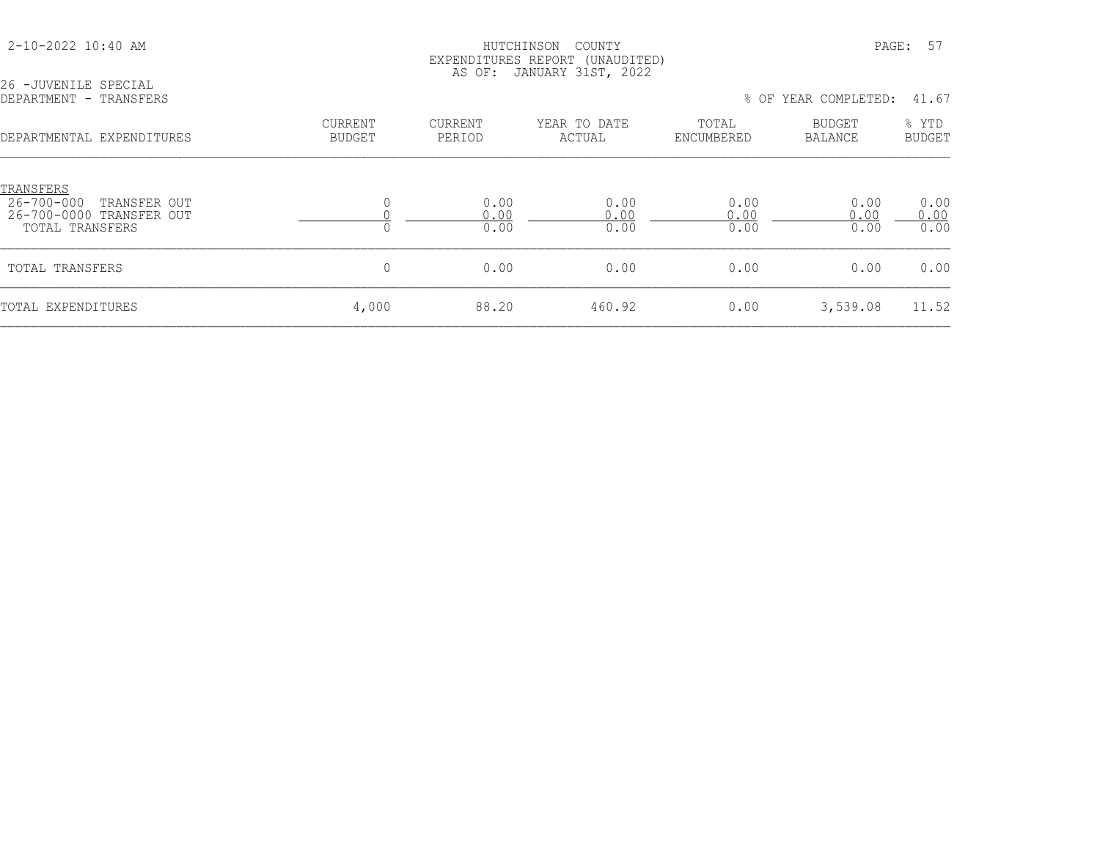26 -JUVENILE SPECIAL

## HUTCHINSON COUNTY PAGE: 57 EXPENDITURES REPORT (UNAUDITED) AS OF: JANUARY 31ST, 2022

| DEPARTMENT - TRANSFERS                                                                 |                          |                          |                        |                      | % OF YEAR COMPLETED: | 41.67                  |
|----------------------------------------------------------------------------------------|--------------------------|--------------------------|------------------------|----------------------|----------------------|------------------------|
| DEPARTMENTAL EXPENDITURES                                                              | CURRENT<br><b>BUDGET</b> | <b>CURRENT</b><br>PERIOD | YEAR TO DATE<br>ACTUAL | TOTAL<br>ENCUMBERED  | BUDGET<br>BALANCE    | % YTD<br><b>BUDGET</b> |
| TRANSFERS<br>26-700-000<br>TRANSFER OUT<br>26-700-0000 TRANSFER OUT<br>TOTAL TRANSFERS |                          | 0.00<br>0.00<br>0.00     | 0.00<br>0.00<br>0.00   | 0.00<br>0.00<br>0.00 | 0.00<br>0.00<br>0.00 | 0.00<br>0.00<br>0.00   |
| TOTAL TRANSFERS                                                                        | 0                        | 0.00                     | 0.00                   | 0.00                 | 0.00                 | 0.00                   |
| TOTAL EXPENDITURES                                                                     | 4,000                    | 88.20                    | 460.92                 | 0.00                 | 3,539.08             | 11.52                  |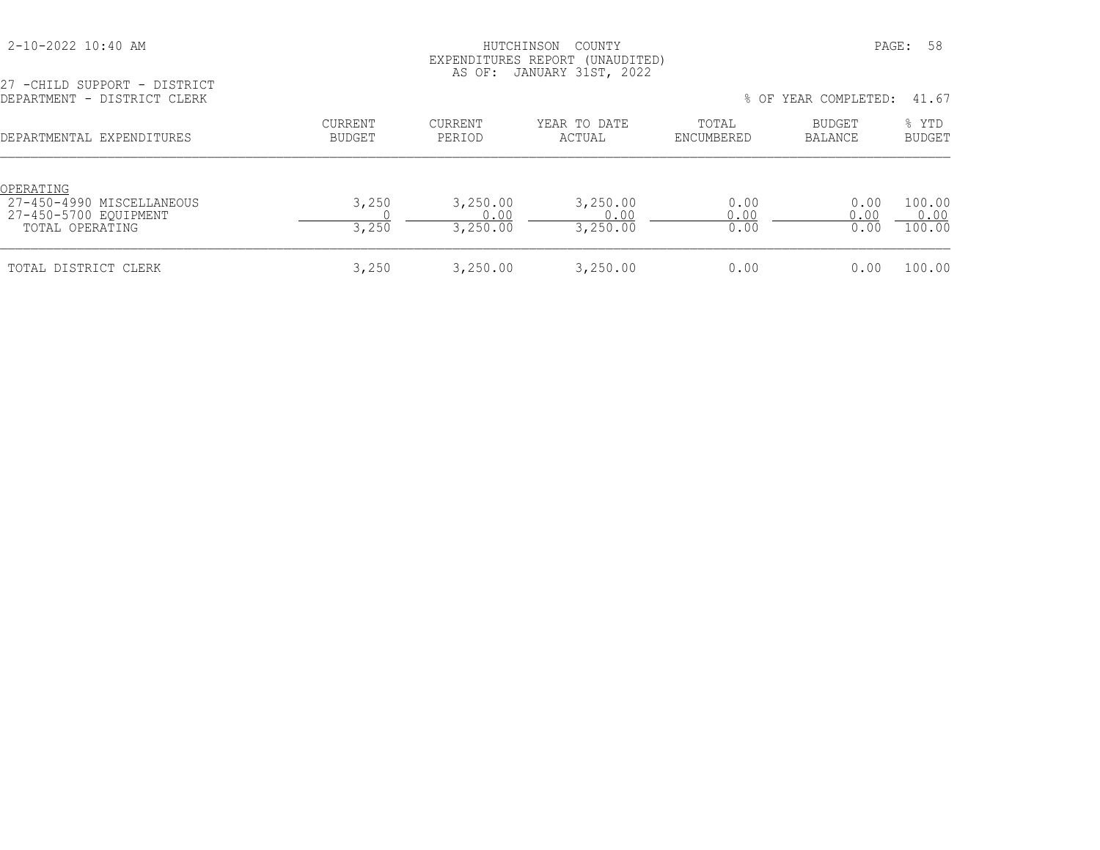| 2-10-2022 10:40 AM |  |  |
|--------------------|--|--|
|--------------------|--|--|

## HUTCHINSON COUNTY PAGE: 58 EXPENDITURES REPORT (UNAUDITED) AS OF: JANUARY 31ST, 2022

| 27 -CHILD SUPPORT - DISTRICT<br>DEPARTMENT - DISTRICT CLERK                        |                                 | % OF YEAR COMPLETED:         |                              |                      |                      |                          |
|------------------------------------------------------------------------------------|---------------------------------|------------------------------|------------------------------|----------------------|----------------------|--------------------------|
| DEPARTMENTAL EXPENDITURES                                                          | <b>CURRENT</b><br><b>BUDGET</b> | <b>CURRENT</b><br>PERIOD     | YEAR TO DATE<br>ACTUAL       | TOTAL<br>ENCUMBERED  | BUDGET<br>BALANCE    | % YTD<br><b>BUDGET</b>   |
| OPERATING<br>27-450-4990 MISCELLANEOUS<br>27-450-5700 EOUIPMENT<br>TOTAL OPERATING | 3,250<br>3,250                  | 3,250.00<br>0.00<br>3,250.00 | 3,250.00<br>0.00<br>3,250.00 | 0.00<br>0.00<br>0.00 | 0.00<br>0.00<br>0.00 | 100.00<br>0.00<br>100.00 |
| TOTAL DISTRICT CLERK                                                               | 3,250                           | 3,250.00                     | 3,250.00                     | 0.00                 | 0.00                 | 100.00                   |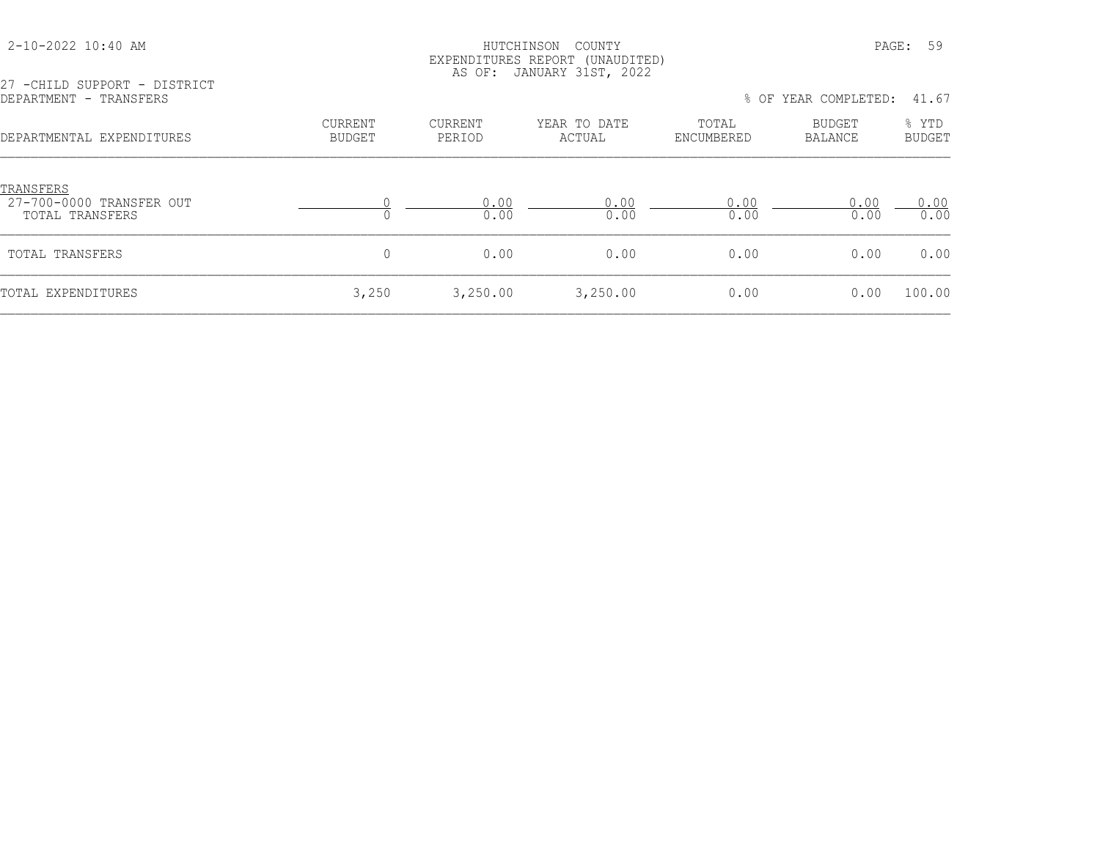## HUTCHINSON COUNTY PAGE: 59 EXPENDITURES REPORT (UNAUDITED) AS OF: JANUARY 31ST, 2022

27 -CHILD SUPPORT - DISTRICT<br>DEPARTMENT - TRANSFERS

% OF YEAR COMPLETED: 41.67

| <u>TRANSFERS</u><br>27-700-0000 TRANSFER OUT<br>0.00<br>0.00<br>0.00<br>0.00<br>0.00<br>0.00<br>0.00<br>0.00<br>TOTAL TRANSFERS<br>$\Omega$<br>0.00<br>0.00<br>0.00<br>0.00<br>TOTAL TRANSFERS<br>3,250<br>3,250.00<br>3,250.00<br>0.00<br>0.00<br>TOTAL EXPENDITURES | DEPARTMENTAL EXPENDITURES | <b>CURRENT</b><br><b>BUDGET</b> | <b>CURRENT</b><br>PERIOD | YEAR TO DATE<br>ACTUAL | TOTAL<br>ENCUMBERED | <b>BUDGET</b><br>BALANCE | % YTD<br><b>BUDGET</b> |
|-----------------------------------------------------------------------------------------------------------------------------------------------------------------------------------------------------------------------------------------------------------------------|---------------------------|---------------------------------|--------------------------|------------------------|---------------------|--------------------------|------------------------|
|                                                                                                                                                                                                                                                                       |                           |                                 |                          |                        |                     |                          | 0.00<br>0.00           |
|                                                                                                                                                                                                                                                                       |                           |                                 |                          |                        |                     |                          | 0.00                   |
|                                                                                                                                                                                                                                                                       |                           |                                 |                          |                        |                     |                          | 100.00                 |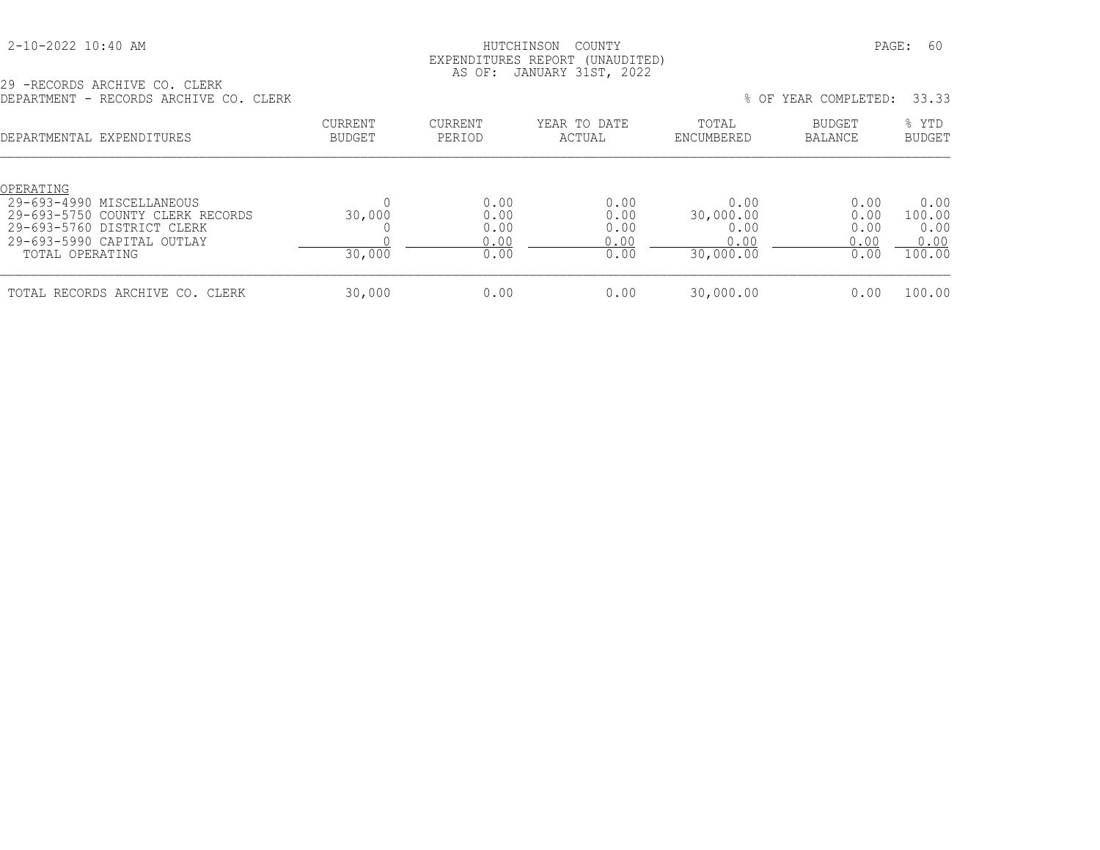## 2-10-2022 10:40 AM HUTCHINSON COUNTY PAGE: 60 EXPENDITURES REPORT (UNAUDITED) AS OF: JANUARY 31ST, 2022

29 -RECORDS ARCHIVE CO. CLERK DEPARTMENT - RECORDS ARCHIVE CO. CLERK % OF YEAR COMPLETED: 33.33

| <b>レエエ:ユェ</b> 、 + + + + + + + + | INDUCTION INTUITIERD CO. CODITI                                                                                             |                          |                                      |                                      |                                                | 0 UL TUIN CONTINIUM.                 | -----                                    |
|---------------------------------|-----------------------------------------------------------------------------------------------------------------------------|--------------------------|--------------------------------------|--------------------------------------|------------------------------------------------|--------------------------------------|------------------------------------------|
|                                 | DEPARTMENTAL EXPENDITURES                                                                                                   | <b>CURRENT</b><br>BUDGET | <b>CURRENT</b><br>PERIOD             | YEAR TO DATE<br>ACTUAL               | TOTAL<br>ENCUMBERED                            | BUDGET<br>BALANCE                    | % YTD<br><b>BUDGET</b>                   |
| OPERATING<br>TOTAL OPERATING    | 29-693-4990 MISCELLANEOUS<br>29-693-5750 COUNTY CLERK RECORDS<br>29-693-5760 DISTRICT CLERK<br>$29-693-5990$ CAPITAL OUTLAY | 30,000<br>30,000         | 0.00<br>0.00<br>0.00<br>0.00<br>0.00 | 0.00<br>0.00<br>0.00<br>0.00<br>0.00 | 0.00<br>30,000.00<br>0.00<br>0.00<br>30,000.00 | 0.00<br>0.00<br>0.00<br>0.00<br>0.00 | 0.00<br>100.00<br>0.00<br>0.00<br>100.00 |
|                                 | TOTAL RECORDS ARCHIVE CO. CLERK                                                                                             | 30,000                   | 0.00                                 | 0.00                                 | 30,000.00                                      | 0.00                                 | 100.00                                   |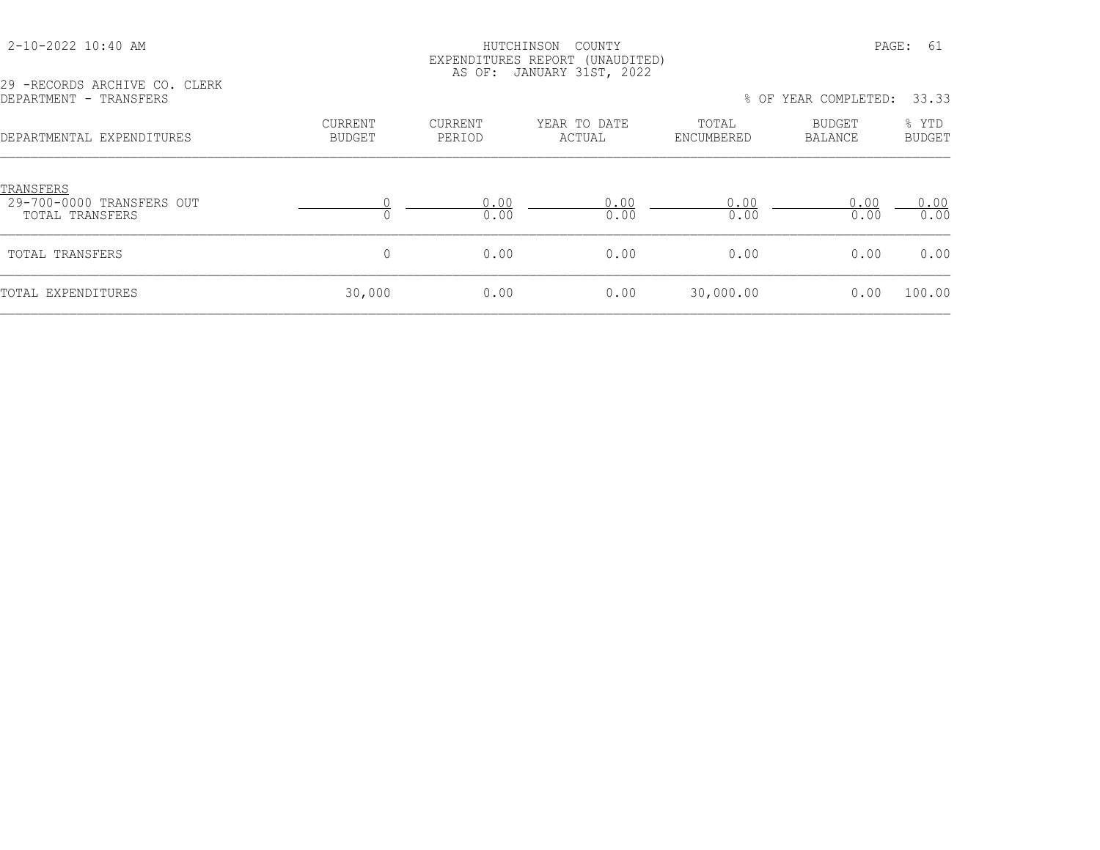## HUTCHINSON COUNTY PAGE: 61 EXPENDITURES REPORT (UNAUDITED) AS OF: JANUARY 31ST, 2022

29 -RECORDS ARCHIVE CO. CLERK

| DEPARTMENT - TRANSFERS |                           |                   |                   |                        |                     | % OF YEAR COMPLETED: 33.33 |                 |
|------------------------|---------------------------|-------------------|-------------------|------------------------|---------------------|----------------------------|-----------------|
|                        | DEPARTMENTAL EXPENDITURES | CURRENT<br>BUDGET | CURRENT<br>PERIOD | YEAR TO DATE<br>ACTUAL | TOTAL<br>ENCUMBERED | <b>BUDGET</b><br>BALANCE   | % YTD<br>BUDGET |
|                        |                           |                   |                   |                        |                     |                            |                 |

| TRANSFERS<br>29-700-0000 TRANSFERS OUT<br>TOTAL TRANSFERS |        | 0.00<br>0.00 | 0.00<br>0.00 | ,.00<br>0.00 | 0.00<br>0.00 | 0.00<br>0.00 |
|-----------------------------------------------------------|--------|--------------|--------------|--------------|--------------|--------------|
| TOTAL TRANSFERS                                           |        | 0.00         | 0.00         | 0.00         | 0.00         | 0.00         |
| TOTAL EXPENDITURES                                        | 30,000 | 0.00         | 0.00         | 30,000.00    | 0.00         | 100.00       |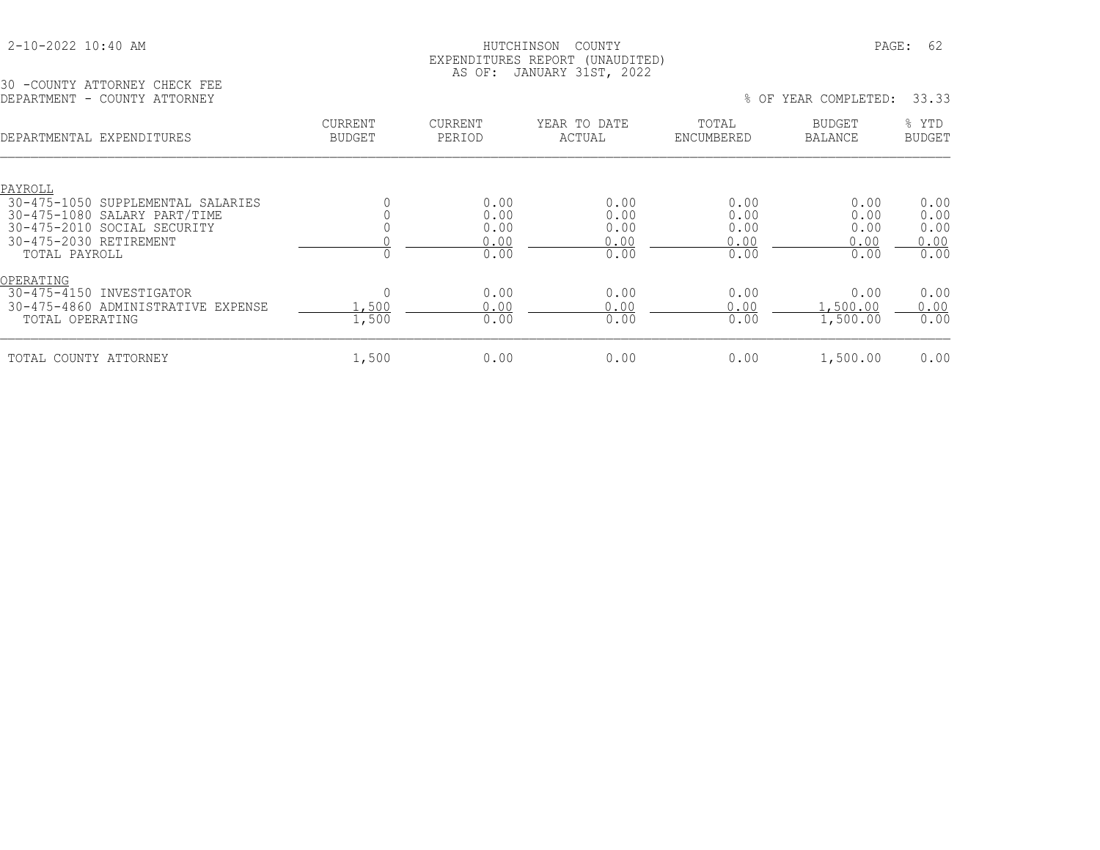## HUTCHINSON COUNTY PAGE: 62 EXPENDITURES REPORT (UNAUDITED) AS OF: JANUARY 31ST, 2022

30 -COUNTY ATTORNEY CHECK FEE<br>DEPARTMENT - COUNTY ATTORNEY

| DEPARTMENT - COUNTY ATTORNEY                                                                                                                           |                                 |                                      |                                      |                                      | % OF YEAR COMPLETED:                 | 33.33                                |
|--------------------------------------------------------------------------------------------------------------------------------------------------------|---------------------------------|--------------------------------------|--------------------------------------|--------------------------------------|--------------------------------------|--------------------------------------|
| DEPARTMENTAL EXPENDITURES                                                                                                                              | <b>CURRENT</b><br><b>BUDGET</b> | CURRENT<br>PERIOD                    | YEAR TO DATE<br>ACTUAL               | TOTAL<br>ENCUMBERED                  | <b>BUDGET</b><br><b>BALANCE</b>      | % YTD<br><b>BUDGET</b>               |
| PAYROLL<br>30-475-1050 SUPPLEMENTAL SALARIES<br>30-475-1080 SALARY PART/TIME<br>30-475-2010 SOCIAL SECURITY<br>30-475-2030 RETIREMENT<br>TOTAL PAYROLL |                                 | 0.00<br>0.00<br>0.00<br>0.00<br>0.00 | 0.00<br>0.00<br>0.00<br>0.00<br>0.00 | 0.00<br>0.00<br>0.00<br>0.00<br>0.00 | 0.00<br>0.00<br>0.00<br>0.00<br>0.00 | 0.00<br>0.00<br>0.00<br>0.00<br>0.00 |
| OPERATING<br>30-475-4150 INVESTIGATOR<br>30-475-4860 ADMINISTRATIVE EXPENSE<br>TOTAL OPERATING                                                         | .,500<br>1,500                  | 0.00<br>0.00<br>0.00                 | 0.00<br>0.00<br>0.00                 | 0.00<br>0.00<br>0.00                 | 0.00<br>.500.00<br>1,500.00          | 0.00<br>0.00<br>0.00                 |
| TOTAL COUNTY ATTORNEY                                                                                                                                  | 1,500                           | 0.00                                 | 0.00                                 | 0.00                                 | 1,500.00                             | 0.00                                 |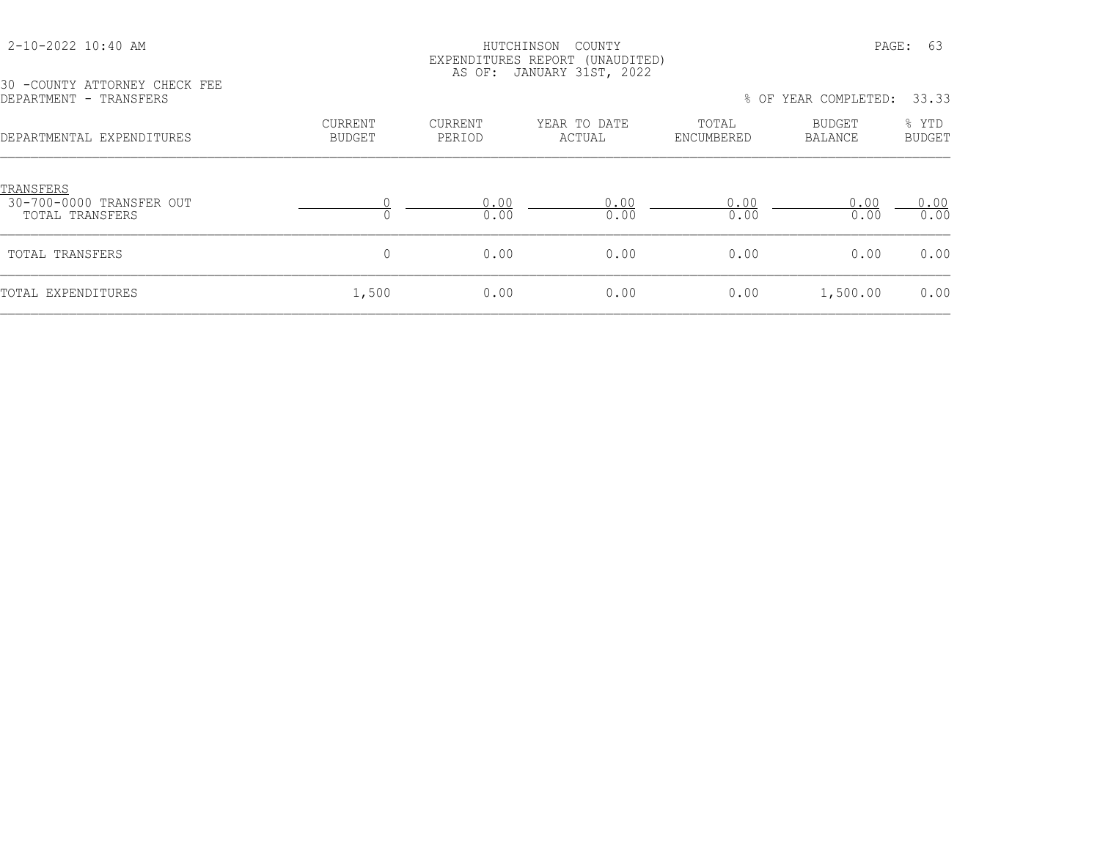| 2-10-2022 10:40 AM |  |  |
|--------------------|--|--|
|--------------------|--|--|

## HUTCHINSON COUNTY PAGE: 63 EXPENDITURES REPORT (UNAUDITED) AS OF: JANUARY 31ST, 2022

30 -COUNTY ATTORNEY CHECK FEE<br>DEPARTMENT - TRANSFERS

% OF YEAR COMPLETED: 33.33

| DEPARTMENTAL EXPENDITURES                                       | <b>CURRENT</b><br><b>BUDGET</b> | CURRENT<br>PERIOD | YEAR TO DATE<br>ACTUAL | TOTAL<br>ENCUMBERED | BUDGET<br>BALANCE | % YTD<br><b>BUDGET</b> |
|-----------------------------------------------------------------|---------------------------------|-------------------|------------------------|---------------------|-------------------|------------------------|
| <u>TRANSFERS</u><br>30-700-0000 TRANSFER OUT<br>TOTAL TRANSFERS |                                 | 0.00<br>0.00      | 0.00<br>0.00           | 0.00<br>0.00        | 0.00<br>0.00      | 0.00<br>0.00           |
| TOTAL TRANSFERS                                                 | $\Omega$                        | 0.00              | 0.00                   | 0.00                | 0.00              | 0.00                   |
| TOTAL EXPENDITURES                                              | 1,500                           | 0.00              | 0.00                   | 0.00                | 1,500.00          | 0.00                   |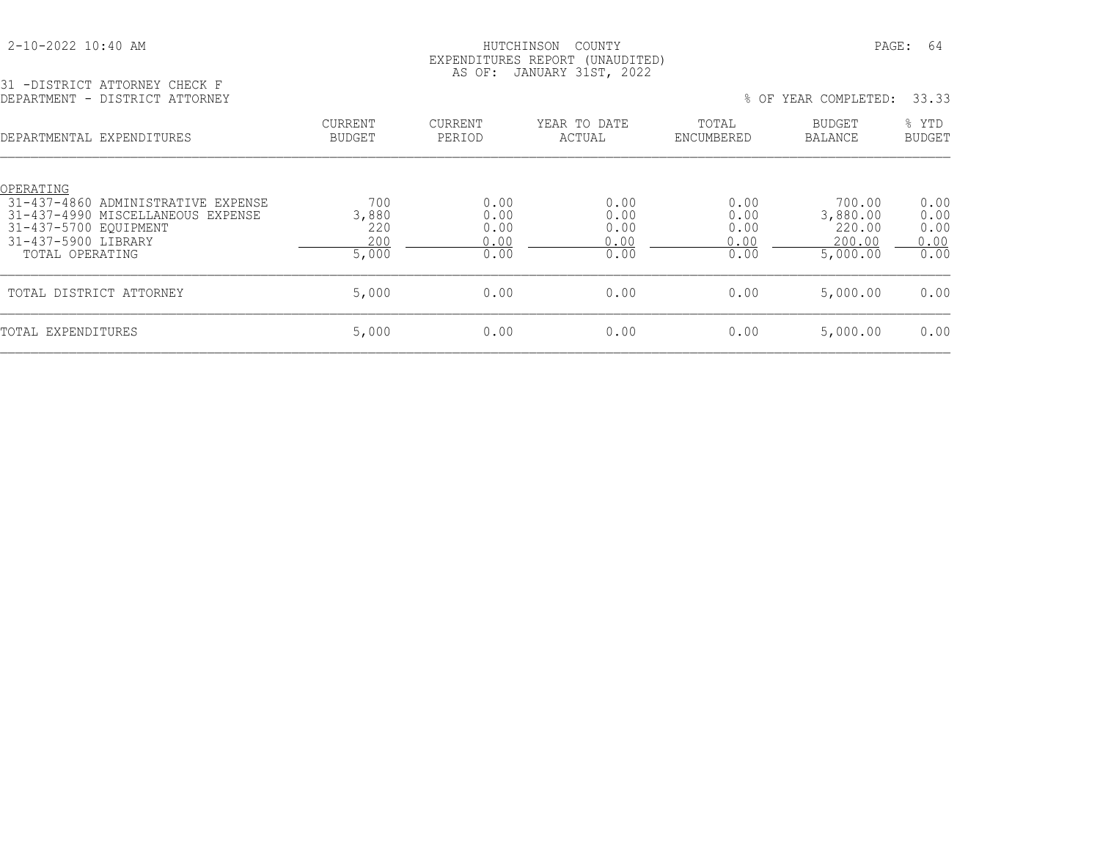| 2-10-2022 10:40 AM |  |  |
|--------------------|--|--|
|--------------------|--|--|

## HUTCHINSON COUNTY PAGE: 64 EXPENDITURES REPORT (UNAUDITED) AS OF: JANUARY 31ST, 2022

| 31 -DISTRICT ATTORNEY CHECK F  |  |
|--------------------------------|--|
| DEPARTMENT - DISTRICT ATTORNEY |  |

| - Albentul III Ioning - Choch I<br>DEPARTMENT - DISTRICT ATTORNEY       |                                 |                          |                        |                     | % OF YEAR COMPLETED: | 33.33                  |
|-------------------------------------------------------------------------|---------------------------------|--------------------------|------------------------|---------------------|----------------------|------------------------|
| DEPARTMENTAL EXPENDITURES                                               | <b>CURRENT</b><br><b>BUDGET</b> | <b>CURRENT</b><br>PERIOD | YEAR TO DATE<br>ACTUAL | TOTAL<br>ENCUMBERED | BUDGET<br>BALANCE    | % YTD<br><b>BUDGET</b> |
| OPERATING                                                               |                                 |                          |                        |                     |                      |                        |
| 31-437-4860 ADMINISTRATIVE EXPENSE<br>31-437-4990 MISCELLANEOUS EXPENSE | 700<br>3,880                    | 0.00<br>0.00             | 0.00<br>0.00           | 0.00<br>0.00        | 700.00<br>3,880.00   | 0.00<br>0.00           |
| 31-437-5700 EQUIPMENT                                                   | 220                             | 0.00                     | 0.00                   | 0.00                | 220.00               | 0.00                   |
| 31-437-5900 LIBRARY                                                     | 200                             | 0.00                     | 0.00                   | 0.00                | 200.00               | 0.00                   |
| TOTAL OPERATING                                                         | 5,000                           | 0.00                     | 0.00                   | 0.00                | 5,000.00             | 0.00                   |
| TOTAL DISTRICT ATTORNEY                                                 | 5,000                           | 0.00                     | 0.00                   | 0.00                | 5,000.00             | 0.00                   |
| TOTAL EXPENDITURES                                                      | 5,000                           | 0.00                     | 0.00                   | 0.00                | 5,000.00             | 0.00                   |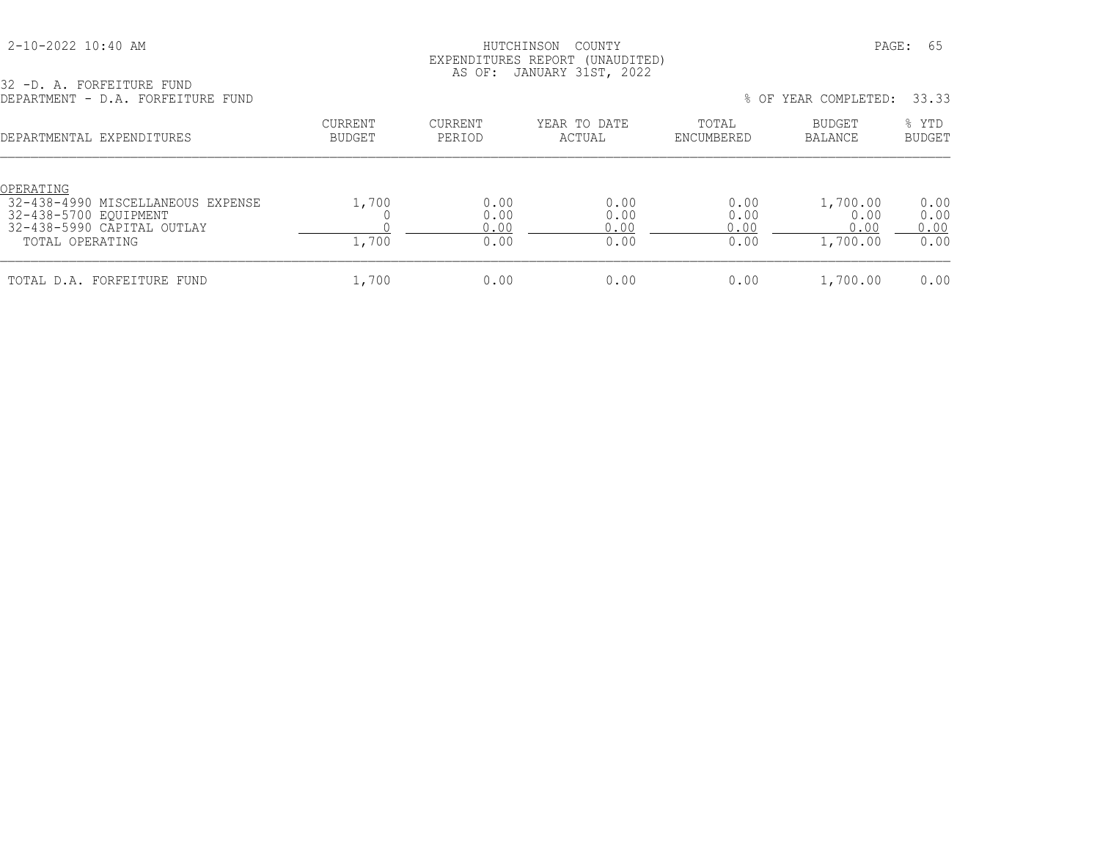| 2-10-2022 10:40 AM |
|--------------------|
|--------------------|

## HUTCHINSON COUNTY PAGE: 65 EXPENDITURES REPORT (UNAUDITED) AS OF: JANUARY 31ST, 2022

32 -D. A. FORFEITURE FUND

| DEPARTMENT - D.A. FORFEITURE FUND                                                                                        |                          |                              |                              |                              | % OF YEAR COMPLETED:                 | 33.33                        |
|--------------------------------------------------------------------------------------------------------------------------|--------------------------|------------------------------|------------------------------|------------------------------|--------------------------------------|------------------------------|
| DEPARTMENTAL EXPENDITURES                                                                                                | <b>CURRENT</b><br>BUDGET | <b>CURRENT</b><br>PERIOD     | YEAR TO DATE<br>ACTUAL       | TOTAL<br>ENCUMBERED          | BUDGET<br>BALANCE                    | % YTD<br><b>BUDGET</b>       |
| OPERATING<br>32-438-4990 MISCELLANEOUS EXPENSE<br>32-438-5700 EQUIPMENT<br>32-438-5990 CAPITAL OUTLAY<br>TOTAL OPERATING | 1,700<br>1,700           | 0.00<br>0.00<br>0.00<br>0.00 | 0.00<br>0.00<br>0.00<br>0.00 | 0.00<br>0.00<br>0.00<br>0.00 | 1,700.00<br>0.00<br>0.00<br>1,700.00 | 0.00<br>0.00<br>0.00<br>0.00 |
| TOTAL D.A. FORFEITURE FUND                                                                                               | 1,700                    | 0.00                         | 0.00                         | 0.00                         | 1,700.00                             | 0.00                         |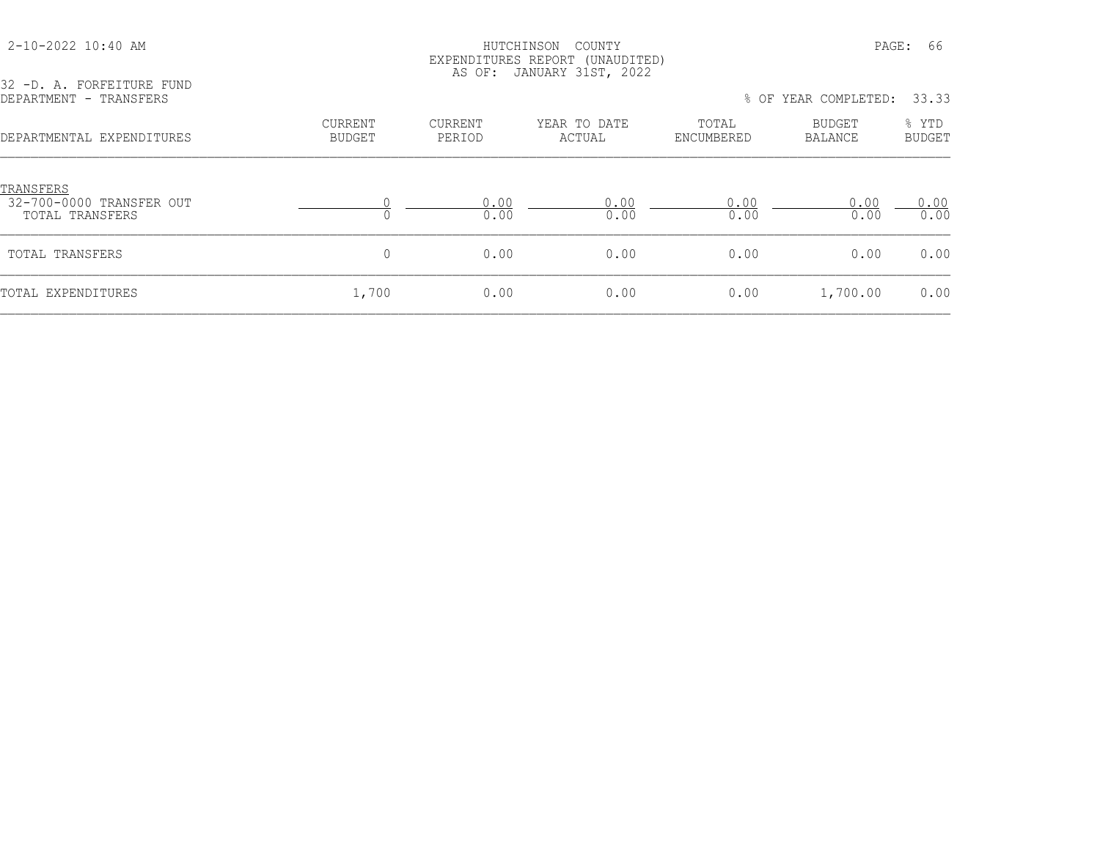#### 2-10-2022 10:40 AM HUTCHINSON COUNTY PAGE: 66 EXPENDITURES REPORT (UNAUDITED) AS OF: JANUARY 31ST, 2022

32 -D. A. FORFEITURE FUND<br>DEPARTMENT - TRANSFERS

% OF YEAR COMPLETED: 33.33 CURRENT CURRENT YEAR TO DATE TOTAL BUDGET % YTD DEPARTMENTAL EXPENDITURES BUDGET PERIOD ACTUAL ENCUMBERED BALANCE BUDGET

| <b>TRANSFERS</b><br>32-700-0000 TRANSFER OUT<br>TOTAL TRANSFERS |       | 0.00<br>0.00 | 0.00<br>0.00 | 0.00<br>0.00 | 0.00<br>0.00 | ).OO<br>0.00 |
|-----------------------------------------------------------------|-------|--------------|--------------|--------------|--------------|--------------|
| TOTAL TRANSFERS                                                 |       | 0.00         | 0.00         | 0.00         | 0.00         | 0.00         |
| TOTAL EXPENDITURES                                              | 1,700 | 0.00         | 0.00         | 0.00         | 1,700.00     | 0.00         |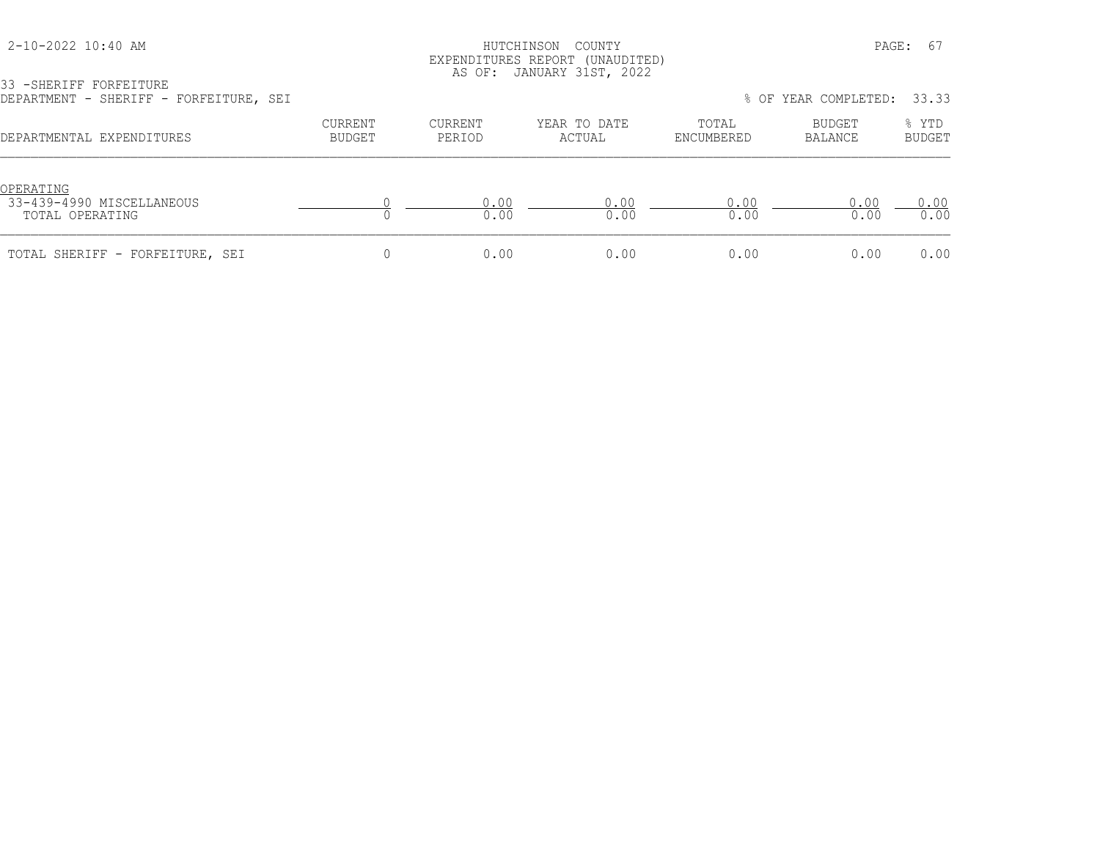|  |  |  | 2-10-2022 10:40 AM |  |  |  |
|--|--|--|--------------------|--|--|--|
|--|--|--|--------------------|--|--|--|

## HUTCHINSON COUNTY PAGE: 67 EXPENDITURES REPORT (UNAUDITED) AS OF: JANUARY 31ST, 2022

33 -SHERIFF FORFEITURE DEPARTMENT - SHERIFF - FORFEITURE, SEI % OF YEAR COMPLETED: 33.33

| DEPARTMENTAL EXPENDITURES                                 | CURRENT<br>BUDGET | CURRENT<br>PERIOD | YEAR TO DATE<br>ACTUAL | TOTAL<br>ENCUMBERED | BUDGET<br>BALANCE | % YTD<br><b>BUDGET</b> |
|-----------------------------------------------------------|-------------------|-------------------|------------------------|---------------------|-------------------|------------------------|
| OPERATING<br>33-439-4990 MISCELLANEOUS<br>TOTAL OPERATING |                   | 0.00<br>0.00      | 0.00<br>0.00           | 0.00<br>0.00        | 0.00<br>0.00      | 0.00<br>0.00           |
| TOTAL SHERIFF - FORFEITURE, SEI                           |                   | 0.00              | 0.00                   | 0.00                | 0.00              | 0.00                   |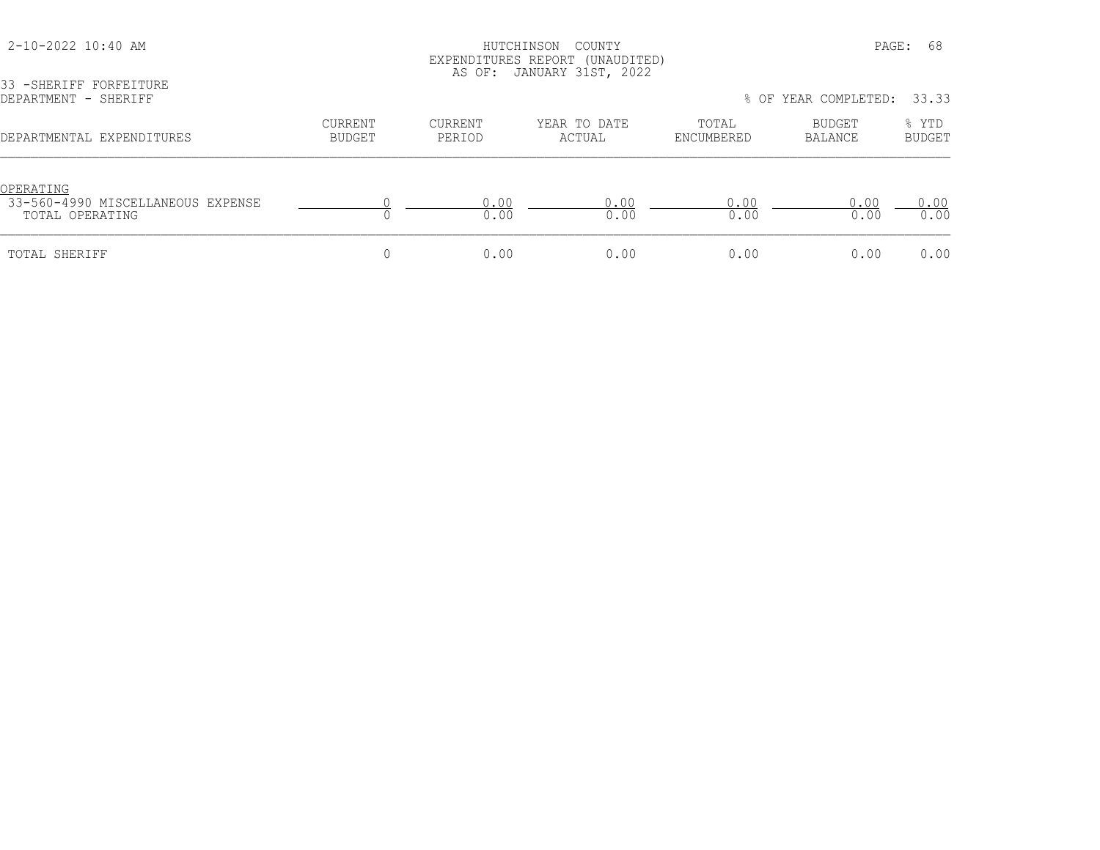33 -SHERIFF FORFEITURE

## 2-10-2022 10:40 AM HUTCHINSON COUNTY PAGE: 68 EXPENDITURES REPORT (UNAUDITED) AS OF: JANUARY 31ST, 2022

DEPARTMENT - SHERIFF % OF YEAR COMPLETED: 33.33 CURRENT CURRENT YEAR TO DATE TOTAL BUDGET % YTD DEPARTMENTAL EXPENDITURES BUDGET PERIOD ACTUAL ENCUMBERED BALANCE BUDGET <u>OPERATING</u><br>33-560-4990 MISCELLANEOUS EXPENSE 33-560-4990 MISCELLANEOUS EXPENSE 0 0.00 0.00 0.00 0.00 0.00 TOTAL OPERATING 0 0.00 0.00 0.00 0.00 0.00 TOTAL SHERIFF 0 0.00 0.00 0.00 0.00 0.00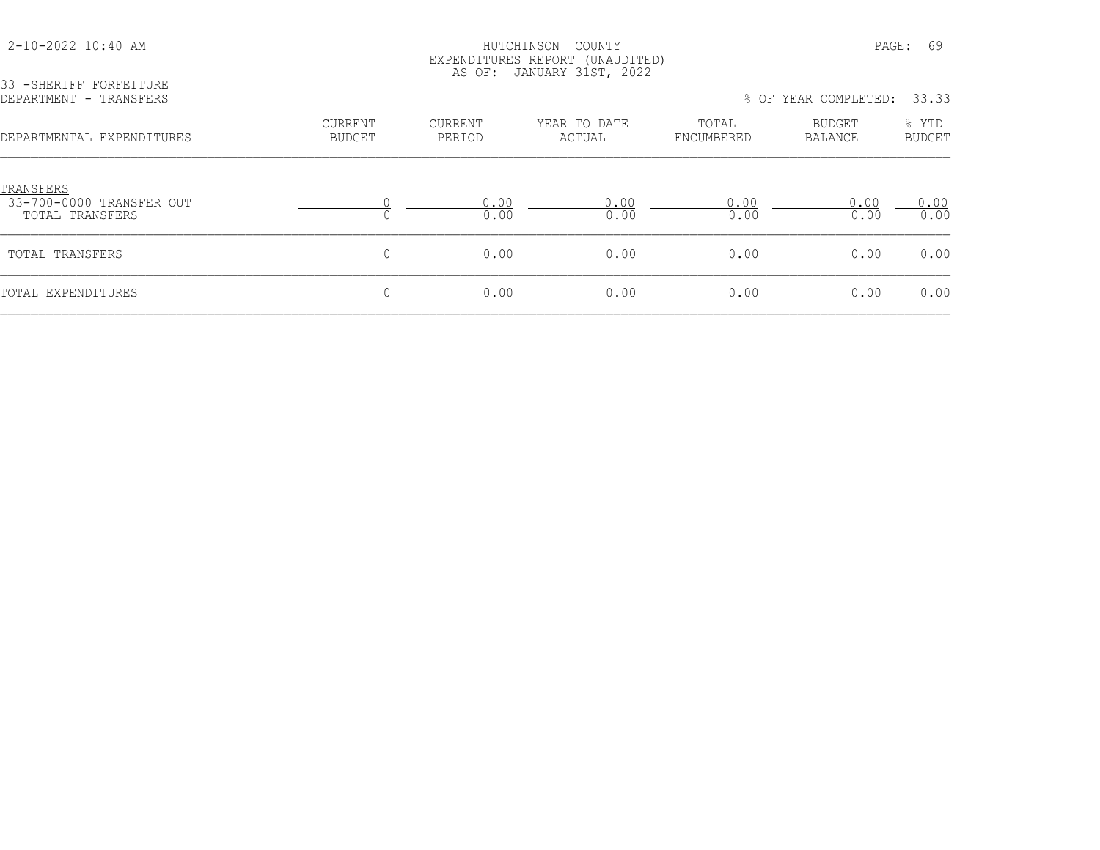33 -SHERIFF FORFEITURE

## HUTCHINSON COUNTY PAGE: 69 EXPENDITURES REPORT (UNAUDITED) AS OF: JANUARY 31ST, 2022

| JJ TƏNLAIRI IVARLIIVAL<br>DEPARTMENT - TRANSFERS         |                                 |                          |                        | % OF                | YEAR COMPLETED:          | 33.33                  |  |
|----------------------------------------------------------|---------------------------------|--------------------------|------------------------|---------------------|--------------------------|------------------------|--|
| DEPARTMENTAL EXPENDITURES                                | <b>CURRENT</b><br><b>BUDGET</b> | <b>CURRENT</b><br>PERIOD | YEAR TO DATE<br>ACTUAL | TOTAL<br>ENCUMBERED | BUDGET<br><b>BALANCE</b> | % YTD<br><b>BUDGET</b> |  |
| TRANSFERS<br>33-700-0000 TRANSFER OUT<br>TOTAL TRANSFERS |                                 | 0.00<br>0.00             | 0.00<br>0.00           | 0.00<br>0.00        | 0.00<br>0.00             | 0.00<br>0.00           |  |
| TOTAL TRANSFERS                                          | 0                               | 0.00                     | 0.00                   | 0.00                | 0.00                     | 0.00                   |  |
| TOTAL EXPENDITURES                                       | 0                               | 0.00                     | 0.00                   | 0.00                | 0.00                     | 0.00                   |  |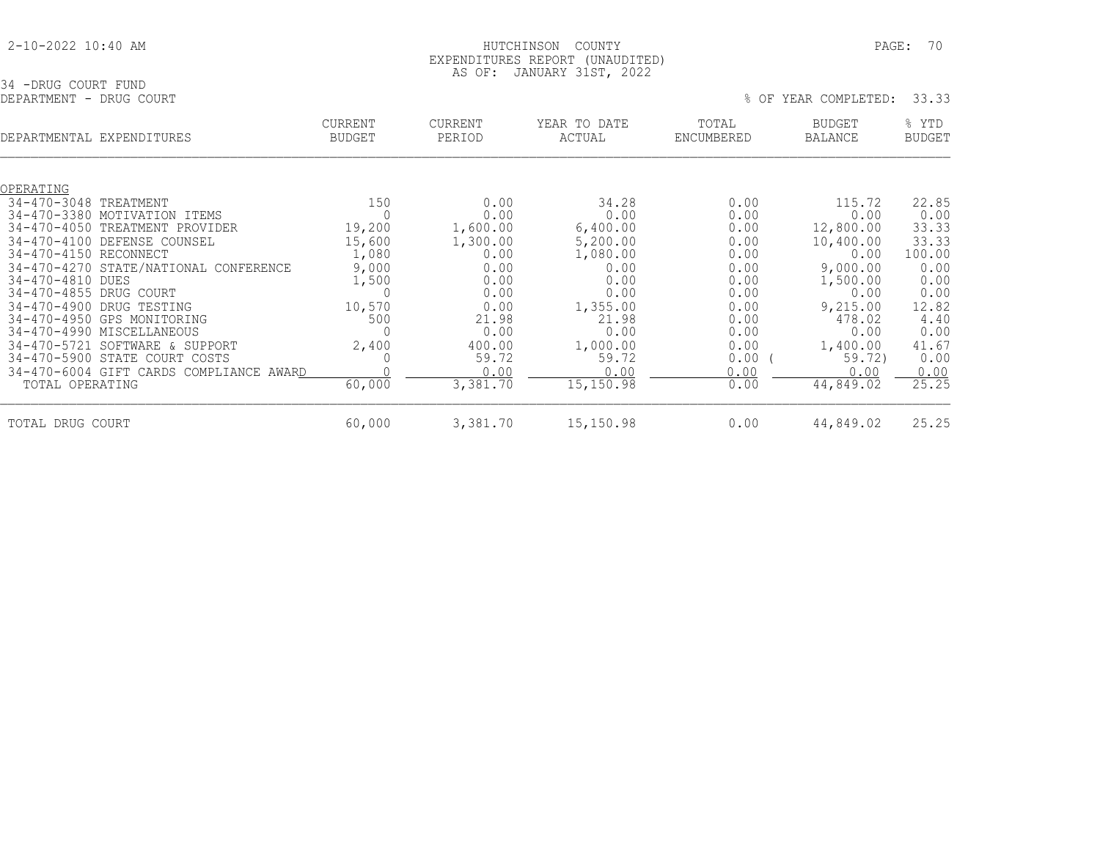|  | 2-10-2022 10:40 AM |  |  |
|--|--------------------|--|--|
|  |                    |  |  |

## HUTCHINSON COUNTY PAGE: 70 EXPENDITURES REPORT (UNAUDITED) AS OF: JANUARY 31ST, 2022

34 -DRUG COURT FUND<br>DEPARTMENT - DRUG COURT

|  |  | % OF YEAR COMPLETED: 33.33 |  |
|--|--|----------------------------|--|

| DEPARTMENTAL EXPENDITURES                                                                                                                                                                       |                                                                                                                                                                                                                                                                                 | CURRENT<br><b>BUDGET</b>                                                     | <b>CURRENT</b><br>PERIOD                                                                                                 | YEAR TO DATE<br>ACTUAL                                                                                                              | TOTAL<br>ENCUMBERED                                                                                          | <b>BUDGET</b><br>BALANCE                                                                                                                     | % YTD<br><b>BUDGET</b>                                                                                              |
|-------------------------------------------------------------------------------------------------------------------------------------------------------------------------------------------------|---------------------------------------------------------------------------------------------------------------------------------------------------------------------------------------------------------------------------------------------------------------------------------|------------------------------------------------------------------------------|--------------------------------------------------------------------------------------------------------------------------|-------------------------------------------------------------------------------------------------------------------------------------|--------------------------------------------------------------------------------------------------------------|----------------------------------------------------------------------------------------------------------------------------------------------|---------------------------------------------------------------------------------------------------------------------|
| OPERATING                                                                                                                                                                                       |                                                                                                                                                                                                                                                                                 |                                                                              |                                                                                                                          |                                                                                                                                     |                                                                                                              |                                                                                                                                              |                                                                                                                     |
| 34-470-3048 TREATMENT<br>34-470-3380<br>$34 - 470 - 4050$<br>$34 - 470 - 4100$<br>34-470-4150 RECONNECT<br>34-470-4810 DUES<br>34-470-4855 DRUG COURT<br>$34 - 470 - 4900$<br>$34 - 470 - 5721$ | MOTIVATION ITEMS<br>TREATMENT PROVIDER<br>DEFENSE COUNSEL<br>34-470-4270 STATE/NATIONAL CONFERENCE<br>DRUG TESTING<br>34-470-4950 GPS MONITORING<br>34-470-4990 MISCELLANEOUS<br>SOFTWARE & SUPPORT<br>34-470-5900 STATE COURT COSTS<br>34-470-6004 GIFT CARDS COMPLIANCE AWARD | 150<br>19,200<br>15,600<br>1,080<br>9,000<br>1,500<br>10,570<br>500<br>2,400 | 0.00<br>0.00<br>1,600.00<br>1,300.00<br>0.00<br>0.00<br>0.00<br>0.00<br>0.00<br>21.98<br>0.00<br>400.00<br>59.72<br>0.00 | 34.28<br>0.00<br>6,400.00<br>5,200.00<br>1,080.00<br>0.00<br>0.00<br>0.00<br>1,355.00<br>21.98<br>0.00<br>1,000.00<br>59.72<br>0.00 | 0.00<br>0.00<br>0.00<br>0.00<br>0.00<br>0.00<br>0.00<br>0.00<br>0.00<br>0.00<br>0.00<br>0.00<br>0.00<br>0.00 | 115.72<br>0.00<br>12,800.00<br>10,400.00<br>0.00<br>9,000.00<br>1,500.00<br>0.00<br>9,215.00<br>478.02<br>0.00<br>1,400.00<br>59.72)<br>0.00 | 22.85<br>0.00<br>33.33<br>33.33<br>100.00<br>0.00<br>0.00<br>0.00<br>12.82<br>4.40<br>0.00<br>41.67<br>0.00<br>0.00 |
| TOTAL OPERATING                                                                                                                                                                                 |                                                                                                                                                                                                                                                                                 | 60,000                                                                       | 3,381.70                                                                                                                 | 15,150.98                                                                                                                           | 0.00                                                                                                         | 44,849.02                                                                                                                                    | 25.25                                                                                                               |
| TOTAL DRUG COURT                                                                                                                                                                                |                                                                                                                                                                                                                                                                                 | 60,000                                                                       | 3,381.70                                                                                                                 | 15,150.98                                                                                                                           | 0.00                                                                                                         | 44,849.02                                                                                                                                    | 25.25                                                                                                               |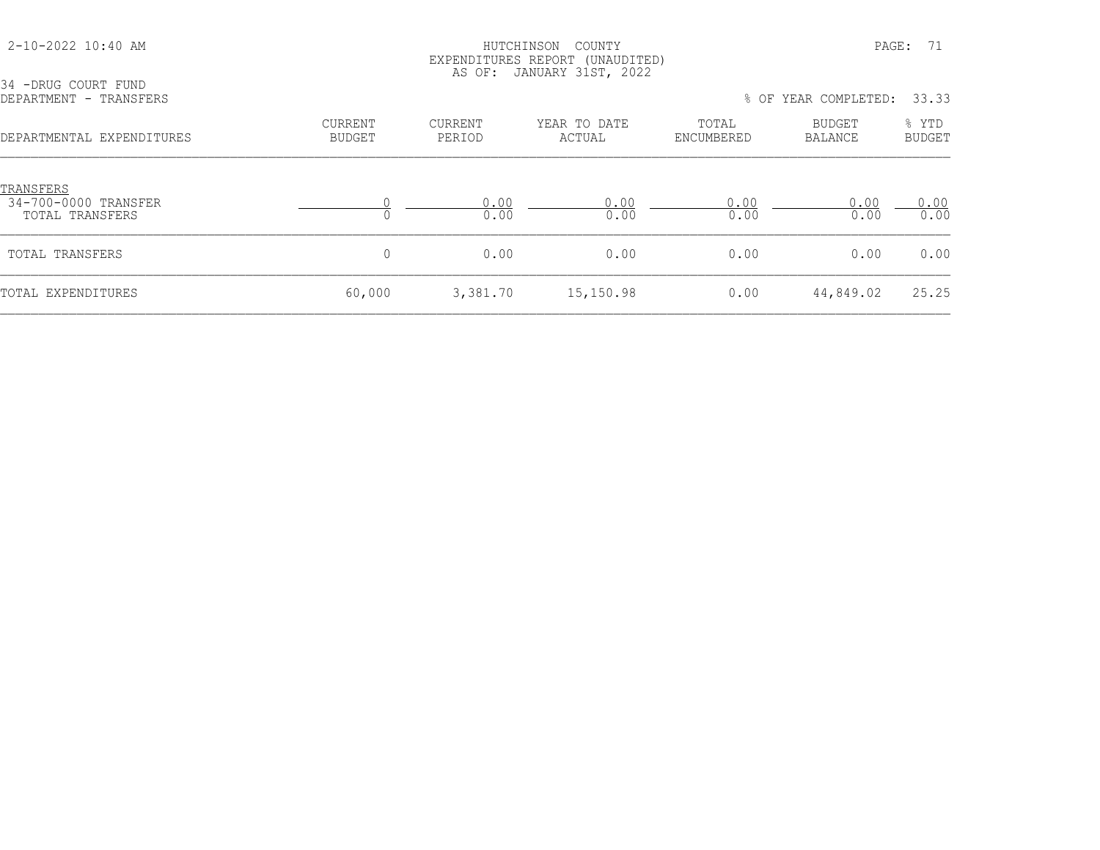| 34 -DRUG COURT FUND                                  |                                 |                   |                        |                      |                          |                        |
|------------------------------------------------------|---------------------------------|-------------------|------------------------|----------------------|--------------------------|------------------------|
| DEPARTMENT - TRANSFERS                               |                                 |                   |                        | % OF YEAR COMPLETED: |                          |                        |
| DEPARTMENTAL EXPENDITURES                            | <b>CURRENT</b><br><b>BUDGET</b> | CURRENT<br>PERIOD | YEAR TO DATE<br>ACTUAL | TOTAL<br>ENCUMBERED  | BUDGET<br><b>BALANCE</b> | % YTD<br><b>BUDGET</b> |
| TRANSFERS<br>34-700-0000 TRANSFER<br>TOTAL TRANSFERS |                                 | 0.00<br>0.00      | 0.00<br>0.00           | 0.00<br>0.00         | 0.00<br>0.00             | 0.00<br>0.00           |
| TOTAL TRANSFERS                                      | $\mathbf{0}$                    | 0.00              | 0.00                   | 0.00                 | 0.00                     | 0.00                   |
| TOTAL EXPENDITURES                                   | 60,000                          | 3,381.70          | 15,150.98              | 0.00                 | 44,849.02                | 25.25                  |

2-10-2022 10:40 AM HUTCHINSON COUNTY PAGE: 71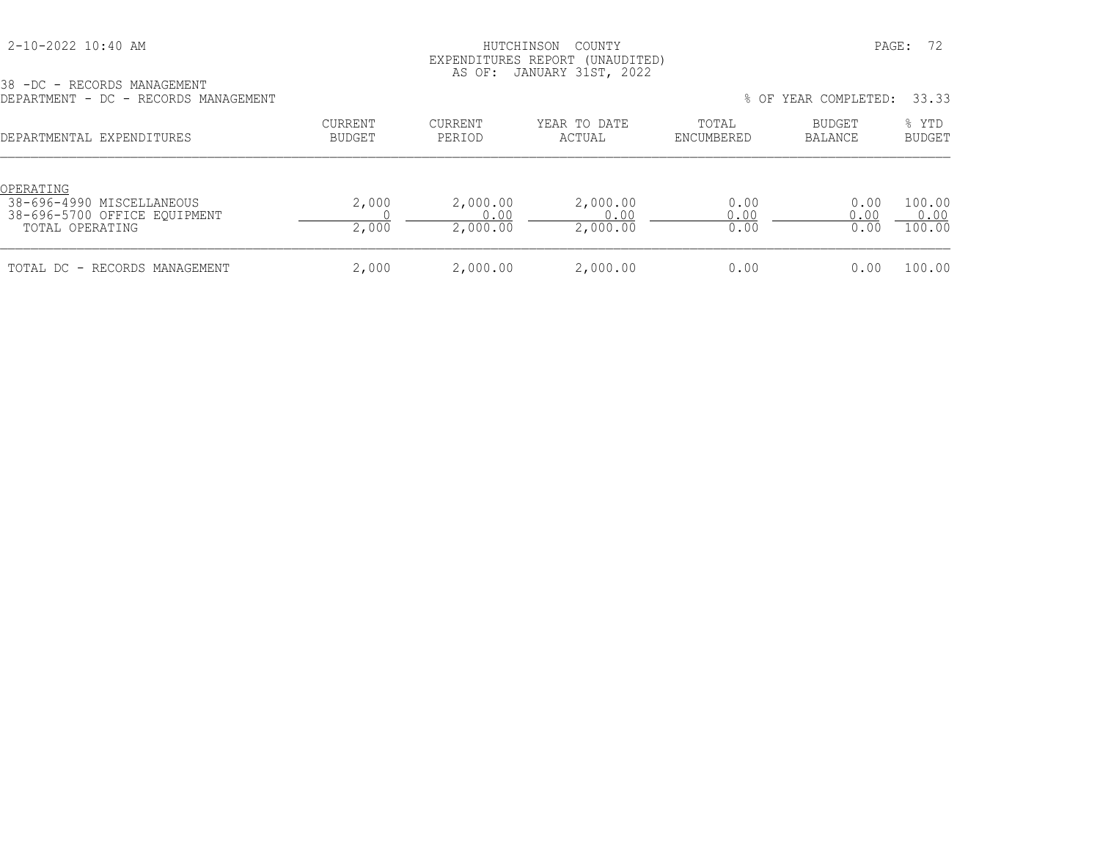## 2-10-2022 10:40 AM HUTCHINSON COUNTY PAGE: 72 EXPENDITURES REPORT (UNAUDITED) AS OF: JANUARY 31ST, 2022

|  |  |  | 38 - DC - RECORDS MANAGEMENT |                                      |
|--|--|--|------------------------------|--------------------------------------|
|  |  |  |                              | DEPARTMENT - DC - RECORDS MANAGEMENT |

| DEPARTMENT - DC - RECORDS MANAGEMENT                                                      | % OF YEAR COMPLETED:<br>33.33 |                              |                              |                      |                          |                          |
|-------------------------------------------------------------------------------------------|-------------------------------|------------------------------|------------------------------|----------------------|--------------------------|--------------------------|
| DEPARTMENTAL EXPENDITURES                                                                 | CURRENT<br>BUDGET             | <b>CURRENT</b><br>PERIOD     | YEAR TO DATE<br>ACTUAL       | TOTAL<br>ENCUMBERED  | BUDGET<br><b>BALANCE</b> | % YTD<br><b>BUDGET</b>   |
| OPERATING<br>38-696-4990 MISCELLANEOUS<br>38-696-5700 OFFICE EOUIPMENT<br>TOTAL OPERATING | 2,000<br>2,000                | 2,000.00<br>0.00<br>2,000.00 | 2,000.00<br>0.00<br>2,000.00 | 0.00<br>0.00<br>0.00 | 0.00<br>0.00<br>0.00     | 100.00<br>0.00<br>100.00 |
| TOTAL DC - RECORDS MANAGEMENT                                                             | 2,000                         | 2,000.00                     | 2,000.00                     | 0.00                 | 0.00                     | 100.00                   |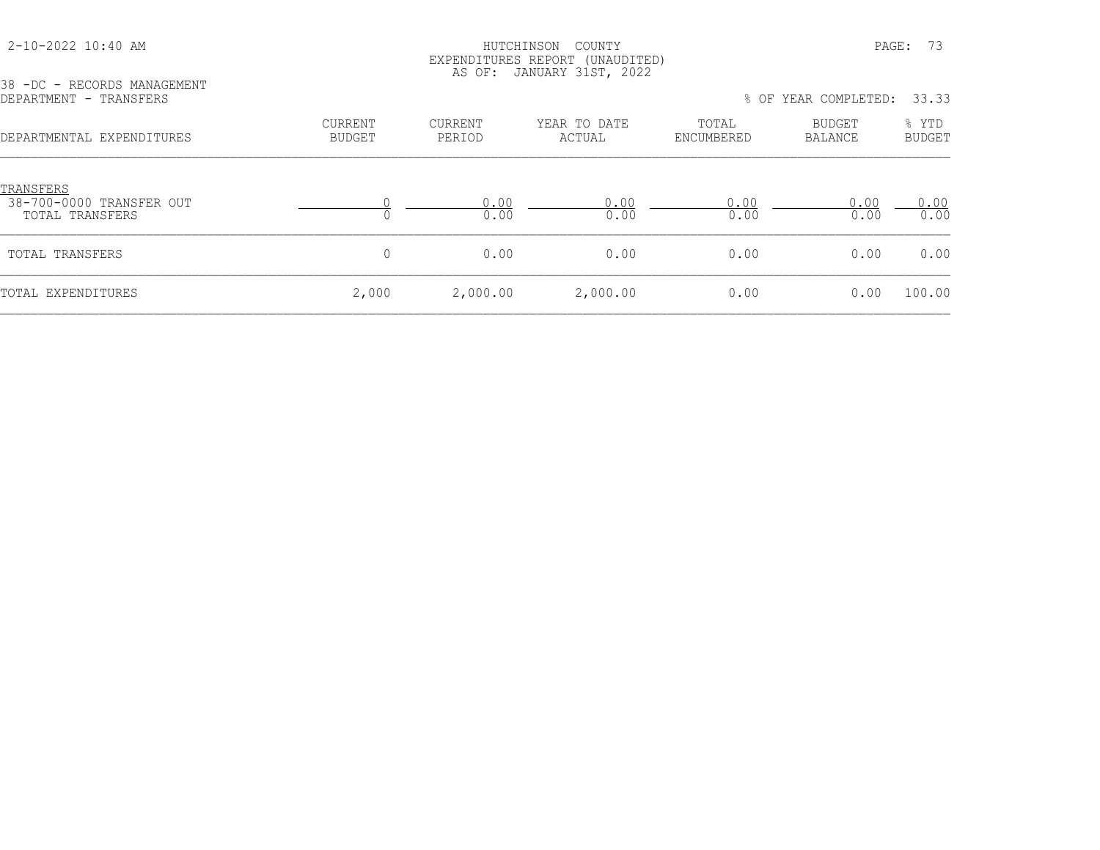| 2-10-2022 10:40 AM |  |  |
|--------------------|--|--|
|--------------------|--|--|

#### HUTCHINSON COUNTY PAGE: 73 EXPENDITURES REPORT (UNAUDITED) AS OF: JANUARY 31ST, 2022

38 -DC - RECORDS MANAGEMENT<br>DEPARTMENT - TRANSFERS

% OF YEAR COMPLETED: 33.33

| DEPARTMENTAL EXPENDITURES                                       | <b>CURRENT</b><br><b>BUDGET</b> | <b>CURRENT</b><br>PERIOD | YEAR TO DATE<br>ACTUAL | TOTAL<br>ENCUMBERED | <b>BUDGET</b><br>BALANCE | % YTD<br><b>BUDGET</b> |
|-----------------------------------------------------------------|---------------------------------|--------------------------|------------------------|---------------------|--------------------------|------------------------|
| <u>TRANSFERS</u><br>38-700-0000 TRANSFER OUT<br>TOTAL TRANSFERS |                                 | 0.00<br>0.00             | 0.00<br>0.00           | 0.00<br>0.00        | 0.00<br>0.00             | 0.00<br>0.00           |
| TOTAL TRANSFERS                                                 | $\Omega$                        | 0.00                     | 0.00                   | 0.00                | 0.00                     | 0.00                   |
| TOTAL EXPENDITURES                                              | 2,000                           | 2,000.00                 | 2,000.00               | 0.00                | 0.00                     | 100.00                 |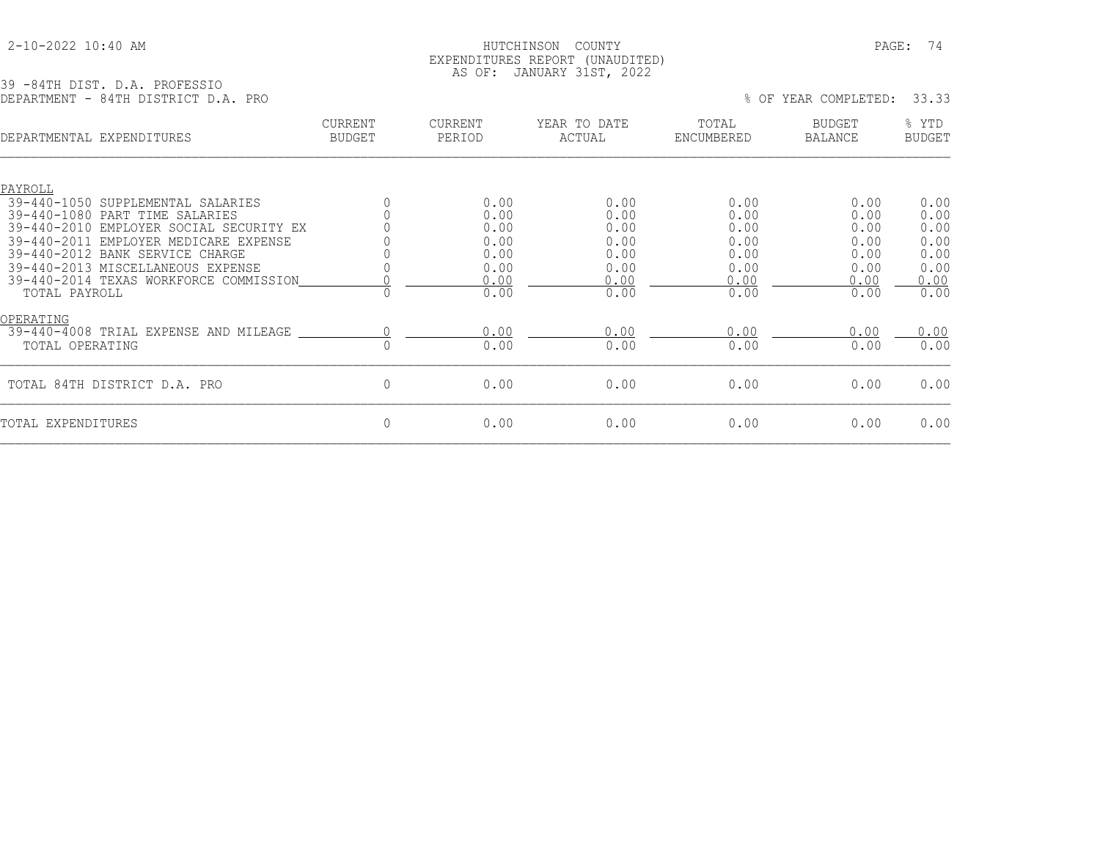### 2-10-2022 10:40 AM HUTCHINSON COUNTY PAGE: 74 EXPENDITURES REPORT (UNAUDITED) AS OF: JANUARY 31ST, 2022

39 -84TH DIST. D.A. PROFESSIO DEPARTMENT - 84TH DISTRICT D.A. PRO % OF YEAR COMPLETED: 33.33

| DEPARTMENTAL EXPENDITURES                                                                                                               | <b>CURRENT</b><br><b>BUDGET</b> | <b>CURRENT</b><br>PERIOD     | YEAR TO DATE<br>ACTUAL       | TOTAL<br>ENCUMBERED          | <b>BUDGET</b><br><b>BALANCE</b> | % YTD<br><b>BUDGET</b>       |
|-----------------------------------------------------------------------------------------------------------------------------------------|---------------------------------|------------------------------|------------------------------|------------------------------|---------------------------------|------------------------------|
| PAYROLL<br>$39 - 440 - 1050$<br>SUPPLEMENTAL SALARIES                                                                                   |                                 | 0.00                         | 0.00                         | 0.00                         | 0.00                            | 0.00                         |
| $39 - 440 - 1080$<br>PART TIME SALARIES<br>39-440-2010<br>EMPLOYER SOCIAL SECURITY EX<br>$39 - 440 - 2011$<br>EMPLOYER MEDICARE EXPENSE |                                 | 0.00<br>0.00<br>0.00         | 0.00<br>0.00<br>0.00         | 0.00<br>0.00<br>0.00         | 0.00<br>0.00<br>0.00            | 0.00<br>0.00<br>0.00         |
| 39-440-2012 BANK SERVICE CHARGE<br>39-440-2013 MISCELLANEOUS EXPENSE<br>39-440-2014 TEXAS WORKFORCE COMMISSION<br>TOTAL PAYROLL         |                                 | 0.00<br>0.00<br>0.00<br>0.00 | 0.00<br>0.00<br>0.00<br>0.00 | 0.00<br>0.00<br>0.00<br>0.00 | 0.00<br>0.00<br>0.00<br>0.00    | 0.00<br>0.00<br>0.00<br>0.00 |
| OPERATING<br>39-440-4008 TRIAL EXPENSE AND MILEAGE<br>TOTAL OPERATING                                                                   |                                 | 0.00<br>0.00                 | 0.00<br>0.00                 | 0.00<br>0.00                 | 0.00<br>0.00                    | 0.00<br>0.00                 |
| TOTAL 84TH DISTRICT D.A. PRO                                                                                                            | $\mathbf 0$                     | 0.00                         | 0.00                         | 0.00                         | 0.00                            | 0.00                         |
| TOTAL EXPENDITURES                                                                                                                      | $\mathbf 0$                     | 0.00                         | 0.00                         | 0.00                         | 0.00                            | 0.00                         |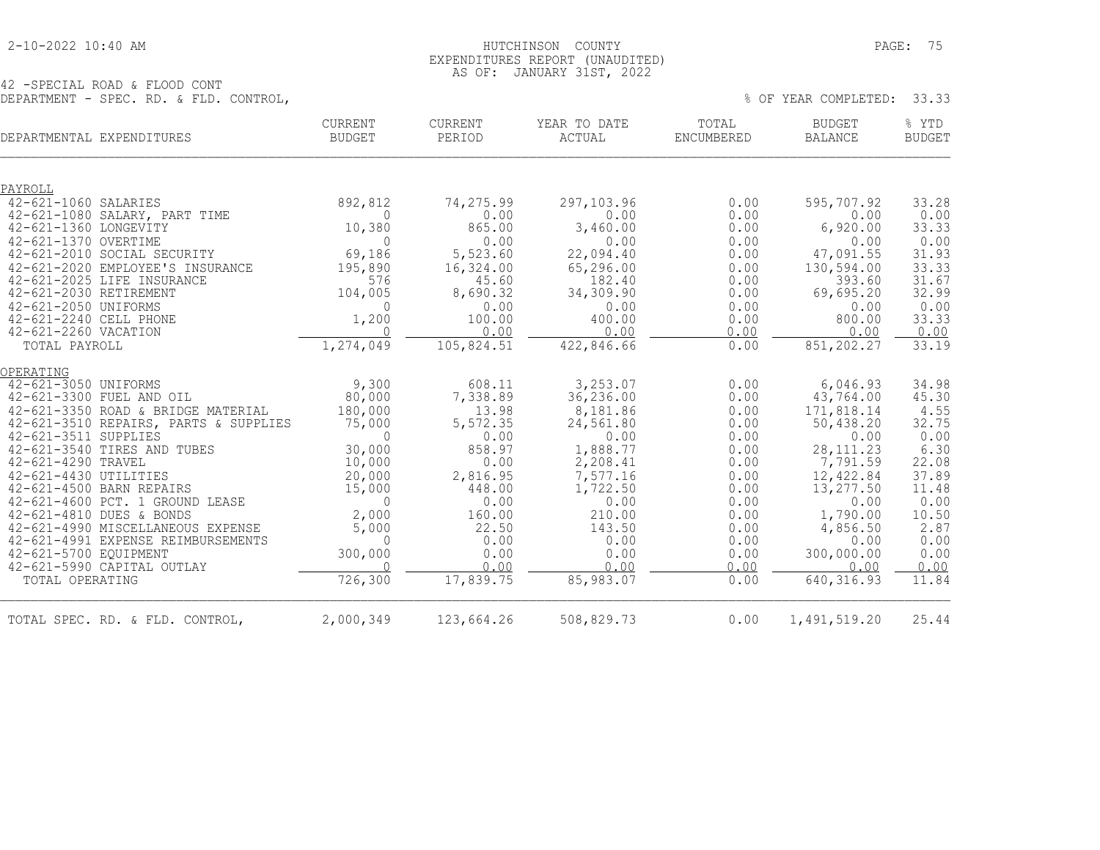#### 2-10-2022 10:40 AM HUTCHINSON COUNTY PAGE: 75 EXPENDITURES REPORT (UNAUDITED) AS OF: JANUARY 31ST, 2022

|                        | DEPARTMENTAL EXPENDITURES                                   | <b>CURRENT</b><br><b>BUDGET</b> | <b>CURRENT</b><br>PERIOD | YEAR TO DATE<br>ACTUAL | TOTAL<br>ENCUMBERED | <b>BUDGET</b><br><b>BALANCE</b> | % YTD<br><b>BUDGET</b> |
|------------------------|-------------------------------------------------------------|---------------------------------|--------------------------|------------------------|---------------------|---------------------------------|------------------------|
| PAYROLL                |                                                             |                                 |                          |                        |                     |                                 |                        |
| 42-621-1060 SALARIES   |                                                             | 892,812                         | 74,275.99                | 297,103.96             | 0.00                | 595,707.92                      | 33.28                  |
|                        | 42-621-1080 SALARY, PART TIME                               | 0                               | 0.00                     | 0.00                   | 0.00                | 0.00                            | 0.00                   |
| 42-621-1360 LONGEVITY  |                                                             | 10,380                          | 865.00                   | 3,460.00               | 0.00                | 6,920.00                        | 33.33                  |
| 42-621-1370 OVERTIME   |                                                             | $\Omega$                        | 0.00                     | 0.00                   | 0.00                | 0.00                            | 0.00                   |
|                        | 42-621-2010 SOCIAL SECURITY                                 | 69,186                          | 5,523.60                 | 22,094.40              | 0.00                | 47,091.55                       | 31.93                  |
|                        | 42-621-2020 EMPLOYEE'S INSURANCE                            | 195,890<br>576                  | 16,324.00<br>45.60       | 65,296.00<br>182.40    | 0.00                | 130,594.00<br>393.60            | 33.33                  |
| 42-621-2030 RETIREMENT | 42-621-2025 LIFE INSURANCE                                  | 104,005                         | 8,690.32                 | 34,309.90              | 0.00<br>0.00        | 69,695.20                       | 31.67<br>32.99         |
| 42-621-2050 UNIFORMS   |                                                             | $\mathbf{0}$                    | 0.00                     | 0.00                   | 0.00                | 0.00                            | 0.00                   |
| 42-621-2240 CELL PHONE |                                                             | 1,200                           | 100.00                   | 400.00                 | 0.00                | 800.00                          | 33.33                  |
| 42-621-2260 VACATION   |                                                             | $\overline{0}$                  | 0.00                     | 0.00                   | 0.00                | 0.00                            | 0.00                   |
| TOTAL PAYROLL          |                                                             | 1,274,049                       | 105,824.51               | 422,846.66             | 0.00                | 851,202.27                      | 33.19                  |
| OPERATING              |                                                             |                                 |                          |                        |                     |                                 |                        |
| 42-621-3050 UNIFORMS   |                                                             | 9,300                           | 608.11                   | 3,253.07               | 0.00                | 6,046.93                        | 34.98                  |
|                        | 42-621-3300 FUEL AND OIL                                    | 80,000                          | 7,338.89                 | 36,236.00              | 0.00                | 43,764.00                       | 45.30                  |
|                        | 42-621-3350 ROAD & BRIDGE MATERIAL                          | 180,000                         | 13.98                    | 8,181.86               | 0.00                | 171,818.14                      | 4.55                   |
|                        | 42-621-3510 REPAIRS, PARTS & SUPPLIES                       | 75,000                          | 5,572.35                 | 24,561.80              | 0.00                | 50,438.20                       | 32.75                  |
| 42-621-3511 SUPPLIES   |                                                             | $\Omega$                        | 0.00                     | 0.00                   | 0.00                | 0.00                            | 0.00                   |
|                        | 42-621-3540 TIRES AND TUBES                                 | 30,000                          | 858.97                   | 1,888.77               | 0.00                | 28, 111.23                      | 6.30                   |
| 42-621-4290 TRAVEL     |                                                             | 10,000                          | 0.00                     | 2,208.41               | 0.00                | 7,791.59                        | 22.08                  |
| 42-621-4430 UTILITIES  |                                                             | 20,000                          | 2,816.95                 | 7,577.16               | 0.00                | 12,422.84                       | 37.89                  |
|                        | 42-621-4500 BARN REPAIRS<br>42-621-4600 PCT. 1 GROUND LEASE | 15,000<br>$\mathbf 0$           | 448.00<br>0.00           | 1,722.50<br>0.00       | 0.00<br>0.00        | 13,277.50<br>0.00               | 11.48<br>0.00          |
|                        | 42-621-4810 DUES & BONDS                                    | 2,000                           | 160.00                   | 210.00                 | 0.00                | 1,790.00                        | 10.50                  |
|                        | 42-621-4990 MISCELLANEOUS EXPENSE                           | 5,000                           | 22.50                    | 143.50                 | 0.00                | 4,856.50                        | 2.87                   |
|                        | 42-621-4991 EXPENSE REIMBURSEMENTS                          | $\Omega$                        | 0.00                     | 0.00                   | 0.00                | 0.00                            | 0.00                   |
| 42-621-5700 EQUIPMENT  |                                                             | 300,000                         | 0.00                     | 0.00                   | 0.00                | 300,000.00                      | 0.00                   |
|                        | 42-621-5990 CAPITAL OUTLAY                                  | $\Omega$                        | 0.00                     | 0.00                   | 0.00                | 0.00                            | 0.00                   |
| TOTAL OPERATING        |                                                             | 726,300                         | 17,839.75                | 85,983.07              | 0.00                | 640, 316.93                     | 11.84                  |
|                        | TOTAL SPEC. RD. & FLD. CONTROL,                             | 2,000,349                       | 123,664.26               | 508,829.73             | 0.00                | 1,491,519.20                    | 25.44                  |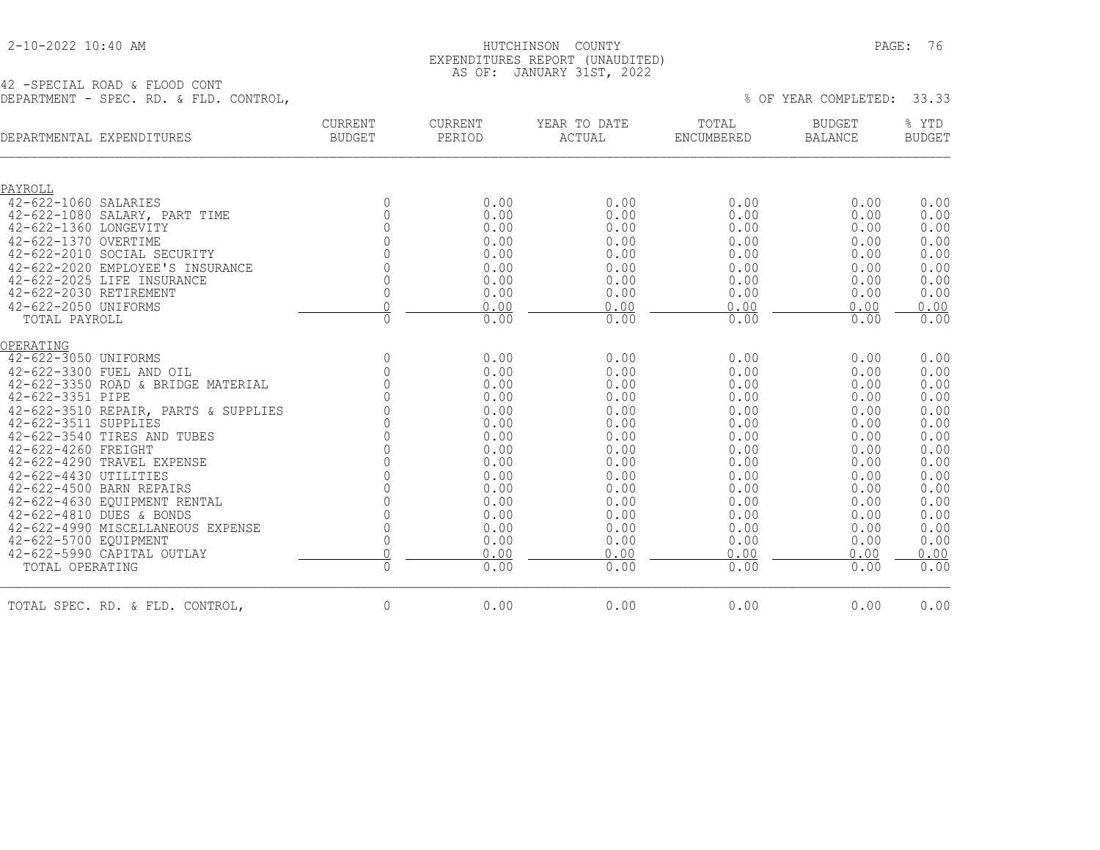### 2-10-2022 10:40 AM HUTCHINSON COUNTY PAGE: 76 EXPENDITURES REPORT (UNAUDITED) AS OF: JANUARY 31ST, 2022

| DEPARTMENTAL EXPENDITURES                           | <b>CURRENT</b><br><b>BUDGET</b> | <b>CURRENT</b><br>PERIOD | YEAR TO DATE<br>ACTUAL | TOTAL<br><b>ENCUMBERED</b> | <b>BUDGET</b><br><b>BALANCE</b> | % YTD<br><b>BUDGET</b> |
|-----------------------------------------------------|---------------------------------|--------------------------|------------------------|----------------------------|---------------------------------|------------------------|
| PAYROLL                                             |                                 |                          |                        |                            |                                 |                        |
| 42-622-1060 SALARIES                                | $\mathbf 0$                     | 0.00                     | 0.00                   | 0.00                       | 0.00                            | 0.00                   |
| 42-622-1080 SALARY, PART TIME                       | 0                               | 0.00                     | 0.00                   | 0.00                       | 0.00                            | 0.00                   |
| 42-622-1360 LONGEVITY<br>42-622-1370 OVERTIME       | $\Omega$                        | 0.00<br>0.00             | 0.00<br>0.00           | 0.00<br>0.00               | 0.00<br>0.00                    | 0.00<br>0.00           |
| 42-622-2010 SOCIAL SECURITY                         | $\bigcap$                       | 0.00                     | 0.00                   | 0.00                       | 0.00                            | 0.00                   |
| 42-622-2020 EMPLOYEE'S INSURANCE                    |                                 | 0.00                     | 0.00                   | 0.00                       | 0.00                            | 0.00                   |
| 42-622-2025 LIFE INSURANCE                          |                                 | 0.00                     | 0.00                   | 0.00                       | 0.00                            | 0.00                   |
| 42-622-2030 RETIREMENT                              | $\mathbf 0$                     | 0.00                     | 0.00                   | 0.00                       | 0.00                            | 0.00                   |
| 42-622-2050 UNIFORMS                                | $\overline{0}$                  | 0.00                     | 0.00                   | 0.00                       | 0.00                            | 0.00                   |
| TOTAL PAYROLL                                       | 0                               | 0.00                     | 0.00                   | 0.00                       | 0.00                            | 0.00                   |
| OPERATING                                           |                                 |                          |                        |                            |                                 |                        |
| 42-622-3050 UNIFORMS                                | $\circ$                         | 0.00                     | 0.00                   | 0.00                       | 0.00                            | 0.00                   |
| 42-622-3300 FUEL AND OIL                            | $\mathbf{0}$                    | 0.00                     | 0.00                   | 0.00                       | 0.00                            | 0.00                   |
| 42-622-3350 ROAD & BRIDGE MATERIAL                  | $\Omega$                        | 0.00                     | 0.00                   | 0.00                       | 0.00                            | 0.00                   |
| 42-622-3351 PIPE                                    |                                 | 0.00                     | 0.00                   | 0.00                       | 0.00                            | 0.00                   |
| 42-622-3510 REPAIR, PARTS & SUPPLIES                |                                 | 0.00                     | 0.00                   | 0.00                       | 0.00                            | 0.00                   |
| 42-622-3511 SUPPLIES<br>42-622-3540 TIRES AND TUBES |                                 | 0.00<br>0.00             | 0.00<br>0.00           | 0.00<br>0.00               | 0.00<br>0.00                    | 0.00<br>0.00           |
| 42-622-4260 FREIGHT                                 |                                 | 0.00                     | 0.00                   | 0.00                       | 0.00                            | 0.00                   |
| 42-622-4290 TRAVEL EXPENSE                          |                                 | 0.00                     | 0.00                   | 0.00                       | 0.00                            | 0.00                   |
| 42-622-4430 UTILITIES                               |                                 | 0.00                     | 0.00                   | 0.00                       | 0.00                            | 0.00                   |
| 42-622-4500 BARN REPAIRS                            |                                 | 0.00                     | 0.00                   | 0.00                       | 0.00                            | 0.00                   |
| 42-622-4630 EQUIPMENT RENTAL                        | $\Omega$                        | 0.00                     | 0.00                   | 0.00                       | 0.00                            | 0.00                   |
| 42-622-4810 DUES & BONDS                            | $\Omega$                        | 0.00                     | 0.00                   | 0.00                       | 0.00                            | 0.00                   |
| 42-622-4990 MISCELLANEOUS EXPENSE                   | $\mathbf 0$                     | 0.00                     | 0.00                   | 0.00                       | 0.00                            | 0.00                   |
| 42-622-5700 EQUIPMENT                               | 0                               | 0.00                     | 0.00                   | 0.00                       | 0.00                            | 0.00                   |
| 42-622-5990 CAPITAL OUTLAY                          | $\overline{0}$                  | 0.00                     | 0.00                   | 0.00                       | 0.00                            | 0.00                   |
| TOTAL OPERATING                                     | $\overline{0}$                  | 0.00                     | 0.00                   | 0.00                       | 0.00                            | 0.00                   |
| TOTAL SPEC. RD. & FLD. CONTROL,                     | $\circ$                         | 0.00                     | 0.00                   | 0.00                       | 0.00                            | 0.00                   |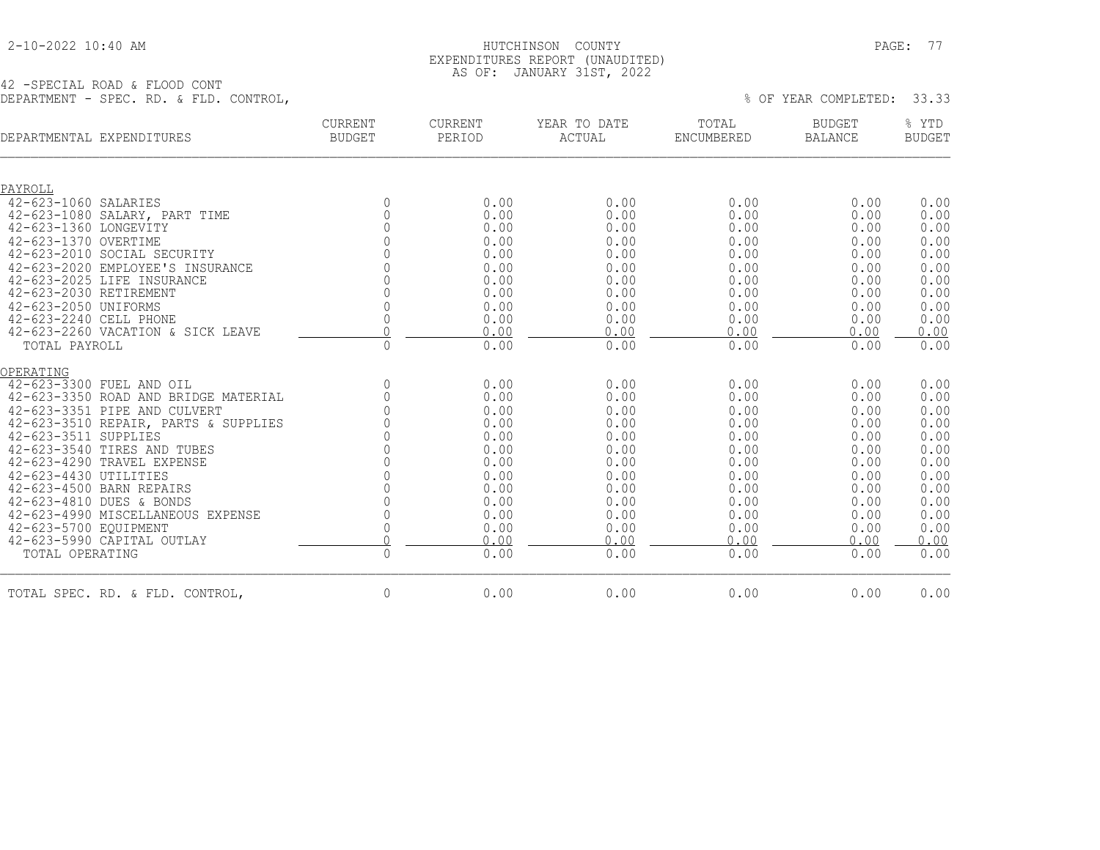#### 2-10-2022 10:40 AM HUTCHINSON COUNTY PAGE: 77 EXPENDITURES REPORT (UNAUDITED) AS OF: JANUARY 31ST, 2022

| DEPARTMENTAL EXPENDITURES            | <b>CURRENT</b><br><b>BUDGET</b> | CURRENT<br>PERIOD | YEAR TO DATE<br>ACTUAL | TOTAL<br>ENCUMBERED | <b>BUDGET</b><br><b>BALANCE</b> | % YTD<br><b>BUDGET</b> |
|--------------------------------------|---------------------------------|-------------------|------------------------|---------------------|---------------------------------|------------------------|
| PAYROLL                              |                                 |                   |                        |                     |                                 |                        |
| 42-623-1060 SALARIES                 | $\mathbf{0}$                    | 0.00              | 0.00                   | 0.00                | 0.00                            | 0.00                   |
| 42-623-1080 SALARY, PART TIME        | $\Omega$                        | 0.00              | 0.00                   | 0.00                | 0.00                            | 0.00                   |
| 42-623-1360 LONGEVITY                | $\Omega$                        | 0.00              | 0.00                   | 0.00                | 0.00                            | 0.00                   |
| 42-623-1370 OVERTIME                 |                                 | 0.00              | 0.00                   | 0.00                | 0.00                            | 0.00                   |
| 42-623-2010 SOCIAL SECURITY          | $\bigcap$                       | 0.00              | 0.00                   | 0.00                | 0.00                            | 0.00                   |
| 42-623-2020 EMPLOYEE'S INSURANCE     |                                 | 0.00              | 0.00                   | 0.00                | 0.00                            | 0.00                   |
| 42-623-2025 LIFE INSURANCE           |                                 | 0.00              | 0.00                   | 0.00                | 0.00                            | 0.00                   |
| 42-623-2030 RETIREMENT               |                                 | 0.00              | 0.00                   | 0.00                | 0.00                            | 0.00                   |
| 42-623-2050 UNIFORMS                 |                                 | 0.00              | 0.00                   | 0.00                | 0.00                            | 0.00                   |
| 42-623-2240 CELL PHONE               | 0                               | 0.00              | 0.00                   | 0.00                | 0.00                            | 0.00                   |
| 42-623-2260 VACATION & SICK LEAVE    | $\Omega$                        | 0.00              | 0.00                   | 0.00                | 0.00                            | 0.00                   |
| TOTAL PAYROLL                        | $\mathbb O$                     | 0.00              | 0.00                   | 0.00                | 0.00                            | 0.00                   |
| OPERATING                            |                                 |                   |                        |                     |                                 |                        |
| 42-623-3300 FUEL AND OIL             | $\circ$                         | 0.00              | 0.00                   | 0.00                | 0.00                            | 0.00                   |
| 42-623-3350 ROAD AND BRIDGE MATERIAL | $\circ$                         | 0.00              | 0.00                   | 0.00                | 0.00                            | 0.00                   |
| 42-623-3351 PIPE AND CULVERT         |                                 | 0.00              | 0.00                   | 0.00                | 0.00                            | 0.00                   |
| 42-623-3510 REPAIR, PARTS & SUPPLIES |                                 | 0.00              | 0.00                   | 0.00                | 0.00                            | 0.00                   |
| 42-623-3511 SUPPLIES                 |                                 | 0.00              | 0.00                   | 0.00                | 0.00                            | 0.00                   |
| 42-623-3540 TIRES AND TUBES          |                                 | 0.00              | 0.00                   | 0.00                | 0.00                            | 0.00                   |
| 42-623-4290 TRAVEL EXPENSE           |                                 | 0.00              | 0.00                   | 0.00                | 0.00                            | 0.00                   |
| 42-623-4430 UTILITIES                |                                 | 0.00              | 0.00                   | 0.00                | 0.00                            | 0.00                   |
| 42-623-4500 BARN REPAIRS             |                                 | 0.00              | 0.00                   | 0.00                | 0.00                            | 0.00                   |
| 42-623-4810 DUES & BONDS             |                                 | 0.00              | 0.00                   | 0.00                | 0.00                            | 0.00                   |
| 42-623-4990 MISCELLANEOUS EXPENSE    |                                 | 0.00              | 0.00                   | 0.00                | 0.00                            | 0.00                   |
| 42-623-5700 EOUIPMENT                | 0                               | 0.00              | 0.00                   | 0.00                | 0.00                            | 0.00                   |
| 42-623-5990 CAPITAL OUTLAY           | $\Omega$                        | 0.00              | 0.00                   | 0.00                | 0.00                            | 0.00                   |
| TOTAL OPERATING                      | $\mathsf{O}\xspace$             | 0.00              | 0.00                   | 0.00                | 0.00                            | 0.00                   |
| TOTAL SPEC. RD. & FLD. CONTROL,      | $\circ$                         | 0.00              | 0.00                   | 0.00                | 0.00                            | 0.00                   |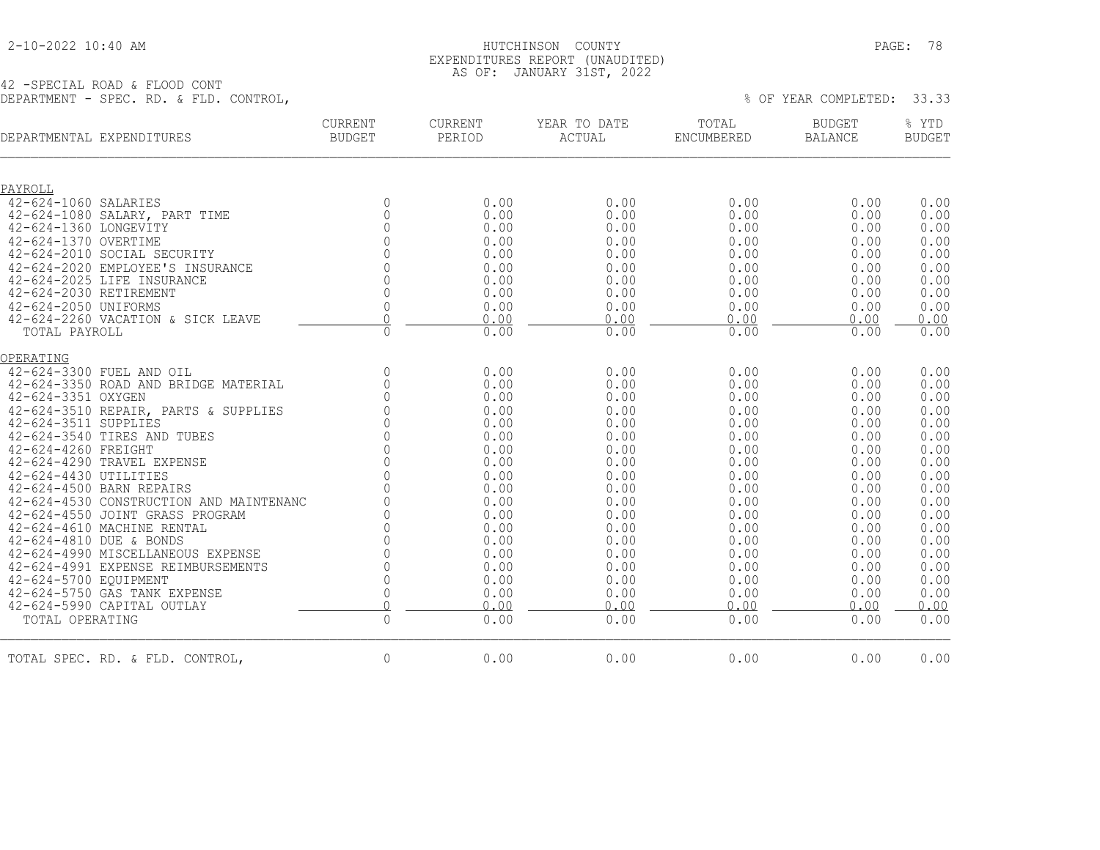### 2-10-2022 10:40 AM HUTCHINSON COUNTY PAGE: 78 EXPENDITURES REPORT (UNAUDITED) AS OF: JANUARY 31ST, 2022

| DEPARTMENTAL EXPENDITURES                             | <b>CURRENT</b><br><b>BUDGET</b> | <b>CURRENT</b><br>PERIOD | YEAR TO DATE<br><b>ACTUAL</b> | TOTAL<br><b>ENCUMBERED</b> | <b>BUDGET</b><br><b>BALANCE</b> | % YTD<br><b>BUDGET</b> |
|-------------------------------------------------------|---------------------------------|--------------------------|-------------------------------|----------------------------|---------------------------------|------------------------|
|                                                       |                                 |                          |                               |                            |                                 |                        |
| PAYROLL                                               |                                 |                          |                               |                            |                                 |                        |
| 42-624-1060 SALARIES                                  | $\mathbf 0$                     | 0.00                     | 0.00                          | 0.00                       | 0.00                            | 0.00                   |
| 42-624-1080 SALARY, PART TIME                         | $\mathbb O$                     | 0.00                     | 0.00                          | 0.00                       | 0.00                            | 0.00                   |
| 42-624-1360 LONGEVITY                                 | $\mathbf 0$                     | 0.00                     | 0.00                          | 0.00                       | 0.00                            | 0.00                   |
| 42-624-1370 OVERTIME                                  | $\mathbf 0$<br>$\cap$           | 0.00                     | 0.00                          | 0.00                       | 0.00                            | 0.00                   |
| 42-624-2010 SOCIAL SECURITY                           |                                 | 0.00                     | 0.00                          | 0.00                       | 0.00                            | 0.00                   |
| 42-624-2020 EMPLOYEE'S INSURANCE                      | $\Omega$                        | 0.00                     | 0.00                          | 0.00                       | 0.00                            | 0.00                   |
| 42-624-2025 LIFE INSURANCE<br>42-624-2030 RETIREMENT  | $\mathbf{0}$<br>$\mathbf{0}$    | 0.00<br>0.00             | 0.00<br>0.00                  | 0.00<br>0.00               | 0.00<br>0.00                    | 0.00<br>0.00           |
| 42-624-2050 UNIFORMS                                  | $\mathbb O$                     | 0.00                     | 0.00                          | 0.00                       | 0.00                            | 0.00                   |
| 42-624-2260 VACATION & SICK LEAVE                     | $\Omega$                        | 0.00                     | 0.00                          | 0.00                       | 0.00                            | 0.00                   |
| TOTAL PAYROLL                                         | $\mathbf 0$                     | 0.00                     | 0.00                          | 0.00                       | 0.00                            | 0.00                   |
| OPERATING                                             |                                 |                          |                               |                            |                                 |                        |
| 42-624-3300 FUEL AND OIL                              | $\mathbb O$                     | 0.00                     | 0.00                          | 0.00                       | 0.00                            | 0.00                   |
| 42-624-3350 ROAD AND BRIDGE MATERIAL                  | $\mathbf 0$                     | 0.00                     | 0.00                          | 0.00                       | 0.00                            | 0.00                   |
| 42-624-3351 OXYGEN                                    | $\Omega$                        | 0.00                     | 0.00                          | 0.00                       | 0.00                            | 0.00                   |
| 42-624-3510 REPAIR, PARTS & SUPPLIES                  | $\Omega$                        | 0.00                     | 0.00                          | 0.00                       | 0.00                            | 0.00                   |
| 42-624-3511 SUPPLIES                                  | $\mathbf 0$                     | 0.00                     | 0.00                          | 0.00                       | 0.00                            | 0.00                   |
| 42-624-3540 TIRES AND TUBES                           | $\mathbf 0$                     | 0.00                     | 0.00                          | 0.00                       | 0.00                            | 0.00                   |
| 42-624-4260 FREIGHT                                   | $\mathbf 0$                     | 0.00                     | 0.00                          | 0.00                       | 0.00                            | 0.00                   |
| 42-624-4290 TRAVEL EXPENSE                            | $\Omega$                        | 0.00                     | 0.00                          | 0.00                       | 0.00                            | 0.00                   |
| 42-624-4430 UTILITIES                                 | $\Omega$                        | 0.00                     | 0.00                          | 0.00                       | 0.00                            | 0.00                   |
| 42-624-4500 BARN REPAIRS                              | $\Omega$                        | 0.00                     | 0.00                          | 0.00                       | 0.00                            | 0.00                   |
| 42-624-4530 CONSTRUCTION AND MAINTENANC               | $\Omega$                        | 0.00                     | 0.00                          | 0.00                       | 0.00                            | 0.00                   |
| 42-624-4550 JOINT GRASS PROGRAM                       | $\Omega$                        | 0.00                     | 0.00                          | 0.00                       | 0.00                            | 0.00                   |
| 42-624-4610 MACHINE RENTAL                            | $\mathbf 0$                     | 0.00                     | 0.00                          | 0.00                       | 0.00                            | 0.00                   |
| 42-624-4810 DUE & BONDS                               | $\Omega$                        | 0.00                     | 0.00                          | 0.00                       | 0.00                            | 0.00                   |
| 42-624-4990 MISCELLANEOUS EXPENSE                     | $\Omega$                        | 0.00                     | 0.00                          | 0.00                       | 0.00                            | 0.00                   |
| 42-624-4991 EXPENSE REIMBURSEMENTS                    | $\Omega$                        | 0.00                     | 0.00                          | 0.00                       | 0.00                            | 0.00                   |
| 42-624-5700 EQUIPMENT<br>42-624-5750 GAS TANK EXPENSE | $\mathbf 0$                     | 0.00                     | 0.00                          | 0.00                       | 0.00                            | 0.00                   |
| 42-624-5990 CAPITAL OUTLAY                            | 0<br>$\overline{0}$             | 0.00<br>0.00             | 0.00<br>0.00                  | 0.00<br>0.00               | 0.00<br>0.00                    | 0.00<br>0.00           |
| TOTAL OPERATING                                       | $\mathbb O$                     | 0.00                     | 0.00                          | 0.00                       | 0.00                            | 0.00                   |
|                                                       |                                 |                          |                               |                            |                                 |                        |
| TOTAL SPEC. RD. & FLD. CONTROL,                       | $\mathbf 0$                     | 0.00                     | 0.00                          | 0.00                       | 0.00                            | 0.00                   |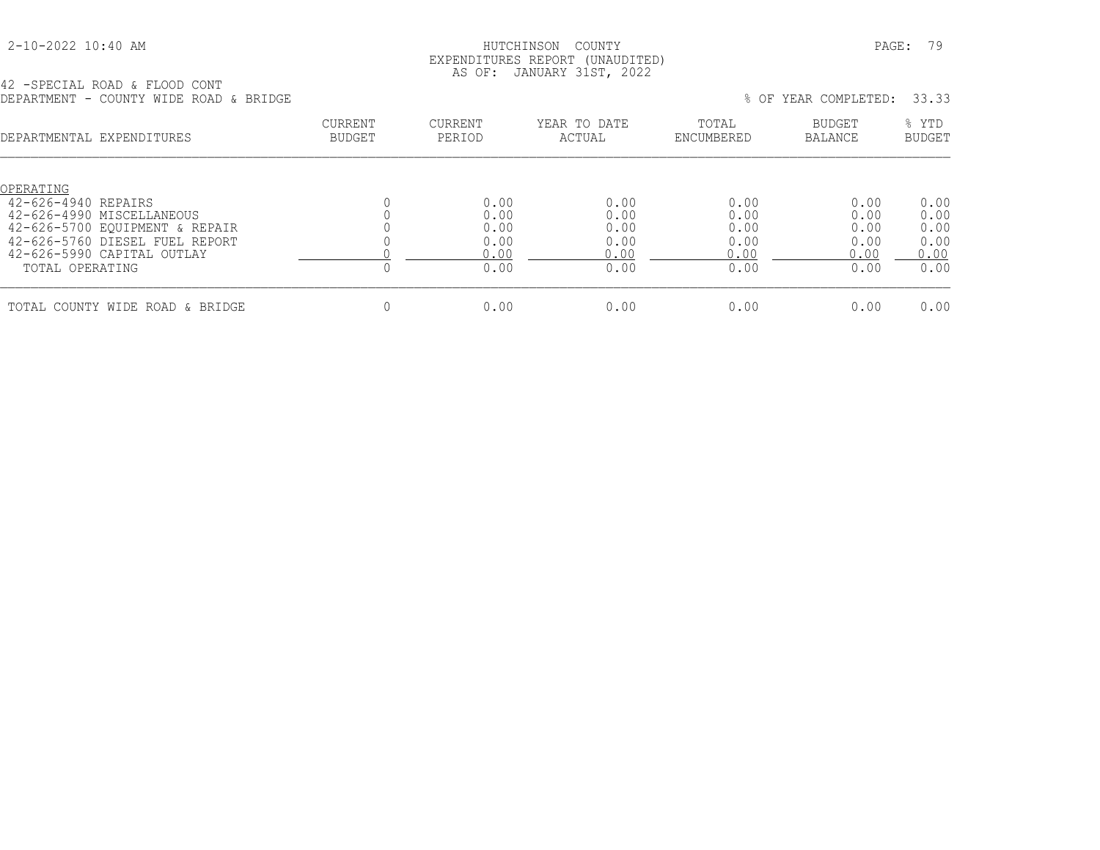#### 2-10-2022 10:40 AM HUTCHINSON COUNTY PAGE: 79 EXPENDITURES REPORT (UNAUDITED) AS OF: JANUARY 31ST, 2022

42 -SPECIAL ROAD & FLOOD CONT DEPARTMENT - COUNTY WIDE ROAD & BRIDGE  $\%$  Of YEAR COMPLETED: 33.33

| <b>CURRENT</b><br><b>BUDGET</b> | <b>CURRENT</b><br>PERIOD | YEAR TO DATE<br>ACTUAL | TOTAL<br>ENCUMBERED  | <b>BUDGET</b><br>BALANCE | % YTD<br><b>BUDGET</b> |
|---------------------------------|--------------------------|------------------------|----------------------|--------------------------|------------------------|
|                                 |                          |                        |                      |                          |                        |
|                                 |                          |                        |                      |                          |                        |
|                                 |                          |                        |                      |                          | 0.00                   |
|                                 |                          |                        |                      |                          | 0.00                   |
|                                 |                          |                        |                      |                          | 0.00                   |
|                                 | 0.00                     | 0.00                   | 0.00                 | 0.00                     | 0.00                   |
|                                 | 0.00                     | 0.00                   | 0.00                 | 0.00                     | 0.00                   |
|                                 | 0.00                     | 0.00                   | 0.00                 | 0.00                     | 0.00                   |
|                                 | 0.00                     | 0.00                   | 0.00                 | 0.00                     | 0.00                   |
|                                 |                          | 0.00<br>0.00<br>0.00   | 0.00<br>0.00<br>0.00 | 0.00<br>0.00<br>0.00     | 0.00<br>0.00<br>0.00   |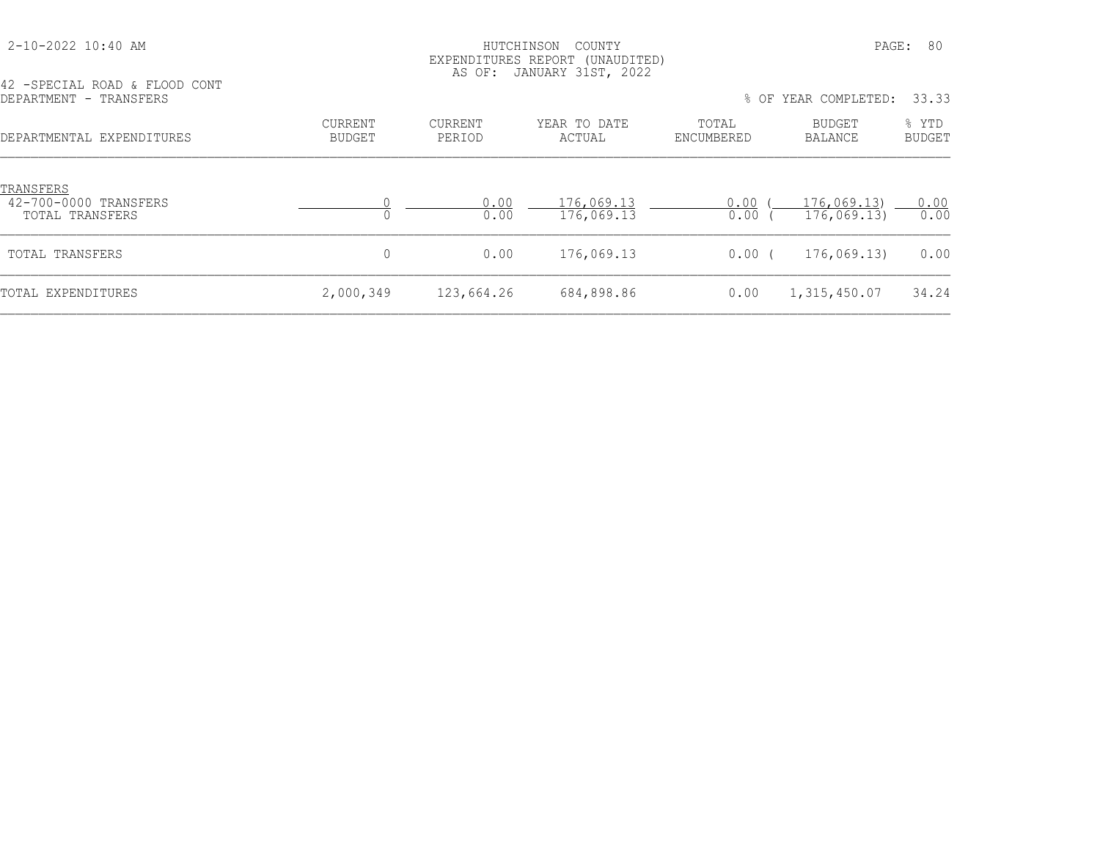#### HUTCHINSON COUNTY PAGE: 80 EXPENDITURES REPORT (UNAUDITED) AS OF: JANUARY 31ST, 2022

42 -SPECIAL ROAD & FLOOD CONT

| DEPARTMENT - TRANSFERS |                           |                   |                   |                        |                     | % OF YEAR COMPLETED: 33.33 |                 |
|------------------------|---------------------------|-------------------|-------------------|------------------------|---------------------|----------------------------|-----------------|
|                        | DEPARTMENTAL EXPENDITURES | CURRENT<br>BUDGET | CURRENT<br>PERIOD | YEAR TO DATE<br>ACTUAL | TOTAL<br>ENCUMBERED | BUDGET<br>BALANCE          | % YTD<br>BUDGET |
|                        |                           |                   |                   |                        |                     |                            |                 |

| TRANSFERS<br>42-700-0000 TRANSFERS<br>TOTAL TRANSFERS |           | 0.00<br>0.00 | 176,069.13<br>176,069.13 | 0.00<br>0.00 | 176,069.13)<br>176,069.13) | 0.00<br>0.00 |
|-------------------------------------------------------|-----------|--------------|--------------------------|--------------|----------------------------|--------------|
| TOTAL TRANSFERS                                       |           | 0.00         | 176,069.13               | $0.00$ (     | 176,069.13)                | 0.00         |
| TOTAL EXPENDITURES                                    | 2,000,349 | 123,664.26   | 684,898.86               | 0.00         | 1,315,450.07               | 34.24        |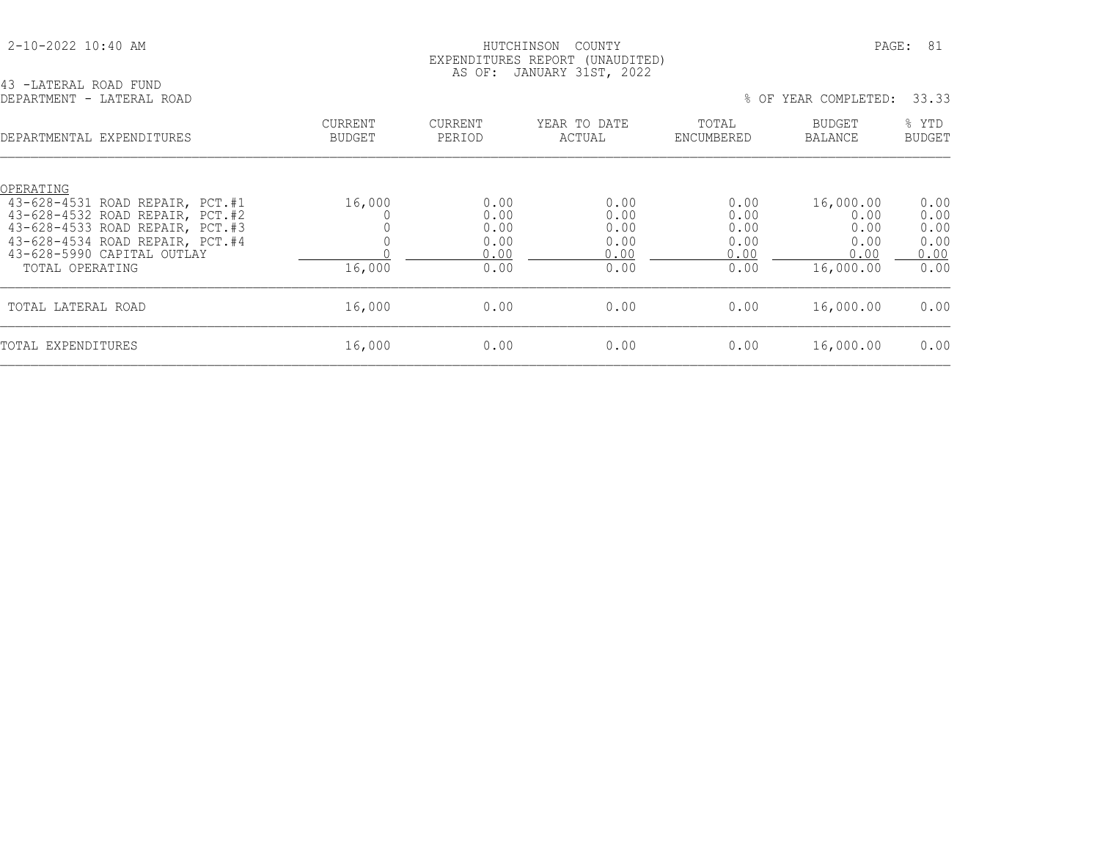|  |  | 2-10-2022 10:40 AM |  |  |
|--|--|--------------------|--|--|
|--|--|--------------------|--|--|

43 -LATERAL ROAD FUND

### HUTCHINSON COUNTY PAGE: 81 EXPENDITURES REPORT (UNAUDITED) AS OF: JANUARY 31ST, 2022

| DEPARTMENT - LATERAL ROAD                                                                                                                                                                              |                                 |                                              |                                              | % OF                                         | YEAR COMPLETED:                                        | 33.33                                        |
|--------------------------------------------------------------------------------------------------------------------------------------------------------------------------------------------------------|---------------------------------|----------------------------------------------|----------------------------------------------|----------------------------------------------|--------------------------------------------------------|----------------------------------------------|
| DEPARTMENTAL EXPENDITURES                                                                                                                                                                              | <b>CURRENT</b><br><b>BUDGET</b> | <b>CURRENT</b><br>PERIOD                     | YEAR TO DATE<br>ACTUAL                       | TOTAL<br>ENCUMBERED                          | BUDGET<br>BALANCE                                      | % YTD<br><b>BUDGET</b>                       |
| OPERATING<br>43-628-4531 ROAD REPAIR, PCT.#1<br>43-628-4532 ROAD REPAIR, PCT.#2<br>43-628-4533 ROAD REPAIR, PCT.#3<br>43-628-4534 ROAD REPAIR, PCT.#4<br>43-628-5990 CAPITAL OUTLAY<br>TOTAL OPERATING | 16,000<br>16,000                | 0.00<br>0.00<br>0.00<br>0.00<br>0.00<br>0.00 | 0.00<br>0.00<br>0.00<br>0.00<br>0.00<br>0.00 | 0.00<br>0.00<br>0.00<br>0.00<br>0.00<br>0.00 | 16,000.00<br>0.00<br>0.00<br>0.00<br>0.00<br>16,000.00 | 0.00<br>0.00<br>0.00<br>0.00<br>0.00<br>0.00 |
| TOTAL LATERAL ROAD                                                                                                                                                                                     | 16,000                          | 0.00                                         | 0.00                                         | 0.00                                         | 16,000.00                                              | 0.00                                         |
| TOTAL EXPENDITURES                                                                                                                                                                                     | 16,000                          | 0.00                                         | 0.00                                         | 0.00                                         | 16,000.00                                              | 0.00                                         |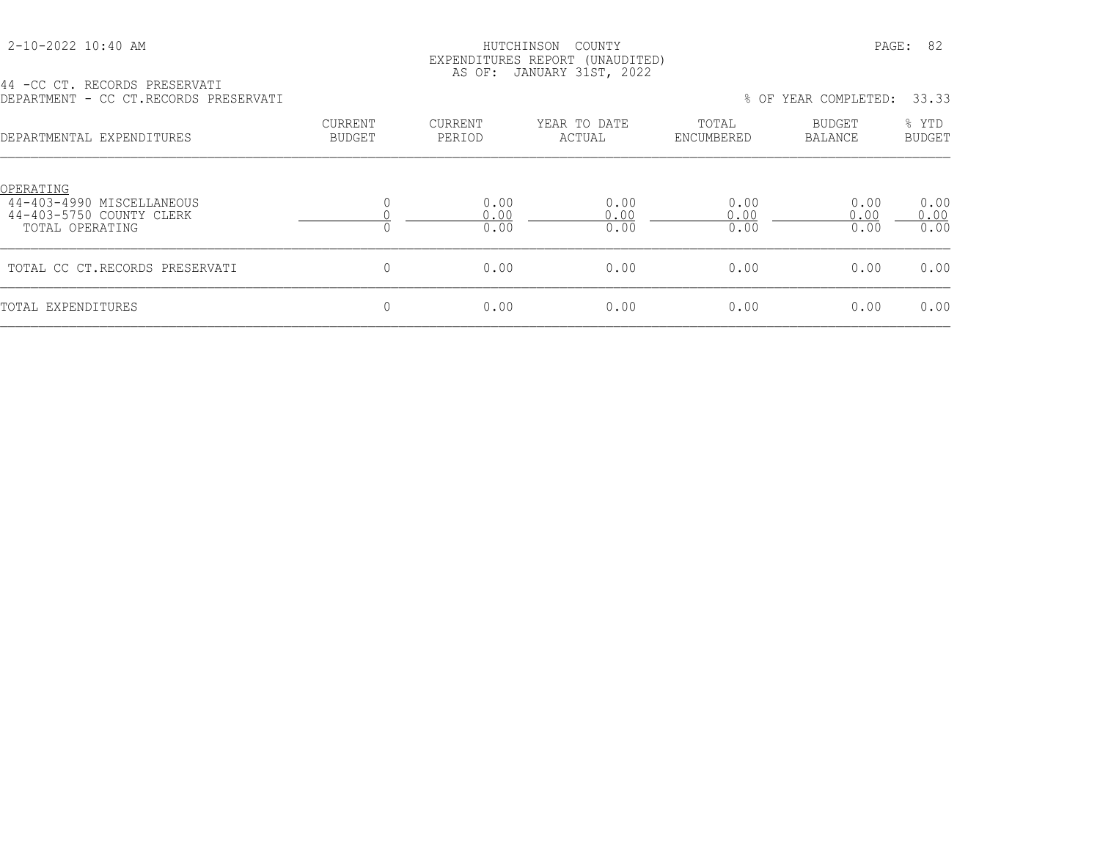| 2-10-2022 10:40 AM |  |
|--------------------|--|
|                    |  |

#### HUTCHINSON COUNTY PAGE: 82 EXPENDITURES REPORT (UNAUDITED) AS OF: JANUARY 31ST, 2022

44 -CC CT. RECORDS PRESERVATI DEPARTMENT - CC CT.RECORDS PRESERVATI % OF YEAR COMPLETED: 33.33

| DEPARTMENTAL EXPENDITURES                                                             | <b>CURRENT</b><br><b>BUDGET</b> | <b>CURRENT</b><br>PERIOD | YEAR TO DATE<br>ACTUAL | TOTAL<br>ENCUMBERED  | BUDGET<br><b>BALANCE</b> | % YTD<br><b>BUDGET</b> |
|---------------------------------------------------------------------------------------|---------------------------------|--------------------------|------------------------|----------------------|--------------------------|------------------------|
| OPERATING<br>44-403-4990 MISCELLANEOUS<br>44-403-5750 COUNTY CLERK<br>TOTAL OPERATING |                                 | 0.00<br>0.00<br>0.00     | 0.00<br>0.00<br>0.00   | 0.00<br>0.00<br>0.00 | 0.00<br>0.00<br>0.00     | 0.00<br>0.00<br>0.00   |
| TOTAL CC CT.RECORDS PRESERVATI                                                        | 0                               | 0.00                     | 0.00                   | 0.00                 | 0.00                     | 0.00                   |
| TOTAL EXPENDITURES                                                                    | 0                               | 0.00                     | 0.00                   | 0.00                 | 0.00                     | 0.00                   |
|                                                                                       |                                 |                          |                        |                      |                          |                        |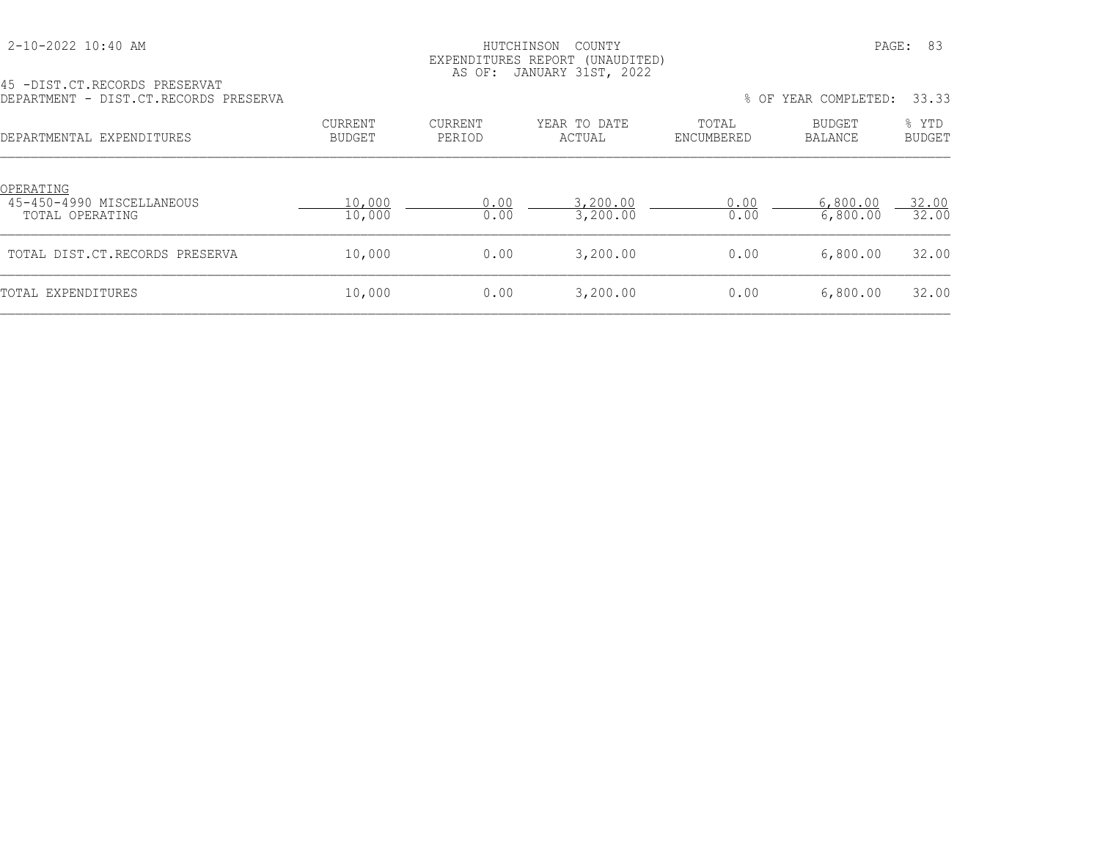## HUTCHINSON COUNTY PAGE: 83 EXPENDITURES REPORT (UNAUDITED)

|                                       | AS OF: JANUARY 31ST, 2022 |  |
|---------------------------------------|---------------------------|--|
| 45 -DIST.CT.RECORDS PRESERVAT         |                           |  |
| DEPARTMENT - DIST.CT.RECORDS PRESERVA |                           |  |

| DEPARTMENT - DIST.CT.RECORDS PRESERVA                            |                   |                   |                        |                     | % OF YEAR COMPLETED: | 33.33                  |
|------------------------------------------------------------------|-------------------|-------------------|------------------------|---------------------|----------------------|------------------------|
| DEPARTMENTAL EXPENDITURES                                        | CURRENT<br>BUDGET | CURRENT<br>PERIOD | YEAR TO DATE<br>ACTUAL | TOTAL<br>ENCUMBERED | BUDGET<br>BALANCE    | % YTD<br><b>BUDGET</b> |
| <u>OPERATING</u><br>45-450-4990 MISCELLANEOUS<br>TOTAL OPERATING | 10,000<br>10,000  | 0.00<br>0.00      | 3,200.00<br>3,200.00   | 0.00<br>0.00        | 6,800.00<br>6,800.00 | 32.00<br>32.00         |
| TOTAL DIST.CT.RECORDS PRESERVA                                   | 10,000            | 0.00              | 3,200.00               | 0.00                | 6,800.00             | 32.00                  |
| TOTAL EXPENDITURES                                               | 10,000            | 0.00              | 3,200.00               | 0.00                | 6,800.00             | 32.00                  |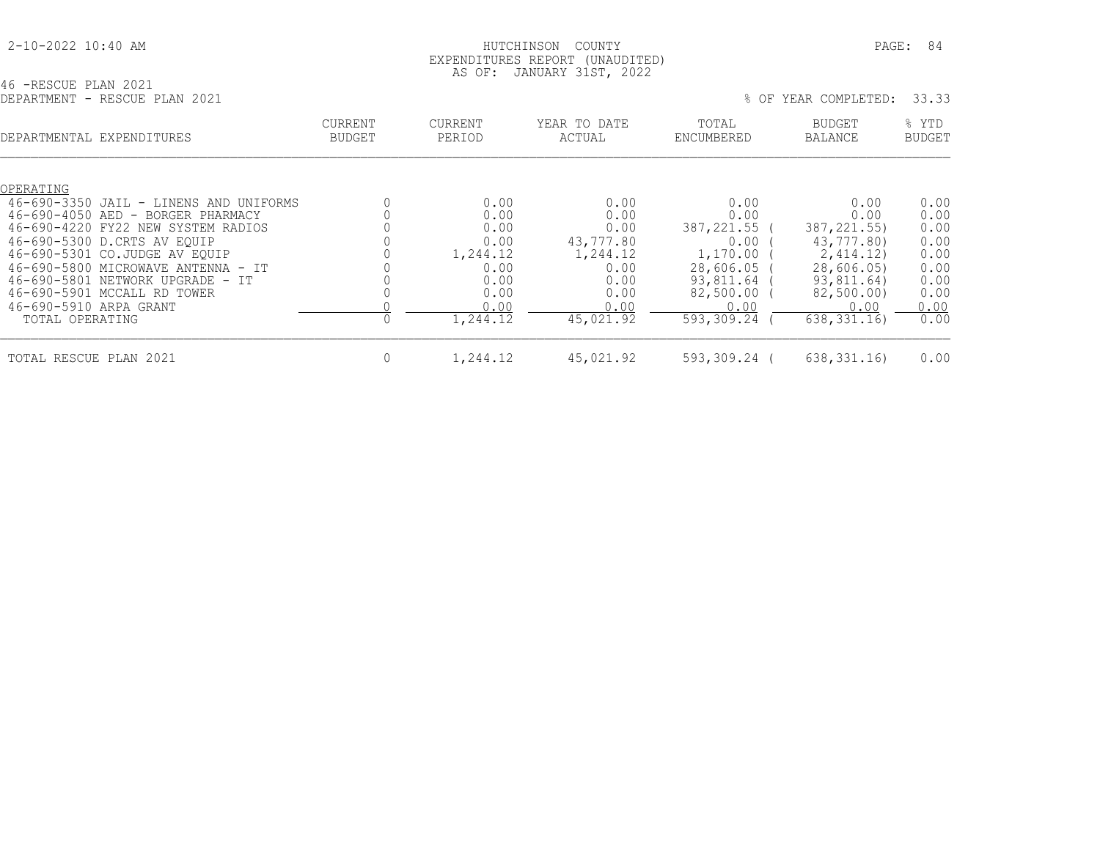|  |  | 2-10-2022 10:40 AM |  |  |
|--|--|--------------------|--|--|
|--|--|--------------------|--|--|

### HUTCHINSON COUNTY **PAGE: 84**  EXPENDITURES REPORT (UNAUDITED) AS OF: JANUARY 31ST, 2022

46 -RESCUE PLAN 2021<br>DEPARTMENT - RESCUE PLAN 2021

|                                                        | DEPARTMENT - RESCUE PLAN 2021                                                                                                                                                                                                                                                              |                          |                                                                                      |                                                                                            | % OF                                                                                                                | YEAR COMPLETED:                                                                                                            | 33.33                                                                        |
|--------------------------------------------------------|--------------------------------------------------------------------------------------------------------------------------------------------------------------------------------------------------------------------------------------------------------------------------------------------|--------------------------|--------------------------------------------------------------------------------------|--------------------------------------------------------------------------------------------|---------------------------------------------------------------------------------------------------------------------|----------------------------------------------------------------------------------------------------------------------------|------------------------------------------------------------------------------|
|                                                        | DEPARTMENTAL EXPENDITURES                                                                                                                                                                                                                                                                  | CURRENT<br><b>BUDGET</b> | <b>CURRENT</b><br>PERIOD                                                             | YEAR TO DATE<br>ACTUAL                                                                     | TOTAL<br>ENCUMBERED                                                                                                 | <b>BUDGET</b><br><b>BALANCE</b>                                                                                            | % YTD<br><b>BUDGET</b>                                                       |
| OPERATING<br>46-690-5910 ARPA GRANT<br>TOTAL OPERATING | 46-690-3350 JAIL - LINENS AND UNIFORMS<br>46-690-4050 AED - BORGER PHARMACY<br>46-690-4220 FY22 NEW SYSTEM RADIOS<br>46-690-5300 D.CRTS AV EOUIP<br>46-690-5301 CO.JUDGE AV EQUIP<br>46-690-5800 MICROWAVE ANTENNA - IT<br>46-690-5801 NETWORK UPGRADE - IT<br>46-690-5901 MCCALL RD TOWER |                          | 0.00<br>0.00<br>0.00<br>0.00<br>1,244.12<br>0.00<br>0.00<br>0.00<br>0.00<br>1,244.12 | 0.00<br>0.00<br>0.00<br>43,777.80<br>1,244.12<br>0.00<br>0.00<br>0.00<br>0.00<br>45,021.92 | 0.00<br>0.00<br>387,221.55 (<br>0.00<br>$1,170.00$ (<br>28,606.05<br>93,811.64<br>82,500.00 (<br>0.00<br>593,309.24 | 0.00<br>0.00<br>387, 221, 55)<br>43,777.80)<br>2,414.12)<br>28,606.05)<br>93,811.64)<br>82,500.00)<br>0.00<br>638, 331.16) | 0.00<br>0.00<br>0.00<br>0.00<br>0.00<br>0.00<br>0.00<br>0.00<br>0.00<br>0.00 |
| TOTAL RESCUE PLAN 2021                                 |                                                                                                                                                                                                                                                                                            | $\overline{0}$           | 1,244.12                                                                             | 45,021.92                                                                                  | 593,309.24 (                                                                                                        | 638, 331, 16                                                                                                               | 0.00                                                                         |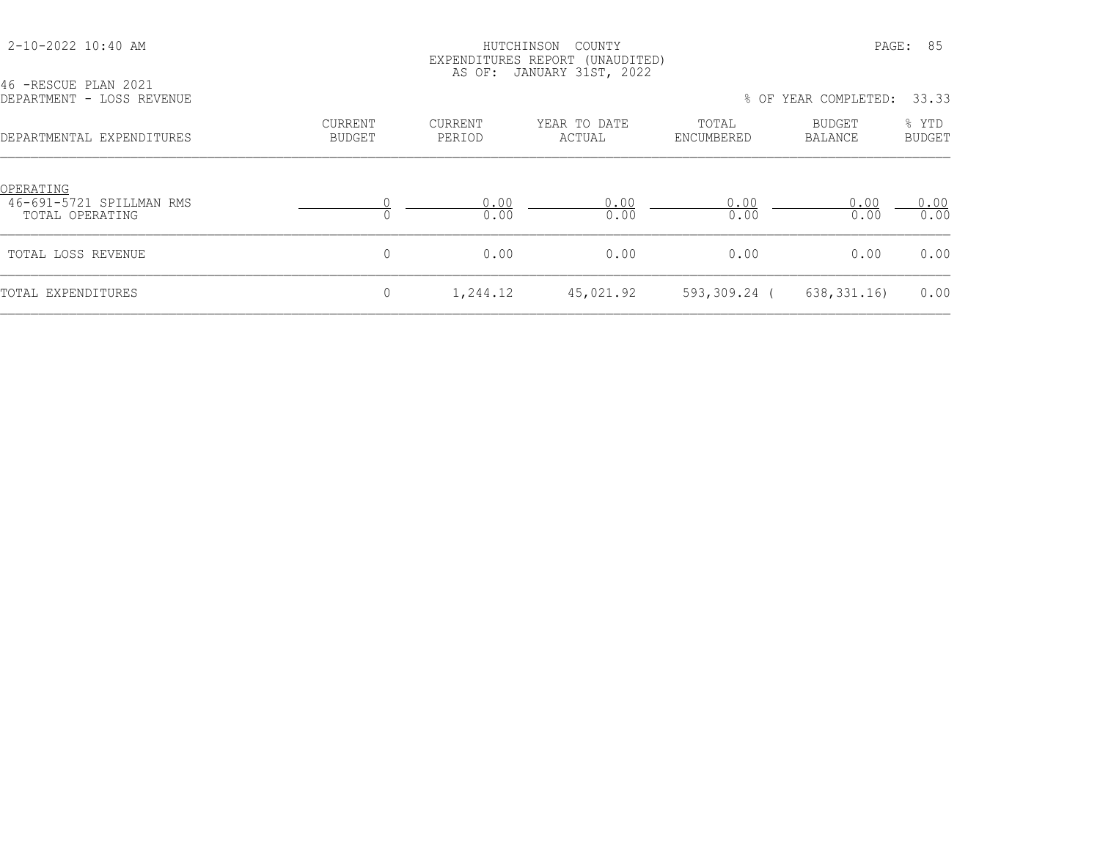| 2-10-2022 10:40 AM                                       | PAGE:<br>HUTCHINSON<br>COUNTY<br>EXPENDITURES REPORT (UNAUDITED)<br>AS OF: JANUARY 31ST, 2022 |                   |                        |                     |                          |                        |  |
|----------------------------------------------------------|-----------------------------------------------------------------------------------------------|-------------------|------------------------|---------------------|--------------------------|------------------------|--|
| 46 -RESCUE PLAN 2021<br>DEPARTMENT - LOSS REVENUE        |                                                                                               |                   |                        |                     | % OF YEAR COMPLETED:     | 33.33                  |  |
| DEPARTMENTAL EXPENDITURES                                | CURRENT<br><b>BUDGET</b>                                                                      | CURRENT<br>PERIOD | YEAR TO DATE<br>ACTUAL | TOTAL<br>ENCUMBERED | BUDGET<br><b>BALANCE</b> | % YTD<br><b>BUDGET</b> |  |
| OPERATING<br>46-691-5721 SPILLMAN RMS<br>TOTAL OPERATING |                                                                                               | 0.00<br>0.00      | 0.00<br>0.00           | 0.00<br>0.00        | 0.00<br>0.00             | 0.00<br>0.00           |  |
| TOTAL LOSS REVENUE                                       | $\mathbf{0}$                                                                                  | 0.00              | 0.00                   | 0.00                | 0.00                     | 0.00                   |  |
| TOTAL EXPENDITURES                                       | 0                                                                                             | 1,244.12          | 45,021.92              | 593,309.24 (        | 638, 331.16              | 0.00                   |  |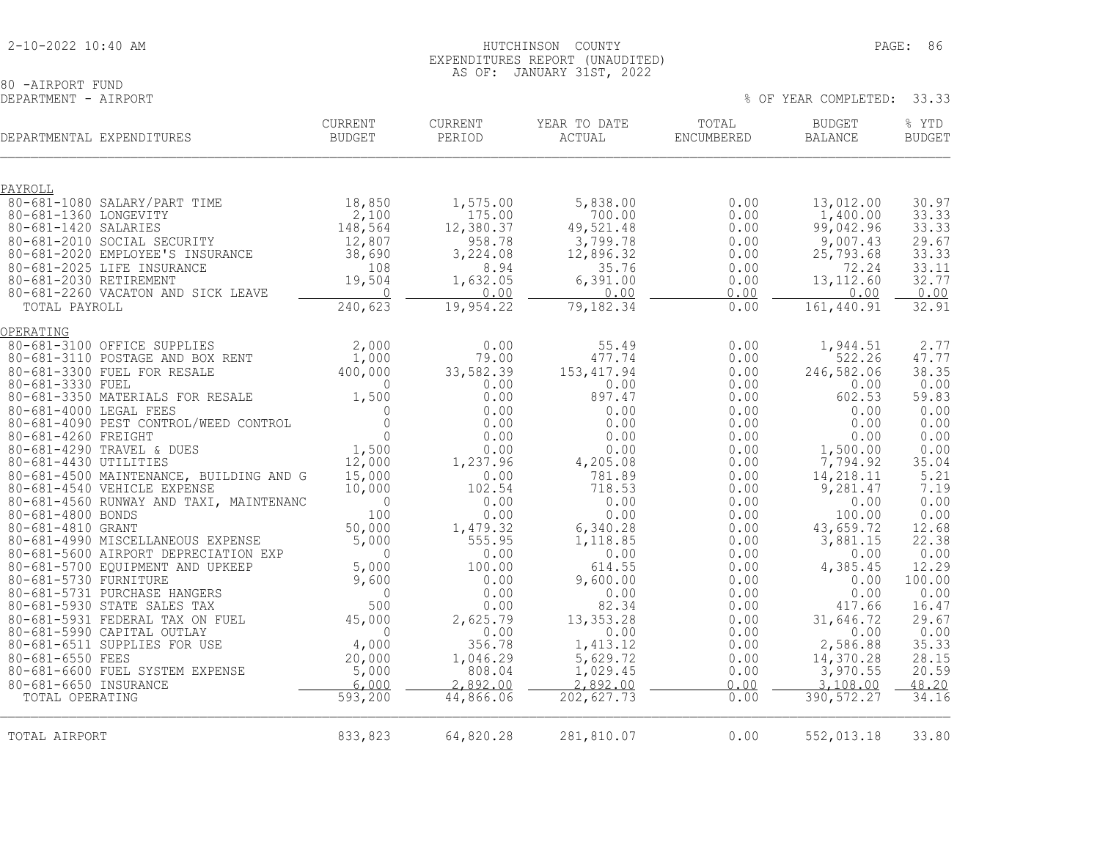80 -AIRPORT FUND<br>DEPARTMENT - AIRPORT

% OF YEAR COMPLETED: 33.33

| DEPARTMENTAL EXPENDITURES                                                 | <b>CURRENT</b><br><b>BUDGET</b> | <b>CURRENT</b><br>PERIOD | YEAR TO DATE<br>ACTUAL | TOTAL<br>ENCUMBERED | <b>BUDGET</b><br><b>BALANCE</b> | % YTD<br><b>BUDGET</b> |
|---------------------------------------------------------------------------|---------------------------------|--------------------------|------------------------|---------------------|---------------------------------|------------------------|
| PAYROLL                                                                   |                                 |                          |                        |                     |                                 |                        |
| 80-681-1080 SALARY/PART TIME                                              | 18,850                          | 1,575.00                 | 5,838.00               | 0.00                | 13,012.00                       | 30.97                  |
| 80-681-1360 LONGEVITY<br>80-681-1420 SALARIES                             | 2,100                           | 175.00                   | 700.00                 | 0.00                | 1,400.00                        | 33.33                  |
| 80-681-2010 SOCIAL SECURITY                                               | 148,564<br>12,807               | 12,380.37<br>958.78      | 49,521.48<br>3,799.78  | 0.00<br>0.00        | 99,042.96<br>9,007.43           | 33.33<br>29.67         |
| 80-681-2020 EMPLOYEE'S INSURANCE                                          | 38,690                          | 3,224.08                 | 12,896.32              | 0.00                | 25, 793.68                      | 33.33                  |
| 80-681-2025 LIFE INSURANCE                                                | 108                             | 8.94                     | 35.76                  | 0.00                | 72.24                           | 33.11                  |
| 80-681-2030 RETIREMENT                                                    | 19,504                          | 1,632.05                 | 6,391.00               | 0.00                | 13, 112.60                      | 32.77                  |
| 80-681-2260 VACATON AND SICK LEAVE                                        | $\overline{0}$                  | 0.00                     | 0.00                   | 0.00                | 0.00                            | 0.00                   |
| TOTAL PAYROLL                                                             | 240,623                         | 19,954.22                | 79,182.34              | 0.00                | 161,440.91                      | 32.91                  |
| OPERATING                                                                 |                                 |                          |                        |                     |                                 |                        |
| 80-681-3100 OFFICE SUPPLIES                                               | 2,000                           | 0.00                     | 55.49                  | 0.00                | 1,944.51                        | 2.77                   |
| 80-681-3110 POSTAGE AND BOX RENT                                          | 1,000                           | 79.00                    | 477.74                 | 0.00                | 522.26                          | 47.77                  |
| 80-681-3300 FUEL FOR RESALE                                               | 400,000                         | 33,582.39                | 153, 417.94            | 0.00                | 246,582.06                      | 38.35                  |
| 80-681-3330 FUEL<br>80-681-3350 MATERIALS FOR RESALE                      | $\mathbf{0}$<br>1,500           | 0.00<br>0.00             | 0.00<br>897.47         | 0.00<br>0.00        | 0.00<br>602.53                  | 0.00<br>59.83          |
| 80-681-4000 LEGAL FEES                                                    | $\Omega$                        | 0.00                     | 0.00                   | 0.00                | 0.00                            | 0.00                   |
| 80-681-4090 PEST CONTROL/WEED CONTROL                                     | $\Omega$                        | 0.00                     | 0.00                   | 0.00                | 0.00                            | 0.00                   |
| 80-681-4260 FREIGHT                                                       | $\mathbf{0}$                    | 0.00                     | 0.00                   | 0.00                | 0.00                            | 0.00                   |
| 80-681-4290 TRAVEL & DUES                                                 | 1,500                           | 0.00                     | 0.00                   | 0.00                | 1,500.00                        | 0.00                   |
| 80-681-4430 UTILITIES<br>80-681-4500 MAINTENANCE, BUILDING AND G          | 12,000<br>15,000                | 1,237.96<br>0.00         | 4,205.08<br>781.89     | 0.00<br>0.00        | 7,794.92<br>14,218.11           | 35.04<br>5.21          |
| 80-681-4540 VEHICLE EXPENSE                                               | 10,000                          | 102.54                   | 718.53                 | 0.00                | 9,281.47                        | 7.19                   |
| 80-681-4560 RUNWAY AND TAXI, MAINTENANC                                   | $\mathbf{0}$                    | 0.00                     | 0.00                   | 0.00                | 0.00                            | 0.00                   |
| 80-681-4800 BONDS                                                         | 100                             | 0.00                     | 0.00                   | 0.00                | 100.00                          | 0.00                   |
| 80-681-4810 GRANT                                                         | 50,000                          | 1,479.32                 | 6,340.28               | 0.00                | 43,659.72                       | 12.68                  |
| 80-681-4990 MISCELLANEOUS EXPENSE<br>80-681-5600 AIRPORT DEPRECIATION EXP | 5,000<br>$\Omega$               | 555.95<br>0.00           | 1,118.85<br>0.00       | 0.00<br>0.00        | 3,881.15<br>0.00                | 22.38<br>0.00          |
| 80-681-5700 EQUIPMENT AND UPKEEP                                          | 5,000                           | 100.00                   | 614.55                 | 0.00                | 4,385.45                        | 12.29                  |
| 80-681-5730 FURNITURE                                                     | 9,600                           | 0.00                     | 9,600.00               | 0.00                | 0.00                            | 100.00                 |
| 80-681-5731 PURCHASE HANGERS                                              | $\mathbf{0}$                    | 0.00                     | 0.00                   | 0.00                | 0.00                            | 0.00                   |
| 80-681-5930 STATE SALES TAX                                               | 500                             | 0.00                     | 82.34                  | 0.00                | 417.66                          | 16.47                  |
| 80-681-5931 FEDERAL TAX ON FUEL                                           | 45,000                          | 2,625.79                 | 13, 353. 28            | 0.00                | 31,646.72                       | 29.67                  |
| 80-681-5990 CAPITAL OUTLAY<br>80-681-6511 SUPPLIES FOR USE                | $\Omega$<br>4,000               | 0.00<br>356.78           | 0.00<br>1,413.12       | 0.00<br>0.00        | 0.00<br>2,586.88                | 0.00<br>35.33          |
| 80-681-6550 FEES                                                          | 20,000                          | 1,046.29                 | 5,629.72               | 0.00                | 14,370.28                       | 28.15                  |
| 80-681-6600 FUEL SYSTEM EXPENSE                                           | 5,000                           | 808.04                   | 1,029.45               | 0.00                | 3,970.55                        | 20.59                  |
| 80-681-6650 INSURANCE                                                     | 6,000                           | 2.892.00                 | 2.892.00               | 0.00                | 3,108.00                        | 48.20                  |
| TOTAL OPERATING                                                           | 593,200                         | 44,866.06                | 202,627.73             | 0.00                | 390, 572.27                     | 34.16                  |
| TOTAL AIRPORT                                                             | 833,823                         | 64,820.28                | 281,810.07             | 0.00                | 552,013.18                      | 33.80                  |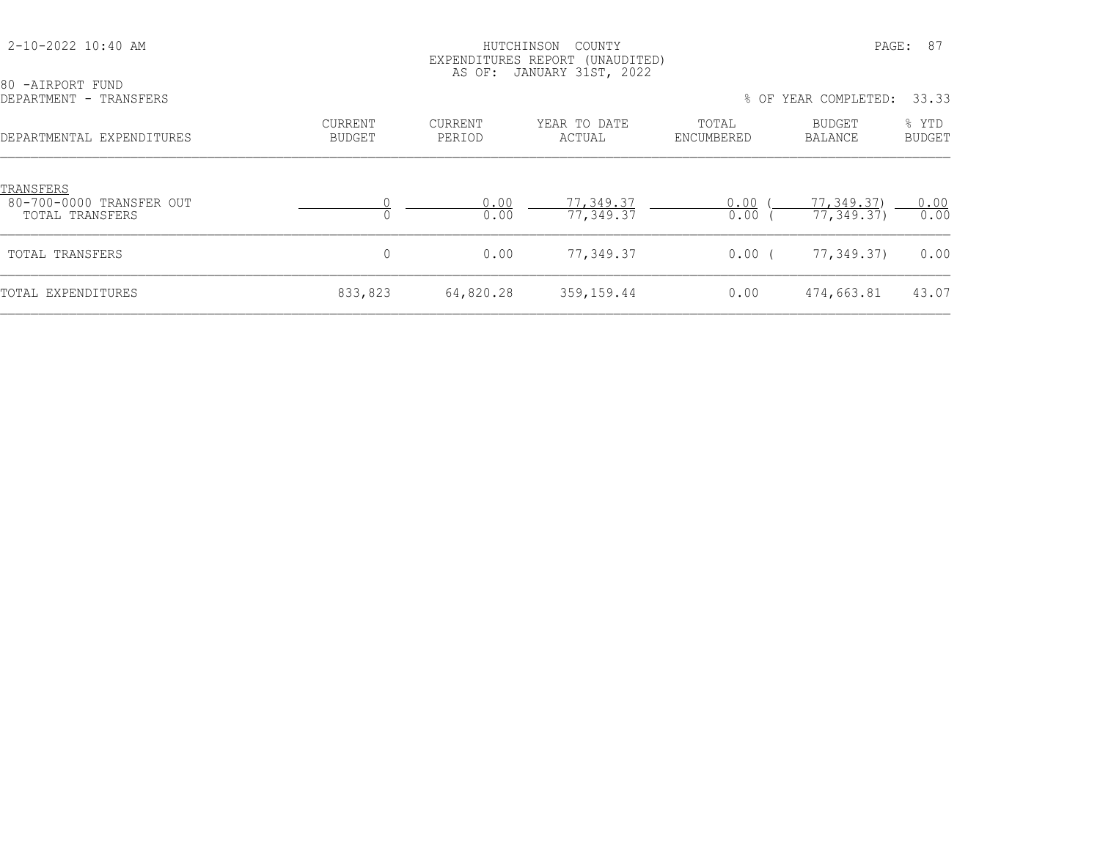| 80 -AIRPORT FUND<br>DEPARTMENT - TRANSFERS               |                          | AS OF:                   | EXPENDITURES REPORT (UNAUDITED)<br>JANUARY 31ST, 2022 |                     | % OF YEAR COMPLETED:     | 33.33                  |
|----------------------------------------------------------|--------------------------|--------------------------|-------------------------------------------------------|---------------------|--------------------------|------------------------|
| DEPARTMENTAL EXPENDITURES                                | CURRENT<br><b>BUDGET</b> | <b>CURRENT</b><br>PERIOD | YEAR TO DATE<br>ACTUAL                                | TOTAL<br>ENCUMBERED | BUDGET<br><b>BALANCE</b> | % YTD<br><b>BUDGET</b> |
| TRANSFERS<br>80-700-0000 TRANSFER OUT<br>TOTAL TRANSFERS |                          | 0.00<br>0.00             | 77,349.37<br>77,349.37                                | 0.00<br>0.00        | 77,349.37)<br>77, 349.37 | 0.00<br>0.00           |
| TOTAL TRANSFERS                                          | 0                        | 0.00                     | 77,349.37                                             | $0.00$ (            | 77,349.37)               | 0.00                   |
| TOTAL EXPENDITURES                                       | 833,823                  | 64,820.28                | 359,159.44                                            | 0.00                | 474,663.81               | 43.07                  |

2-10-2022 10:40 AM HUTCHINSON COUNTY PAGE: 87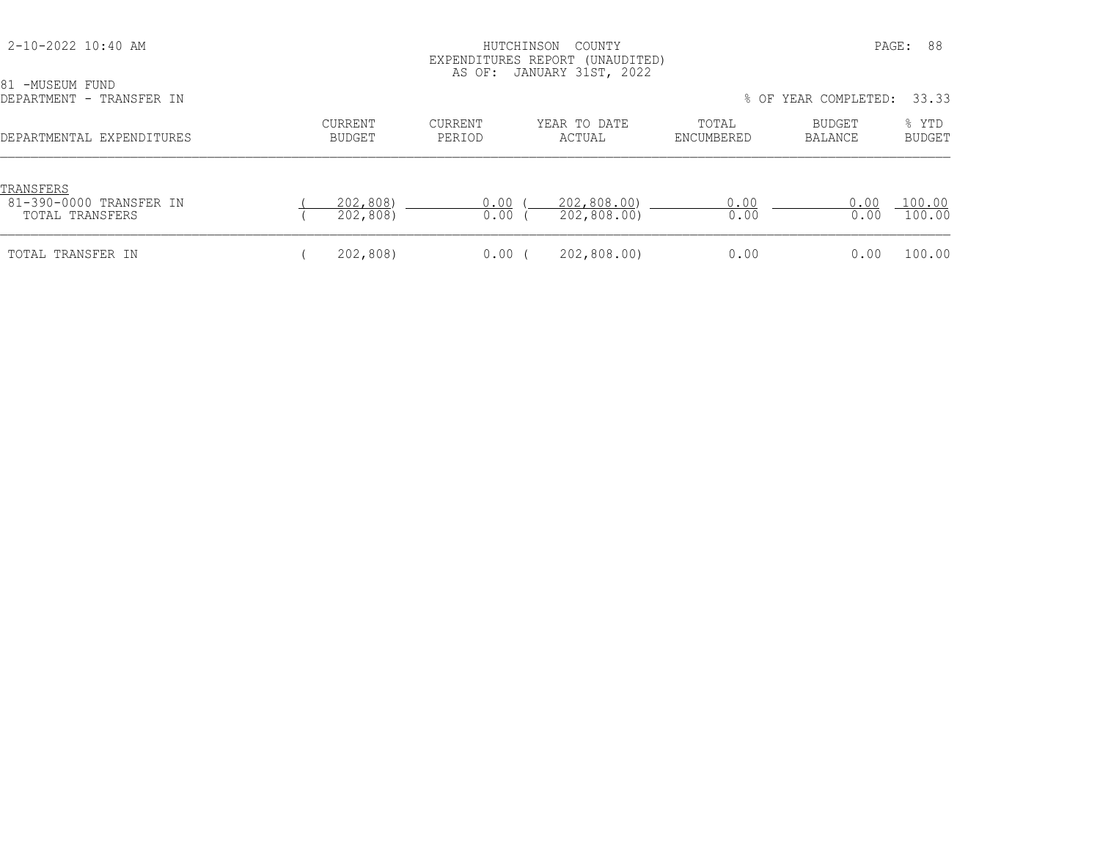| 2-10-2022 10:40 AM                                      |                                 |                          | HUTCHINSON<br>COUNTY<br>EXPENDITURES REPORT (UNAUDITED)<br>AS OF: JANUARY 31ST, 2022 |                     | PAGE:                | 88                     |
|---------------------------------------------------------|---------------------------------|--------------------------|--------------------------------------------------------------------------------------|---------------------|----------------------|------------------------|
| 81 -MUSEUM FUND<br>DEPARTMENT - TRANSFER IN             |                                 |                          |                                                                                      |                     | % OF YEAR COMPLETED: | 33.33                  |
| DEPARTMENTAL EXPENDITURES                               | <b>CURRENT</b><br><b>BUDGET</b> | <b>CURRENT</b><br>PERIOD | YEAR TO DATE<br>ACTUAL                                                               | TOTAL<br>ENCUMBERED | BUDGET<br>BALANCE    | % YTD<br><b>BUDGET</b> |
| TRANSFERS<br>81-390-0000 TRANSFER IN<br>TOTAL TRANSFERS | 202,808)<br>202,808)            | 0.00<br>0.00             | 202,808.00)<br>202,808.00)                                                           | 0.00<br>0.00        | 0.00<br>0.00         | 100.00<br>100.00       |
| TOTAL TRANSFER IN                                       | 202,808)                        | 0.00                     | 202,808.00)                                                                          | 0.00                | 0.00                 | 100.00                 |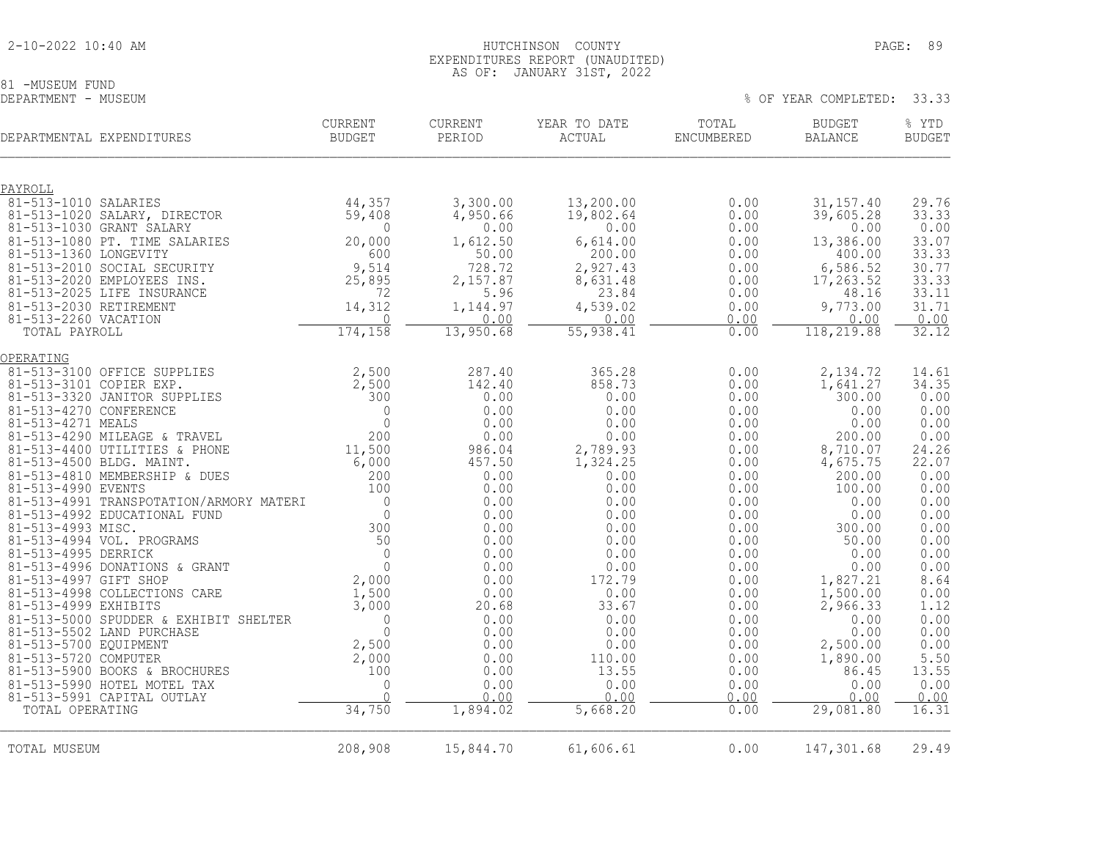# 81 -MUSEUM FUND<br>DEPARTMENT - MUSEUM

% OF YEAR COMPLETED: 33.33

| DEPARTMENTAL EXPENDITURES                                     | <b>CURRENT</b><br><b>BUDGET</b> | <b>CURRENT</b><br>PERIOD | YEAR TO DATE<br>ACTUAL | TOTAL<br>ENCUMBERED | <b>BUDGET</b><br><b>BALANCE</b> | % YTD<br><b>BUDGET</b> |
|---------------------------------------------------------------|---------------------------------|--------------------------|------------------------|---------------------|---------------------------------|------------------------|
| PAYROLL                                                       |                                 |                          |                        |                     |                                 |                        |
| 81-513-1010 SALARIES                                          | 44,357                          | 3,300.00                 | 13,200.00              | 0.00                | 31, 157.40                      | 29.76                  |
| 81-513-1020 SALARY, DIRECTOR                                  | 59,408                          | 4,950.66                 | 19,802.64              | 0.00                | 39,605.28                       | 33.33                  |
| 81-513-1030 GRANT SALARY<br>81-513-1080 PT. TIME SALARIES     | $\bigcap$<br>20,000             | 0.00<br>1,612.50         | 0.00<br>6,614.00       | 0.00<br>0.00        | 0.00<br>13,386.00               | 0.00<br>33.07          |
| 81-513-1360 LONGEVITY                                         | 600                             | 50.00                    | 200.00                 | 0.00                | 400.00                          | 33.33                  |
| 81-513-2010 SOCIAL SECURITY                                   | 9,514                           | 728.72                   | 2,927.43               | 0.00                | 6,586.52                        | 30.77                  |
| 81-513-2020 EMPLOYEES INS.                                    | 25,895                          | 2,157.87                 | 8,631.48               | 0.00                | 17, 263.52                      | 33.33                  |
| 81-513-2025 LIFE INSURANCE                                    | 72                              | 5.96                     | 23.84                  | 0.00                | 48.16                           | 33.11                  |
| 81-513-2030 RETIREMENT<br>81-513-2260 VACATION                | 14,312<br>$\Omega$              | 1,144.97<br>0.00         | 4,539.02<br>0.00       | 0.00<br>0.00        | 9,773.00<br>0.00                | 31.71<br>0.00          |
| TOTAL PAYROLL                                                 | 174,158                         | 13,950.68                | 55, 938.41             | 0.00                | 118,219.88                      | 32.12                  |
|                                                               |                                 |                          |                        |                     |                                 |                        |
| OPERATING                                                     |                                 |                          | 365.28                 |                     |                                 |                        |
| 81-513-3100 OFFICE SUPPLIES<br>81-513-3101 COPIER EXP.        | 2,500<br>2,500                  | 287.40<br>142.40         | 858.73                 | 0.00<br>0.00        | 2, 134.72<br>1,641.27           | 14.61<br>34.35         |
| 81-513-3320 JANITOR SUPPLIES                                  | 300                             | 0.00                     | 0.00                   | 0.00                | 300.00                          | 0.00                   |
| 81-513-4270 CONFERENCE                                        | $\mathbf 0$                     | 0.00                     | 0.00                   | 0.00                | 0.00                            | 0.00                   |
| 81-513-4271 MEALS                                             | $\mathbf{0}$                    | 0.00                     | 0.00                   | 0.00                | 0.00                            | 0.00                   |
| 81-513-4290 MILEAGE & TRAVEL<br>81-513-4400 UTILITIES & PHONE | 200                             | 0.00<br>986.04           | 0.00                   | 0.00<br>0.00        | 200.00                          | 0.00                   |
| 81-513-4500 BLDG. MAINT.                                      | 11,500<br>6,000                 | 457.50                   | 2,789.93<br>1,324.25   | 0.00                | 8,710.07<br>4,675.75            | 24.26<br>22.07         |
| 81-513-4810 MEMBERSHIP & DUES                                 | 200                             | 0.00                     | 0.00                   | 0.00                | 200.00                          | 0.00                   |
| 81-513-4990 EVENTS                                            | 100                             | 0.00                     | 0.00                   | 0.00                | 100.00                          | 0.00                   |
| 81-513-4991 TRANSPOTATION/ARMORY MATERI                       | $\circ$                         | 0.00                     | 0.00                   | 0.00                | 0.00                            | 0.00                   |
| 81-513-4992 EDUCATIONAL FUND<br>81-513-4993 MISC.             | $\mathbb O$<br>300              | 0.00<br>0.00             | 0.00<br>0.00           | 0.00<br>0.00        | 0.00<br>300.00                  | 0.00                   |
| 81-513-4994 VOL. PROGRAMS                                     | 50                              | 0.00                     | 0.00                   | 0.00                | 50.00                           | $0.00$<br>$0.00$       |
| 81-513-4995 DERRICK                                           | $\mathbf{0}$                    | 0.00                     | 0.00                   | 0.00                | 0.00                            | 0.00                   |
| 81-513-4996 DONATIONS & GRANT                                 | $\circ$                         | 0.00                     | 0.00                   | 0.00                | 0.00                            | 0.00                   |
| 81-513-4997 GIFT SHOP                                         | 2,000                           | 0.00                     | 172.79                 | 0.00                | 1,827.21                        | 8.64                   |
| 81-513-4998 COLLECTIONS CARE<br>81-513-4999 EXHIBITS          | 1,500<br>3,000                  | 0.00<br>20.68            | 0.00<br>33.67          | 0.00<br>0.00        | 1,500.00                        | 0.00<br>1.12           |
| 81-513-5000 SPUDDER & EXHIBIT SHELTER                         | $\circ$                         | 0.00                     | 0.00                   | 0.00                | 2,966.33<br>0.00                | 0.00                   |
| 81-513-5502 LAND PURCHASE                                     | $\Omega$                        | 0.00                     | 0.00                   | 0.00                | 0.00                            | 0.00                   |
| 81-513-5700 EQUIPMENT                                         | 2,500                           | 0.00                     | 0.00                   | 0.00                | 2,500.00                        | 0.00                   |
| 81-513-5720 COMPUTER                                          | 2,000                           | 0.00                     | 110.00                 | 0.00                | 1,890.00                        | 5.50                   |
| 81-513-5900 BOOKS & BROCHURES                                 | 100                             | 0.00                     | 13.55                  | 0.00                | 86.45                           | 13.55                  |
| 81-513-5990 HOTEL MOTEL TAX<br>81-513-5991 CAPITAL OUTLAY     | 0<br>$\cap$                     | 0.00<br>0.00             | 0.00<br>0.00           | 0.00<br>0.00        | 0.00<br>0.00                    | 0.00<br>0.00           |
| TOTAL OPERATING                                               | 34,750                          | 1,894.02                 | 5,668.20               | 0.00                | 29,081.80                       | 16.31                  |
|                                                               |                                 |                          |                        |                     |                                 |                        |
| TOTAL MUSEUM                                                  | 208,908                         | 15,844.70                | 61,606.61              | 0.00                | 147,301.68                      | 29.49                  |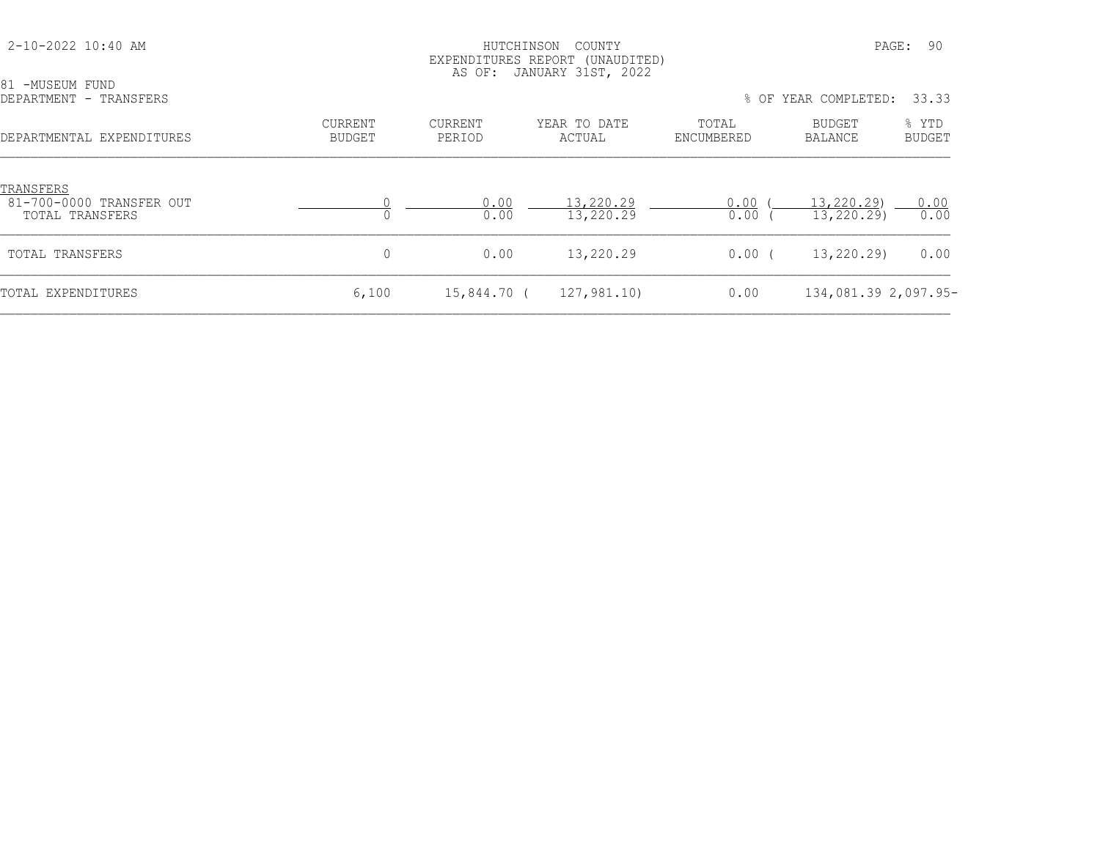| 81 -MUSEUM FUND                                          |                                 | AS OF:            | EXPENDITURES REPORT (UNAUDITED)<br>JANUARY 31ST, 2022 |                     |                                                  |                                 |
|----------------------------------------------------------|---------------------------------|-------------------|-------------------------------------------------------|---------------------|--------------------------------------------------|---------------------------------|
| DEPARTMENT - TRANSFERS<br>DEPARTMENTAL EXPENDITURES      | <b>CURRENT</b><br><b>BUDGET</b> | CURRENT<br>PERIOD | YEAR TO DATE<br>ACTUAL                                | TOTAL<br>ENCUMBERED | % OF YEAR COMPLETED:<br><b>BUDGET</b><br>BALANCE | 33.33<br>% YTD<br><b>BUDGET</b> |
| TRANSFERS<br>81-700-0000 TRANSFER OUT<br>TOTAL TRANSFERS |                                 | 0.00<br>0.00      | 13,220.29<br>13,220.29                                | 0.00<br>0.00        | 13,220.29)<br>13,220.29)                         | 0.00<br>0.00                    |
| TOTAL TRANSFERS                                          | 0                               | 0.00              | 13,220.29                                             | 0.00(               | 13,220.29)                                       | 0.00                            |
| TOTAL EXPENDITURES                                       | 6,100                           | 15,844.70 (       | 127,981.10)                                           | 0.00                | 134,081.39 2,097.95-                             |                                 |

2-10-2022 10:40 AM HUTCHINSON COUNTY PAGE: 90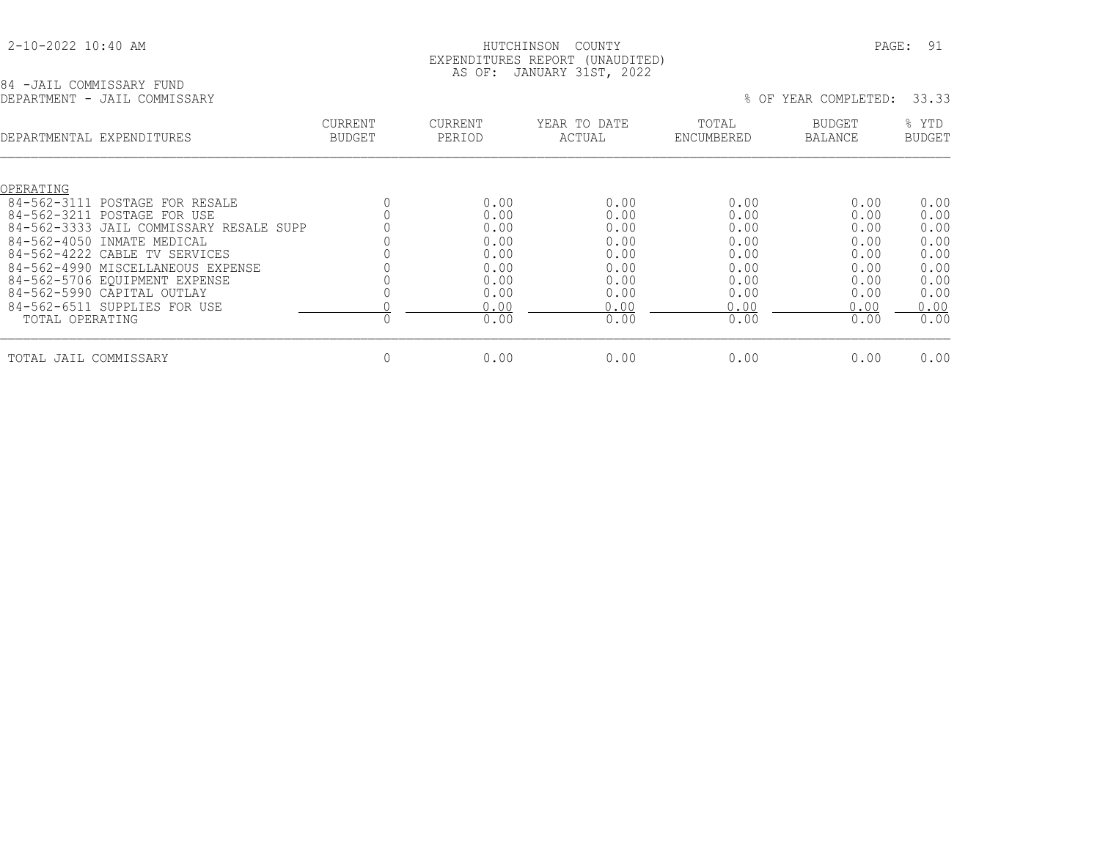| 2-10-2022 10:40 AM |  |
|--------------------|--|
|                    |  |

#### 2-10-2022 10:40 AM HUTCHINSON COUNTY PAGE: 91 EXPENDITURES REPORT (UNAUDITED) AS OF: JANUARY 31ST, 2022

| 84 -JAIL COMMISSARY FUND |  |  |                              |
|--------------------------|--|--|------------------------------|
|                          |  |  | DEPARTMENT - JAIL COMMISSARY |

|                       | DEPARTMENT - JAIL COMMISSARY            |                                 |                   |                        |                     | % OF YEAR COMPLETED:     | 33.33                  |
|-----------------------|-----------------------------------------|---------------------------------|-------------------|------------------------|---------------------|--------------------------|------------------------|
|                       | DEPARTMENTAL EXPENDITURES               | <b>CURRENT</b><br><b>BUDGET</b> | CURRENT<br>PERIOD | YEAR TO DATE<br>ACTUAL | TOTAL<br>ENCUMBERED | <b>BUDGET</b><br>BALANCE | % YTD<br><b>BUDGET</b> |
| OPERATING             |                                         |                                 |                   |                        |                     |                          |                        |
| 84-562-3111           | POSTAGE FOR RESALE                      |                                 | 0.00              | 0.00                   | 0.00                | 0.00                     | 0.00                   |
| 84-562-3211           | POSTAGE FOR USE                         |                                 | 0.00              | 0.00                   | 0.00                | 0.00                     | 0.00                   |
|                       | 84-562-3333 JAIL COMMISSARY RESALE SUPP |                                 | 0.00              | 0.00                   | 0.00                | 0.00                     | 0.00                   |
|                       | 84-562-4050 INMATE MEDICAL              |                                 | 0.00              | 0.00                   | 0.00                | 0.00                     | 0.00                   |
|                       | 84-562-4222 CABLE TV SERVICES           |                                 | 0.00              | 0.00                   | 0.00                | 0.00                     | 0.00                   |
|                       | 84-562-4990 MISCELLANEOUS EXPENSE       |                                 | 0.00              | 0.00                   | 0.00                | 0.00                     | 0.00                   |
|                       | 84-562-5706 EOUIPMENT EXPENSE           |                                 | 0.00              | 0.00                   | 0.00                | 0.00                     | 0.00                   |
|                       | 84-562-5990 CAPITAL OUTLAY              |                                 | 0.00              | 0.00                   | 0.00                | 0.00                     | 0.00                   |
|                       | 84-562-6511 SUPPLIES FOR USE            |                                 | 0.00              | 0.00                   | 0.00                | 0.00                     | 0.00                   |
| TOTAL OPERATING       |                                         |                                 | 0.00              | 0.00                   | 0.00                | 0.00                     | 0.00                   |
| TOTAL JAIL COMMISSARY |                                         | 0                               | 0.00              | 0.00                   | 0.00                | 0.00                     | 0.00                   |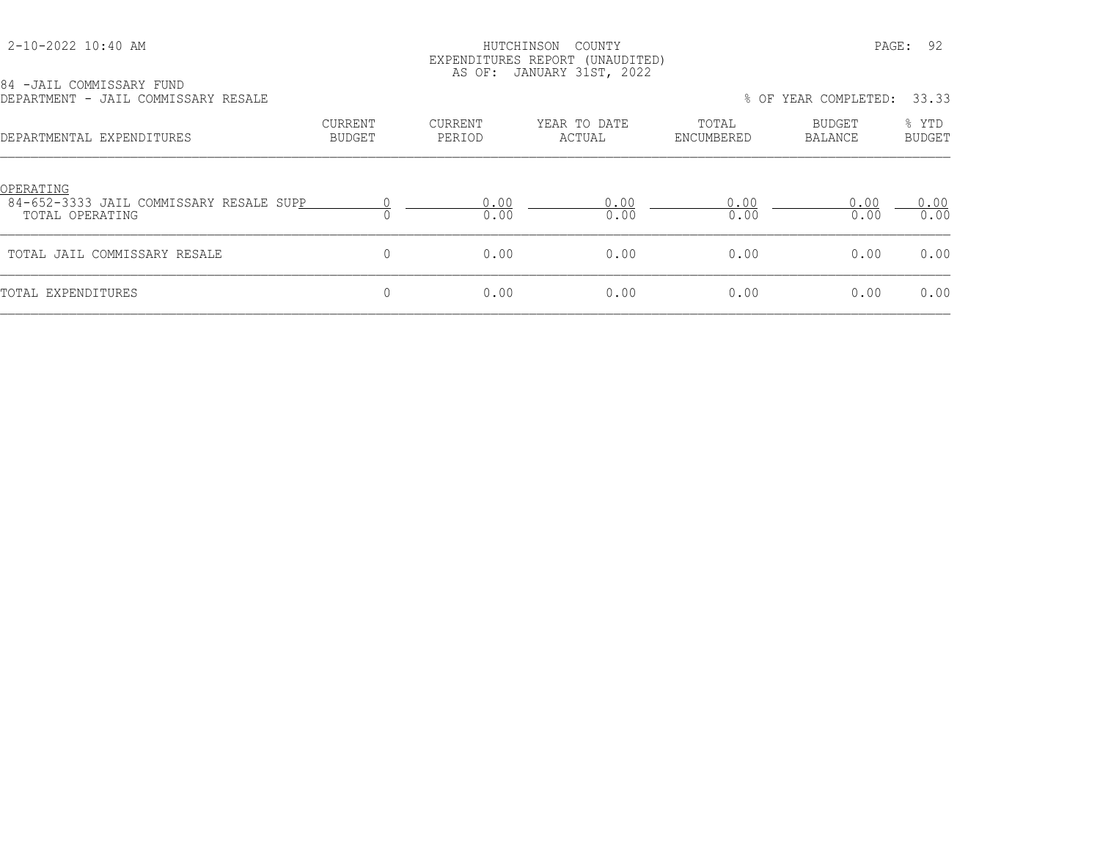#### HUTCHINSON COUNTY PAGE: 92 EXPENDITURES REPORT (UNAUDITED) AS OF: JANUARY 31ST, 2022

|  |  | 84 -JAIL COMMISSARY FUND            |  |
|--|--|-------------------------------------|--|
|  |  | DEPARTMENT - JAIL COMMISSARY RESALE |  |

| DEPARTMENT - JAIL COMMISSARY RESALE                                     |                   |                   |                        |                     | % OF YEAR COMPLETED: 33.33 |                        |
|-------------------------------------------------------------------------|-------------------|-------------------|------------------------|---------------------|----------------------------|------------------------|
| DEPARTMENTAL EXPENDITURES                                               | CURRENT<br>BUDGET | CURRENT<br>PERIOD | YEAR TO DATE<br>ACTUAL | TOTAL<br>ENCUMBERED | BUDGET<br><b>BALANCE</b>   | % YTD<br><b>BUDGET</b> |
| OPERATING<br>84-652-3333 JAIL COMMISSARY RESALE SUPP<br>TOTAL OPERATING |                   | 0.00<br>0.00      | 0.00<br>0.00           | 0.00<br>0.00        | 0.00<br>0.00               | 0.00<br>0.00           |
| TOTAL JAIL COMMISSARY RESALE                                            | 0                 | 0.00              | 0.00                   | 0.00                | 0.00                       | 0.00                   |
| TOTAL EXPENDITURES                                                      | 0                 | 0.00              | 0.00                   | 0.00                | 0.00                       | 0.00                   |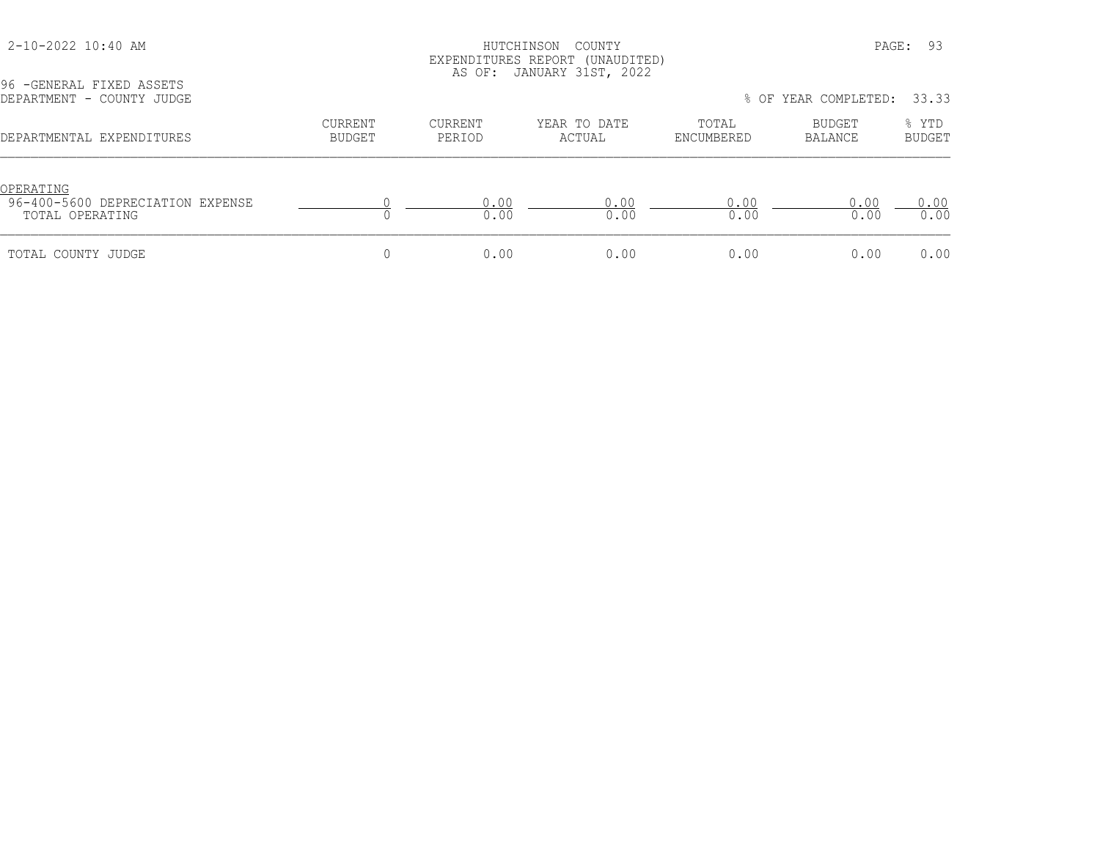### HUTCHINSON COUNTY PAGE: 93 EXPENDITURES REPORT (UNAUDITED) AS OF: JANUARY 31ST, 2022

| DEPARTMENT - COUNTY JUDGE                                        |                          |                          |                        |                     | % OF YEAR COMPLETED: | 33.33                  |
|------------------------------------------------------------------|--------------------------|--------------------------|------------------------|---------------------|----------------------|------------------------|
| DEPARTMENTAL EXPENDITURES                                        | <b>CURRENT</b><br>BUDGET | <b>CURRENT</b><br>PERIOD | YEAR TO DATE<br>ACTUAL | TOTAL<br>ENCUMBERED | BUDGET<br>BALANCE    | % YTD<br><b>BUDGET</b> |
| OPERATING<br>96-400-5600 DEPRECIATION EXPENSE<br>TOTAL OPERATING |                          | 0.00<br>0.00             | 0.00<br>0.00           | 0.00<br>0.00        | 0.00<br>0.00         | 0.00<br>0.00           |
| TOTAL COUNTY JUDGE                                               |                          | 0.00                     | 0.00                   | 0.00                | 0.00                 | 0.00                   |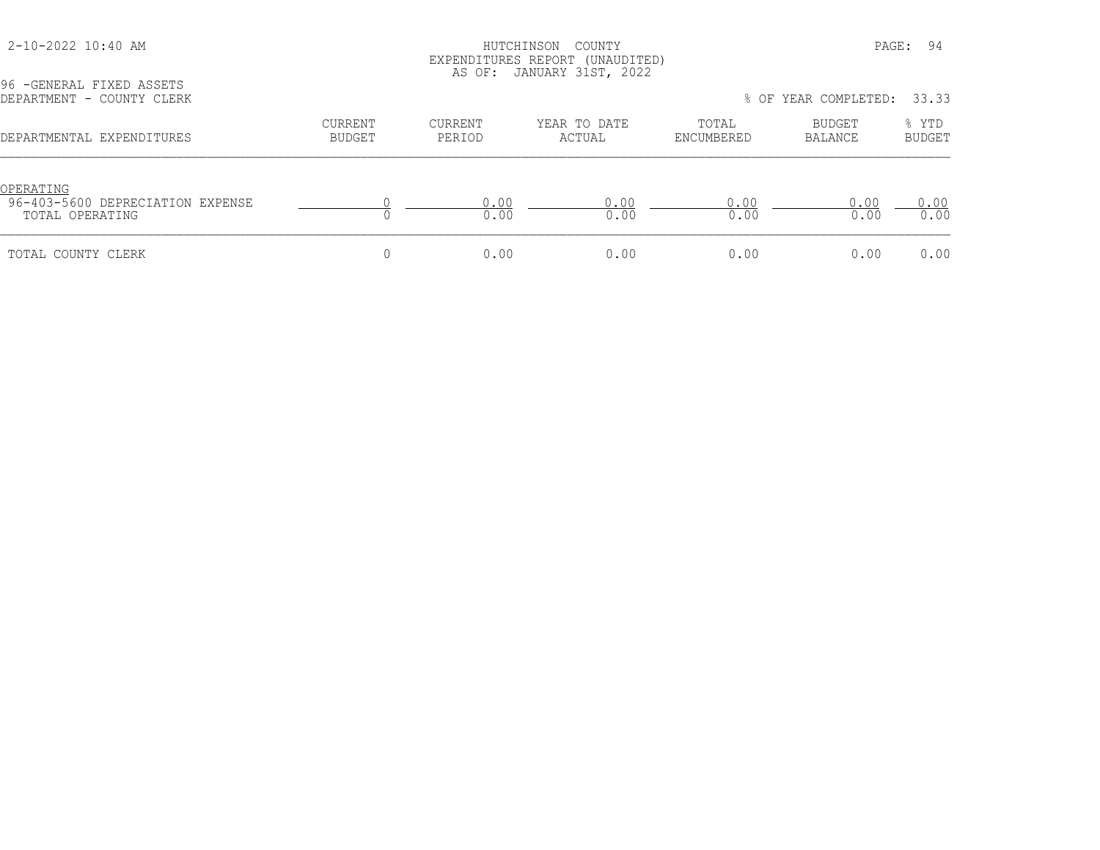### HUTCHINSON COUNTY PAGE: 94 EXPENDITURES REPORT (UNAUDITED) AS OF: JANUARY 31ST, 2022

| DEPARTMENT - COUNTY CLERK                                        |                   |                   |                        |                     | % OF YEAR COMPLETED: | 33.33                  |
|------------------------------------------------------------------|-------------------|-------------------|------------------------|---------------------|----------------------|------------------------|
| DEPARTMENTAL EXPENDITURES                                        | CURRENT<br>BUDGET | CURRENT<br>PERIOD | YEAR TO DATE<br>ACTUAL | TOTAL<br>ENCUMBERED | BUDGET<br>BALANCE    | % YTD<br><b>BUDGET</b> |
| OPERATING<br>96-403-5600 DEPRECIATION EXPENSE<br>TOTAL OPERATING |                   | 0.00<br>0.00      | 0.00<br>0.00           | 0.00<br>0.00        | 0.00<br>0.00         | 0.00<br>0.00           |
| TOTAL COUNTY CLERK                                               |                   | 0.00              | 0.00                   | 0.00                | 0.00                 | 0.00                   |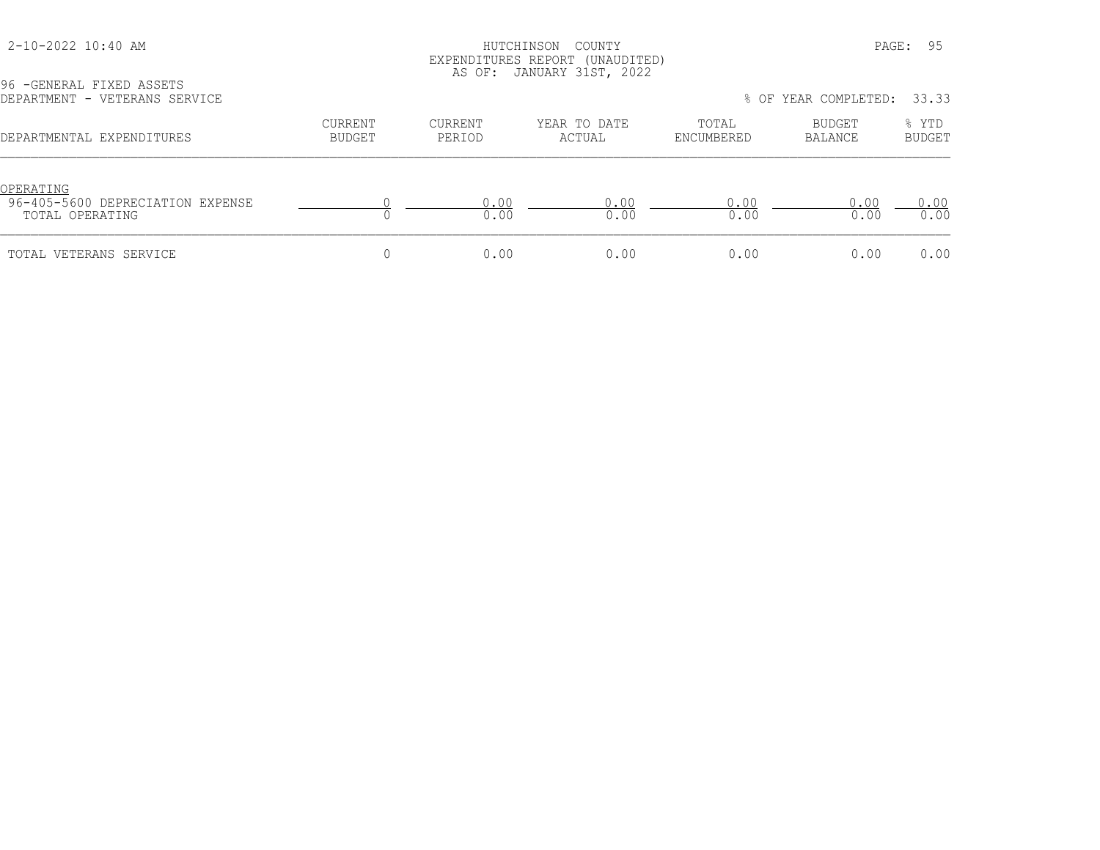### HUTCHINSON COUNTY PAGE: 95 EXPENDITURES REPORT (UNAUDITED) AS OF: JANUARY 31ST, 2022

| 96 - GENERAL FIXED ASSETS<br>DEPARTMENT - VETERANS SERVICE       |                          |                   |                        |                     | % OF YEAR COMPLETED: | 33.33                  |
|------------------------------------------------------------------|--------------------------|-------------------|------------------------|---------------------|----------------------|------------------------|
| DEPARTMENTAL EXPENDITURES                                        | <b>CURRENT</b><br>BUDGET | CURRENT<br>PERIOD | YEAR TO DATE<br>ACTUAL | TOTAL<br>ENCUMBERED | BUDGET<br>BALANCE    | % YTD<br><b>BUDGET</b> |
| OPERATING<br>96-405-5600 DEPRECIATION EXPENSE<br>TOTAL OPERATING |                          | 0.00<br>0.00      | 0.00<br>0.00           | 0.00<br>0.00        | 0.00<br>0.00         | 0.00<br>0.00           |
| TOTAL VETERANS SERVICE                                           |                          | 0.00              | 0.00                   | 0.00                | 0.00                 | 0.00                   |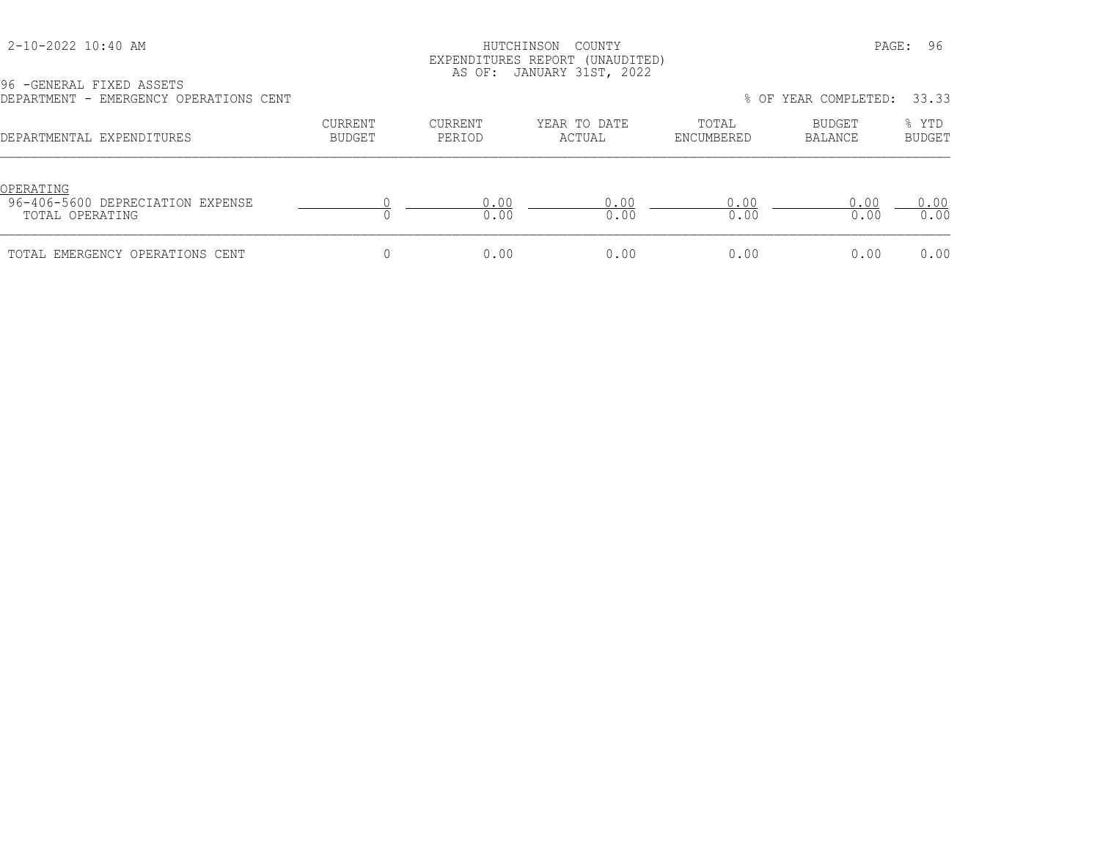#### HUTCHINSON COUNTY PAGE: 96 EXPENDITURES REPORT (UNAUDITED) AS OF: JANUARY 31ST, 2022

| DEPARTMENT - EMERGENCY OPERATIONS CENT                           |                                 |                   |                        |                     | % OF YEAR COMPLETED: | 33.33                  |
|------------------------------------------------------------------|---------------------------------|-------------------|------------------------|---------------------|----------------------|------------------------|
| DEPARTMENTAL EXPENDITURES                                        | <b>CURRENT</b><br><b>BUDGET</b> | CURRENT<br>PERIOD | YEAR TO DATE<br>ACTUAL | TOTAL<br>ENCUMBERED | BUDGET<br>BALANCE    | % YTD<br><b>BUDGET</b> |
| OPERATING<br>96-406-5600 DEPRECIATION EXPENSE<br>TOTAL OPERATING |                                 | 0.00<br>0.00      | 0.00<br>0.00           | 0.00<br>0.00        | 0.00<br>0.00         | 0.00<br>0.00           |
| TOTAL EMERGENCY OPERATIONS CENT                                  |                                 | 0.00              | 0.00                   | 0.00                | 0.00                 | 0.00                   |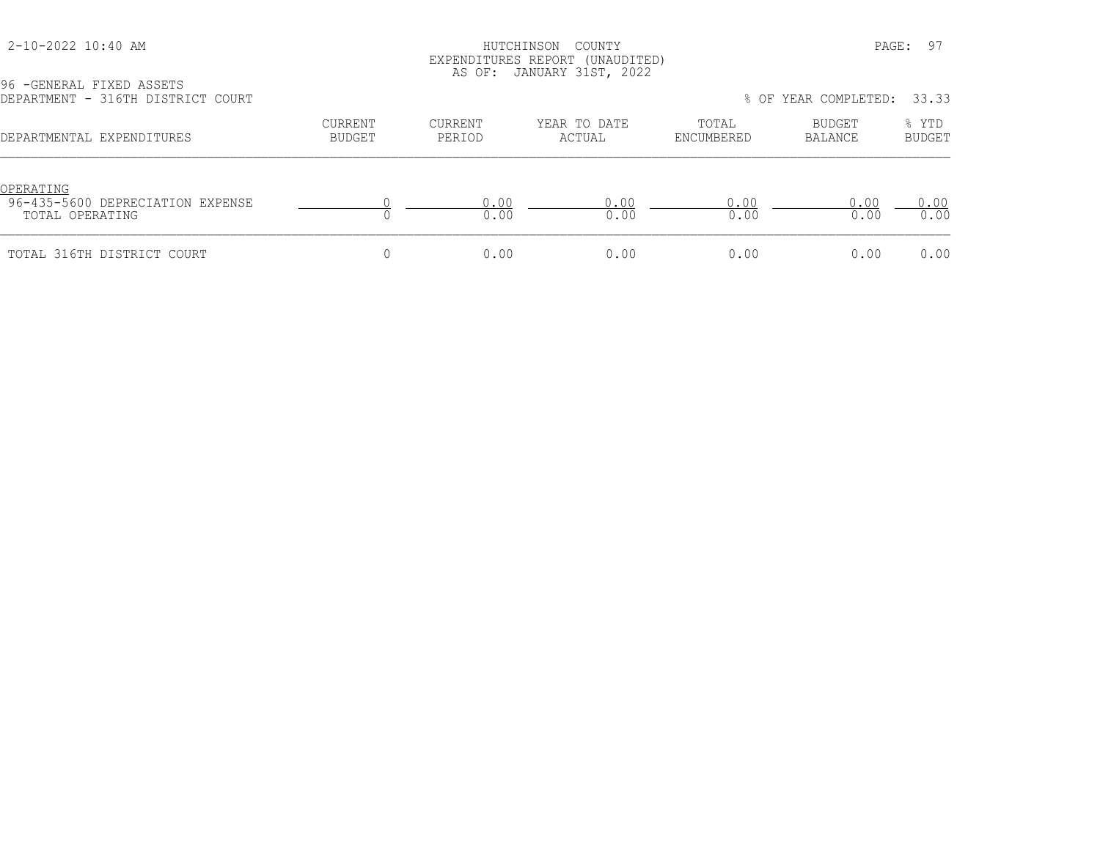### HUTCHINSON COUNTY PAGE: 97 EXPENDITURES REPORT (UNAUDITED) AS OF: JANUARY 31ST, 2022

| DEPARTMENT - 316TH DISTRICT COURT                                |                   |                          |                        | 33.33<br>% OF YEAR COMPLETED: |                   |                        |
|------------------------------------------------------------------|-------------------|--------------------------|------------------------|-------------------------------|-------------------|------------------------|
| DEPARTMENTAL EXPENDITURES                                        | CURRENT<br>BUDGET | <b>CURRENT</b><br>PERIOD | YEAR TO DATE<br>ACTUAL | TOTAL<br>ENCUMBERED           | BUDGET<br>BALANCE | % YTD<br><b>BUDGET</b> |
| OPERATING<br>96-435-5600 DEPRECIATION EXPENSE<br>TOTAL OPERATING |                   | 0.00<br>0.00             | 0.00<br>0.00           | 0.00<br>0.00                  | 0.00<br>0.00      | 0.00<br>0.00           |
| TOTAL 316TH DISTRICT COURT                                       |                   | 0.00                     | 0.00                   | 0.00                          | 0.00              | 0.00                   |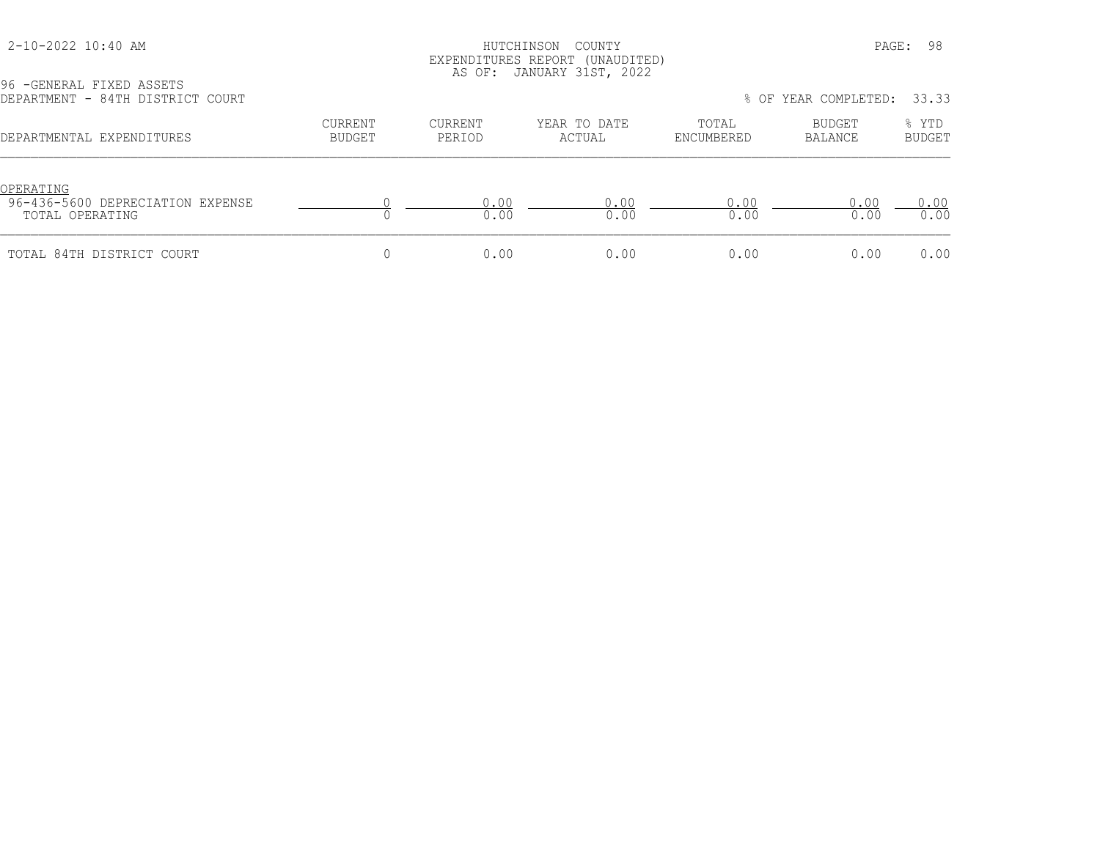### HUTCHINSON COUNTY PAGE: 98 EXPENDITURES REPORT (UNAUDITED) AS OF: JANUARY 31ST, 2022

| DEPARTMENT - 84TH DISTRICT COURT                                 |                          |                          |                        |                     | % OF YEAR COMPLETED: | 33.33                  |
|------------------------------------------------------------------|--------------------------|--------------------------|------------------------|---------------------|----------------------|------------------------|
| DEPARTMENTAL EXPENDITURES                                        | <b>CURRENT</b><br>BUDGET | <b>CURRENT</b><br>PERIOD | YEAR TO DATE<br>ACTUAL | TOTAL<br>ENCUMBERED | BUDGET<br>BALANCE    | % YTD<br><b>BUDGET</b> |
| OPERATING<br>96-436-5600 DEPRECIATION EXPENSE<br>TOTAL OPERATING |                          | 0.00<br>0.00             | 0.00<br>0.00           | 0.00<br>0.00        | 0.00<br>0.00         | 0.00<br>0.00           |
| TOTAL 84TH DISTRICT COURT                                        |                          | 0.00                     | 0.00                   | 0.00                | 0.00                 | 0.00                   |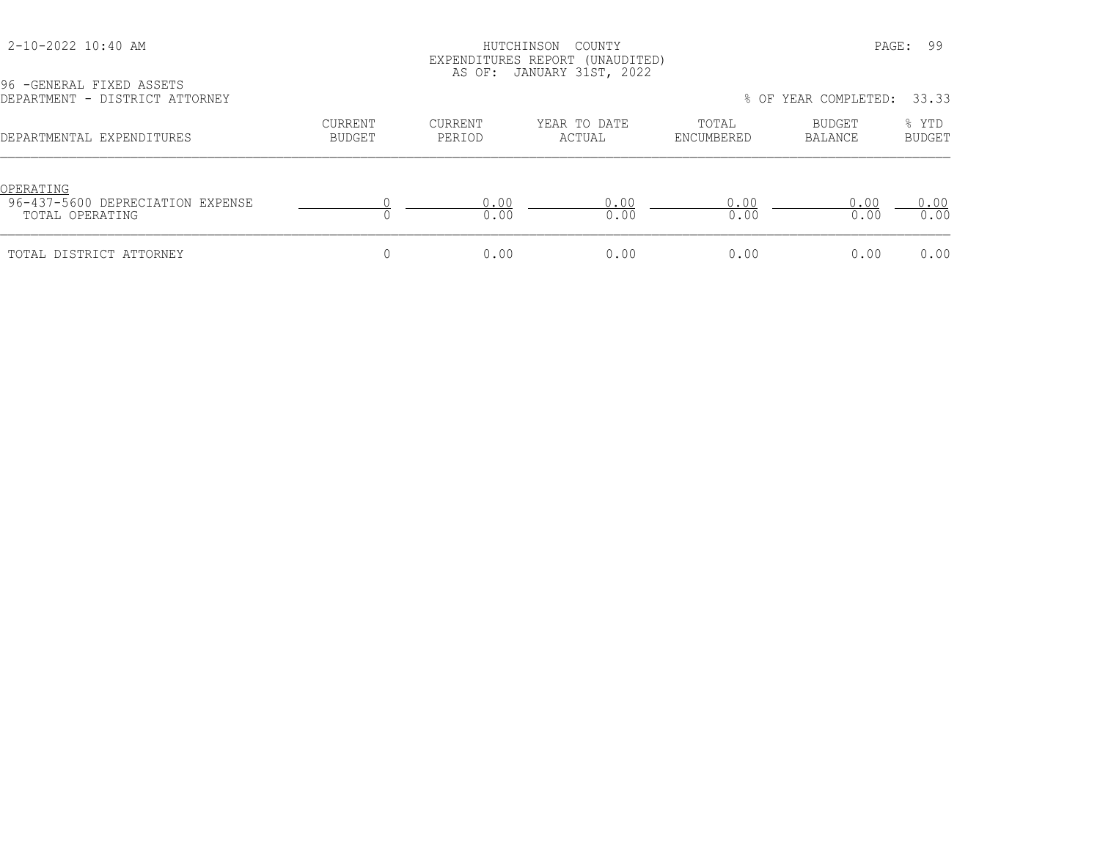### HUTCHINSON COUNTY PAGE: 99 EXPENDITURES REPORT (UNAUDITED) AS OF: JANUARY 31ST, 2022

| DEPARTMENT - DISTRICT ATTORNEY                                   |                   |                   |                        | 33.33<br>% OF YEAR COMPLETED: |                   |                        |  |
|------------------------------------------------------------------|-------------------|-------------------|------------------------|-------------------------------|-------------------|------------------------|--|
| DEPARTMENTAL EXPENDITURES                                        | CURRENT<br>BUDGET | CURRENT<br>PERIOD | YEAR TO DATE<br>ACTUAL | TOTAL<br>ENCUMBERED           | BUDGET<br>BALANCE | % YTD<br><b>BUDGET</b> |  |
| OPERATING<br>96-437-5600 DEPRECIATION EXPENSE<br>TOTAL OPERATING |                   | 0.00<br>0.00      | 0.00<br>0.00           | 0.00<br>0.00                  | 0.00<br>0.00      | 0.00<br>0.00           |  |
| TOTAL DISTRICT ATTORNEY                                          |                   | 0.00              | 0.00                   | 0.00                          | 0.00              | 0.00                   |  |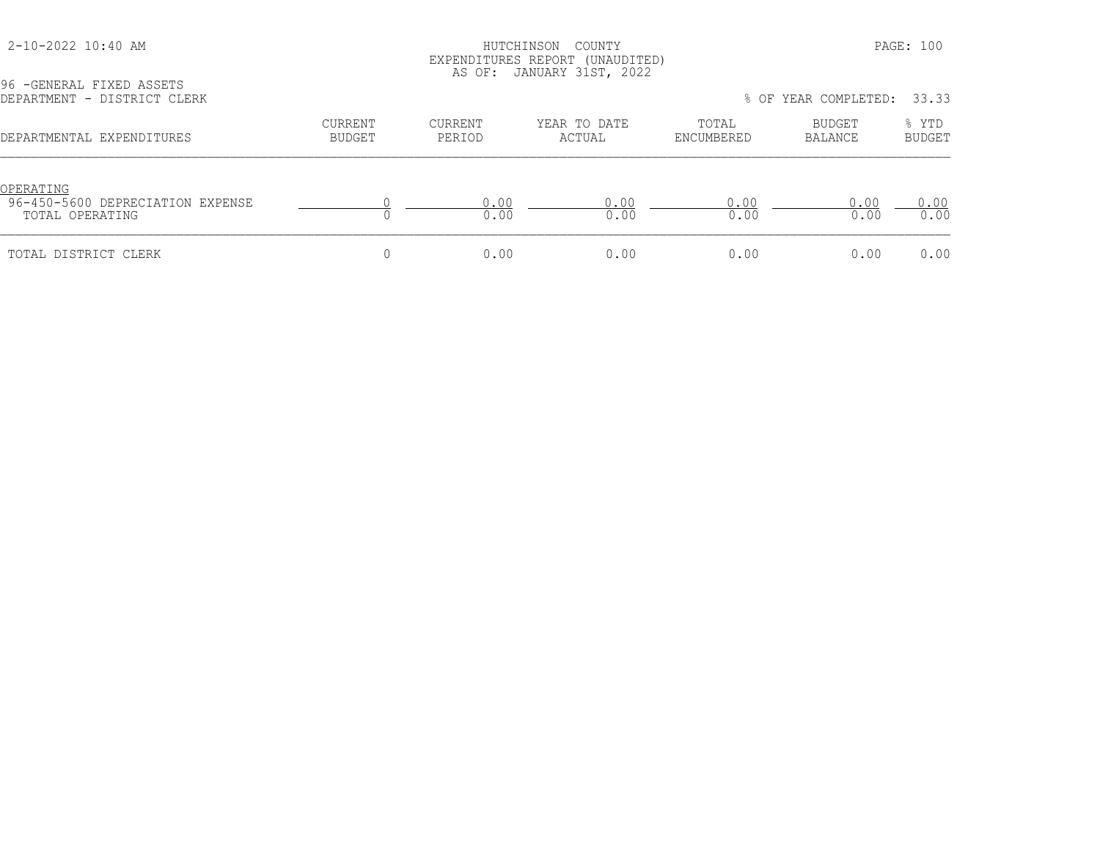### HUTCHINSON COUNTY PAGE: 100 EXPENDITURES REPORT (UNAUDITED) AS OF: JANUARY 31ST, 2022

| 96 - GENERAL FIXED ASSETS<br>DEPARTMENT - DISTRICT CLERK         |                          |                   |                        |                     | % OF YEAR COMPLETED: | 33.33                  |
|------------------------------------------------------------------|--------------------------|-------------------|------------------------|---------------------|----------------------|------------------------|
| DEPARTMENTAL EXPENDITURES                                        | <b>CURRENT</b><br>BUDGET | CURRENT<br>PERIOD | YEAR TO DATE<br>ACTUAL | TOTAL<br>ENCUMBERED | BUDGET<br>BALANCE    | % YTD<br><b>BUDGET</b> |
| OPERATING<br>96-450-5600 DEPRECIATION EXPENSE<br>TOTAL OPERATING |                          | 0.00<br>0.00      | 0.00<br>0.00           | 0.00<br>0.00        | 0.00<br>0.00         | 0.00<br>0.00           |
| TOTAL DISTRICT CLERK                                             |                          | 0.00              | 0.00                   | 0.00                | 0.00                 | 0.00                   |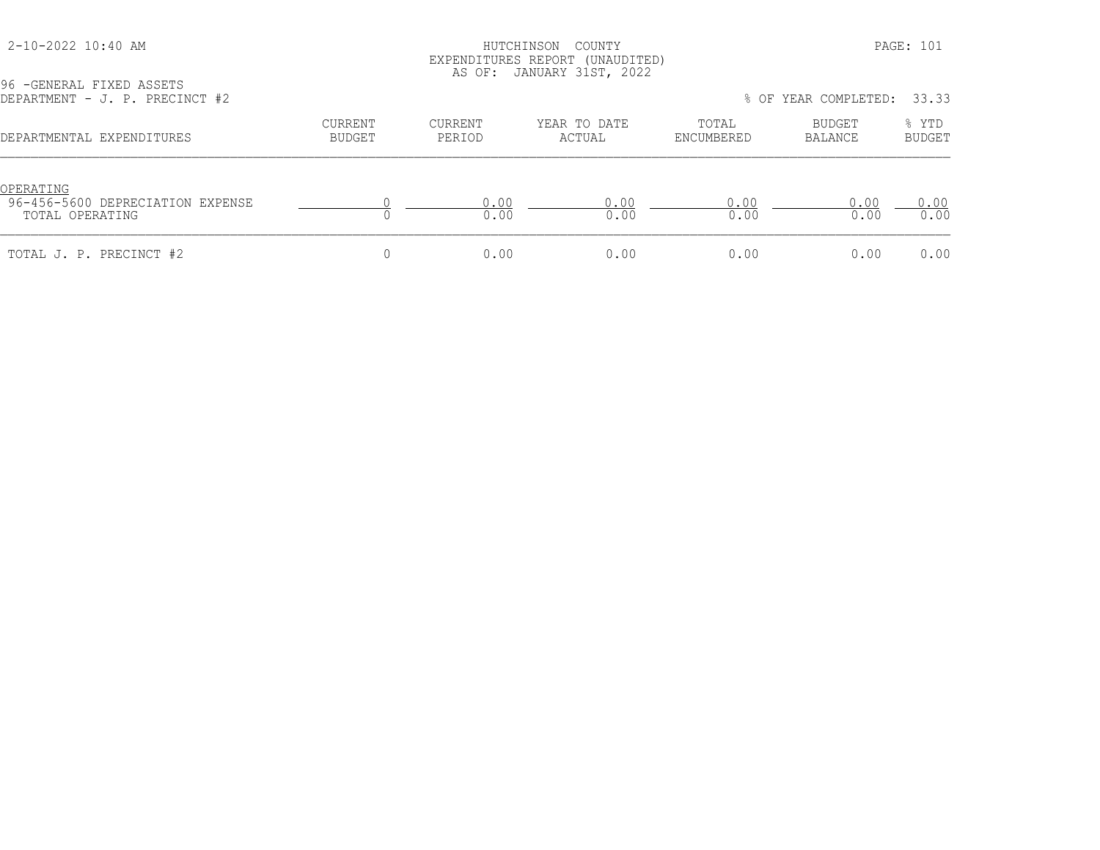### HUTCHINSON COUNTY PAGE: 101 EXPENDITURES REPORT (UNAUDITED) AS OF: JANUARY 31ST, 2022

| 96 - GENERAL FIXED ASSETS<br>DEPARTMENT - J. P. PRECINCT #2      |                          |                          | <u> v.i., v.i., i. v.i., cvcc</u> |                     | % OF YEAR COMPLETED: | 33.33                  |
|------------------------------------------------------------------|--------------------------|--------------------------|-----------------------------------|---------------------|----------------------|------------------------|
| DEPARTMENTAL EXPENDITURES                                        | <b>CURRENT</b><br>BUDGET | <b>CURRENT</b><br>PERIOD | YEAR TO DATE<br>ACTUAL            | TOTAL<br>ENCUMBERED | BUDGET<br>BALANCE    | % YTD<br><b>BUDGET</b> |
| OPERATING<br>96-456-5600 DEPRECIATION EXPENSE<br>TOTAL OPERATING |                          | 0.00<br>0.00             | 0.00<br>0.00                      | 0.00<br>0.00        | 0.00<br>0.00         | 0.00<br>0.00           |
| TOTAL J. P. PRECINCT #2                                          |                          | 0.00                     | 0.00                              | 0.00                | 0.00                 | 0.00                   |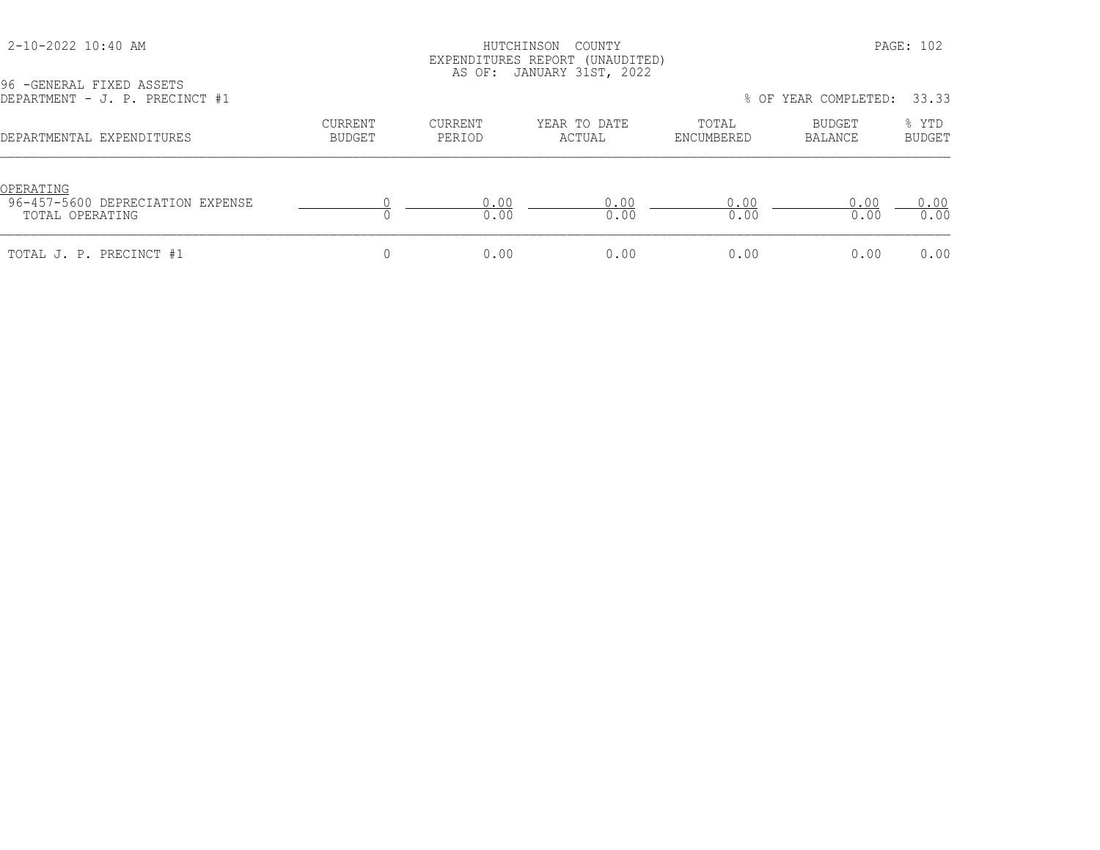### HUTCHINSON COUNTY PAGE: 102 EXPENDITURES REPORT (UNAUDITED) AS OF: JANUARY 31ST, 2022

| DEPARTMENT - J. P. PRECINCT #1                                   |                   |                   |                        |                     | % OF YEAR COMPLETED: 33.33 |                        |
|------------------------------------------------------------------|-------------------|-------------------|------------------------|---------------------|----------------------------|------------------------|
| DEPARTMENTAL EXPENDITURES                                        | CURRENT<br>BUDGET | CURRENT<br>PERIOD | YEAR TO DATE<br>ACTUAL | TOTAL<br>ENCUMBERED | BUDGET<br>BALANCE          | % YTD<br><b>BUDGET</b> |
| OPERATING<br>96-457-5600 DEPRECIATION EXPENSE<br>TOTAL OPERATING |                   | 0.00<br>0.00      | 0.00<br>0.00           | 0.00<br>0.00        | 0.00<br>0.00               | 0.00<br>0.00           |
| TOTAL J. P. PRECINCT #1                                          |                   | 0.00              | 0.00                   | 0.00                | 0.00                       | 0.00                   |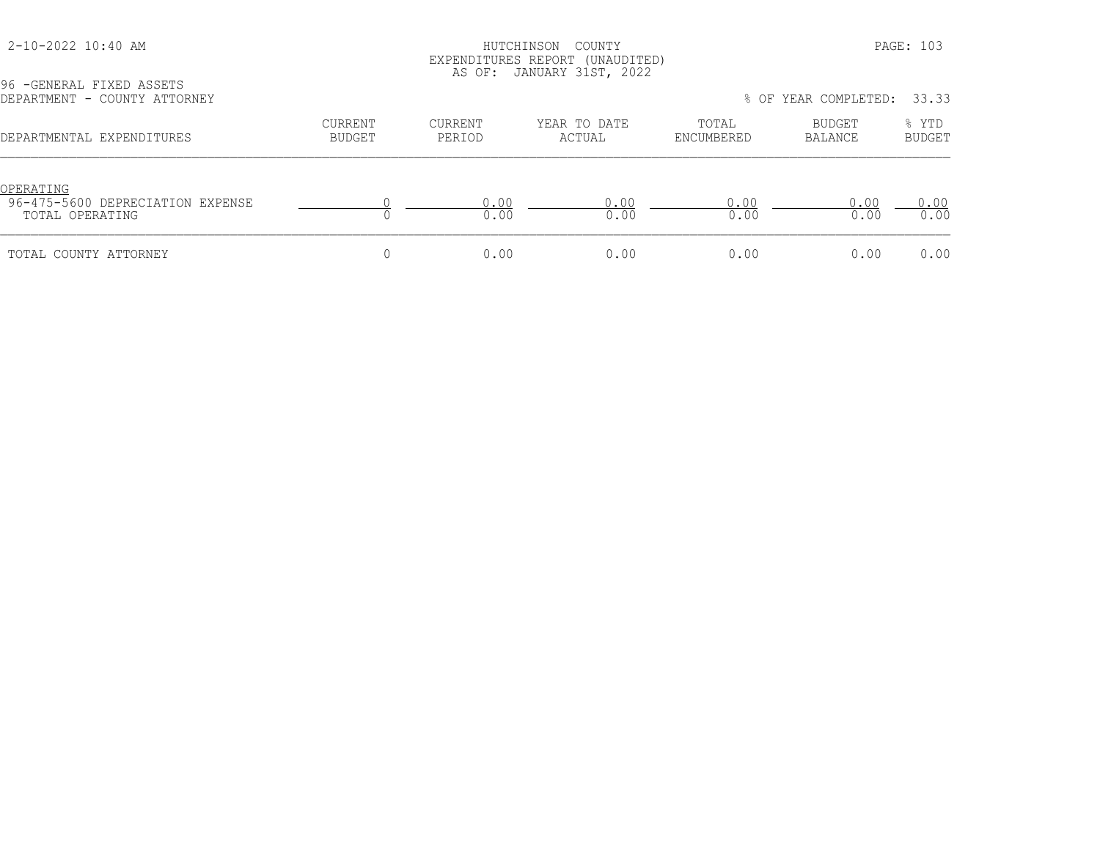### HUTCHINSON COUNTY PAGE: 103 EXPENDITURES REPORT (UNAUDITED) AS OF: JANUARY 31ST, 2022

| 96 - GENERAL FIXED ASSETS<br>DEPARTMENT - COUNTY ATTORNEY        |                          |                   |                        |                     | % OF YEAR COMPLETED: | 33.33                  |
|------------------------------------------------------------------|--------------------------|-------------------|------------------------|---------------------|----------------------|------------------------|
| DEPARTMENTAL EXPENDITURES                                        | <b>CURRENT</b><br>BUDGET | CURRENT<br>PERIOD | YEAR TO DATE<br>ACTUAL | TOTAL<br>ENCUMBERED | BUDGET<br>BALANCE    | % YTD<br><b>BUDGET</b> |
| OPERATING<br>96-475-5600 DEPRECIATION EXPENSE<br>TOTAL OPERATING |                          | 0.00<br>0.00      | 0.00<br>0.00           | 0.00<br>0.00        | 0.00<br>0.00         | 0.00<br>0.00           |
| TOTAL COUNTY ATTORNEY                                            |                          | 0.00              | 0.00                   | 0.00                | 0.00                 | 0.00                   |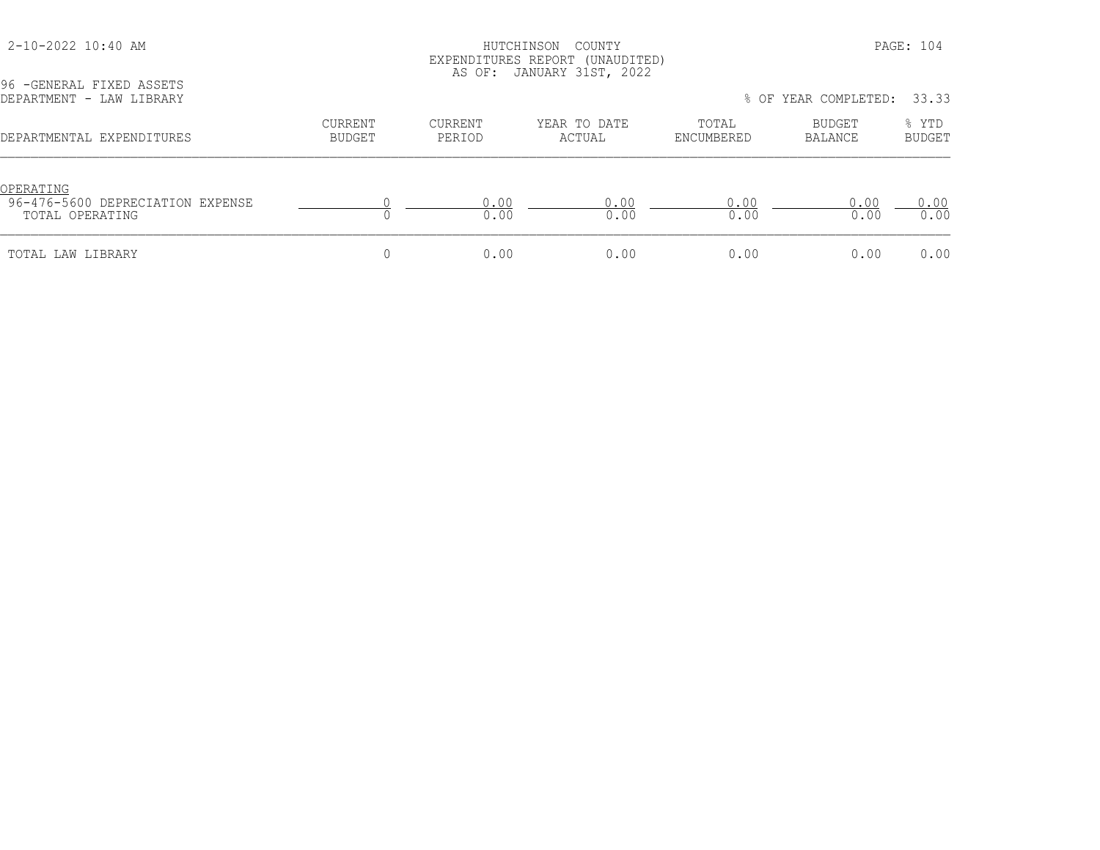### HUTCHINSON COUNTY PAGE: 104 EXPENDITURES REPORT (UNAUDITED) AS OF: JANUARY 31ST, 2022

| DEPARTMENT - LAW LIBRARY                                         |                   |                   |                        |                     | % OF YEAR COMPLETED: | 33.33           |
|------------------------------------------------------------------|-------------------|-------------------|------------------------|---------------------|----------------------|-----------------|
| DEPARTMENTAL EXPENDITURES                                        | CURRENT<br>BUDGET | CURRENT<br>PERIOD | YEAR TO DATE<br>ACTUAL | TOTAL<br>ENCUMBERED | BUDGET<br>BALANCE    | % YTD<br>BUDGET |
| OPERATING<br>96-476-5600 DEPRECIATION EXPENSE<br>TOTAL OPERATING |                   | .00<br>0.00       | 0 O O<br>0.00          | 0.00<br>0.00        | 0.00<br>0.00         | 0.00<br>0.00    |
| TOTAL LAW LIBRARY                                                |                   | 0.00              | 0.00                   | 0.00                | 0.00                 | 0.00            |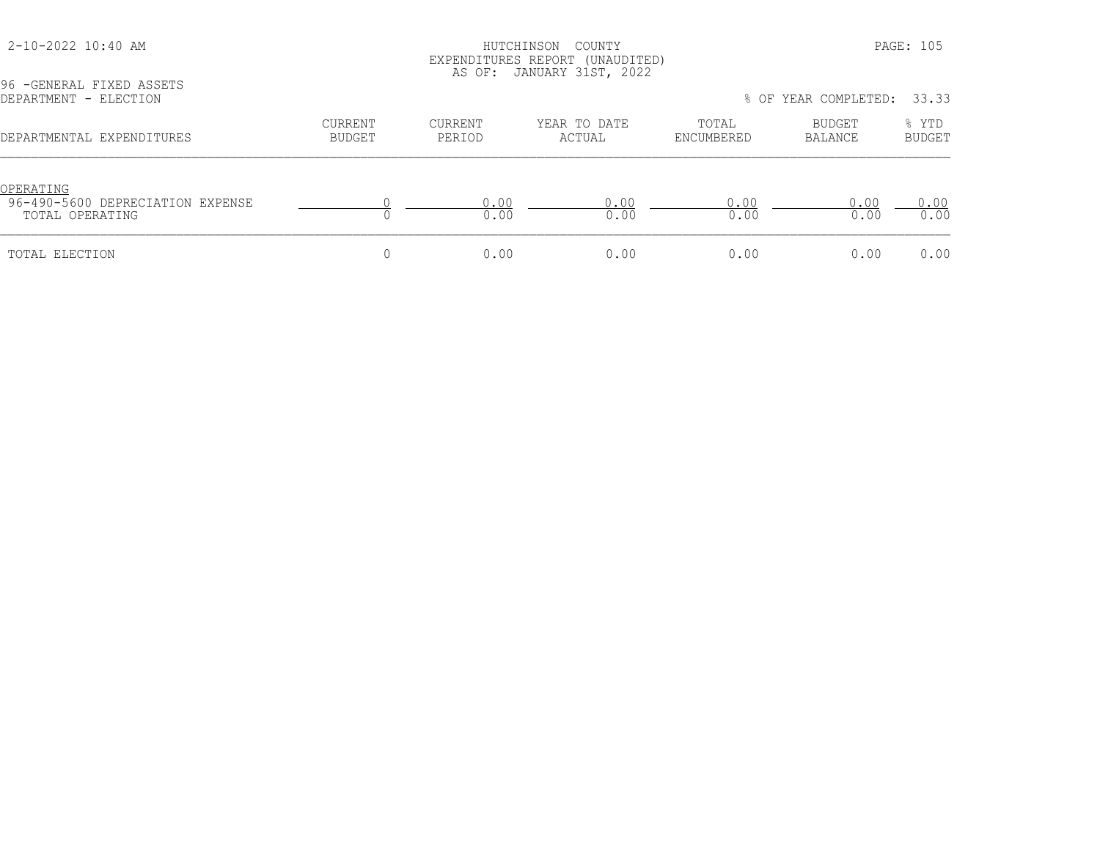### HUTCHINSON COUNTY PAGE: 105 EXPENDITURES REPORT (UNAUDITED) AS OF: JANUARY 31ST, 2022

| DEPARTMENT - ELECTION                                            |                   |                          |                        | % OF YEAR COMPLETED: 33.33 |                   |                        |  |
|------------------------------------------------------------------|-------------------|--------------------------|------------------------|----------------------------|-------------------|------------------------|--|
| DEPARTMENTAL EXPENDITURES                                        | CURRENT<br>BUDGET | <b>CURRENT</b><br>PERIOD | YEAR TO DATE<br>ACTUAL | TOTAL<br>ENCUMBERED        | BUDGET<br>BALANCE | % YTD<br><b>BUDGET</b> |  |
| OPERATING<br>96-490-5600 DEPRECIATION EXPENSE<br>TOTAL OPERATING |                   | 0.00<br>0.00             | 0 O O<br>0.00          | 0.00<br>0.00               | 0.00<br>0.00      | 0.00<br>0.00           |  |
| TOTAL ELECTION                                                   |                   | 0.00                     | 0.00                   | 0.00                       | 0.00              | 0.00                   |  |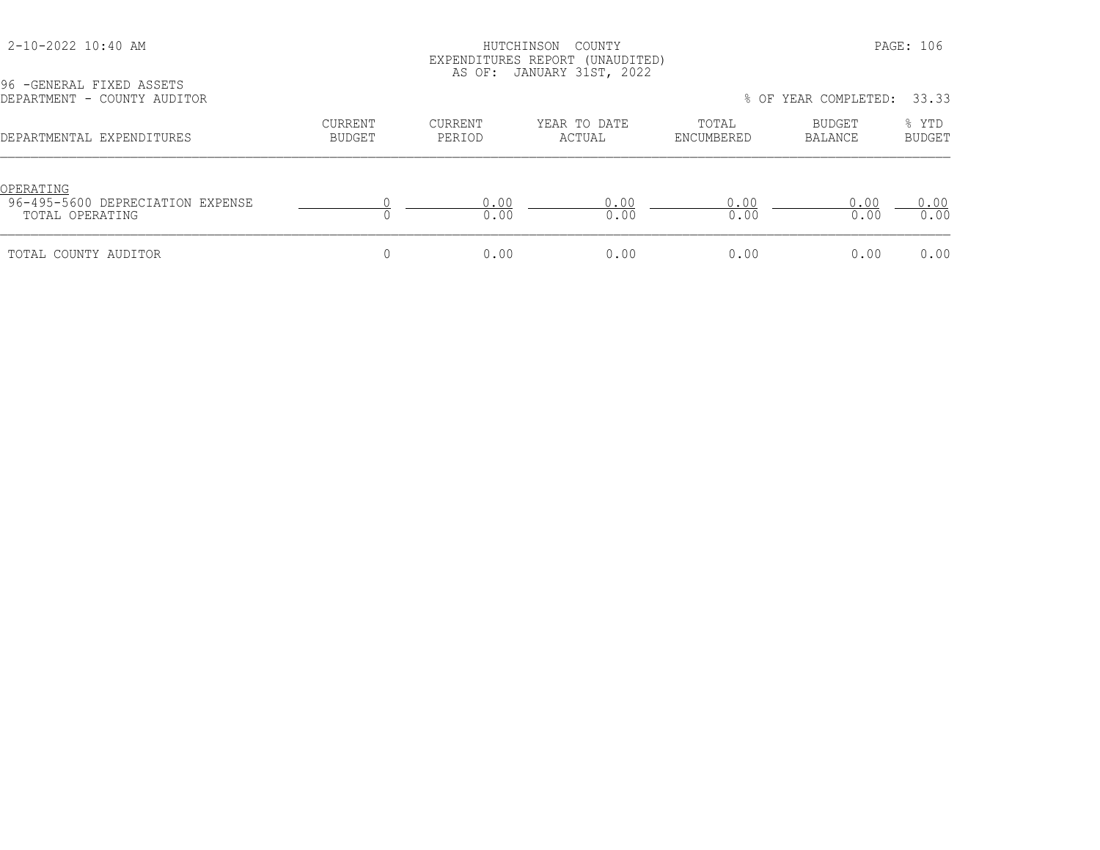### HUTCHINSON COUNTY PAGE: 106 EXPENDITURES REPORT (UNAUDITED) AS OF: JANUARY 31ST, 2022

| DEPARTMENT - COUNTY AUDITOR                                             |                   |                   |                        |                     | % OF YEAR COMPLETED: | 33.33                  |
|-------------------------------------------------------------------------|-------------------|-------------------|------------------------|---------------------|----------------------|------------------------|
| DEPARTMENTAL EXPENDITURES                                               | CURRENT<br>BUDGET | CURRENT<br>PERIOD | YEAR TO DATE<br>ACTUAL | TOTAL<br>ENCUMBERED | BUDGET<br>BALANCE    | % YTD<br><b>BUDGET</b> |
| <u>OPERATING</u><br>96-495-5600 DEPRECIATION EXPENSE<br>TOTAL OPERATING |                   | 0.00<br>0.00      | 0.00<br>0.00           | 0.00<br>0.00        | 0.00<br>0.00         | 0.00<br>0.00           |
| TOTAL COUNTY AUDITOR                                                    |                   | 0.00              | 0.00                   | 0.00                | 0.00                 | 0.00                   |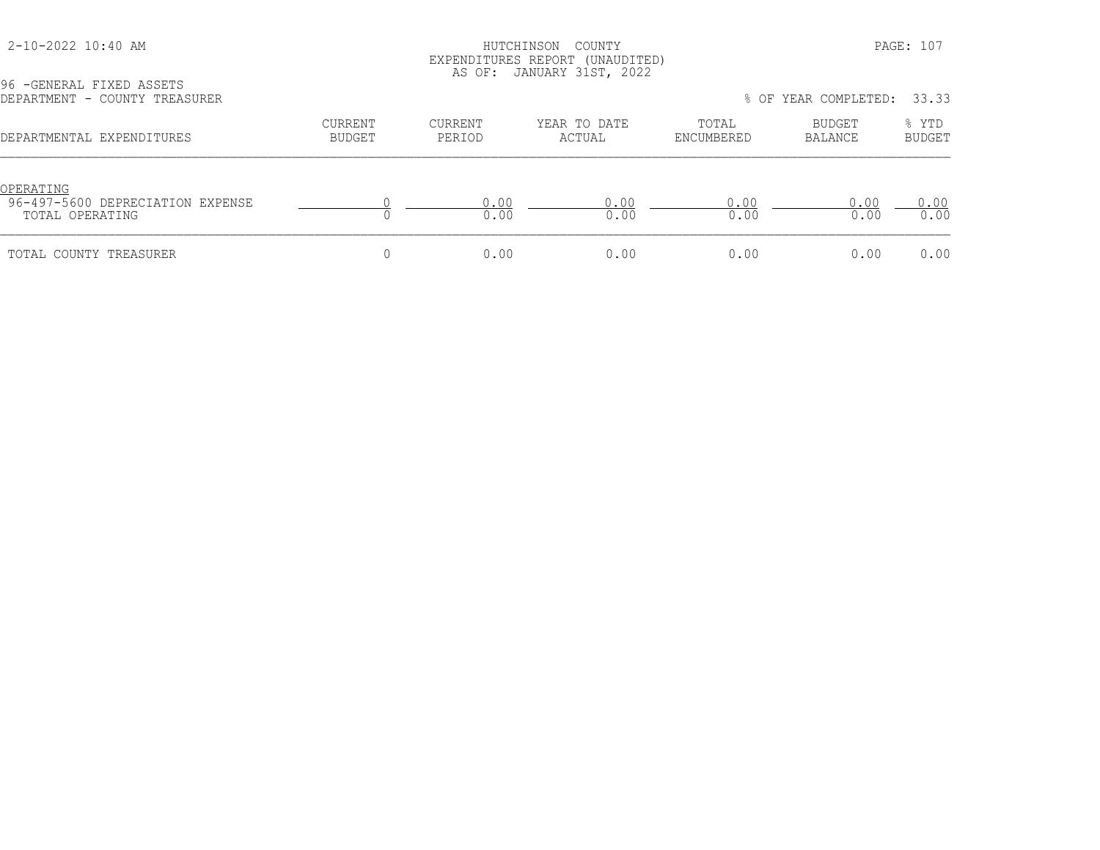### HUTCHINSON COUNTY PAGE: 107 EXPENDITURES REPORT (UNAUDITED) AS OF: JANUARY 31ST, 2022

| 96 - GENERAL FIXED ASSETS<br>DEPARTMENT - COUNTY TREASURER       |                   | TIO OI . OIINGINNI JIOI , LOLL | 33.33<br>% OF YEAR COMPLETED: |                     |                   |                        |
|------------------------------------------------------------------|-------------------|--------------------------------|-------------------------------|---------------------|-------------------|------------------------|
| DEPARTMENTAL EXPENDITURES                                        | CURRENT<br>BUDGET | CURRENT<br>PERIOD              | YEAR TO DATE<br>ACTUAL        | TOTAL<br>ENCUMBERED | BUDGET<br>BALANCE | % YTD<br><b>BUDGET</b> |
| OPERATING<br>96-497-5600 DEPRECIATION EXPENSE<br>TOTAL OPERATING |                   | 0.00<br>0.00                   | 0.00<br>0.00                  | 0.00<br>0.00        | 0.00<br>0.00      | 0.00<br>0.00           |
| TOTAL COUNTY TREASURER                                           |                   | 0.00                           | 0.00                          | 0.00                | 0.00              | 0.00                   |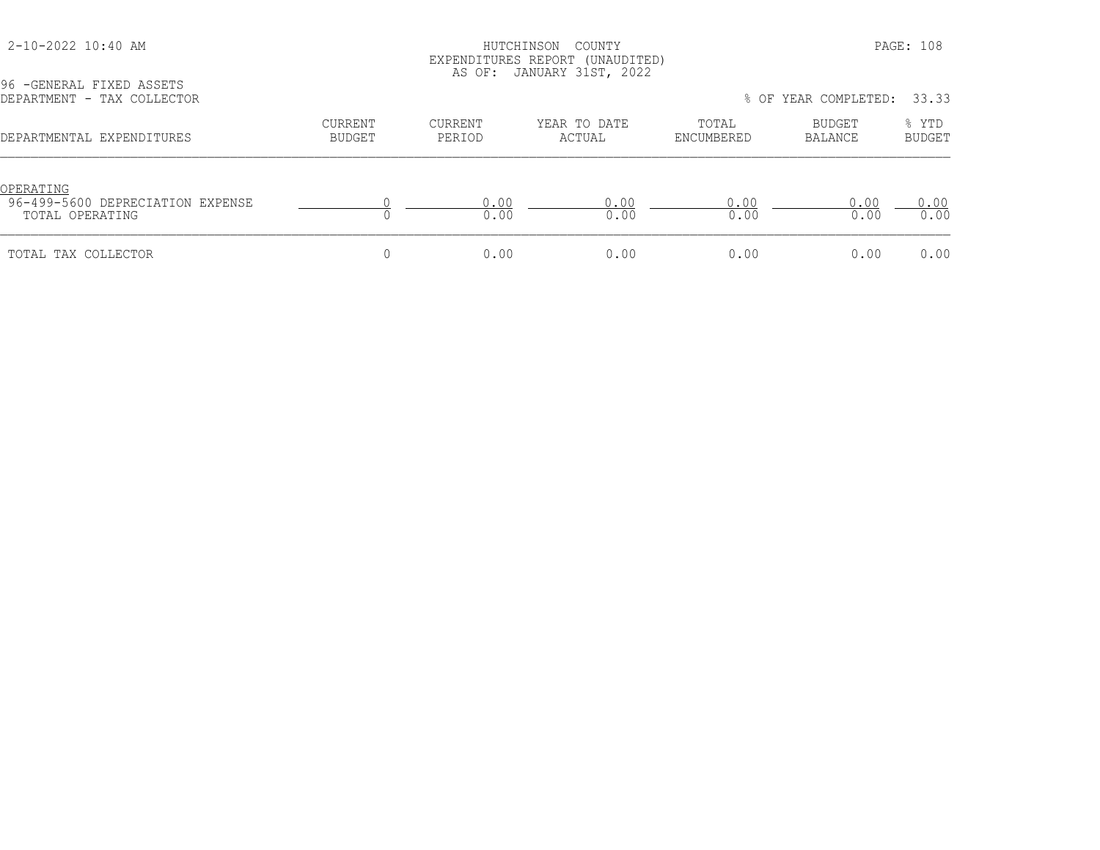### HUTCHINSON COUNTY PAGE: 108 EXPENDITURES REPORT (UNAUDITED) AS OF: JANUARY 31ST, 2022

| 96 - GENERAL FIXED ASSETS<br>DEPARTMENT - TAX COLLECTOR          |                   | TIO OI . OIINGINNI JIOI , LOLL | 33.33<br>% OF YEAR COMPLETED: |                     |                   |                        |
|------------------------------------------------------------------|-------------------|--------------------------------|-------------------------------|---------------------|-------------------|------------------------|
| DEPARTMENTAL EXPENDITURES                                        | CURRENT<br>BUDGET | CURRENT<br>PERIOD              | YEAR TO DATE<br>ACTUAL        | TOTAL<br>ENCUMBERED | BUDGET<br>BALANCE | % YTD<br><b>BUDGET</b> |
| OPERATING<br>96-499-5600 DEPRECIATION EXPENSE<br>TOTAL OPERATING |                   | 0.00<br>0.00                   | 0.00<br>0.00                  | 0.00<br>0.00        | 0.00<br>0.00      | 0.00<br>0.00           |
| TOTAL TAX COLLECTOR                                              |                   | 0.00                           | 0.00                          | 0.00                | 0.00              | 0.00                   |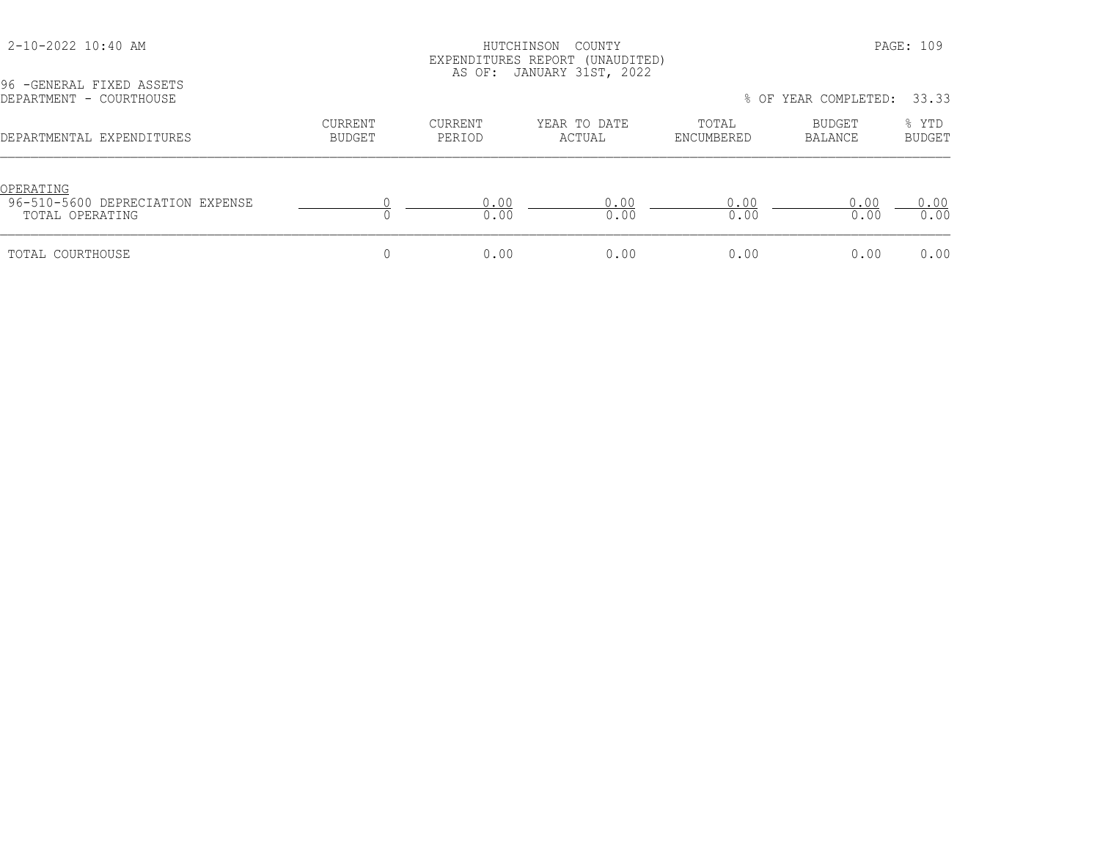#### 2-10-2022 10:40 AM HUTCHINSON COUNTY PAGE: 109 EXPENDITURES REPORT (UNAUDITED) AS OF: JANUARY 31ST, 2022

DEPARTMENT - COURTHOUSE % OF YEAR COMPLETED: 33.33 CURRENT CURRENT YEAR TO DATE TOTAL BUDGET % YTD DEPARTMENTAL EXPENDITURES BUDGET PERIOD ACTUAL ENCUMBERED BALANCE BUDGET OPERATING<br>96-510-5600 DEPRECIATION EXPENSE 96-510-5600 DEPRECIATION EXPENSE 0 0.00 0.00 0.00 0.00 0.00 TOTAL OPERATING 0 0.00 0.00 0.00 0.00 0.00 TOTAL COURTHOUSE 0 0.00 0.00 0.00 0.00 0.00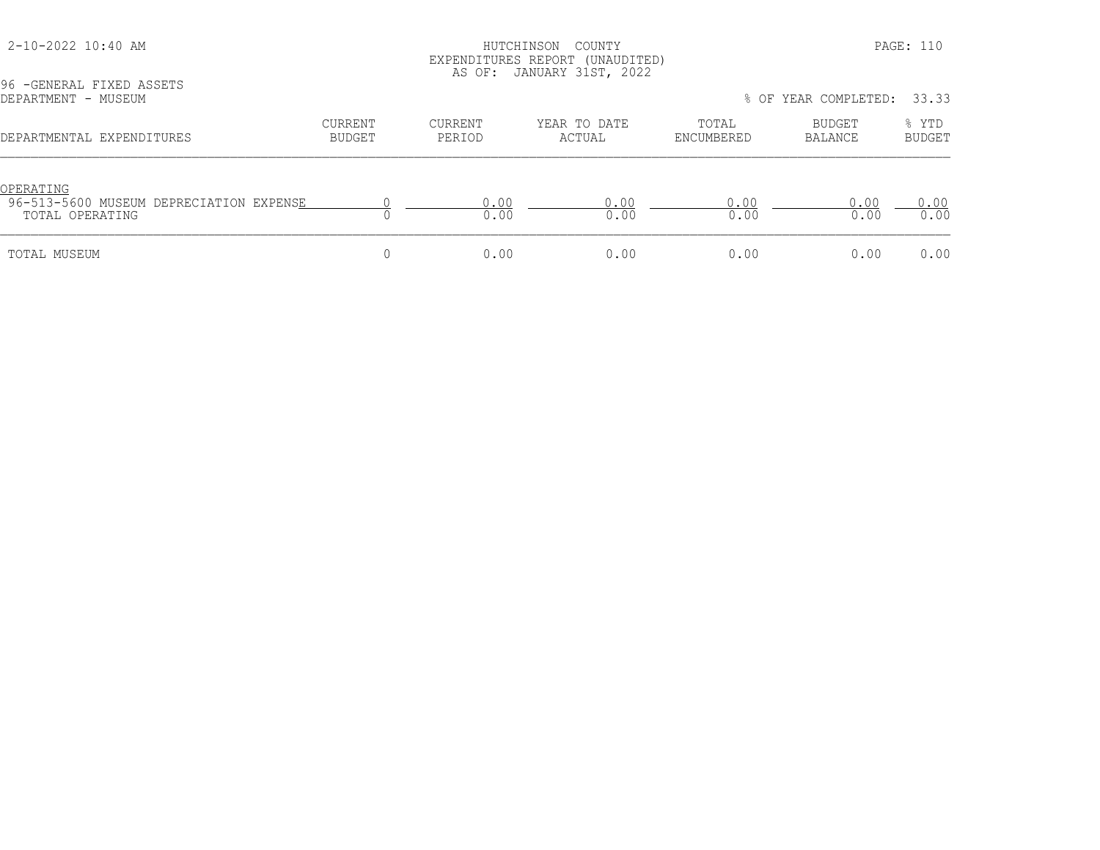# HUTCHINSON COUNTY PAGE: 110 EXPENDITURES REPORT (UNAUDITED) AS OF: JANUARY 31ST, 2022

| DEPARTMENT - MUSEUM                                                     |                          |                          |                        |                     | % OF YEAR COMPLETED: | 33.33                  |
|-------------------------------------------------------------------------|--------------------------|--------------------------|------------------------|---------------------|----------------------|------------------------|
| DEPARTMENTAL EXPENDITURES                                               | <b>CURRENT</b><br>BUDGET | <b>CURRENT</b><br>PERIOD | YEAR TO DATE<br>ACTUAL | TOTAL<br>ENCUMBERED | BUDGET<br>BALANCE    | % YTD<br><b>BUDGET</b> |
| OPERATING<br>96-513-5600 MUSEUM DEPRECIATION EXPENSE<br>TOTAL OPERATING |                          | 0.00<br>0.00             | 0 0 0<br>0.00          | 0 0 0<br>0.00       | 0.00<br>0.00         | 0.00<br>0.00           |
| TOTAL MUSEUM                                                            |                          | 0.00                     | 0.00                   | 0.00                | 0.00                 | 0.00                   |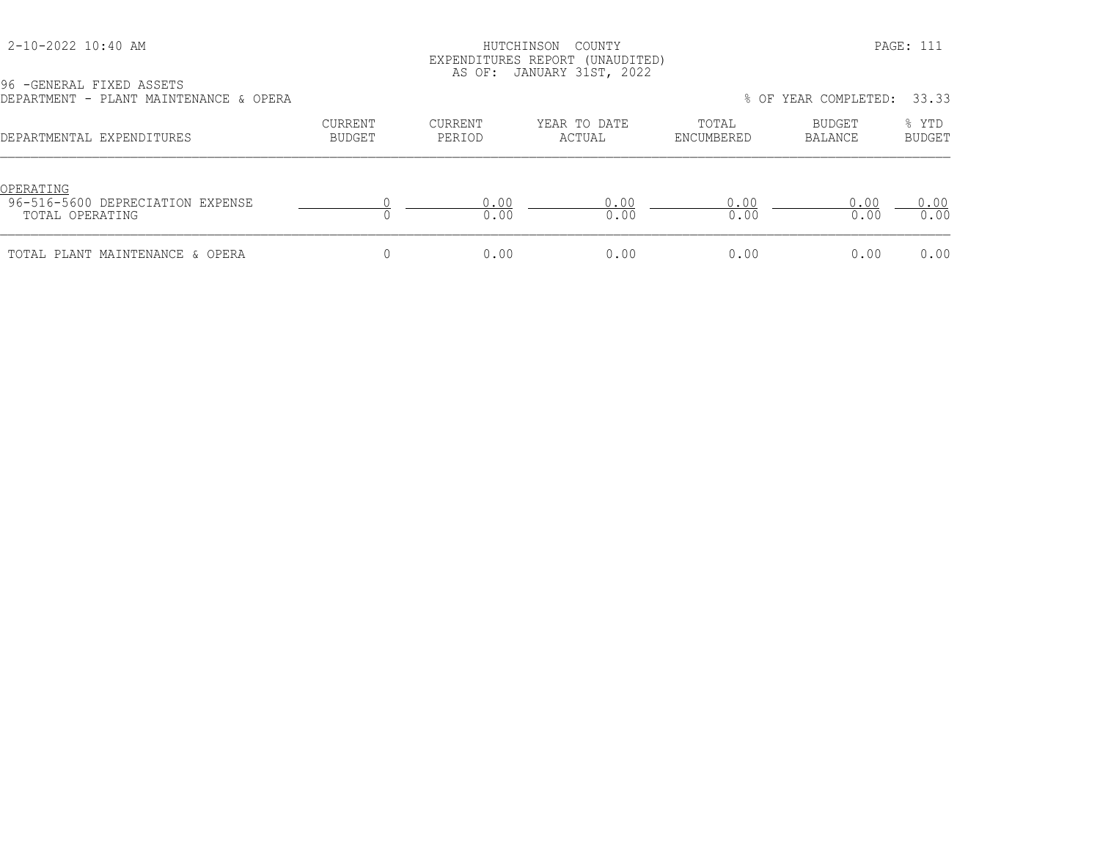### HUTCHINSON COUNTY PAGE: 111 EXPENDITURES REPORT (UNAUDITED) AS OF: JANUARY 31ST, 2022

| 96 - GENERAL FIXED ASSETS              |                          |                   |                        |                     |                            |                 |
|----------------------------------------|--------------------------|-------------------|------------------------|---------------------|----------------------------|-----------------|
| DEPARTMENT - PLANT MAINTENANCE & OPERA |                          |                   |                        |                     | % OF YEAR COMPLETED: 33.33 |                 |
| DEPARTMENTAL EXPENDITURES              | CURRENT<br><b>BUDGET</b> | CURRENT<br>PERIOD | YEAR TO DATE<br>ACTUAL | TOTAL<br>ENCUMBERED | BUDGET<br>BALANCE          | % YTD<br>BUDGET |
|                                        |                          |                   |                        |                     |                            |                 |

| OPERATT<br>96-516-5600 DEPRECIATION EXPENSE<br>TOTAL OPERATING |      |      | ∩∩   | n c   |  |
|----------------------------------------------------------------|------|------|------|-------|--|
| TOTAL PLANT MAINTENANCE & OPERA                                | n nn | 00 Q | າ ດດ | 0 0 0 |  |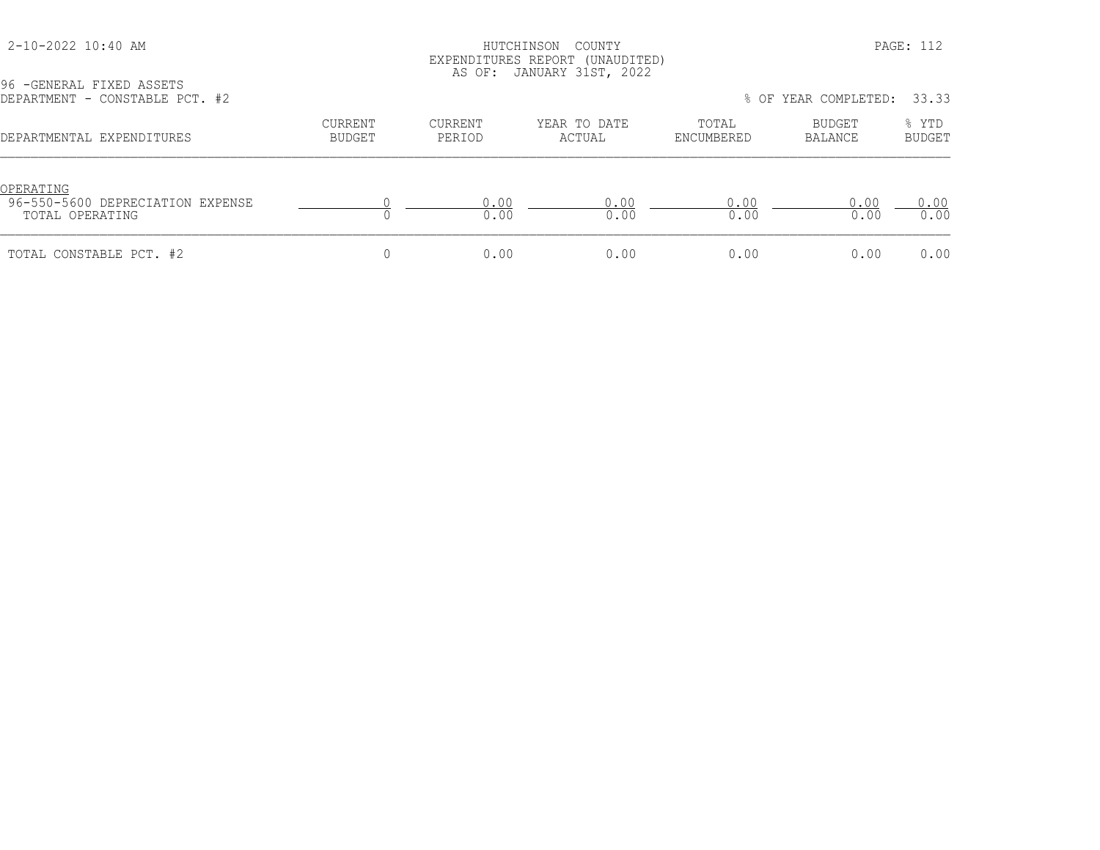# HUTCHINSON COUNTY PAGE: 112 EXPENDITURES REPORT (UNAUDITED) AS OF: JANUARY 31ST, 2022

| DEPARTMENT - CONSTABLE PCT. #2                                   |                          |                   |                        | % OF YEAR COMPLETED: |                   |                        |
|------------------------------------------------------------------|--------------------------|-------------------|------------------------|----------------------|-------------------|------------------------|
| DEPARTMENTAL EXPENDITURES                                        | <b>CURRENT</b><br>BUDGET | CURRENT<br>PERIOD | YEAR TO DATE<br>ACTUAL | TOTAL<br>ENCUMBERED  | BUDGET<br>BALANCE | % YTD<br><b>BUDGET</b> |
| OPERATING<br>96-550-5600 DEPRECIATION EXPENSE<br>TOTAL OPERATING |                          | 0.00<br>0.00      | 0 0 0<br>0.00          | 0 0 0 0<br>0.00      | 0.00<br>0.00      | 0.00<br>0.00           |
| TOTAL CONSTABLE PCT. #2                                          |                          | 0.00              | 0.00                   | 0.00                 | 0.00              | 0.00                   |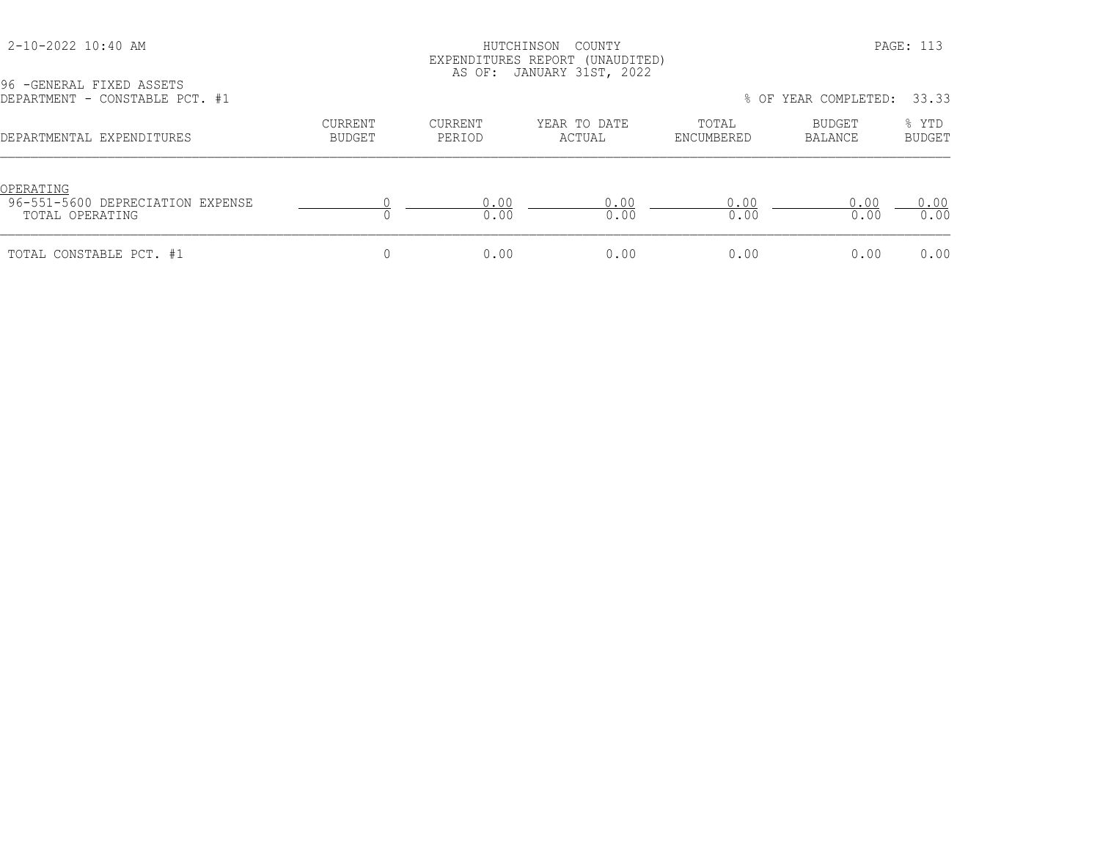# HUTCHINSON COUNTY PAGE: 113 EXPENDITURES REPORT (UNAUDITED) AS OF: JANUARY 31ST, 2022

| DEPARTMENT - CONSTABLE PCT. #1                                   |                   |                   |                        |                     | % OF YEAR COMPLETED: 33.33 |                        |
|------------------------------------------------------------------|-------------------|-------------------|------------------------|---------------------|----------------------------|------------------------|
| DEPARTMENTAL EXPENDITURES                                        | CURRENT<br>BUDGET | CURRENT<br>PERIOD | YEAR TO DATE<br>ACTUAL | TOTAL<br>ENCUMBERED | BUDGET<br>BALANCE          | % YTD<br><b>BUDGET</b> |
| OPERATING<br>96-551-5600 DEPRECIATION EXPENSE<br>TOTAL OPERATING |                   | 0.00<br>0.00      | 0.00<br>0.00           | 0.00<br>0.00        | 0.00<br>0.00               | 0.00<br>0.00           |
| TOTAL CONSTABLE PCT. #1                                          |                   | 0.00              | 0.00                   | 0.00                | 0.00                       | 0.00                   |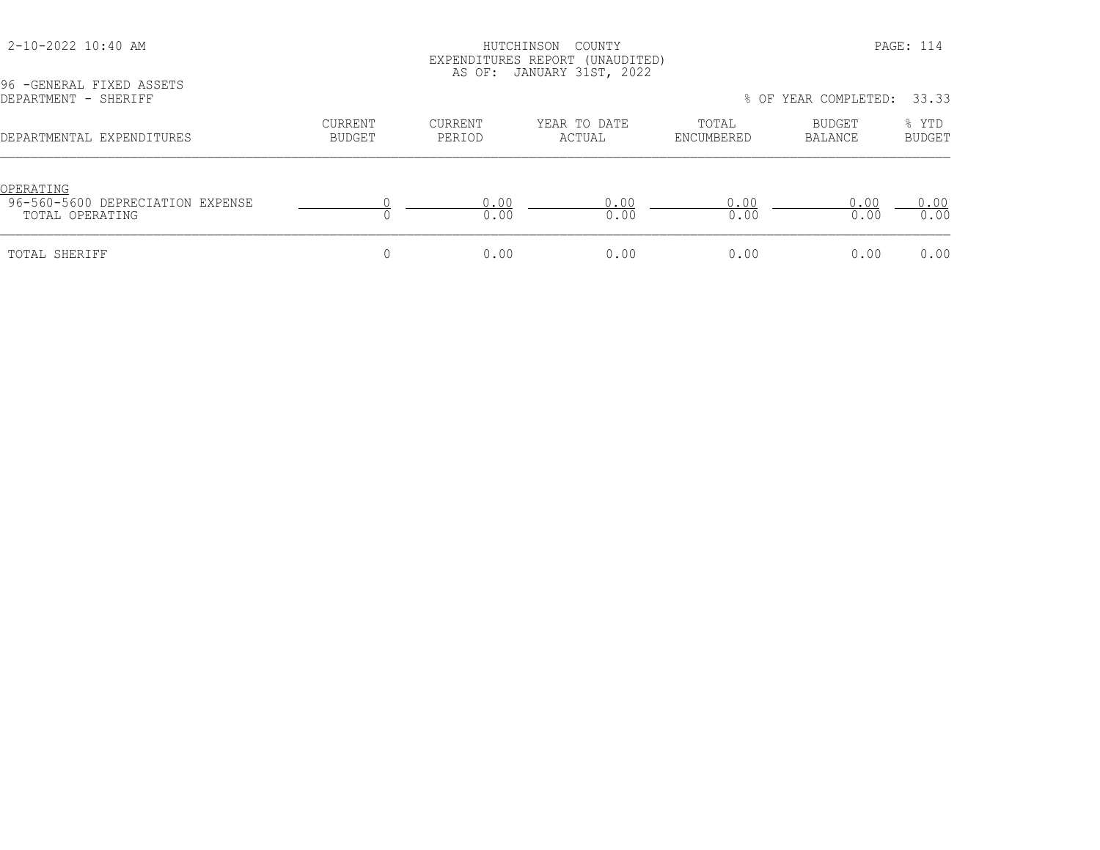# HUTCHINSON COUNTY PAGE: 114 EXPENDITURES REPORT (UNAUDITED) AS OF: JANUARY 31ST, 2022

| DEPARTMENT - SHERIFF                                             |                          |                   |                        | 33.33<br>% OF YEAR COMPLETED: |                   |                        |
|------------------------------------------------------------------|--------------------------|-------------------|------------------------|-------------------------------|-------------------|------------------------|
| DEPARTMENTAL EXPENDITURES                                        | <b>CURRENT</b><br>BUDGET | CURRENT<br>PERIOD | YEAR TO DATE<br>ACTUAL | TOTAL<br>ENCUMBERED           | BUDGET<br>BALANCE | % YTD<br><b>BUDGET</b> |
| OPERATING<br>96-560-5600 DEPRECIATION EXPENSE<br>TOTAL OPERATING |                          | 0.00<br>0.00      | 0.00<br>0.00           | 0.00<br>0.00                  | 0.00<br>0.00      | 0.00<br>0.00           |
| TOTAL SHERIFF                                                    |                          | 0.00              | 0.00                   | 0.00                          | 0.00              | 0.00                   |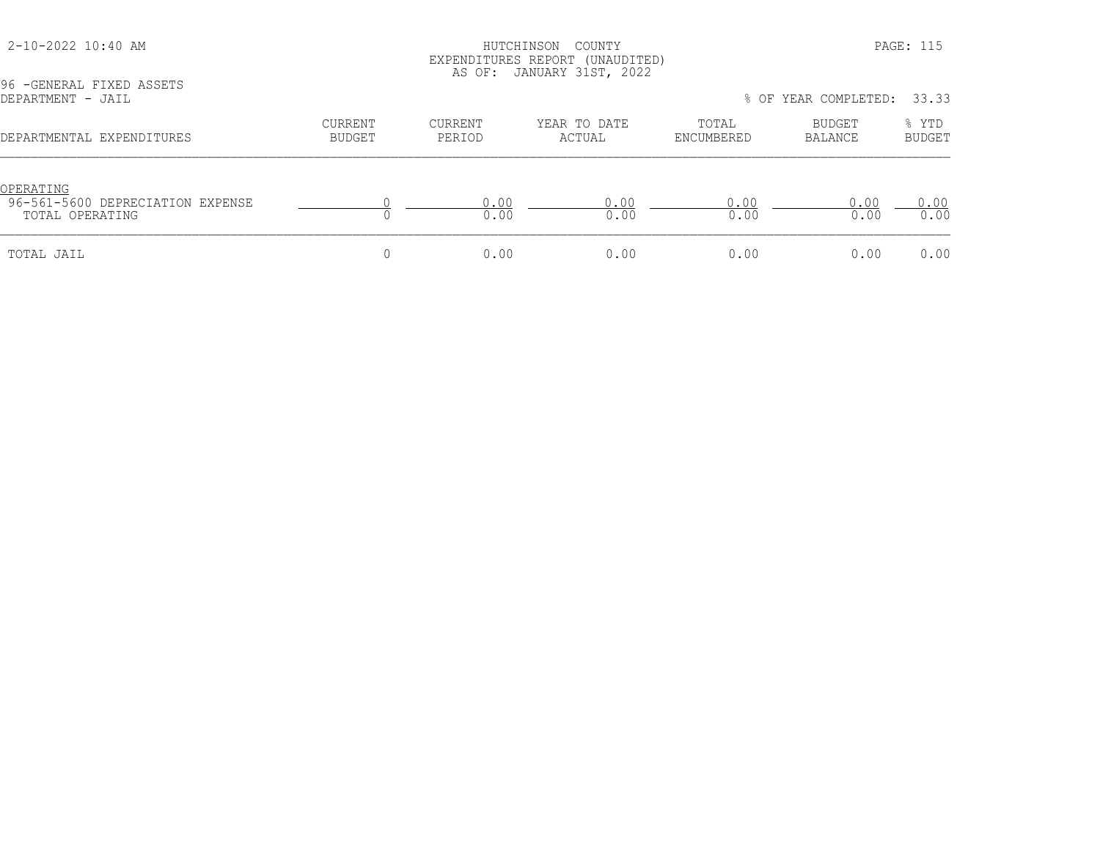#### 2-10-2022 10:40 AM HUTCHINSON COUNTY PAGE: 115 EXPENDITURES REPORT (UNAUDITED) AS OF: JANUARY 31ST, 2022

96 -GENERAL FIXED ASSETS<br>DEPARTMENT - JAIL % OF YEAR COMPLETED: 33.33 CURRENT CURRENT YEAR TO DATE TOTAL BUDGET % YTD DEPARTMENTAL EXPENDITURES BUDGET PERIOD ACTUAL ENCUMBERED BALANCE BUDGET OPERATING<br>96-561-5600 DEPRECIATION EXPENSE 96-561-5600 DEPRECIATION EXPENSE 0 0.00 0.00 0.00 0.00 0.00 TOTAL OPERATING 0 0.00 0.00 0.00 0.00 0.00 TOTAL JAIL 0 0.00 0.00 0.00 0.00 0.00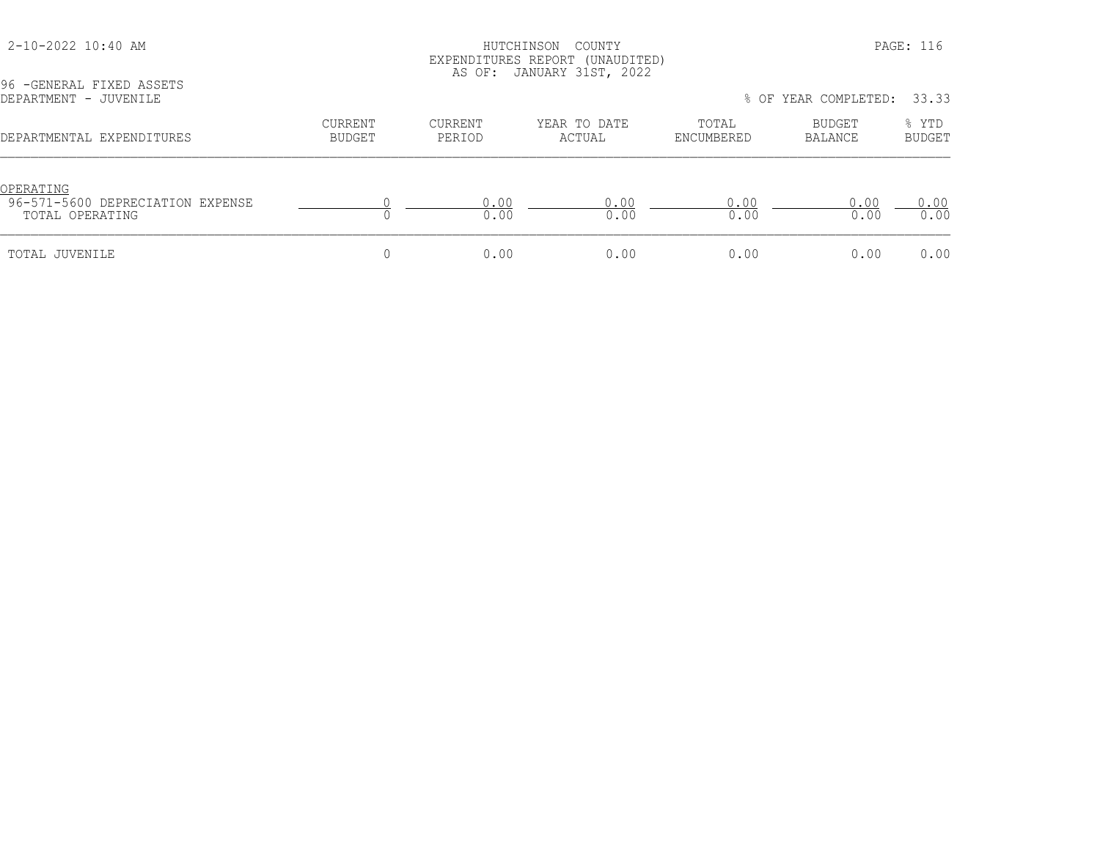# HUTCHINSON COUNTY PAGE: 116 EXPENDITURES REPORT (UNAUDITED) AS OF: JANUARY 31ST, 2022

96 -GENERAL FIXED ASSETS<br>DEPARTMENT - JUVENILE

| DEPARTMENT - JUVENILE                                            |                   |                   |                        | % OF YEAR COMPLETED: 33.33 |                   |                        |
|------------------------------------------------------------------|-------------------|-------------------|------------------------|----------------------------|-------------------|------------------------|
| DEPARTMENTAL EXPENDITURES                                        | CURRENT<br>BUDGET | CURRENT<br>PERIOD | YEAR TO DATE<br>ACTUAL | TOTAL<br>ENCUMBERED        | BUDGET<br>BALANCE | % YTD<br><b>BUDGET</b> |
| OPERATING<br>96-571-5600 DEPRECIATION EXPENSE<br>TOTAL OPERATING |                   | 0.00<br>0.00      | 0.00<br>0.00           | 0.00<br>0.00               | 0.00<br>0.00      | 0.00<br>0.00           |
| TOTAL JUVENILE                                                   |                   | 0.00              | 0.00                   | 0.00                       | 0.00              | 0.00                   |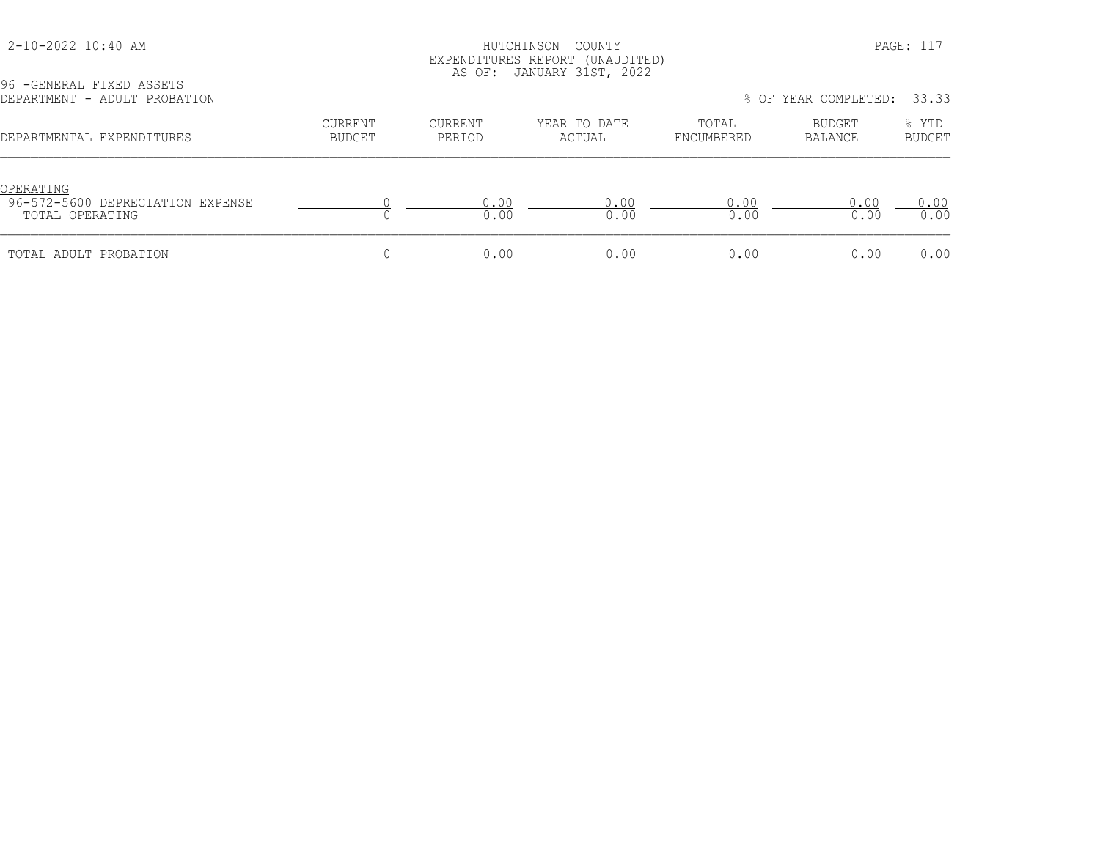# HUTCHINSON COUNTY PAGE: 117 EXPENDITURES REPORT (UNAUDITED) AS OF: JANUARY 31ST, 2022

| 96 - GENERAL FIXED ASSETS<br>DEPARTMENT - ADULT PROBATION        |                                 |                          | <u> v.i., v.i., i. v.i., cvcc</u> |                     | % OF YEAR COMPLETED: | 33.33                  |
|------------------------------------------------------------------|---------------------------------|--------------------------|-----------------------------------|---------------------|----------------------|------------------------|
| DEPARTMENTAL EXPENDITURES                                        | <b>CURRENT</b><br><b>BUDGET</b> | <b>CURRENT</b><br>PERIOD | YEAR TO DATE<br>ACTUAL            | TOTAL<br>ENCUMBERED | BUDGET<br>BALANCE    | % YTD<br><b>BUDGET</b> |
| OPERATING<br>96-572-5600 DEPRECIATION EXPENSE<br>TOTAL OPERATING |                                 | 0.00<br>0.00             | 0.00<br>0.00                      | 0.00<br>0.00        | 0.00<br>0.00         | 0.00<br>0.00           |
| TOTAL ADULT PROBATION                                            |                                 | 0.00                     | 0.00                              | 0.00                | 0.00                 | 0.00                   |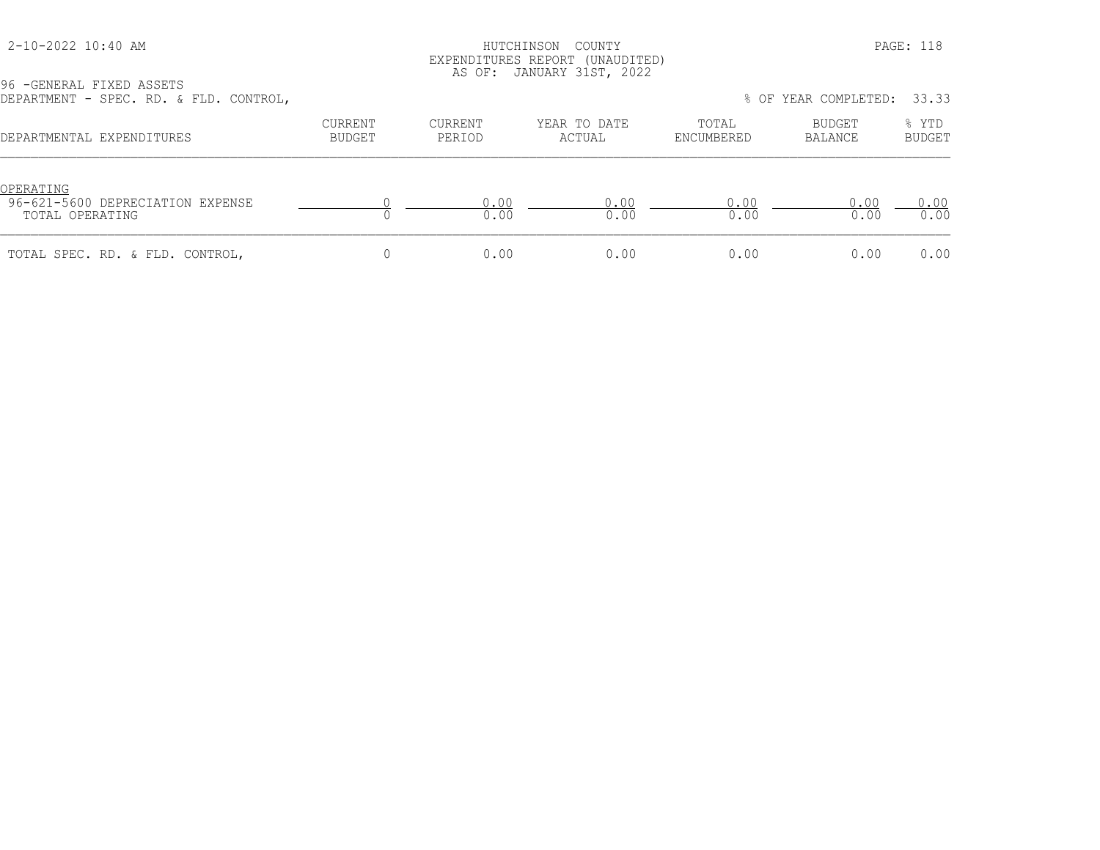# HUTCHINSON COUNTY PAGE: 118 EXPENDITURES REPORT (UNAUDITED) AS OF: JANUARY 31ST, 2022

| DEPARTMENT - SPEC. RD. & FLD. CONTROL,                           |                   |                   |                        |                     | % OF YEAR COMPLETED: | 33.33                  |
|------------------------------------------------------------------|-------------------|-------------------|------------------------|---------------------|----------------------|------------------------|
| DEPARTMENTAL EXPENDITURES                                        | CURRENT<br>BUDGET | CURRENT<br>PERIOD | YEAR TO DATE<br>ACTUAL | TOTAL<br>ENCUMBERED | BUDGET<br>BALANCE    | % YTD<br><b>BUDGET</b> |
| OPERATING<br>96-621-5600 DEPRECIATION EXPENSE<br>TOTAL OPERATING |                   | 0.00<br>0.00      | 0.00<br>0.00           | 0.00<br>0.00        | 0.00<br>0.00         | 0.00<br>0.00           |
| TOTAL SPEC. RD. & FLD. CONTROL,                                  |                   | 0.00              | 0.00                   | 0.00                | 0.00                 | 0.00                   |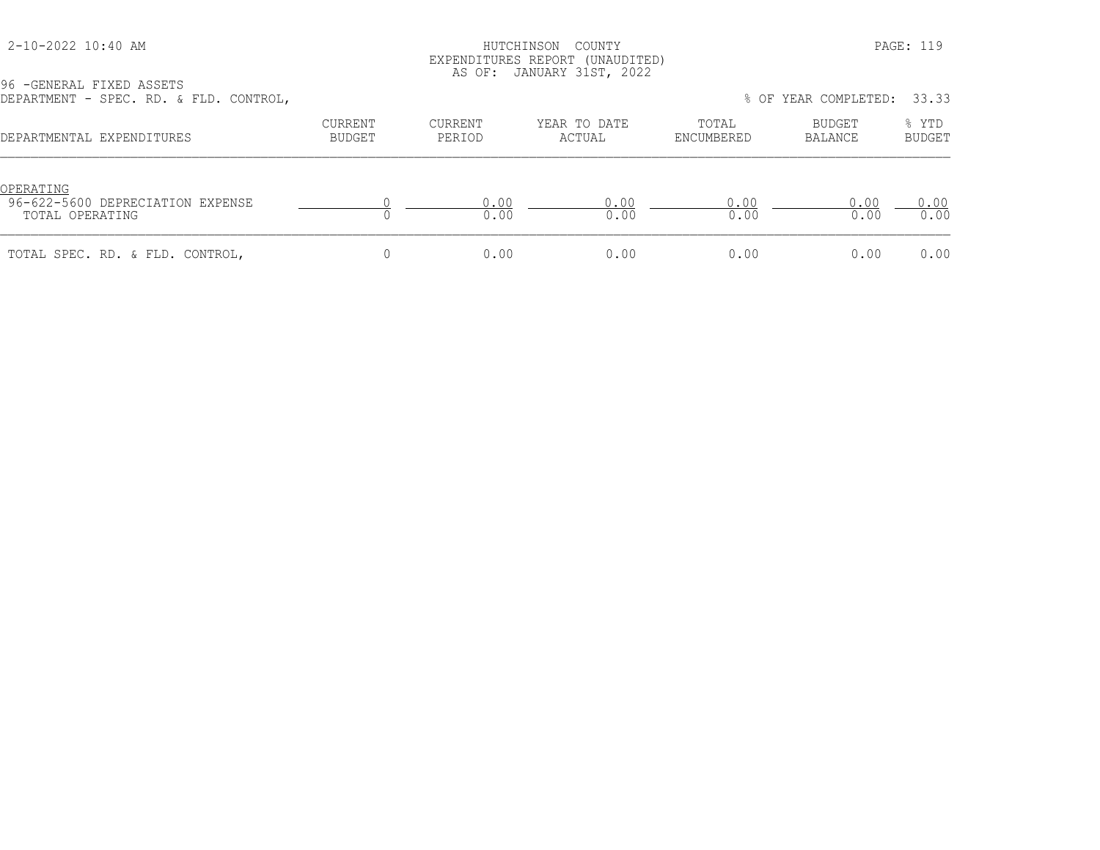### HUTCHINSON COUNTY PAGE: 119 EXPENDITURES REPORT (UNAUDITED) AS OF: JANUARY 31ST, 2022

| DEPARTMENT - SPEC. RD. & FLD. CONTROL,                           |                   |                   |                        |                     | % OF YEAR COMPLETED: 33.33 |                        |
|------------------------------------------------------------------|-------------------|-------------------|------------------------|---------------------|----------------------------|------------------------|
| DEPARTMENTAL EXPENDITURES                                        | CURRENT<br>BUDGET | CURRENT<br>PERIOD | YEAR TO DATE<br>ACTUAL | TOTAL<br>ENCUMBERED | BUDGET<br>BALANCE          | % YTD<br><b>BUDGET</b> |
| OPERATING<br>96-622-5600 DEPRECIATION EXPENSE<br>TOTAL OPERATING |                   | 0.00<br>0.00      | 0.00<br>0.00           | 0.00<br>0.00        | 0.00<br>0.00               | 0.00<br>0.00           |
| TOTAL SPEC. RD. & FLD. CONTROL,                                  |                   | 0.00              | 0.00                   | 0.00                | 0.00                       | 0.00                   |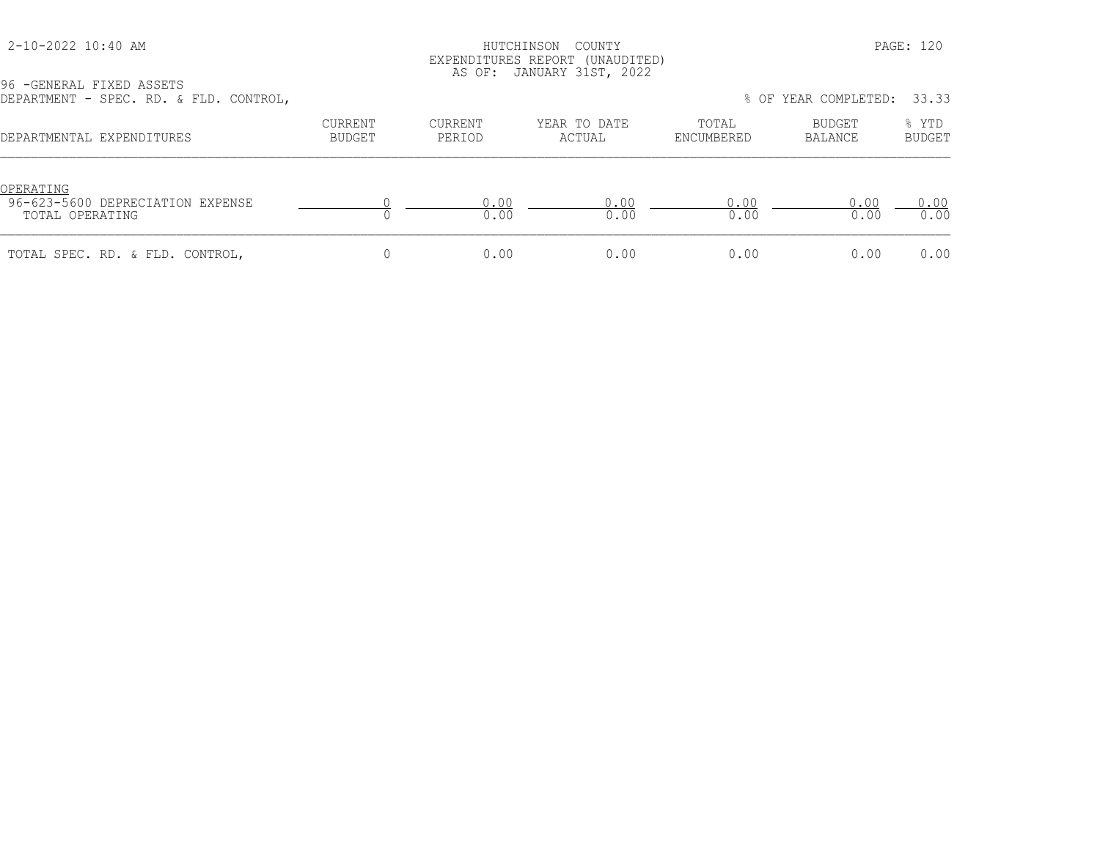### HUTCHINSON COUNTY PAGE: 120 EXPENDITURES REPORT (UNAUDITED) AS OF: JANUARY 31ST, 2022

| DEPARTMENT - SPEC. RD. & FLD. CONTROL,                           |                   |                   |                        |                     | % OF YEAR COMPLETED: 33.33 |                        |
|------------------------------------------------------------------|-------------------|-------------------|------------------------|---------------------|----------------------------|------------------------|
| DEPARTMENTAL EXPENDITURES                                        | CURRENT<br>BUDGET | CURRENT<br>PERIOD | YEAR TO DATE<br>ACTUAL | TOTAL<br>ENCUMBERED | BUDGET<br>BALANCE          | % YTD<br><b>BUDGET</b> |
| OPERATING<br>96-623-5600 DEPRECIATION EXPENSE<br>TOTAL OPERATING |                   | 0.00<br>0.00      | 0.00<br>0.00           | 0.00<br>0.00        | 0.00<br>0.00               | 0.00<br>0.00           |
| TOTAL SPEC. RD. & FLD. CONTROL,                                  |                   | 0.00              | 0.00                   | 0.00                | 0.00                       | 0.00                   |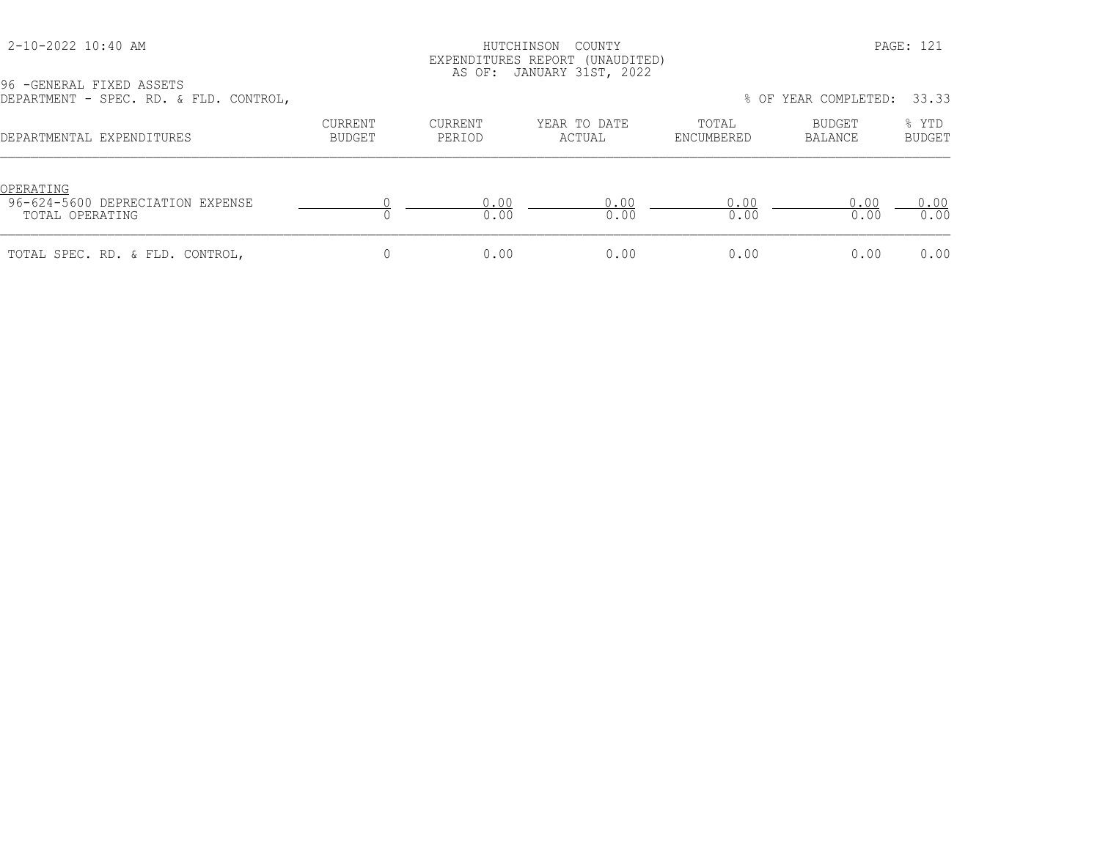# HUTCHINSON COUNTY PAGE: 121 EXPENDITURES REPORT (UNAUDITED) AS OF: JANUARY 31ST, 2022

| DEPARTMENT - SPEC. RD. & FLD. CONTROL,                           |                          |                   |                        |                     | % OF YEAR COMPLETED: 33.33 |                        |
|------------------------------------------------------------------|--------------------------|-------------------|------------------------|---------------------|----------------------------|------------------------|
| DEPARTMENTAL EXPENDITURES                                        | <b>CURRENT</b><br>BUDGET | CURRENT<br>PERIOD | YEAR TO DATE<br>ACTUAL | TOTAL<br>ENCUMBERED | BUDGET<br>BALANCE          | % YTD<br><b>BUDGET</b> |
| OPERATING<br>96-624-5600 DEPRECIATION EXPENSE<br>TOTAL OPERATING |                          | 0.00<br>0.00      | 0.00<br>0.00           | 0.00<br>0.00        | 0.00<br>0.00               | 0.00<br>0.00           |
| TOTAL SPEC. RD. & FLD. CONTROL,                                  |                          | 0.00              | 0.00                   | 0.00                | 0.00                       | 0.00                   |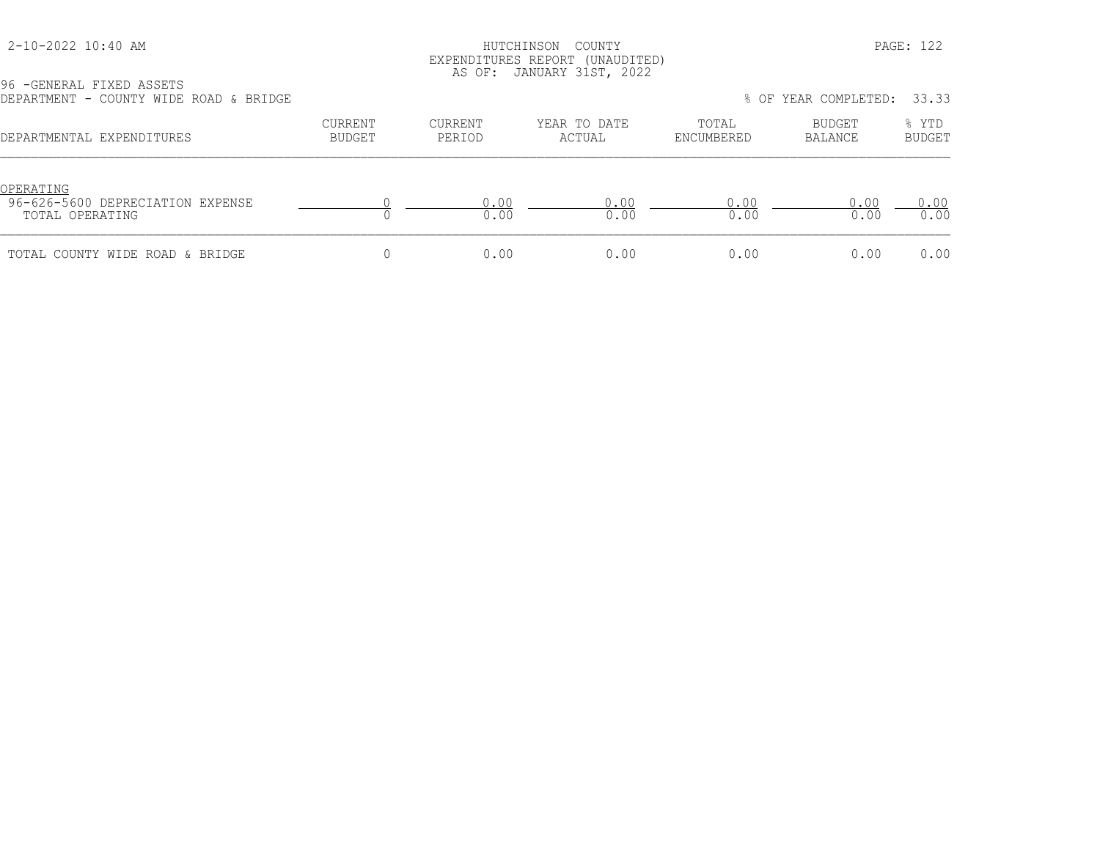### HUTCHINSON COUNTY PAGE: 122 EXPENDITURES REPORT (UNAUDITED) AS OF: JANUARY 31ST, 2022

| DEPARTMENT - COUNTY WIDE ROAD & BRIDGE                           |                   |                   |                        |                     | % OF YEAR COMPLETED: | 33.33                  |
|------------------------------------------------------------------|-------------------|-------------------|------------------------|---------------------|----------------------|------------------------|
| DEPARTMENTAL EXPENDITURES                                        | CURRENT<br>BUDGET | CURRENT<br>PERIOD | YEAR TO DATE<br>ACTUAL | TOTAL<br>ENCUMBERED | BUDGET<br>BALANCE    | % YTD<br><b>BUDGET</b> |
| OPERATING<br>96-626-5600 DEPRECIATION EXPENSE<br>TOTAL OPERATING |                   | 0.00<br>0.00      | 0.00<br>0.00           | 0.00<br>0.00        | 0.00<br>0.00         | 0.00<br>0.00           |
| TOTAL COUNTY WIDE ROAD & BRIDGE                                  |                   | 0.00              | 0.00                   | 0.00                | 0.00                 | 0.00                   |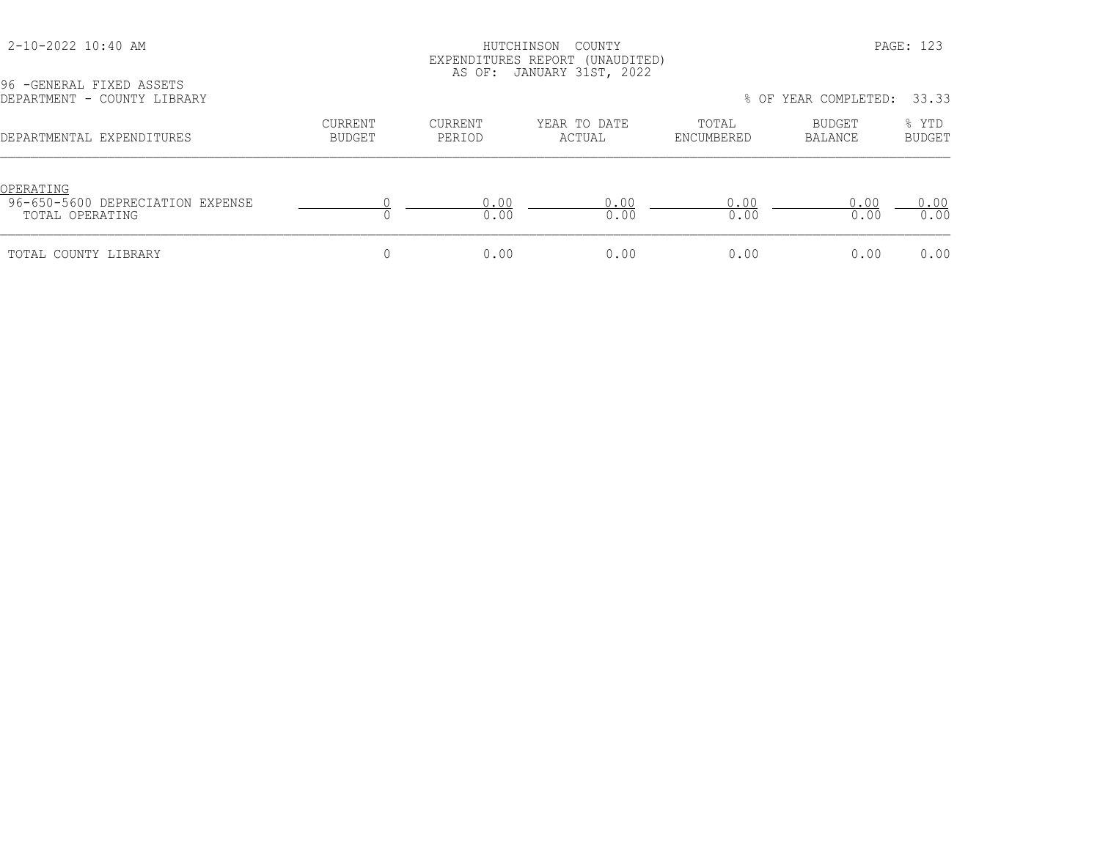# HUTCHINSON COUNTY PAGE: 123 EXPENDITURES REPORT (UNAUDITED) AS OF: JANUARY 31ST, 2022

| 96 - GENERAL FIXED ASSETS<br>DEPARTMENT - COUNTY LIBRARY         |                                 |                          |                        |                     | % OF YEAR COMPLETED: | 33.33                  |
|------------------------------------------------------------------|---------------------------------|--------------------------|------------------------|---------------------|----------------------|------------------------|
| DEPARTMENTAL EXPENDITURES                                        | <b>CURRENT</b><br><b>BUDGET</b> | <b>CURRENT</b><br>PERIOD | YEAR TO DATE<br>ACTUAL | TOTAL<br>ENCUMBERED | BUDGET<br>BALANCE    | % YTD<br><b>BUDGET</b> |
| OPERATING<br>96-650-5600 DEPRECIATION EXPENSE<br>TOTAL OPERATING |                                 | 0.00<br>0.00             | 0.00<br>0.00           | 0.00<br>0.00        | 0.00<br>0.00         | 0.00<br>0.00           |
| TOTAL COUNTY LIBRARY                                             |                                 | 0.00                     | 0.00                   | 0.00                | 0.00                 | 0.00                   |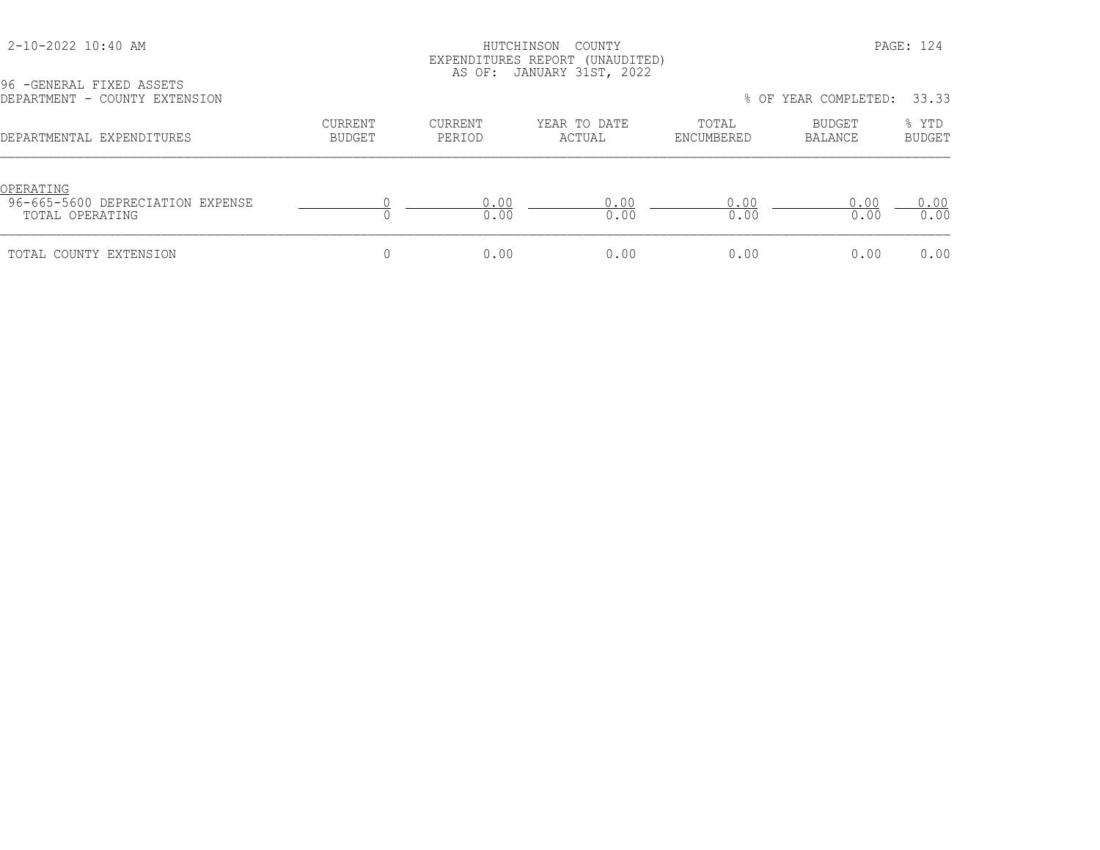# HUTCHINSON COUNTY PAGE: 124 EXPENDITURES REPORT (UNAUDITED) AS OF: JANUARY 31ST, 2022

| 96 - GENERAL FIXED ASSETS<br>DEPARTMENT - COUNTY EXTENSION       |                          |                   |                        |                     | % OF YEAR COMPLETED: | 33.33                  |
|------------------------------------------------------------------|--------------------------|-------------------|------------------------|---------------------|----------------------|------------------------|
| DEPARTMENTAL EXPENDITURES                                        | <b>CURRENT</b><br>BUDGET | CURRENT<br>PERIOD | YEAR TO DATE<br>ACTUAL | TOTAL<br>ENCUMBERED | BUDGET<br>BALANCE    | % YTD<br><b>BUDGET</b> |
| OPERATING<br>96-665-5600 DEPRECIATION EXPENSE<br>TOTAL OPERATING |                          | 0.00<br>0.00      | 0.00<br>0.00           | 0.00<br>0.00        | 0.00<br>0.00         | 0.00<br>0.00           |
| TOTAL COUNTY EXTENSION                                           |                          | 0.00              | 0.00                   | 0.00                | 0.00                 | 0.00                   |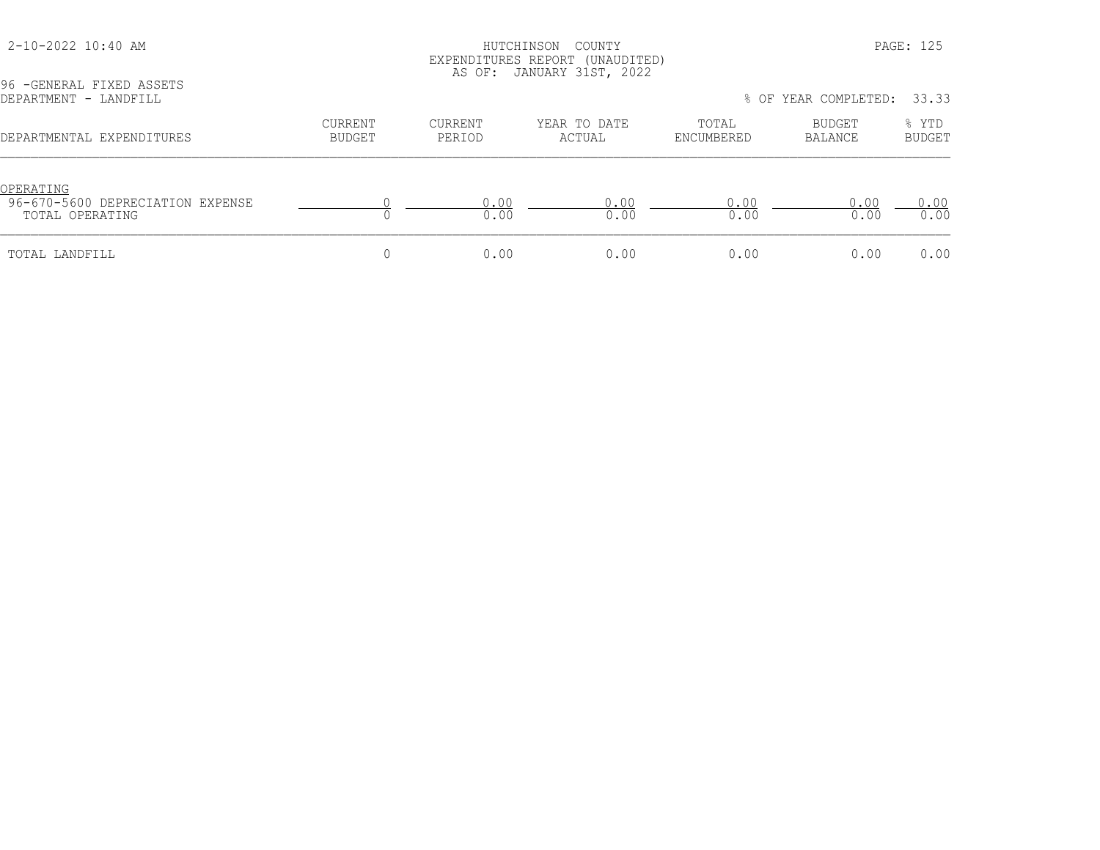#### 2-10-2022 10:40 AM HUTCHINSON COUNTY PAGE: 125 EXPENDITURES REPORT (UNAUDITED) AS OF: JANUARY 31ST, 2022

DEPARTMENT - LANDFILL % OF YEAR COMPLETED: 33.33 CURRENT CURRENT YEAR TO DATE TOTAL BUDGET % YTD DEPARTMENTAL EXPENDITURES BUDGET PERIOD ACTUAL ENCUMBERED BALANCE BUDGET OPERATING<br>96-670-5600 DEPRECIATION EXPENSE 96-670-5600 DEPRECIATION EXPENSE 0 0.00 0.00 0.00 0.00 0.00 TOTAL OPERATING 0 0.00 0.00 0.00 0.00 0.00 TOTAL LANDFILL 0 0.00 0.00 0.00 0.00 0.00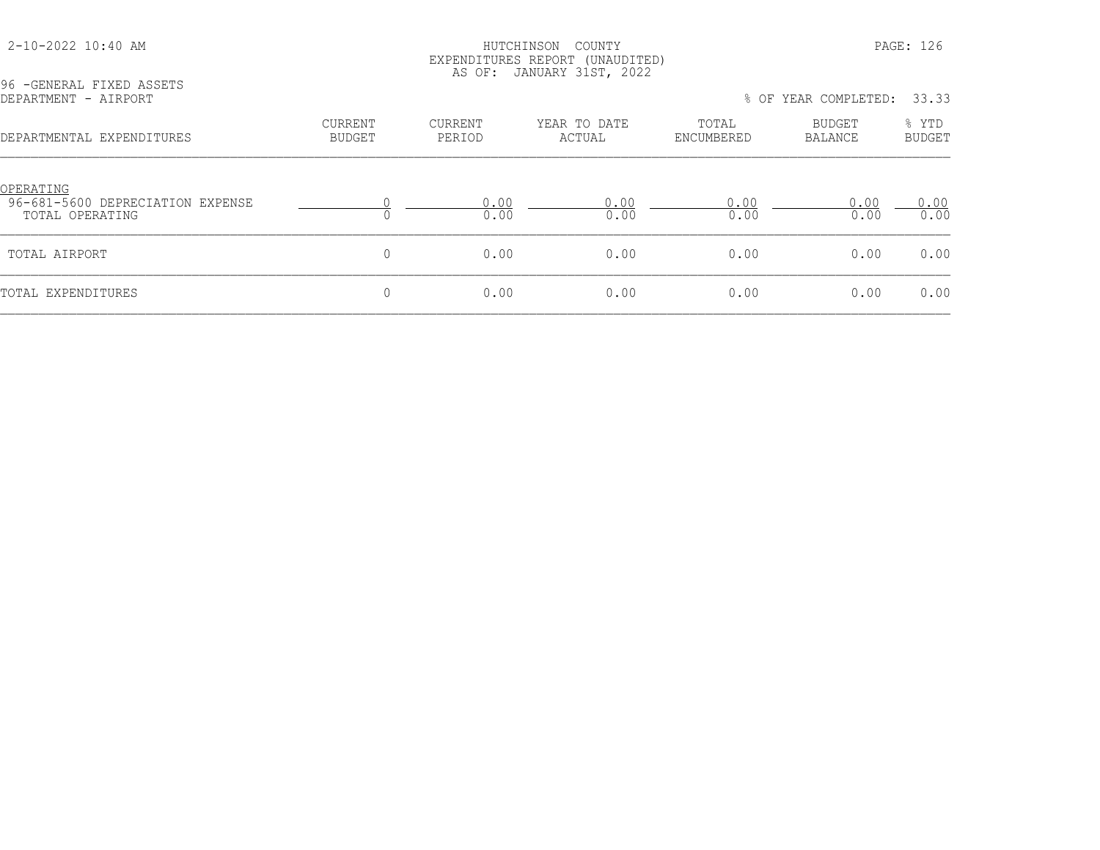# HUTCHINSON COUNTY PAGE: 126 EXPENDITURES REPORT (UNAUDITED) AS OF: JANUARY 31ST, 2022

| DEPARTMENT - AIRPORT                                             |                                 |                          |                        |                     | % OF YEAR COMPLETED:     | 33.33                  |
|------------------------------------------------------------------|---------------------------------|--------------------------|------------------------|---------------------|--------------------------|------------------------|
| DEPARTMENTAL EXPENDITURES                                        | <b>CURRENT</b><br><b>BUDGET</b> | <b>CURRENT</b><br>PERIOD | YEAR TO DATE<br>ACTUAL | TOTAL<br>ENCUMBERED | <b>BUDGET</b><br>BALANCE | % YTD<br><b>BUDGET</b> |
| OPERATING<br>96-681-5600 DEPRECIATION EXPENSE<br>TOTAL OPERATING |                                 | 0.00<br>0.00             | 0.00<br>0.00           | 0.00<br>0.00        | 0.00<br>0.00             | 0.00<br>0.00           |
| TOTAL AIRPORT                                                    | $\mathbf{0}$                    | 0.00                     | 0.00                   | 0.00                | 0.00                     | 0.00                   |
| TOTAL EXPENDITURES                                               | $\mathbf{0}$                    | 0.00                     | 0.00                   | 0.00                | 0.00                     | 0.00                   |
|                                                                  |                                 |                          |                        |                     |                          |                        |